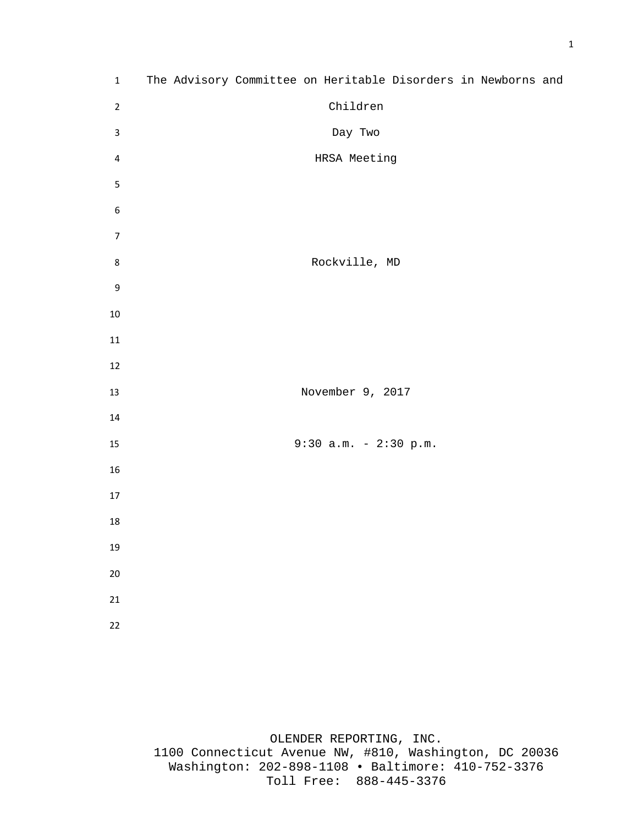| $\mathbf 1$      | The Advisory Committee on Heritable Disorders in Newborns and |
|------------------|---------------------------------------------------------------|
| $\overline{2}$   | Children                                                      |
| $\mathsf{3}$     | Day Two                                                       |
| 4                | HRSA Meeting                                                  |
| $\mathsf S$      |                                                               |
| $\boldsymbol{6}$ |                                                               |
| $\overline{7}$   |                                                               |
| $\bf 8$          | Rockville, MD                                                 |
| $\boldsymbol{9}$ |                                                               |
| 10               |                                                               |
| 11               |                                                               |
| 12               |                                                               |
| 13               | November 9, 2017                                              |
| 14               |                                                               |
| 15               | $9:30$ a.m. - 2:30 p.m.                                       |
| 16               |                                                               |
| 17               |                                                               |
| 18               |                                                               |
| 19               |                                                               |
| 20               |                                                               |
| 21               |                                                               |
| 22               |                                                               |
|                  |                                                               |

OLENDER REPORTING, INC. 1100 Connecticut Avenue NW, #810, Washington, DC 20036 Washington: 202-898-1108 • Baltimore: 410-752-3376 Toll Free: 888-445-3376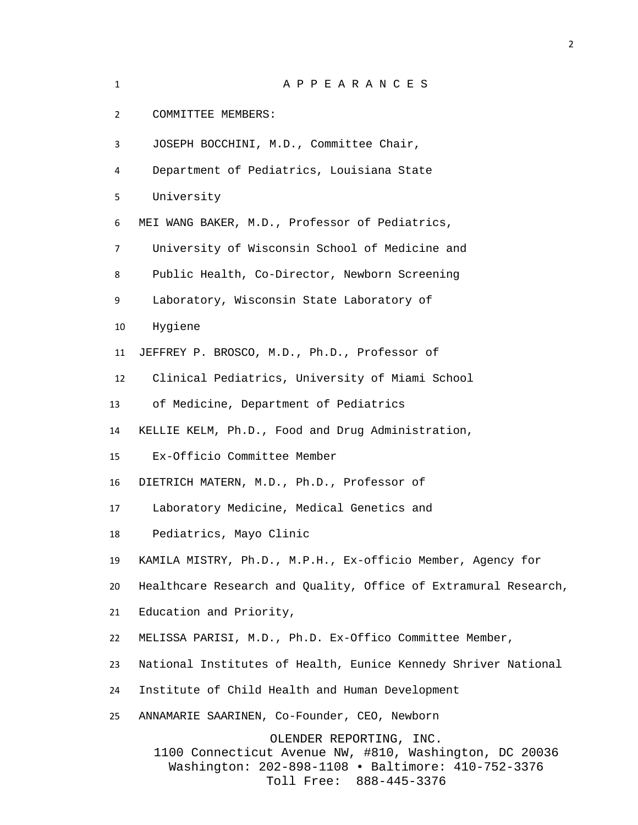| $\mathbf{1}$ | APPEARANCES                                                                                                                                                        |
|--------------|--------------------------------------------------------------------------------------------------------------------------------------------------------------------|
| 2            | COMMITTEE MEMBERS:                                                                                                                                                 |
| 3            | JOSEPH BOCCHINI, M.D., Committee Chair,                                                                                                                            |
| 4            | Department of Pediatrics, Louisiana State                                                                                                                          |
| 5            | University                                                                                                                                                         |
| 6            | MEI WANG BAKER, M.D., Professor of Pediatrics,                                                                                                                     |
| 7            | University of Wisconsin School of Medicine and                                                                                                                     |
| 8            | Public Health, Co-Director, Newborn Screening                                                                                                                      |
| 9            | Laboratory, Wisconsin State Laboratory of                                                                                                                          |
| 10           | Hygiene                                                                                                                                                            |
| 11           | JEFFREY P. BROSCO, M.D., Ph.D., Professor of                                                                                                                       |
| 12           | Clinical Pediatrics, University of Miami School                                                                                                                    |
| 13           | of Medicine, Department of Pediatrics                                                                                                                              |
| 14           | KELLIE KELM, Ph.D., Food and Drug Administration,                                                                                                                  |
| 15           | Ex-Officio Committee Member                                                                                                                                        |
| 16           | DIETRICH MATERN, M.D., Ph.D., Professor of                                                                                                                         |
| 17           | Laboratory Medicine, Medical Genetics and                                                                                                                          |
| 18           | Pediatrics, Mayo Clinic                                                                                                                                            |
| 19           | KAMILA MISTRY, Ph.D., M.P.H., Ex-officio Member, Agency for                                                                                                        |
| 20           | Healthcare Research and Quality, Office of Extramural Research,                                                                                                    |
| 21           | Education and Priority,                                                                                                                                            |
| 22           | MELISSA PARISI, M.D., Ph.D. Ex-Offico Committee Member,                                                                                                            |
| 23           | National Institutes of Health, Eunice Kennedy Shriver National                                                                                                     |
| 24           | Institute of Child Health and Human Development                                                                                                                    |
| 25           | ANNAMARIE SAARINEN, Co-Founder, CEO, Newborn                                                                                                                       |
|              | OLENDER REPORTING, INC.<br>1100 Connecticut Avenue NW, #810, Washington, DC 20036<br>Washington: 202-898-1108 · Baltimore: 410-752-3376<br>Toll Free: 888-445-3376 |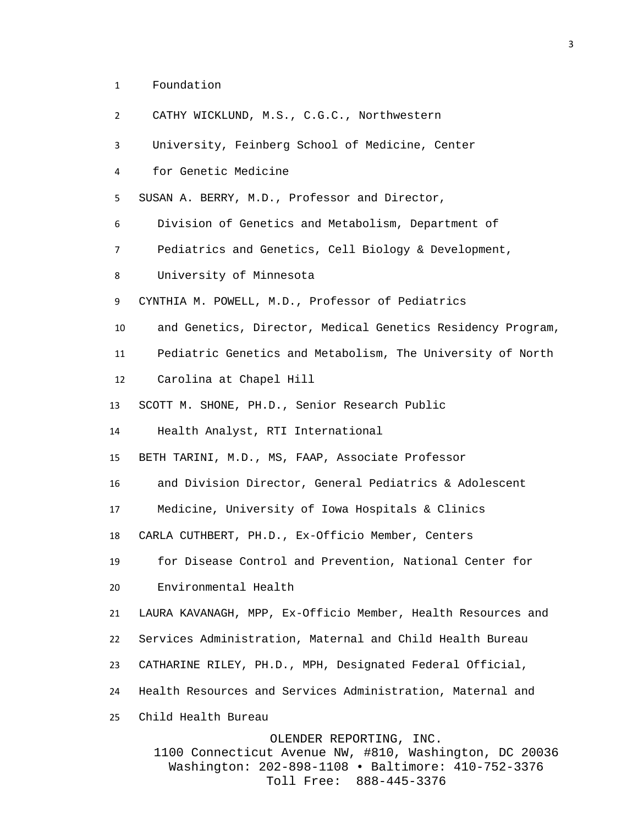- Foundation
- CATHY WICKLUND, M.S., C.G.C., Northwestern

University, Feinberg School of Medicine, Center

for Genetic Medicine

SUSAN A. BERRY, M.D., Professor and Director,

Division of Genetics and Metabolism, Department of

- Pediatrics and Genetics, Cell Biology & Development,
- University of Minnesota

CYNTHIA M. POWELL, M.D., Professor of Pediatrics

- and Genetics, Director, Medical Genetics Residency Program,
- Pediatric Genetics and Metabolism, The University of North
- Carolina at Chapel Hill
- SCOTT M. SHONE, PH.D., Senior Research Public

Health Analyst, RTI International

BETH TARINI, M.D., MS, FAAP, Associate Professor

and Division Director, General Pediatrics & Adolescent

Medicine, University of Iowa Hospitals & Clinics

CARLA CUTHBERT, PH.D., Ex-Officio Member, Centers

for Disease Control and Prevention, National Center for

Environmental Health

LAURA KAVANAGH, MPP, Ex-Officio Member, Health Resources and

Services Administration, Maternal and Child Health Bureau

- CATHARINE RILEY, PH.D., MPH, Designated Federal Official,
- Health Resources and Services Administration, Maternal and
- Child Health Bureau

OLENDER REPORTING, INC.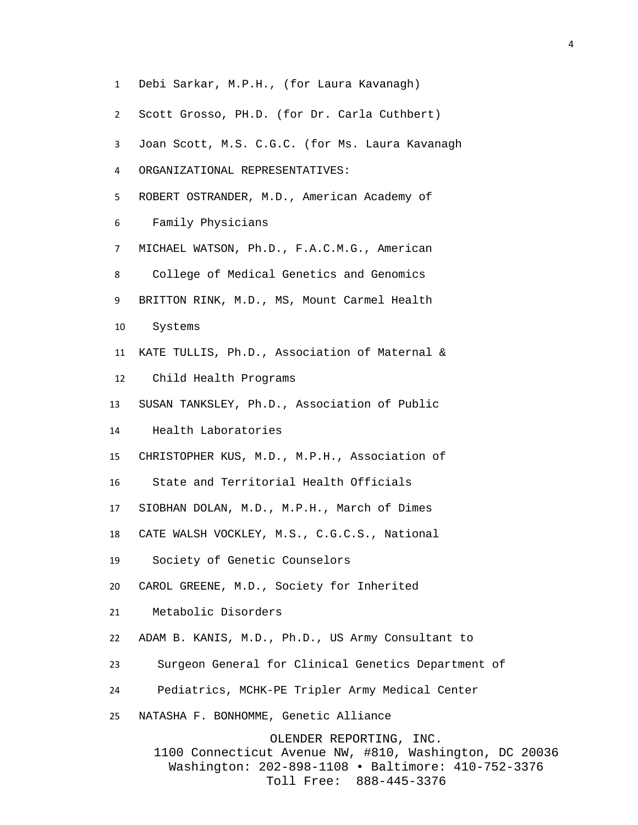Debi Sarkar, M.P.H., (for Laura Kavanagh) Scott Grosso, PH.D. (for Dr. Carla Cuthbert) Joan Scott, M.S. C.G.C. (for Ms. Laura Kavanagh ORGANIZATIONAL REPRESENTATIVES: ROBERT OSTRANDER, M.D., American Academy of Family Physicians MICHAEL WATSON, Ph.D., F.A.C.M.G., American College of Medical Genetics and Genomics BRITTON RINK, M.D., MS, Mount Carmel Health Systems KATE TULLIS, Ph.D., Association of Maternal & Child Health Programs SUSAN TANKSLEY, Ph.D., Association of Public Health Laboratories CHRISTOPHER KUS, M.D., M.P.H., Association of State and Territorial Health Officials SIOBHAN DOLAN, M.D., M.P.H., March of Dimes CATE WALSH VOCKLEY, M.S., C.G.C.S., National Society of Genetic Counselors CAROL GREENE, M.D., Society for Inherited Metabolic Disorders ADAM B. KANIS, M.D., Ph.D., US Army Consultant to Surgeon General for Clinical Genetics Department of Pediatrics, MCHK-PE Tripler Army Medical Center NATASHA F. BONHOMME, Genetic Alliance OLENDER REPORTING, INC. 1100 Connecticut Avenue NW, #810, Washington, DC 20036 Washington: 202-898-1108 • Baltimore: 410-752-3376

Toll Free: 888-445-3376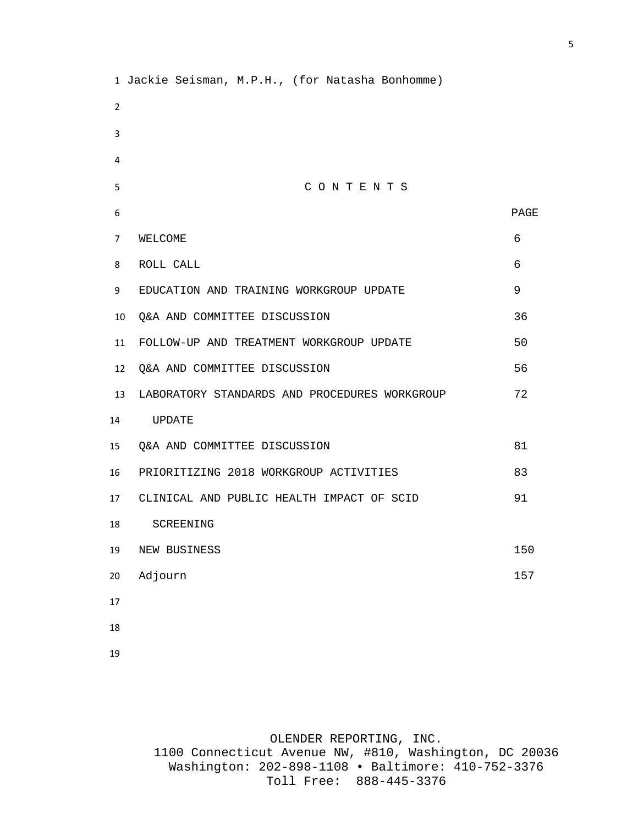Jackie Seisman, M.P.H., (for Natasha Bonhomme) C O N T E N T S PAGE 7 WELCOME 6 ROLL CALL 6 EDUCATION AND TRAINING WORKGROUP UPDATE 9 Q&A AND COMMITTEE DISCUSSION 36 FOLLOW-UP AND TREATMENT WORKGROUP UPDATE 50 Q&A AND COMMITTEE DISCUSSION 56 LABORATORY STANDARDS AND PROCEDURES WORKGROUP 72 UPDATE Q&A AND COMMITTEE DISCUSSION 81 PRIORITIZING 2018 WORKGROUP ACTIVITIES 83 CLINICAL AND PUBLIC HEALTH IMPACT OF SCID 91 SCREENING 19 NEW BUSINESS 150 Adjourn 157 

OLENDER REPORTING, INC.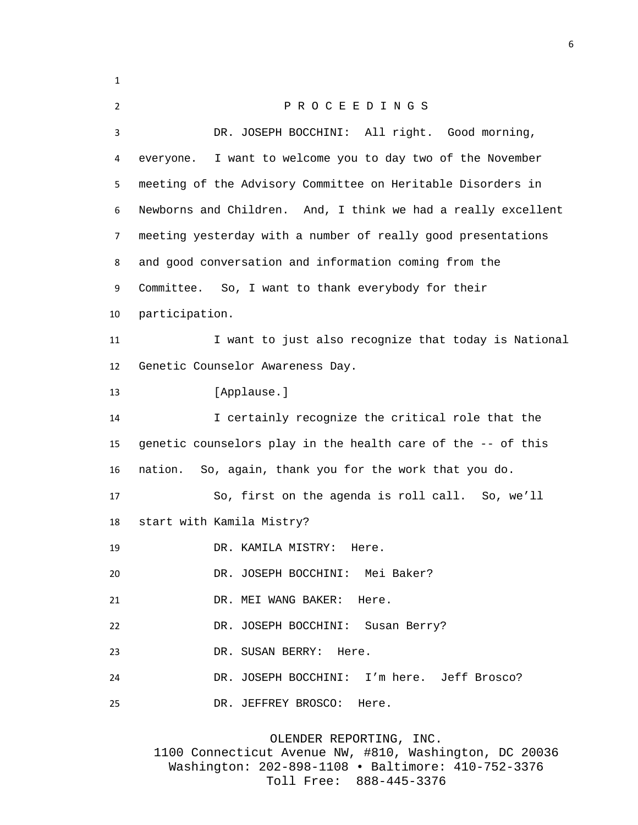P R O C E E D I N G S DR. JOSEPH BOCCHINI: All right. Good morning, everyone. I want to welcome you to day two of the November meeting of the Advisory Committee on Heritable Disorders in Newborns and Children. And, I think we had a really excellent meeting yesterday with a number of really good presentations and good conversation and information coming from the Committee. So, I want to thank everybody for their participation. 11 I want to just also recognize that today is National Genetic Counselor Awareness Day. 13 [Applause.] I certainly recognize the critical role that the genetic counselors play in the health care of the -- of this nation. So, again, thank you for the work that you do. So, first on the agenda is roll call. So, we'll start with Kamila Mistry? DR. KAMILA MISTRY: Here. DR. JOSEPH BOCCHINI: Mei Baker? DR. MEI WANG BAKER: Here. DR. JOSEPH BOCCHINI: Susan Berry? DR. SUSAN BERRY: Here. DR. JOSEPH BOCCHINI: I'm here. Jeff Brosco? DR. JEFFREY BROSCO: Here.

OLENDER REPORTING, INC.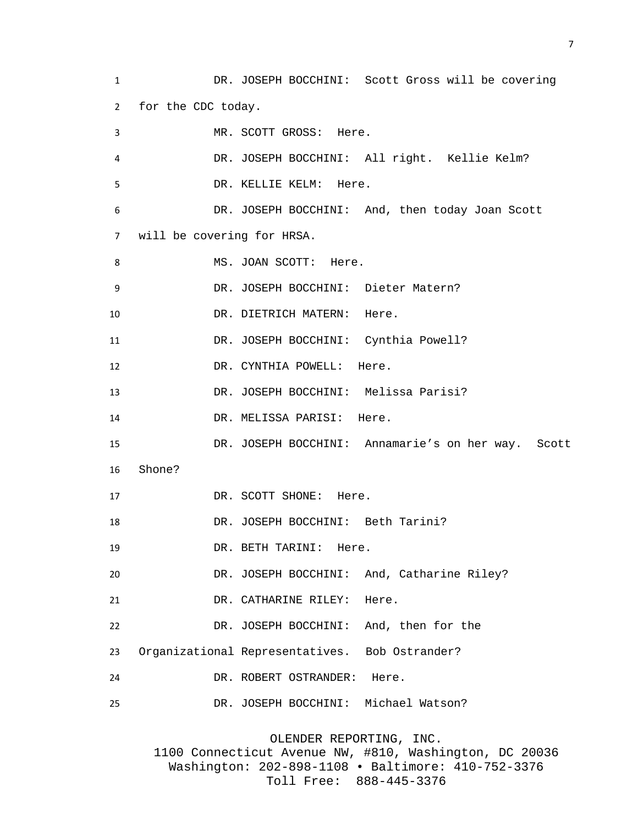DR. JOSEPH BOCCHINI: Scott Gross will be covering for the CDC today. MR. SCOTT GROSS: Here. DR. JOSEPH BOCCHINI: All right. Kellie Kelm? DR. KELLIE KELM: Here. DR. JOSEPH BOCCHINI: And, then today Joan Scott will be covering for HRSA. 8 MS. JOAN SCOTT: Here. DR. JOSEPH BOCCHINI: Dieter Matern? 10 DR. DIETRICH MATERN: Here. DR. JOSEPH BOCCHINI: Cynthia Powell? 12 DR. CYNTHIA POWELL: Here. DR. JOSEPH BOCCHINI: Melissa Parisi? DR. MELISSA PARISI: Here. DR. JOSEPH BOCCHINI: Annamarie's on her way. Scott Shone? 17 DR. SCOTT SHONE: Here. 18 DR. JOSEPH BOCCHINI: Beth Tarini? DR. BETH TARINI: Here. DR. JOSEPH BOCCHINI: And, Catharine Riley? 21 DR. CATHARINE RILEY: Here. DR. JOSEPH BOCCHINI: And, then for the Organizational Representatives. Bob Ostrander? DR. ROBERT OSTRANDER: Here. DR. JOSEPH BOCCHINI: Michael Watson?

OLENDER REPORTING, INC.

1100 Connecticut Avenue NW, #810, Washington, DC 20036 Washington: 202-898-1108 • Baltimore: 410-752-3376 Toll Free: 888-445-3376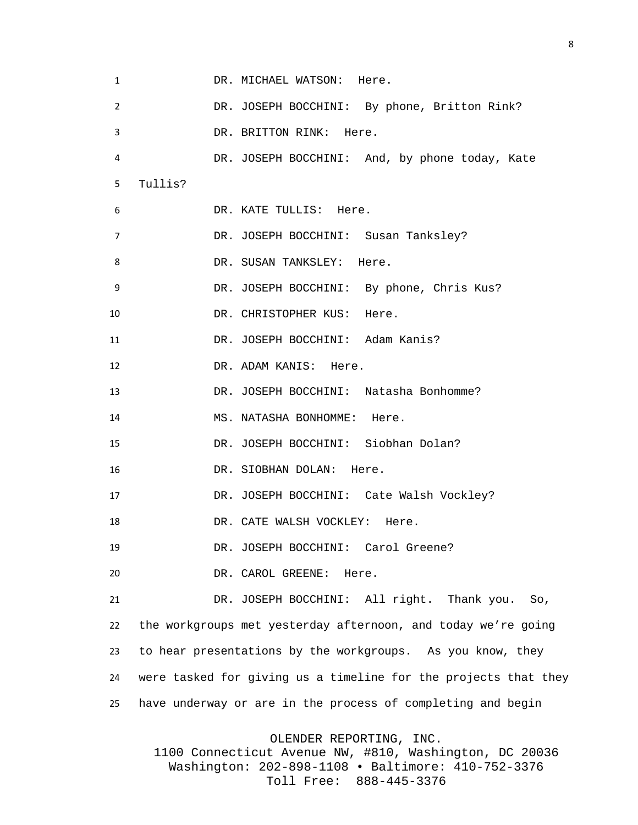| 1  | DR. MICHAEL WATSON: Here.                                       |
|----|-----------------------------------------------------------------|
| 2  | DR. JOSEPH BOCCHINI: By phone, Britton Rink?                    |
| 3  | DR. BRITTON RINK: Here.                                         |
| 4  | DR. JOSEPH BOCCHINI: And, by phone today, Kate                  |
| 5  | Tullis?                                                         |
| 6  | DR. KATE TULLIS: Here.                                          |
| 7  | DR. JOSEPH BOCCHINI: Susan Tanksley?                            |
| 8  | DR. SUSAN TANKSLEY: Here.                                       |
| 9  | DR. JOSEPH BOCCHINI: By phone, Chris Kus?                       |
| 10 | DR. CHRISTOPHER KUS: Here.                                      |
| 11 | DR. JOSEPH BOCCHINI: Adam Kanis?                                |
| 12 | DR. ADAM KANIS: Here.                                           |
| 13 | DR. JOSEPH BOCCHINI: Natasha Bonhomme?                          |
| 14 | MS. NATASHA BONHOMME: Here.                                     |
| 15 | DR. JOSEPH BOCCHINI: Siobhan Dolan?                             |
| 16 | DR. SIOBHAN DOLAN: Here.                                        |
| 17 | DR. JOSEPH BOCCHINI: Cate Walsh Vockley?                        |
| 18 | DR. CATE WALSH VOCKLEY: Here.                                   |
| 19 | DR. JOSEPH BOCCHINI: Carol Greene?                              |
| 20 | DR. CAROL GREENE:<br>Here.                                      |
| 21 | DR. JOSEPH BOCCHINI: All right. Thank you.<br>So,               |
| 22 | the workgroups met yesterday afternoon, and today we're going   |
| 23 | to hear presentations by the workgroups. As you know, they      |
| 24 | were tasked for giving us a timeline for the projects that they |
| 25 | have underway or are in the process of completing and begin     |
|    |                                                                 |

OLENDER REPORTING, INC.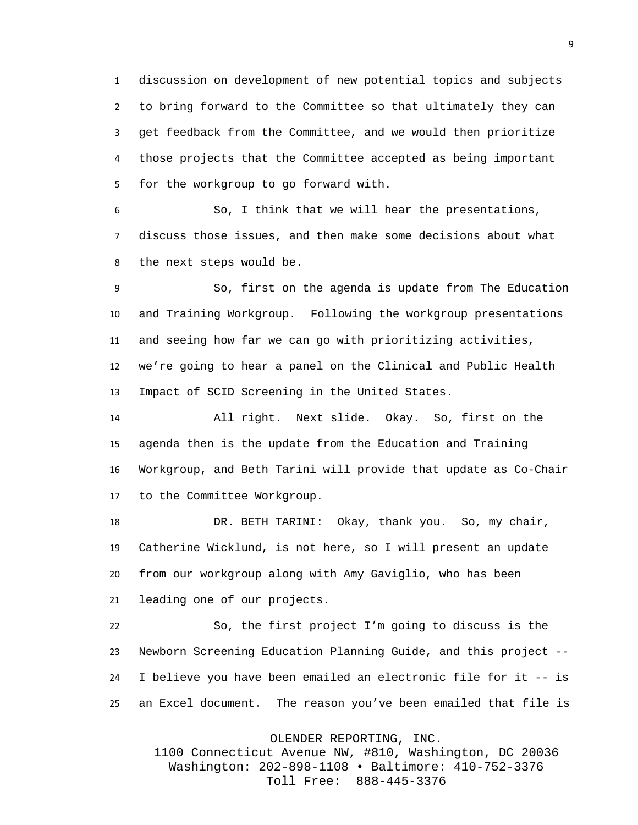discussion on development of new potential topics and subjects to bring forward to the Committee so that ultimately they can get feedback from the Committee, and we would then prioritize those projects that the Committee accepted as being important for the workgroup to go forward with.

 So, I think that we will hear the presentations, discuss those issues, and then make some decisions about what the next steps would be.

 So, first on the agenda is update from The Education and Training Workgroup. Following the workgroup presentations and seeing how far we can go with prioritizing activities, we're going to hear a panel on the Clinical and Public Health Impact of SCID Screening in the United States.

 All right. Next slide. Okay. So, first on the agenda then is the update from the Education and Training Workgroup, and Beth Tarini will provide that update as Co-Chair to the Committee Workgroup.

18 DR. BETH TARINI: Okay, thank you. So, my chair, Catherine Wicklund, is not here, so I will present an update from our workgroup along with Amy Gaviglio, who has been leading one of our projects.

 So, the first project I'm going to discuss is the Newborn Screening Education Planning Guide, and this project -- I believe you have been emailed an electronic file for it -- is an Excel document. The reason you've been emailed that file is

OLENDER REPORTING, INC.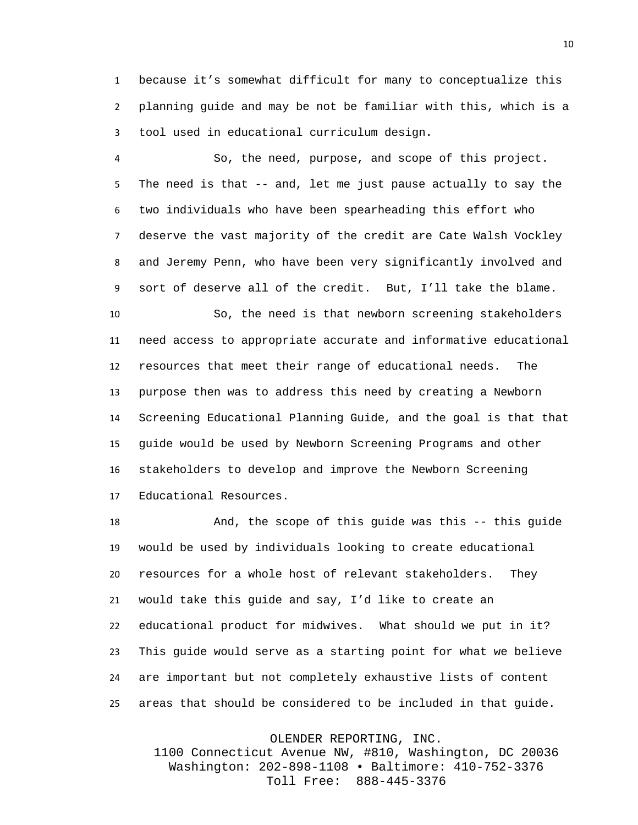because it's somewhat difficult for many to conceptualize this planning guide and may be not be familiar with this, which is a tool used in educational curriculum design.

 So, the need, purpose, and scope of this project. The need is that -- and, let me just pause actually to say the two individuals who have been spearheading this effort who deserve the vast majority of the credit are Cate Walsh Vockley and Jeremy Penn, who have been very significantly involved and sort of deserve all of the credit. But, I'll take the blame.

 So, the need is that newborn screening stakeholders need access to appropriate accurate and informative educational resources that meet their range of educational needs. The purpose then was to address this need by creating a Newborn Screening Educational Planning Guide, and the goal is that that guide would be used by Newborn Screening Programs and other stakeholders to develop and improve the Newborn Screening Educational Resources.

18 And, the scope of this guide was this -- this guide would be used by individuals looking to create educational resources for a whole host of relevant stakeholders. They would take this guide and say, I'd like to create an educational product for midwives. What should we put in it? This guide would serve as a starting point for what we believe are important but not completely exhaustive lists of content areas that should be considered to be included in that guide.

OLENDER REPORTING, INC.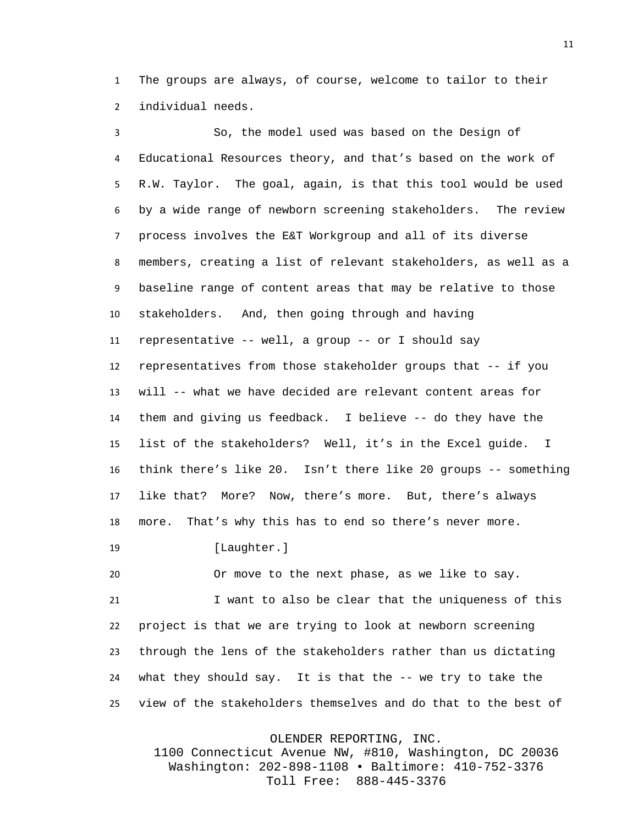The groups are always, of course, welcome to tailor to their individual needs.

 So, the model used was based on the Design of Educational Resources theory, and that's based on the work of R.W. Taylor. The goal, again, is that this tool would be used by a wide range of newborn screening stakeholders. The review process involves the E&T Workgroup and all of its diverse members, creating a list of relevant stakeholders, as well as a baseline range of content areas that may be relative to those stakeholders. And, then going through and having representative -- well, a group -- or I should say representatives from those stakeholder groups that -- if you will -- what we have decided are relevant content areas for them and giving us feedback. I believe -- do they have the list of the stakeholders? Well, it's in the Excel guide. I think there's like 20. Isn't there like 20 groups -- something like that? More? Now, there's more. But, there's always more. That's why this has to end so there's never more.

19 [Laughter.]

 Or move to the next phase, as we like to say. I want to also be clear that the uniqueness of this project is that we are trying to look at newborn screening through the lens of the stakeholders rather than us dictating what they should say. It is that the -- we try to take the view of the stakeholders themselves and do that to the best of

OLENDER REPORTING, INC.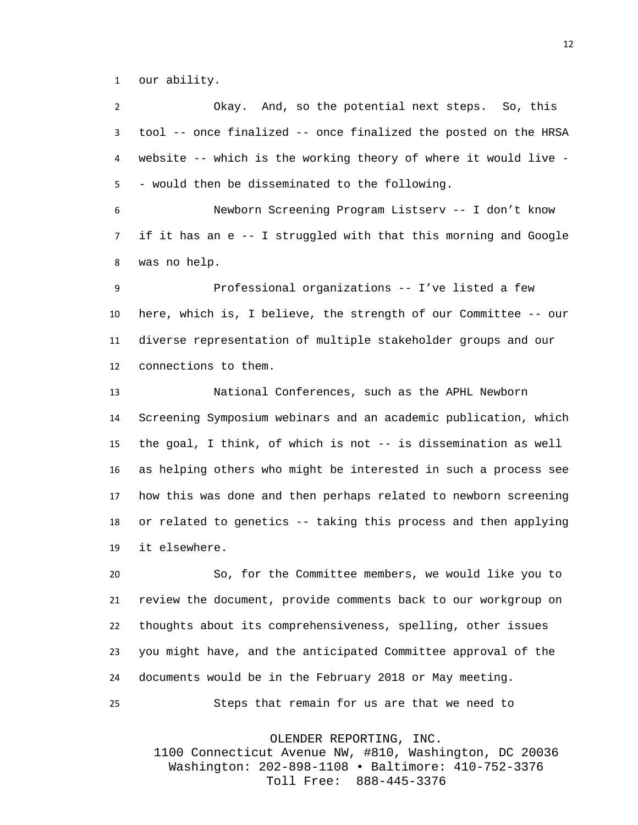our ability.

 Okay. And, so the potential next steps. So, this tool -- once finalized -- once finalized the posted on the HRSA website -- which is the working theory of where it would live - - would then be disseminated to the following.

 Newborn Screening Program Listserv -- I don't know if it has an e -- I struggled with that this morning and Google was no help.

 Professional organizations -- I've listed a few here, which is, I believe, the strength of our Committee -- our diverse representation of multiple stakeholder groups and our connections to them.

 National Conferences, such as the APHL Newborn Screening Symposium webinars and an academic publication, which the goal, I think, of which is not -- is dissemination as well as helping others who might be interested in such a process see how this was done and then perhaps related to newborn screening or related to genetics -- taking this process and then applying it elsewhere.

 So, for the Committee members, we would like you to review the document, provide comments back to our workgroup on thoughts about its comprehensiveness, spelling, other issues you might have, and the anticipated Committee approval of the documents would be in the February 2018 or May meeting. Steps that remain for us are that we need to

OLENDER REPORTING, INC.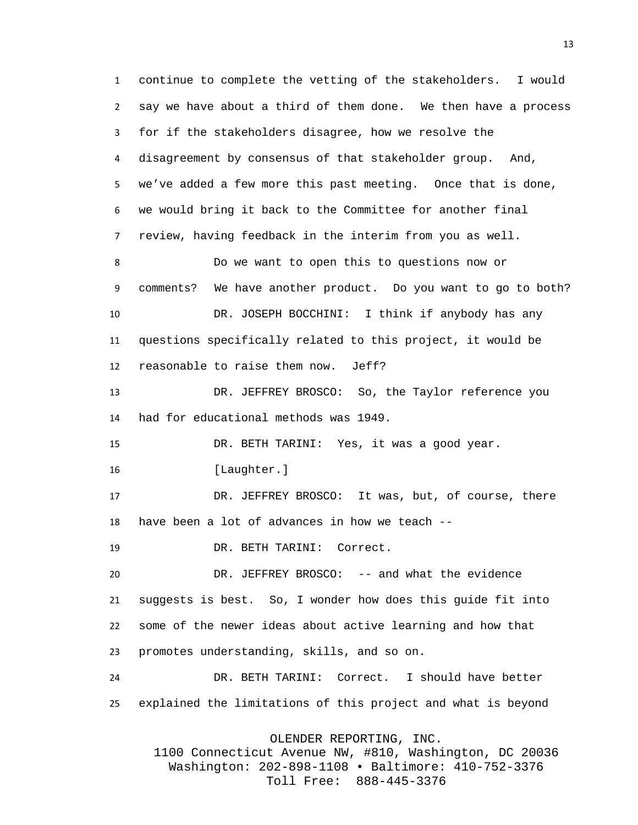continue to complete the vetting of the stakeholders. I would say we have about a third of them done. We then have a process for if the stakeholders disagree, how we resolve the disagreement by consensus of that stakeholder group. And, we've added a few more this past meeting. Once that is done, we would bring it back to the Committee for another final review, having feedback in the interim from you as well. Do we want to open this to questions now or comments? We have another product. Do you want to go to both? DR. JOSEPH BOCCHINI: I think if anybody has any questions specifically related to this project, it would be reasonable to raise them now. Jeff? DR. JEFFREY BROSCO: So, the Taylor reference you had for educational methods was 1949. DR. BETH TARINI: Yes, it was a good year. 16 [Laughter.] DR. JEFFREY BROSCO: It was, but, of course, there have been a lot of advances in how we teach -- DR. BETH TARINI: Correct. DR. JEFFREY BROSCO: -- and what the evidence suggests is best. So, I wonder how does this guide fit into some of the newer ideas about active learning and how that promotes understanding, skills, and so on. DR. BETH TARINI: Correct. I should have better explained the limitations of this project and what is beyond OLENDER REPORTING, INC.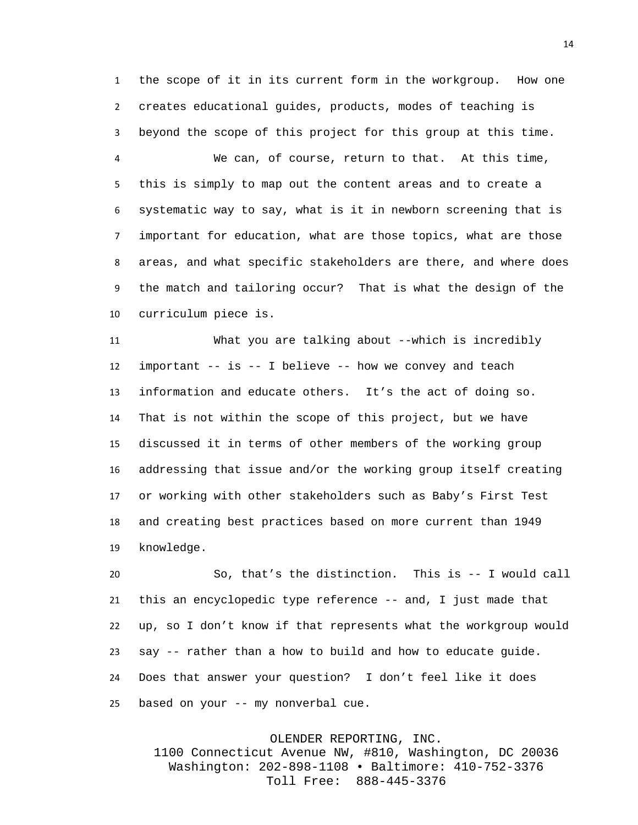the scope of it in its current form in the workgroup. How one creates educational guides, products, modes of teaching is beyond the scope of this project for this group at this time.

 We can, of course, return to that. At this time, this is simply to map out the content areas and to create a systematic way to say, what is it in newborn screening that is important for education, what are those topics, what are those areas, and what specific stakeholders are there, and where does the match and tailoring occur? That is what the design of the curriculum piece is.

 What you are talking about --which is incredibly important -- is -- I believe -- how we convey and teach information and educate others. It's the act of doing so. That is not within the scope of this project, but we have discussed it in terms of other members of the working group addressing that issue and/or the working group itself creating or working with other stakeholders such as Baby's First Test and creating best practices based on more current than 1949 knowledge.

 So, that's the distinction. This is -- I would call this an encyclopedic type reference -- and, I just made that up, so I don't know if that represents what the workgroup would say -- rather than a how to build and how to educate guide. Does that answer your question? I don't feel like it does based on your -- my nonverbal cue.

OLENDER REPORTING, INC.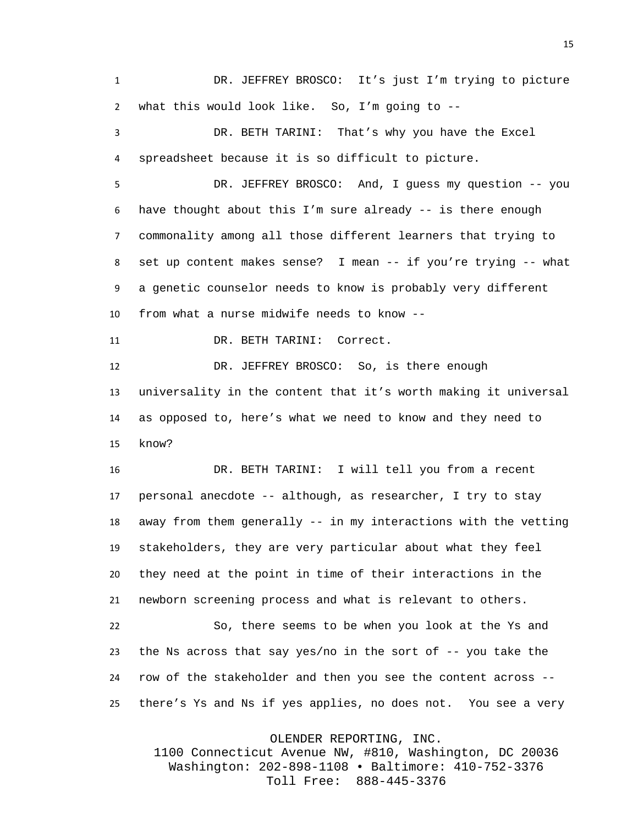DR. JEFFREY BROSCO: It's just I'm trying to picture what this would look like. So, I'm going to --

 DR. BETH TARINI: That's why you have the Excel spreadsheet because it is so difficult to picture.

 DR. JEFFREY BROSCO: And, I guess my question -- you have thought about this I'm sure already -- is there enough commonality among all those different learners that trying to set up content makes sense? I mean -- if you're trying -- what a genetic counselor needs to know is probably very different from what a nurse midwife needs to know --

DR. BETH TARINI: Correct.

12 DR. JEFFREY BROSCO: So, is there enough universality in the content that it's worth making it universal as opposed to, here's what we need to know and they need to know?

 DR. BETH TARINI: I will tell you from a recent personal anecdote -- although, as researcher, I try to stay away from them generally -- in my interactions with the vetting stakeholders, they are very particular about what they feel they need at the point in time of their interactions in the newborn screening process and what is relevant to others.

 So, there seems to be when you look at the Ys and the Ns across that say yes/no in the sort of -- you take the row of the stakeholder and then you see the content across -- there's Ys and Ns if yes applies, no does not. You see a very

OLENDER REPORTING, INC.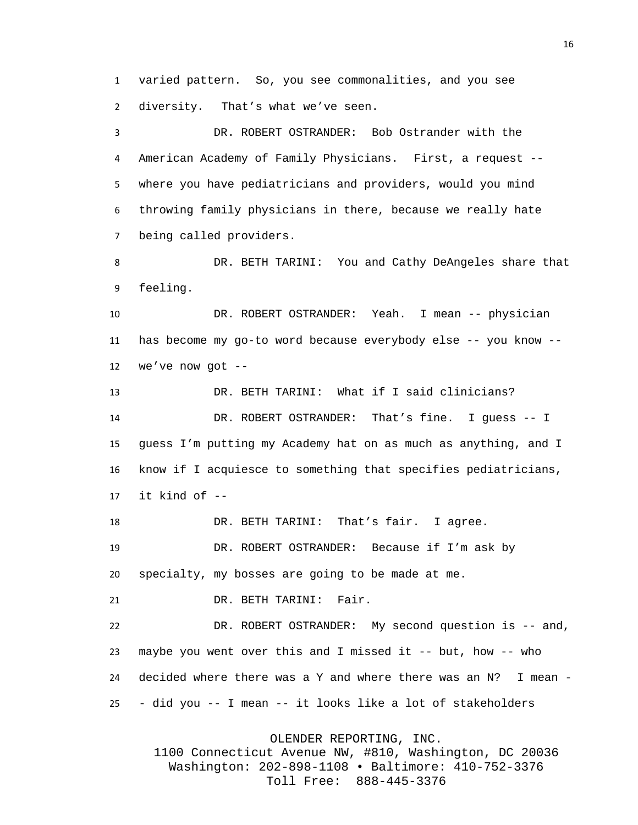varied pattern. So, you see commonalities, and you see diversity. That's what we've seen.

 DR. ROBERT OSTRANDER: Bob Ostrander with the American Academy of Family Physicians. First, a request -- where you have pediatricians and providers, would you mind throwing family physicians in there, because we really hate being called providers.

 DR. BETH TARINI: You and Cathy DeAngeles share that feeling.

 DR. ROBERT OSTRANDER: Yeah. I mean -- physician has become my go-to word because everybody else -- you know -- we've now got --

 DR. BETH TARINI: What if I said clinicians? DR. ROBERT OSTRANDER: That's fine. I guess -- I guess I'm putting my Academy hat on as much as anything, and I know if I acquiesce to something that specifies pediatricians, 17 it kind of  $-$ 

DR. BETH TARINI: That's fair. I agree.

DR. ROBERT OSTRANDER: Because if I'm ask by

specialty, my bosses are going to be made at me.

DR. BETH TARINI: Fair.

 DR. ROBERT OSTRANDER: My second question is -- and, maybe you went over this and I missed it -- but, how -- who decided where there was a Y and where there was an N? I mean - - did you -- I mean -- it looks like a lot of stakeholders

OLENDER REPORTING, INC.

1100 Connecticut Avenue NW, #810, Washington, DC 20036 Washington: 202-898-1108 • Baltimore: 410-752-3376 Toll Free: 888-445-3376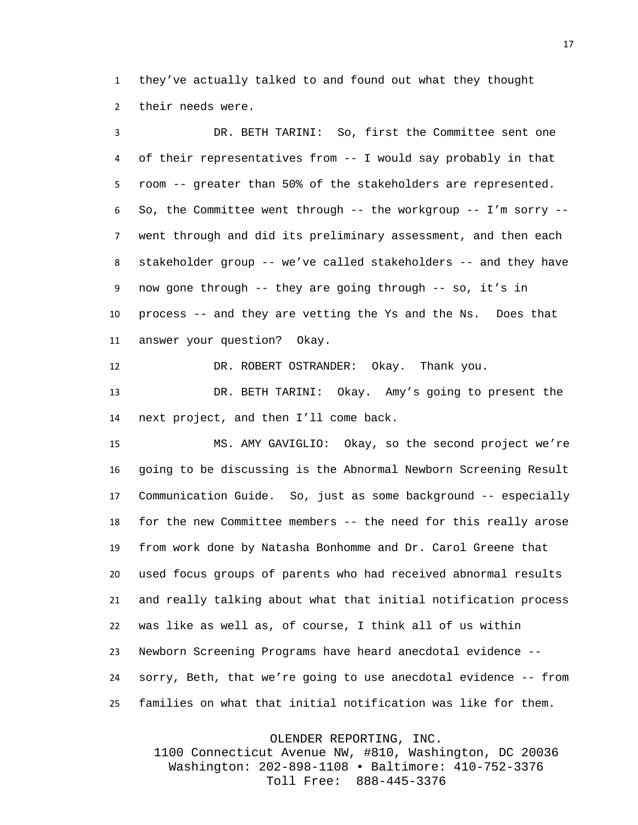they've actually talked to and found out what they thought their needs were.

 DR. BETH TARINI: So, first the Committee sent one of their representatives from -- I would say probably in that room -- greater than 50% of the stakeholders are represented. So, the Committee went through -- the workgroup -- I'm sorry -- went through and did its preliminary assessment, and then each stakeholder group -- we've called stakeholders -- and they have now gone through -- they are going through -- so, it's in process -- and they are vetting the Ys and the Ns. Does that answer your question? Okay.

DR. ROBERT OSTRANDER: Okay. Thank you.

 DR. BETH TARINI: Okay. Amy's going to present the next project, and then I'll come back.

 MS. AMY GAVIGLIO: Okay, so the second project we're going to be discussing is the Abnormal Newborn Screening Result Communication Guide. So, just as some background -- especially for the new Committee members -- the need for this really arose from work done by Natasha Bonhomme and Dr. Carol Greene that used focus groups of parents who had received abnormal results and really talking about what that initial notification process was like as well as, of course, I think all of us within Newborn Screening Programs have heard anecdotal evidence -- sorry, Beth, that we're going to use anecdotal evidence -- from families on what that initial notification was like for them.

OLENDER REPORTING, INC.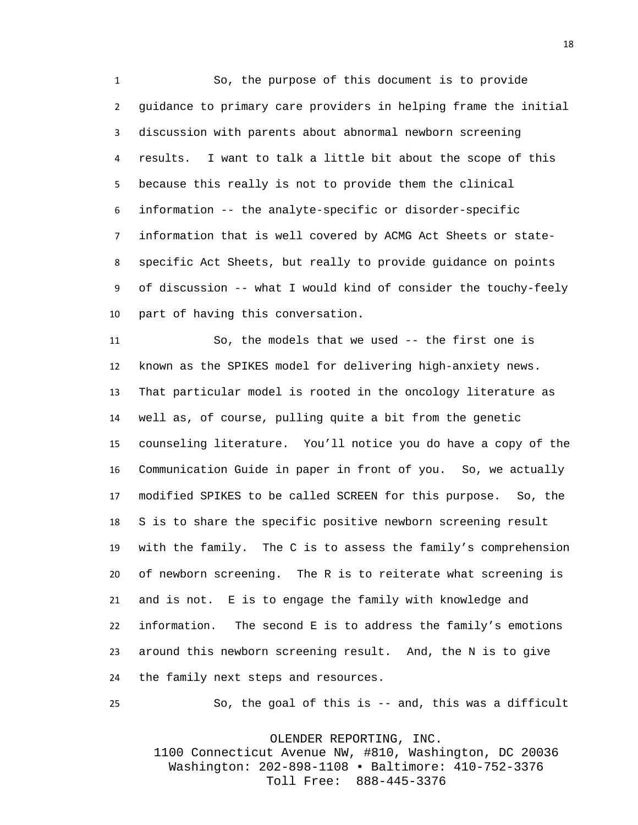So, the purpose of this document is to provide guidance to primary care providers in helping frame the initial discussion with parents about abnormal newborn screening results. I want to talk a little bit about the scope of this because this really is not to provide them the clinical information -- the analyte-specific or disorder-specific information that is well covered by ACMG Act Sheets or state- specific Act Sheets, but really to provide guidance on points of discussion -- what I would kind of consider the touchy-feely part of having this conversation.

 So, the models that we used -- the first one is known as the SPIKES model for delivering high-anxiety news. That particular model is rooted in the oncology literature as well as, of course, pulling quite a bit from the genetic counseling literature. You'll notice you do have a copy of the Communication Guide in paper in front of you. So, we actually modified SPIKES to be called SCREEN for this purpose. So, the S is to share the specific positive newborn screening result with the family. The C is to assess the family's comprehension of newborn screening. The R is to reiterate what screening is and is not. E is to engage the family with knowledge and information. The second E is to address the family's emotions around this newborn screening result. And, the N is to give the family next steps and resources.

So, the goal of this is -- and, this was a difficult

OLENDER REPORTING, INC.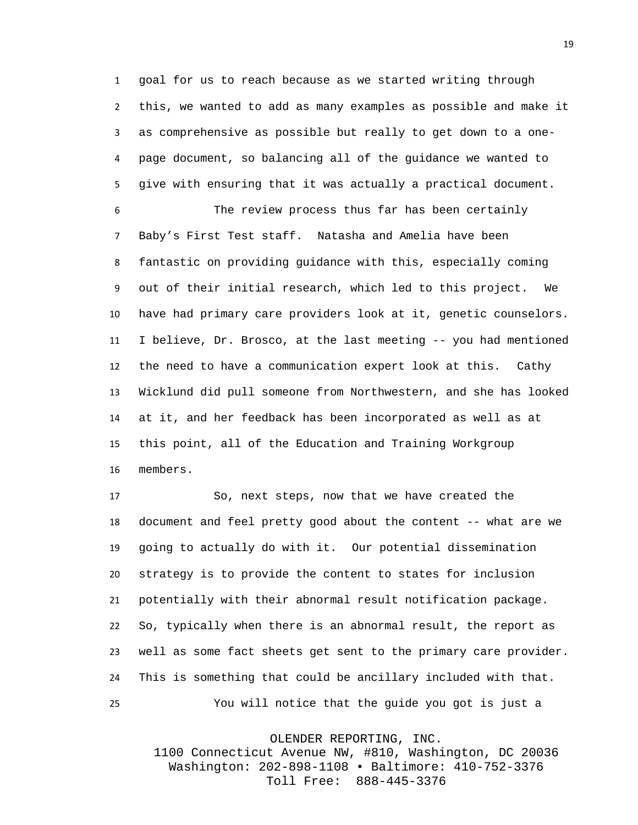goal for us to reach because as we started writing through this, we wanted to add as many examples as possible and make it as comprehensive as possible but really to get down to a one- page document, so balancing all of the guidance we wanted to give with ensuring that it was actually a practical document.

 The review process thus far has been certainly Baby's First Test staff. Natasha and Amelia have been fantastic on providing guidance with this, especially coming out of their initial research, which led to this project. We have had primary care providers look at it, genetic counselors. I believe, Dr. Brosco, at the last meeting -- you had mentioned the need to have a communication expert look at this. Cathy Wicklund did pull someone from Northwestern, and she has looked at it, and her feedback has been incorporated as well as at this point, all of the Education and Training Workgroup members.

 So, next steps, now that we have created the document and feel pretty good about the content -- what are we going to actually do with it. Our potential dissemination strategy is to provide the content to states for inclusion potentially with their abnormal result notification package. So, typically when there is an abnormal result, the report as well as some fact sheets get sent to the primary care provider. This is something that could be ancillary included with that. You will notice that the guide you got is just a

OLENDER REPORTING, INC.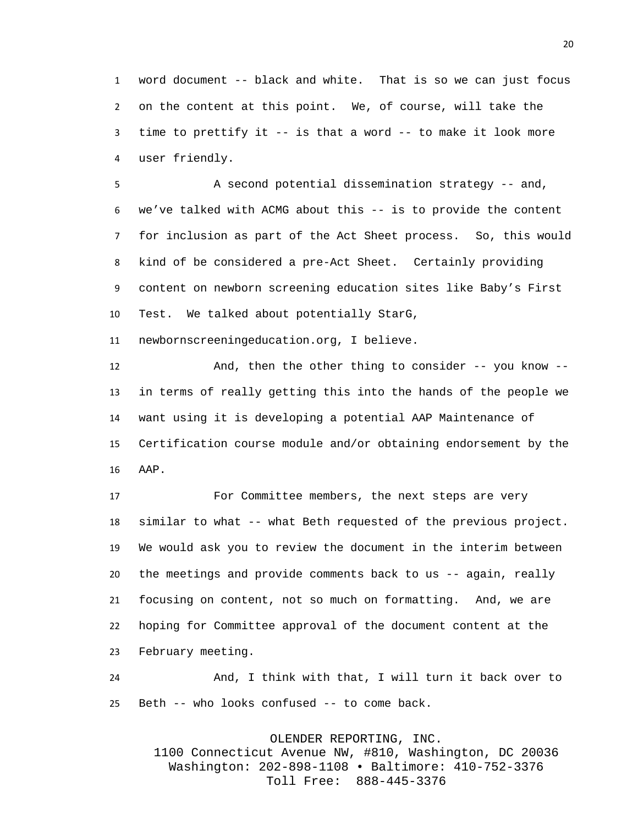word document -- black and white. That is so we can just focus on the content at this point. We, of course, will take the time to prettify it -- is that a word -- to make it look more user friendly.

 A second potential dissemination strategy -- and, we've talked with ACMG about this -- is to provide the content for inclusion as part of the Act Sheet process. So, this would kind of be considered a pre-Act Sheet. Certainly providing content on newborn screening education sites like Baby's First Test. We talked about potentially StarG,

newbornscreeningeducation.org, I believe.

 And, then the other thing to consider -- you know -- in terms of really getting this into the hands of the people we want using it is developing a potential AAP Maintenance of Certification course module and/or obtaining endorsement by the AAP.

 For Committee members, the next steps are very similar to what -- what Beth requested of the previous project. We would ask you to review the document in the interim between the meetings and provide comments back to us -- again, really focusing on content, not so much on formatting. And, we are hoping for Committee approval of the document content at the February meeting.

 And, I think with that, I will turn it back over to Beth -- who looks confused -- to come back.

OLENDER REPORTING, INC.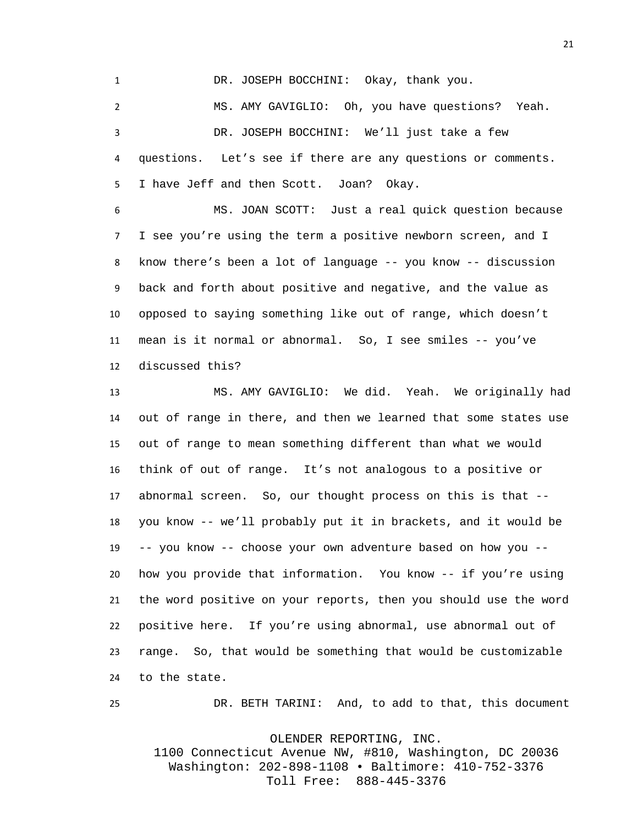DR. JOSEPH BOCCHINI: Okay, thank you.

 MS. AMY GAVIGLIO: Oh, you have questions? Yeah. DR. JOSEPH BOCCHINI: We'll just take a few questions. Let's see if there are any questions or comments. I have Jeff and then Scott. Joan? Okay.

 MS. JOAN SCOTT: Just a real quick question because I see you're using the term a positive newborn screen, and I know there's been a lot of language -- you know -- discussion back and forth about positive and negative, and the value as opposed to saying something like out of range, which doesn't mean is it normal or abnormal. So, I see smiles -- you've discussed this?

 MS. AMY GAVIGLIO: We did. Yeah. We originally had out of range in there, and then we learned that some states use out of range to mean something different than what we would think of out of range. It's not analogous to a positive or abnormal screen. So, our thought process on this is that -- you know -- we'll probably put it in brackets, and it would be -- you know -- choose your own adventure based on how you -- how you provide that information. You know -- if you're using the word positive on your reports, then you should use the word positive here. If you're using abnormal, use abnormal out of range. So, that would be something that would be customizable to the state.

DR. BETH TARINI: And, to add to that, this document

OLENDER REPORTING, INC.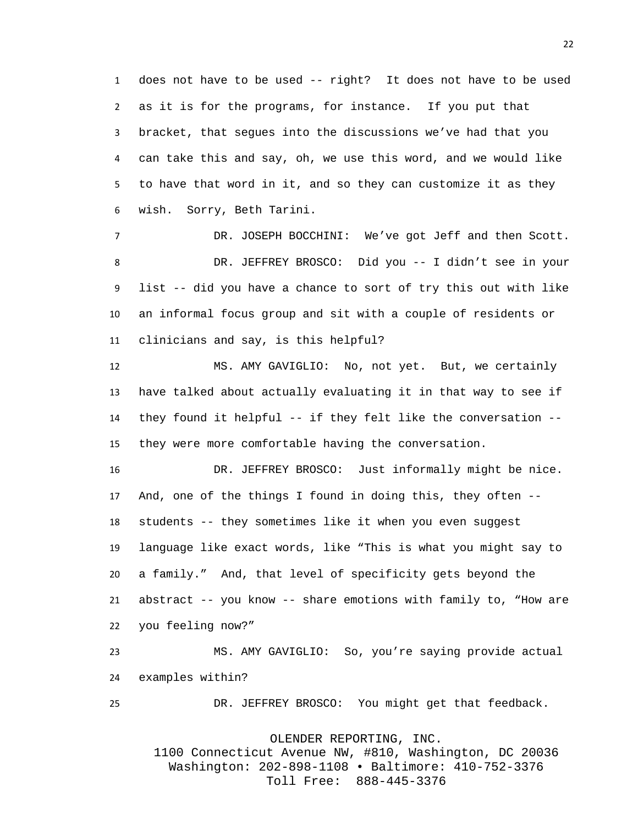does not have to be used -- right? It does not have to be used as it is for the programs, for instance. If you put that bracket, that segues into the discussions we've had that you can take this and say, oh, we use this word, and we would like to have that word in it, and so they can customize it as they wish. Sorry, Beth Tarini.

 DR. JOSEPH BOCCHINI: We've got Jeff and then Scott. DR. JEFFREY BROSCO: Did you -- I didn't see in your list -- did you have a chance to sort of try this out with like an informal focus group and sit with a couple of residents or clinicians and say, is this helpful?

 MS. AMY GAVIGLIO: No, not yet. But, we certainly have talked about actually evaluating it in that way to see if they found it helpful -- if they felt like the conversation -- they were more comfortable having the conversation.

 DR. JEFFREY BROSCO: Just informally might be nice. And, one of the things I found in doing this, they often -- students -- they sometimes like it when you even suggest language like exact words, like "This is what you might say to a family." And, that level of specificity gets beyond the abstract -- you know -- share emotions with family to, "How are you feeling now?"

 MS. AMY GAVIGLIO: So, you're saying provide actual examples within?

DR. JEFFREY BROSCO: You might get that feedback.

OLENDER REPORTING, INC.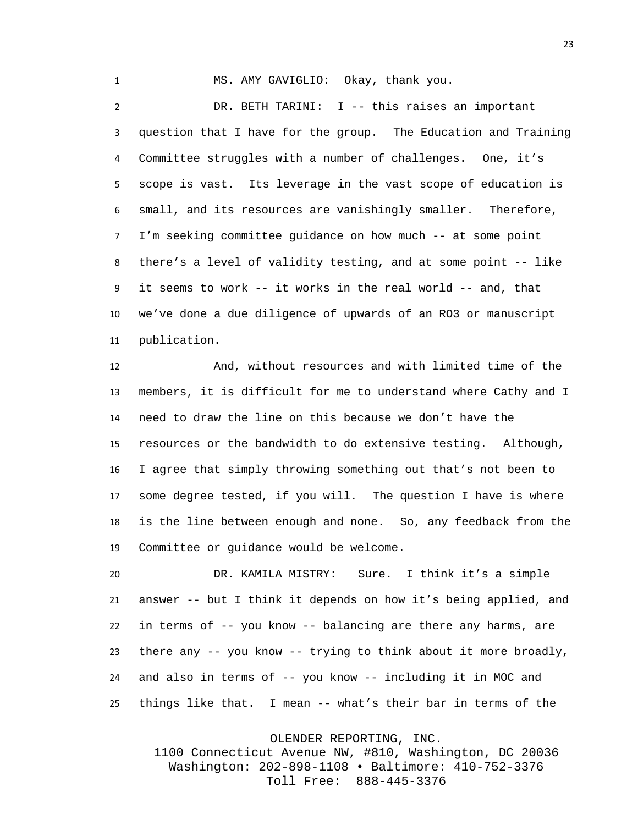MS. AMY GAVIGLIO: Okay, thank you. DR. BETH TARINI: I -- this raises an important question that I have for the group. The Education and Training Committee struggles with a number of challenges. One, it's scope is vast. Its leverage in the vast scope of education is small, and its resources are vanishingly smaller. Therefore, I'm seeking committee guidance on how much -- at some point there's a level of validity testing, and at some point -- like it seems to work -- it works in the real world -- and, that we've done a due diligence of upwards of an RO3 or manuscript publication.

 And, without resources and with limited time of the members, it is difficult for me to understand where Cathy and I need to draw the line on this because we don't have the resources or the bandwidth to do extensive testing. Although, I agree that simply throwing something out that's not been to some degree tested, if you will. The question I have is where is the line between enough and none. So, any feedback from the Committee or guidance would be welcome.

 DR. KAMILA MISTRY: Sure. I think it's a simple answer -- but I think it depends on how it's being applied, and in terms of -- you know -- balancing are there any harms, are there any -- you know -- trying to think about it more broadly, and also in terms of -- you know -- including it in MOC and things like that. I mean -- what's their bar in terms of the

OLENDER REPORTING, INC.

1100 Connecticut Avenue NW, #810, Washington, DC 20036 Washington: 202-898-1108 • Baltimore: 410-752-3376 Toll Free: 888-445-3376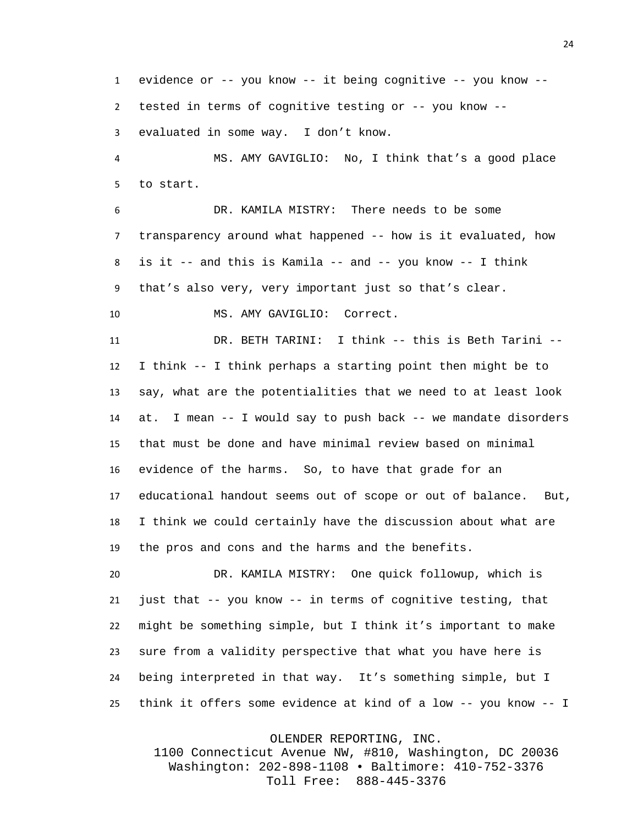evidence or -- you know -- it being cognitive -- you know -- tested in terms of cognitive testing or -- you know -- evaluated in some way. I don't know.

 MS. AMY GAVIGLIO: No, I think that's a good place to start.

 DR. KAMILA MISTRY: There needs to be some transparency around what happened -- how is it evaluated, how is it -- and this is Kamila -- and -- you know -- I think that's also very, very important just so that's clear.

MS. AMY GAVIGLIO: Correct.

 DR. BETH TARINI: I think -- this is Beth Tarini -- I think -- I think perhaps a starting point then might be to say, what are the potentialities that we need to at least look at. I mean -- I would say to push back -- we mandate disorders that must be done and have minimal review based on minimal evidence of the harms. So, to have that grade for an educational handout seems out of scope or out of balance. But, I think we could certainly have the discussion about what are the pros and cons and the harms and the benefits.

 DR. KAMILA MISTRY: One quick followup, which is just that -- you know -- in terms of cognitive testing, that might be something simple, but I think it's important to make sure from a validity perspective that what you have here is being interpreted in that way. It's something simple, but I think it offers some evidence at kind of a low -- you know -- I

OLENDER REPORTING, INC.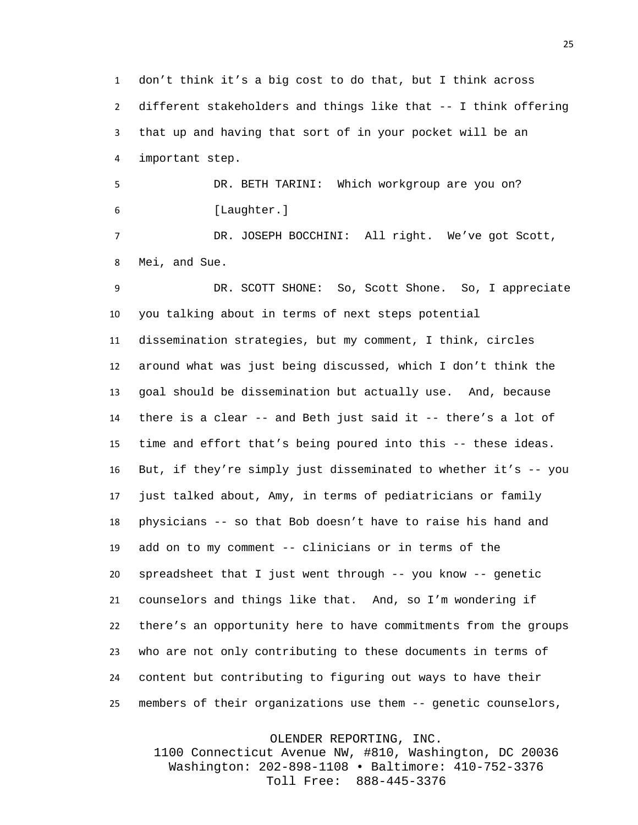don't think it's a big cost to do that, but I think across different stakeholders and things like that -- I think offering that up and having that sort of in your pocket will be an important step.

 DR. BETH TARINI: Which workgroup are you on? [Laughter.]

 DR. JOSEPH BOCCHINI: All right. We've got Scott, Mei, and Sue.

 DR. SCOTT SHONE: So, Scott Shone. So, I appreciate you talking about in terms of next steps potential dissemination strategies, but my comment, I think, circles around what was just being discussed, which I don't think the goal should be dissemination but actually use. And, because there is a clear -- and Beth just said it -- there's a lot of time and effort that's being poured into this -- these ideas. But, if they're simply just disseminated to whether it's -- you just talked about, Amy, in terms of pediatricians or family physicians -- so that Bob doesn't have to raise his hand and add on to my comment -- clinicians or in terms of the spreadsheet that I just went through -- you know -- genetic counselors and things like that. And, so I'm wondering if there's an opportunity here to have commitments from the groups who are not only contributing to these documents in terms of content but contributing to figuring out ways to have their members of their organizations use them -- genetic counselors,

OLENDER REPORTING, INC.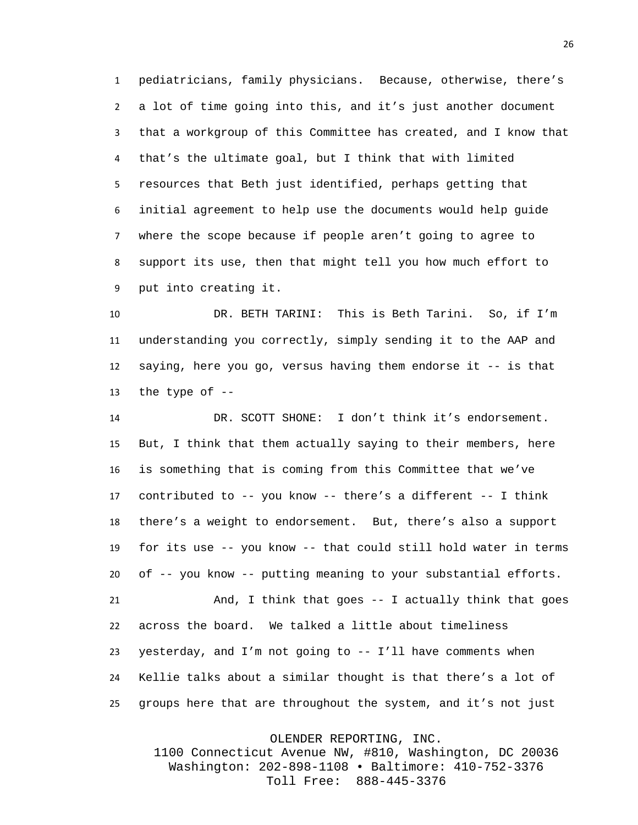pediatricians, family physicians. Because, otherwise, there's a lot of time going into this, and it's just another document that a workgroup of this Committee has created, and I know that that's the ultimate goal, but I think that with limited resources that Beth just identified, perhaps getting that initial agreement to help use the documents would help guide where the scope because if people aren't going to agree to support its use, then that might tell you how much effort to put into creating it.

 DR. BETH TARINI: This is Beth Tarini. So, if I'm understanding you correctly, simply sending it to the AAP and saying, here you go, versus having them endorse it -- is that 13 the type of  $-$ 

 DR. SCOTT SHONE: I don't think it's endorsement. But, I think that them actually saying to their members, here is something that is coming from this Committee that we've contributed to -- you know -- there's a different -- I think there's a weight to endorsement. But, there's also a support for its use -- you know -- that could still hold water in terms of -- you know -- putting meaning to your substantial efforts. And, I think that goes -- I actually think that goes across the board. We talked a little about timeliness yesterday, and I'm not going to -- I'll have comments when Kellie talks about a similar thought is that there's a lot of groups here that are throughout the system, and it's not just

OLENDER REPORTING, INC.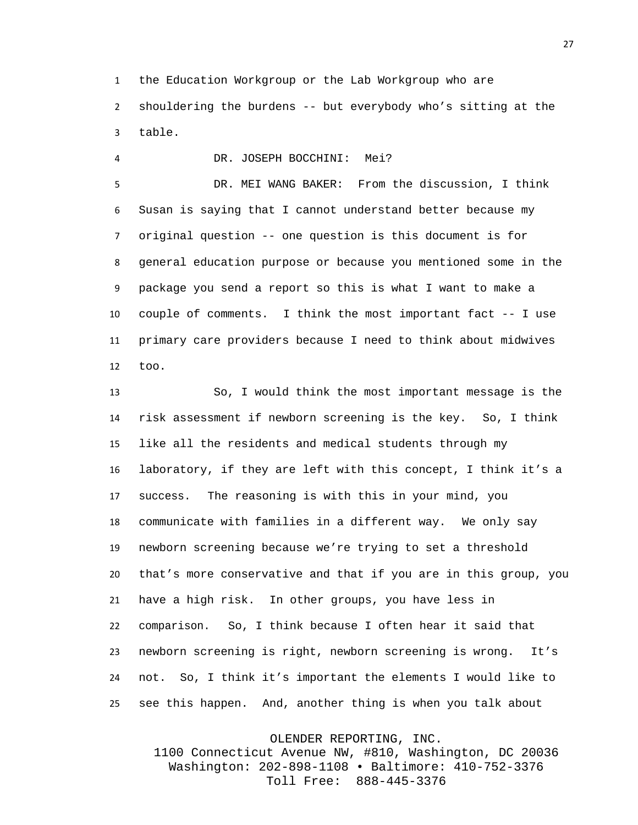the Education Workgroup or the Lab Workgroup who are

 shouldering the burdens -- but everybody who's sitting at the table.

DR. JOSEPH BOCCHINI: Mei?

 DR. MEI WANG BAKER: From the discussion, I think Susan is saying that I cannot understand better because my original question -- one question is this document is for general education purpose or because you mentioned some in the package you send a report so this is what I want to make a couple of comments. I think the most important fact -- I use primary care providers because I need to think about midwives too.

 So, I would think the most important message is the risk assessment if newborn screening is the key. So, I think like all the residents and medical students through my laboratory, if they are left with this concept, I think it's a success. The reasoning is with this in your mind, you communicate with families in a different way. We only say newborn screening because we're trying to set a threshold that's more conservative and that if you are in this group, you have a high risk. In other groups, you have less in comparison. So, I think because I often hear it said that newborn screening is right, newborn screening is wrong. It's not. So, I think it's important the elements I would like to see this happen. And, another thing is when you talk about

OLENDER REPORTING, INC.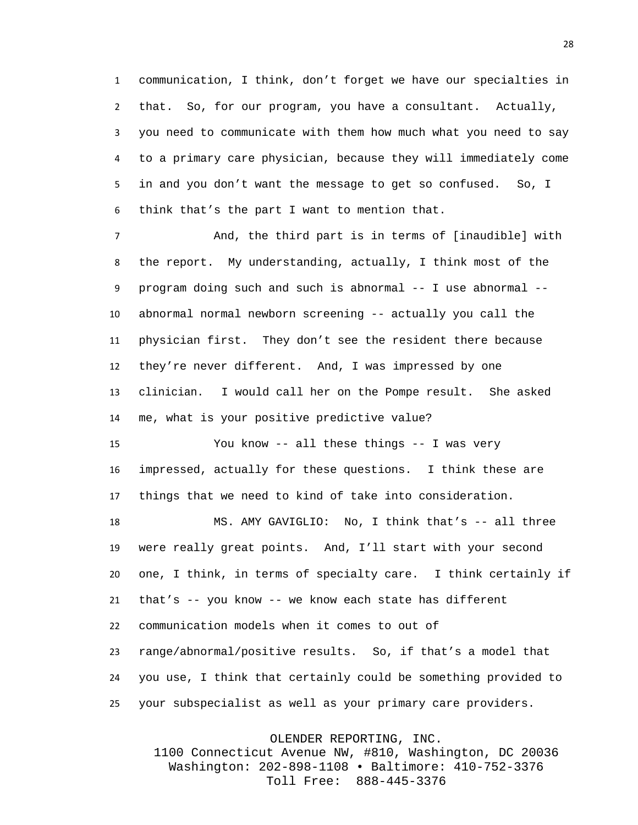communication, I think, don't forget we have our specialties in that. So, for our program, you have a consultant. Actually, you need to communicate with them how much what you need to say to a primary care physician, because they will immediately come in and you don't want the message to get so confused. So, I think that's the part I want to mention that.

 And, the third part is in terms of [inaudible] with the report. My understanding, actually, I think most of the program doing such and such is abnormal -- I use abnormal -- abnormal normal newborn screening -- actually you call the physician first. They don't see the resident there because they're never different. And, I was impressed by one clinician. I would call her on the Pompe result. She asked me, what is your positive predictive value?

 You know -- all these things -- I was very impressed, actually for these questions. I think these are things that we need to kind of take into consideration.

 MS. AMY GAVIGLIO: No, I think that's -- all three were really great points. And, I'll start with your second one, I think, in terms of specialty care. I think certainly if that's -- you know -- we know each state has different communication models when it comes to out of range/abnormal/positive results. So, if that's a model that you use, I think that certainly could be something provided to your subspecialist as well as your primary care providers.

OLENDER REPORTING, INC.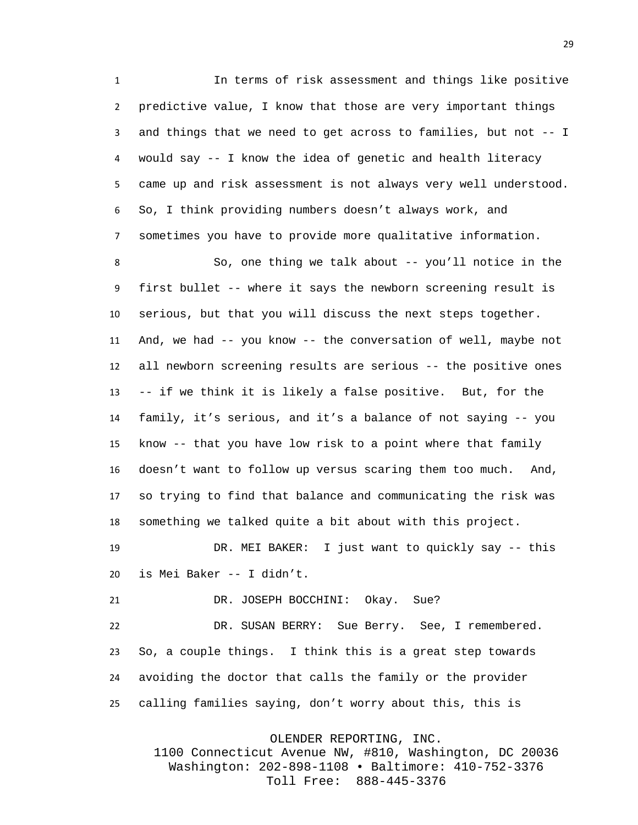In terms of risk assessment and things like positive predictive value, I know that those are very important things and things that we need to get across to families, but not -- I would say -- I know the idea of genetic and health literacy came up and risk assessment is not always very well understood. So, I think providing numbers doesn't always work, and sometimes you have to provide more qualitative information.

 So, one thing we talk about -- you'll notice in the first bullet -- where it says the newborn screening result is serious, but that you will discuss the next steps together. And, we had -- you know -- the conversation of well, maybe not all newborn screening results are serious -- the positive ones -- if we think it is likely a false positive. But, for the family, it's serious, and it's a balance of not saying -- you know -- that you have low risk to a point where that family doesn't want to follow up versus scaring them too much. And, so trying to find that balance and communicating the risk was something we talked quite a bit about with this project.

 DR. MEI BAKER: I just want to quickly say -- this is Mei Baker -- I didn't.

21 DR. JOSEPH BOCCHINI: Okay. Sue?

 DR. SUSAN BERRY: Sue Berry. See, I remembered. So, a couple things. I think this is a great step towards avoiding the doctor that calls the family or the provider calling families saying, don't worry about this, this is

OLENDER REPORTING, INC.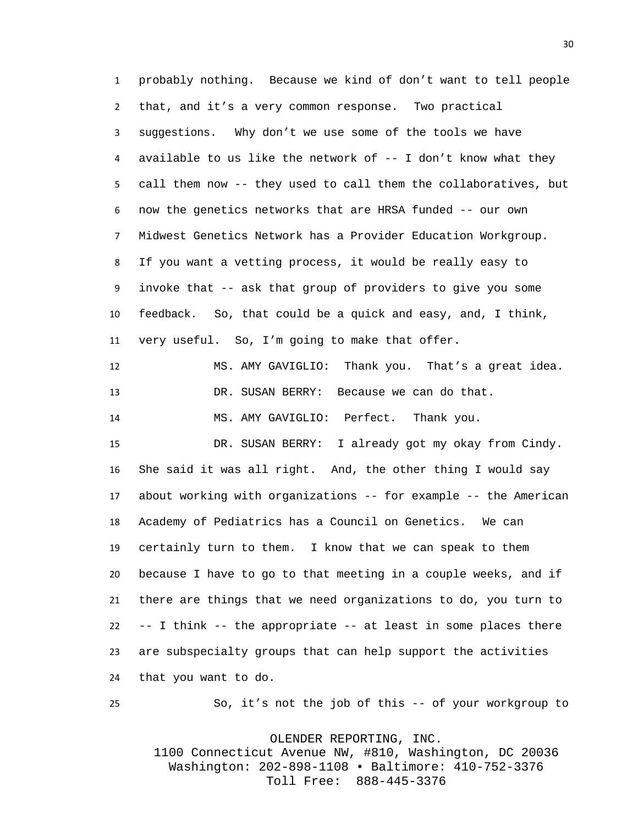probably nothing. Because we kind of don't want to tell people that, and it's a very common response. Two practical suggestions. Why don't we use some of the tools we have 4 available to us like the network of  $-$ - I don't know what they call them now -- they used to call them the collaboratives, but now the genetics networks that are HRSA funded -- our own Midwest Genetics Network has a Provider Education Workgroup. If you want a vetting process, it would be really easy to invoke that -- ask that group of providers to give you some feedback. So, that could be a quick and easy, and, I think, very useful. So, I'm going to make that offer.

 MS. AMY GAVIGLIO: Thank you. That's a great idea. DR. SUSAN BERRY: Because we can do that. MS. AMY GAVIGLIO: Perfect. Thank you.

 DR. SUSAN BERRY: I already got my okay from Cindy. She said it was all right. And, the other thing I would say about working with organizations -- for example -- the American Academy of Pediatrics has a Council on Genetics. We can certainly turn to them. I know that we can speak to them because I have to go to that meeting in a couple weeks, and if there are things that we need organizations to do, you turn to -- I think -- the appropriate -- at least in some places there are subspecialty groups that can help support the activities that you want to do.

So, it's not the job of this -- of your workgroup to

OLENDER REPORTING, INC.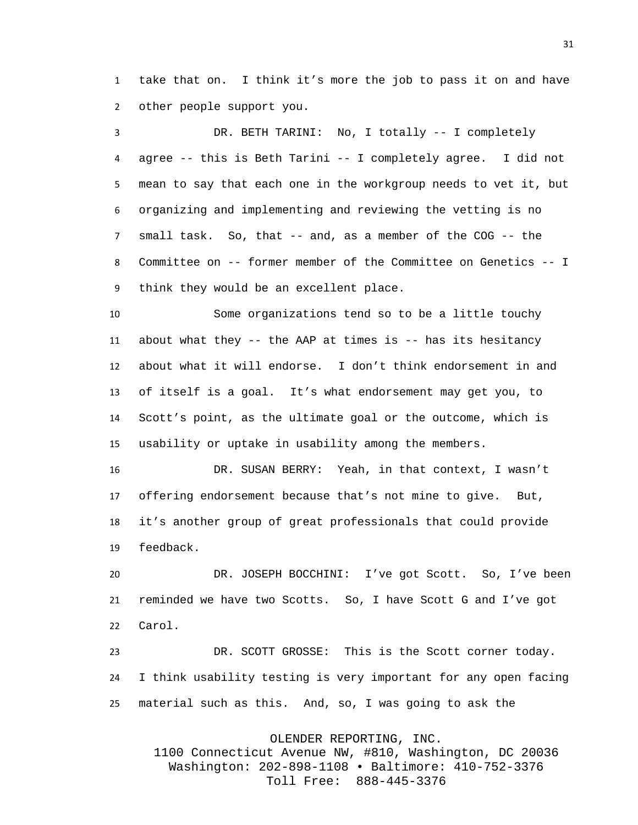take that on. I think it's more the job to pass it on and have other people support you.

 DR. BETH TARINI: No, I totally -- I completely agree -- this is Beth Tarini -- I completely agree. I did not mean to say that each one in the workgroup needs to vet it, but organizing and implementing and reviewing the vetting is no small task. So, that -- and, as a member of the COG -- the Committee on -- former member of the Committee on Genetics -- I think they would be an excellent place.

 Some organizations tend so to be a little touchy about what they -- the AAP at times is -- has its hesitancy about what it will endorse. I don't think endorsement in and of itself is a goal. It's what endorsement may get you, to Scott's point, as the ultimate goal or the outcome, which is usability or uptake in usability among the members.

 DR. SUSAN BERRY: Yeah, in that context, I wasn't offering endorsement because that's not mine to give. But, it's another group of great professionals that could provide feedback.

 DR. JOSEPH BOCCHINI: I've got Scott. So, I've been reminded we have two Scotts. So, I have Scott G and I've got Carol.

 DR. SCOTT GROSSE: This is the Scott corner today. I think usability testing is very important for any open facing material such as this. And, so, I was going to ask the

OLENDER REPORTING, INC.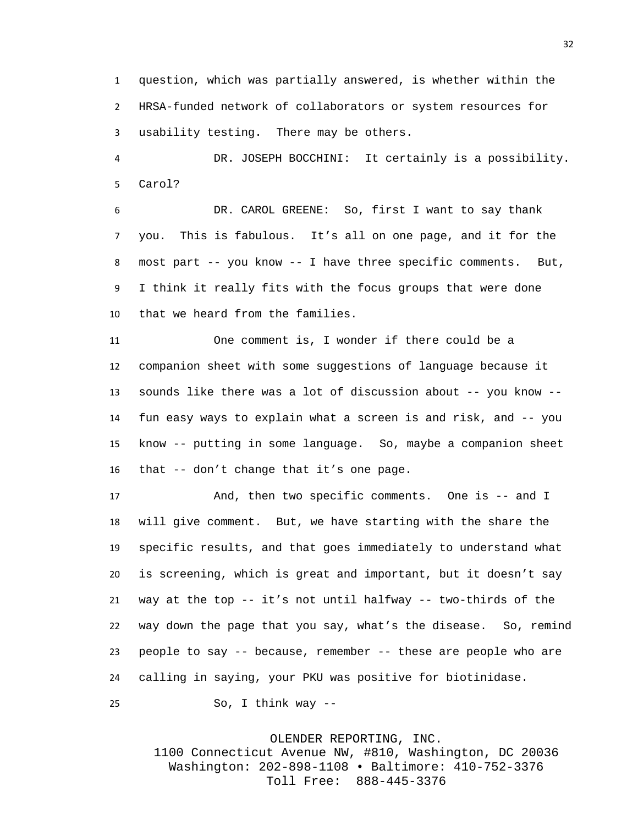question, which was partially answered, is whether within the HRSA-funded network of collaborators or system resources for usability testing. There may be others.

 DR. JOSEPH BOCCHINI: It certainly is a possibility. Carol?

 DR. CAROL GREENE: So, first I want to say thank you. This is fabulous. It's all on one page, and it for the most part -- you know -- I have three specific comments. But, I think it really fits with the focus groups that were done that we heard from the families.

 One comment is, I wonder if there could be a companion sheet with some suggestions of language because it sounds like there was a lot of discussion about -- you know -- fun easy ways to explain what a screen is and risk, and -- you know -- putting in some language. So, maybe a companion sheet that -- don't change that it's one page.

17 And, then two specific comments. One is -- and I will give comment. But, we have starting with the share the specific results, and that goes immediately to understand what is screening, which is great and important, but it doesn't say way at the top -- it's not until halfway -- two-thirds of the way down the page that you say, what's the disease. So, remind people to say -- because, remember -- these are people who are calling in saying, your PKU was positive for biotinidase.

So, I think way --

## OLENDER REPORTING, INC.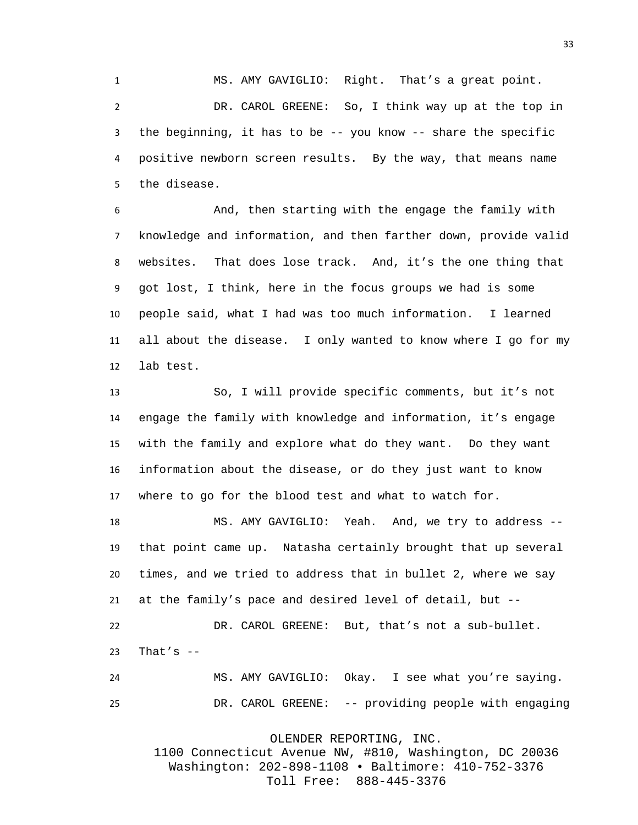MS. AMY GAVIGLIO: Right. That's a great point. DR. CAROL GREENE: So, I think way up at the top in the beginning, it has to be -- you know -- share the specific positive newborn screen results. By the way, that means name the disease.

 And, then starting with the engage the family with knowledge and information, and then farther down, provide valid websites. That does lose track. And, it's the one thing that got lost, I think, here in the focus groups we had is some people said, what I had was too much information. I learned all about the disease. I only wanted to know where I go for my lab test.

 So, I will provide specific comments, but it's not engage the family with knowledge and information, it's engage with the family and explore what do they want. Do they want information about the disease, or do they just want to know where to go for the blood test and what to watch for.

 MS. AMY GAVIGLIO: Yeah. And, we try to address -- that point came up. Natasha certainly brought that up several times, and we tried to address that in bullet 2, where we say at the family's pace and desired level of detail, but --

 DR. CAROL GREENE: But, that's not a sub-bullet. That's  $-$ 

 MS. AMY GAVIGLIO: Okay. I see what you're saying. DR. CAROL GREENE: -- providing people with engaging

OLENDER REPORTING, INC.

1100 Connecticut Avenue NW, #810, Washington, DC 20036 Washington: 202-898-1108 • Baltimore: 410-752-3376 Toll Free: 888-445-3376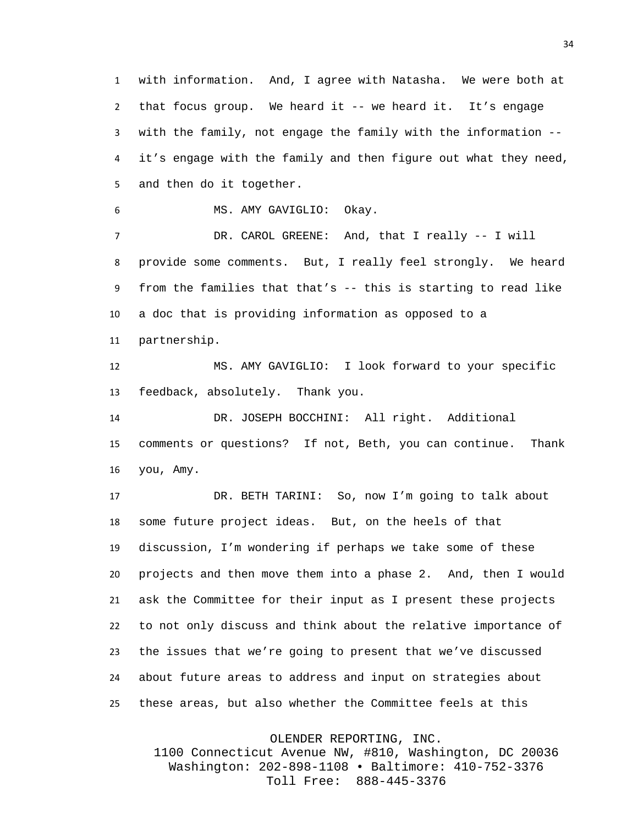with information. And, I agree with Natasha. We were both at that focus group. We heard it -- we heard it. It's engage with the family, not engage the family with the information -- it's engage with the family and then figure out what they need, and then do it together.

MS. AMY GAVIGLIO: Okay.

 DR. CAROL GREENE: And, that I really -- I will provide some comments. But, I really feel strongly. We heard from the families that that's -- this is starting to read like a doc that is providing information as opposed to a partnership.

 MS. AMY GAVIGLIO: I look forward to your specific feedback, absolutely. Thank you.

 DR. JOSEPH BOCCHINI: All right. Additional comments or questions? If not, Beth, you can continue. Thank you, Amy.

 DR. BETH TARINI: So, now I'm going to talk about some future project ideas. But, on the heels of that discussion, I'm wondering if perhaps we take some of these projects and then move them into a phase 2. And, then I would ask the Committee for their input as I present these projects to not only discuss and think about the relative importance of the issues that we're going to present that we've discussed about future areas to address and input on strategies about these areas, but also whether the Committee feels at this

OLENDER REPORTING, INC.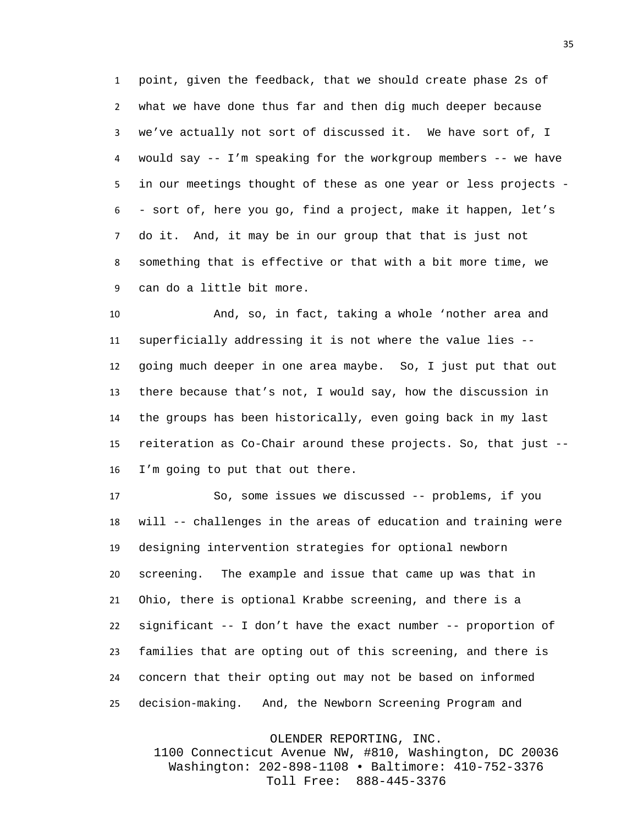point, given the feedback, that we should create phase 2s of what we have done thus far and then dig much deeper because we've actually not sort of discussed it. We have sort of, I would say -- I'm speaking for the workgroup members -- we have in our meetings thought of these as one year or less projects - - sort of, here you go, find a project, make it happen, let's do it. And, it may be in our group that that is just not something that is effective or that with a bit more time, we can do a little bit more.

 And, so, in fact, taking a whole 'nother area and superficially addressing it is not where the value lies -- going much deeper in one area maybe. So, I just put that out there because that's not, I would say, how the discussion in the groups has been historically, even going back in my last reiteration as Co-Chair around these projects. So, that just -- I'm going to put that out there.

 So, some issues we discussed -- problems, if you will -- challenges in the areas of education and training were designing intervention strategies for optional newborn screening. The example and issue that came up was that in Ohio, there is optional Krabbe screening, and there is a significant -- I don't have the exact number -- proportion of families that are opting out of this screening, and there is concern that their opting out may not be based on informed decision-making. And, the Newborn Screening Program and

OLENDER REPORTING, INC.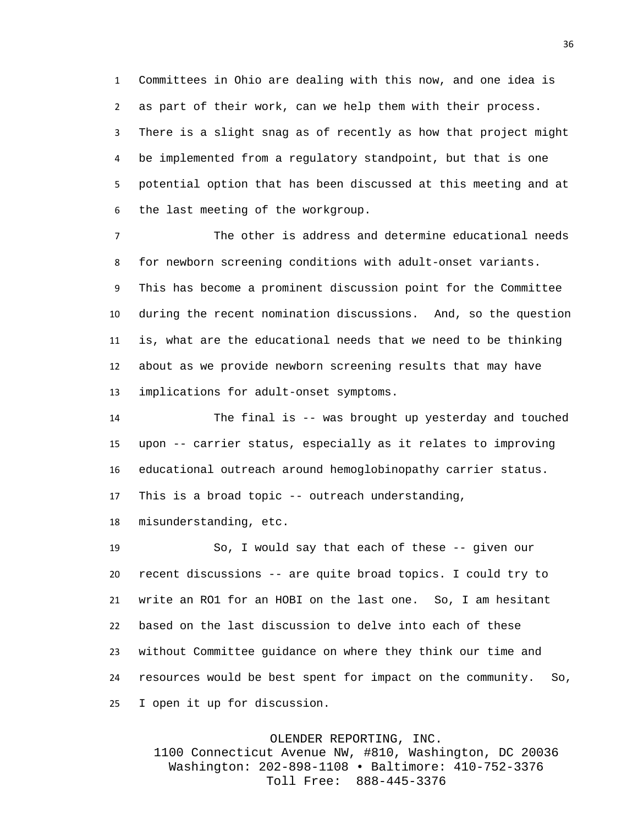Committees in Ohio are dealing with this now, and one idea is as part of their work, can we help them with their process. There is a slight snag as of recently as how that project might be implemented from a regulatory standpoint, but that is one potential option that has been discussed at this meeting and at the last meeting of the workgroup.

 The other is address and determine educational needs for newborn screening conditions with adult-onset variants. This has become a prominent discussion point for the Committee during the recent nomination discussions. And, so the question is, what are the educational needs that we need to be thinking about as we provide newborn screening results that may have implications for adult-onset symptoms.

 The final is -- was brought up yesterday and touched upon -- carrier status, especially as it relates to improving educational outreach around hemoglobinopathy carrier status. This is a broad topic -- outreach understanding,

misunderstanding, etc.

 So, I would say that each of these -- given our recent discussions -- are quite broad topics. I could try to write an RO1 for an HOBI on the last one. So, I am hesitant based on the last discussion to delve into each of these without Committee guidance on where they think our time and resources would be best spent for impact on the community. So, I open it up for discussion.

## OLENDER REPORTING, INC.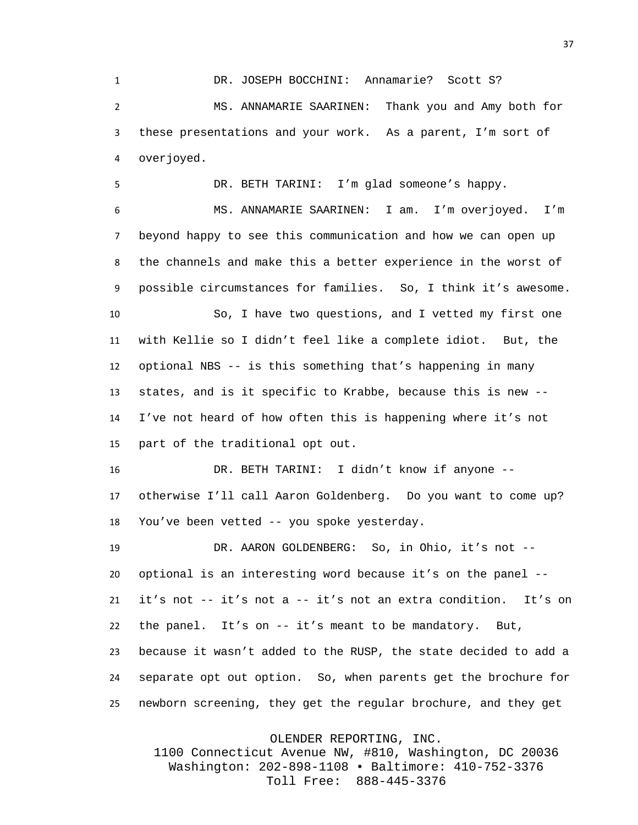DR. JOSEPH BOCCHINI: Annamarie? Scott S? MS. ANNAMARIE SAARINEN: Thank you and Amy both for these presentations and your work. As a parent, I'm sort of overjoyed.

 DR. BETH TARINI: I'm glad someone's happy. MS. ANNAMARIE SAARINEN: I am. I'm overjoyed. I'm beyond happy to see this communication and how we can open up the channels and make this a better experience in the worst of possible circumstances for families. So, I think it's awesome. So, I have two questions, and I vetted my first one with Kellie so I didn't feel like a complete idiot. But, the optional NBS -- is this something that's happening in many states, and is it specific to Krabbe, because this is new -- I've not heard of how often this is happening where it's not part of the traditional opt out. DR. BETH TARINI: I didn't know if anyone -- otherwise I'll call Aaron Goldenberg. Do you want to come up?

You've been vetted -- you spoke yesterday.

 DR. AARON GOLDENBERG: So, in Ohio, it's not -- optional is an interesting word because it's on the panel -- it's not -- it's not a -- it's not an extra condition. It's on the panel. It's on -- it's meant to be mandatory. But, because it wasn't added to the RUSP, the state decided to add a separate opt out option. So, when parents get the brochure for newborn screening, they get the regular brochure, and they get

OLENDER REPORTING, INC.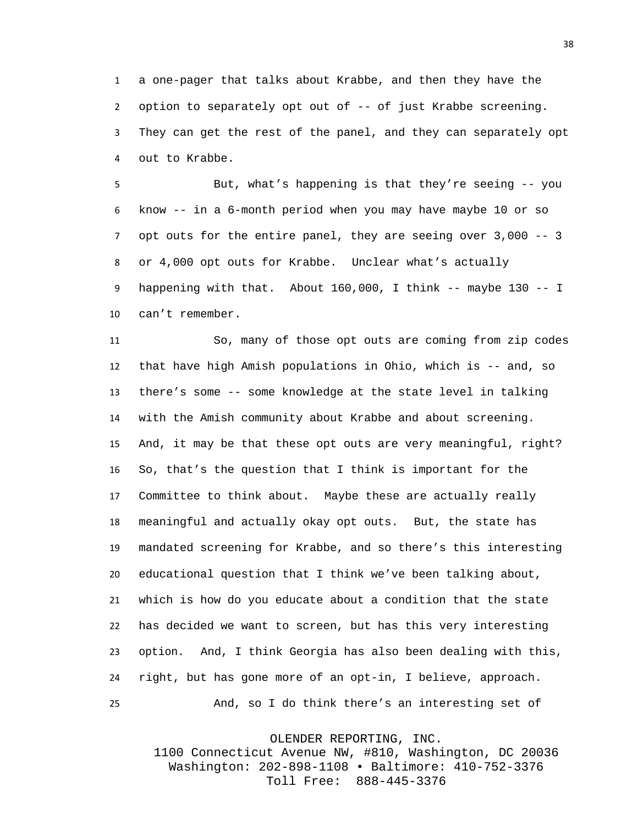a one-pager that talks about Krabbe, and then they have the option to separately opt out of -- of just Krabbe screening. They can get the rest of the panel, and they can separately opt out to Krabbe.

 But, what's happening is that they're seeing -- you know -- in a 6-month period when you may have maybe 10 or so opt outs for the entire panel, they are seeing over 3,000 -- 3 or 4,000 opt outs for Krabbe. Unclear what's actually happening with that. About 160,000, I think -- maybe 130 -- I can't remember.

 So, many of those opt outs are coming from zip codes that have high Amish populations in Ohio, which is -- and, so there's some -- some knowledge at the state level in talking with the Amish community about Krabbe and about screening. And, it may be that these opt outs are very meaningful, right? So, that's the question that I think is important for the Committee to think about. Maybe these are actually really meaningful and actually okay opt outs. But, the state has mandated screening for Krabbe, and so there's this interesting educational question that I think we've been talking about, which is how do you educate about a condition that the state has decided we want to screen, but has this very interesting option. And, I think Georgia has also been dealing with this, right, but has gone more of an opt-in, I believe, approach. And, so I do think there's an interesting set of

OLENDER REPORTING, INC.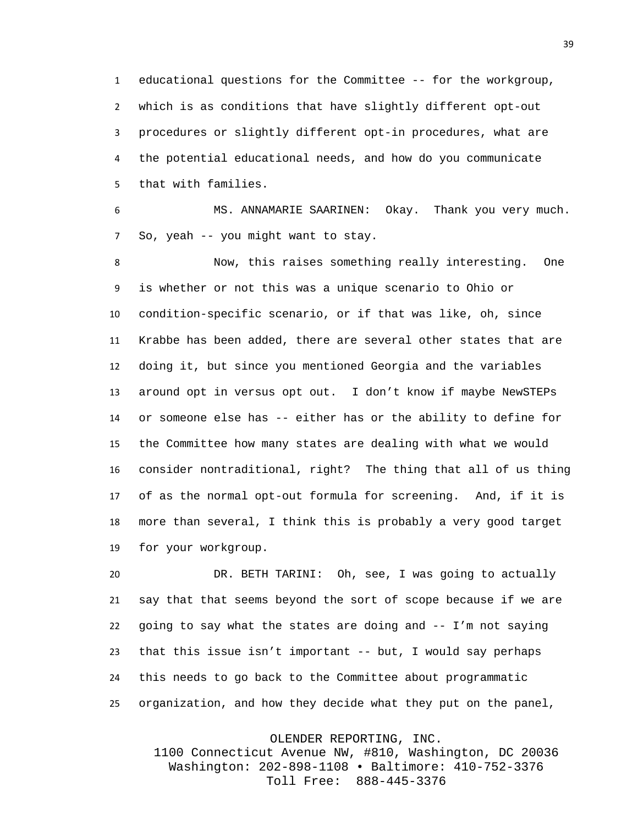educational questions for the Committee -- for the workgroup, which is as conditions that have slightly different opt-out procedures or slightly different opt-in procedures, what are the potential educational needs, and how do you communicate that with families.

 MS. ANNAMARIE SAARINEN: Okay. Thank you very much. So, yeah -- you might want to stay.

 Now, this raises something really interesting. One is whether or not this was a unique scenario to Ohio or condition-specific scenario, or if that was like, oh, since Krabbe has been added, there are several other states that are doing it, but since you mentioned Georgia and the variables around opt in versus opt out. I don't know if maybe NewSTEPs or someone else has -- either has or the ability to define for the Committee how many states are dealing with what we would consider nontraditional, right? The thing that all of us thing of as the normal opt-out formula for screening. And, if it is more than several, I think this is probably a very good target for your workgroup.

 DR. BETH TARINI: Oh, see, I was going to actually say that that seems beyond the sort of scope because if we are going to say what the states are doing and -- I'm not saying that this issue isn't important -- but, I would say perhaps this needs to go back to the Committee about programmatic organization, and how they decide what they put on the panel,

OLENDER REPORTING, INC.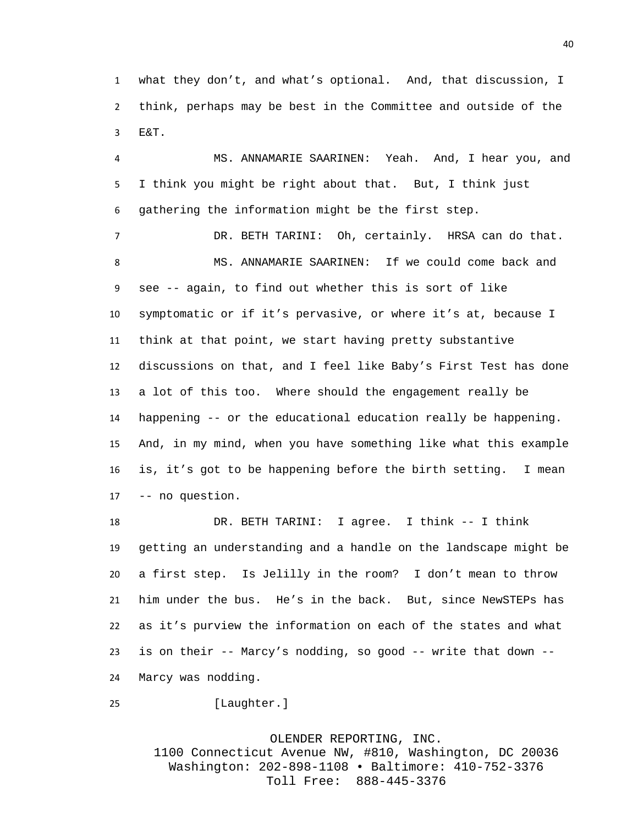what they don't, and what's optional. And, that discussion, I think, perhaps may be best in the Committee and outside of the E&T.

 MS. ANNAMARIE SAARINEN: Yeah. And, I hear you, and I think you might be right about that. But, I think just gathering the information might be the first step.

 DR. BETH TARINI: Oh, certainly. HRSA can do that. MS. ANNAMARIE SAARINEN: If we could come back and see -- again, to find out whether this is sort of like symptomatic or if it's pervasive, or where it's at, because I think at that point, we start having pretty substantive discussions on that, and I feel like Baby's First Test has done a lot of this too. Where should the engagement really be happening -- or the educational education really be happening. And, in my mind, when you have something like what this example is, it's got to be happening before the birth setting. I mean -- no question.

 DR. BETH TARINI: I agree. I think -- I think getting an understanding and a handle on the landscape might be a first step. Is Jelilly in the room? I don't mean to throw him under the bus. He's in the back. But, since NewSTEPs has as it's purview the information on each of the states and what is on their -- Marcy's nodding, so good -- write that down -- Marcy was nodding.

```
25 [Laughter.]
```
OLENDER REPORTING, INC. 1100 Connecticut Avenue NW, #810, Washington, DC 20036 Washington: 202-898-1108 • Baltimore: 410-752-3376 Toll Free: 888-445-3376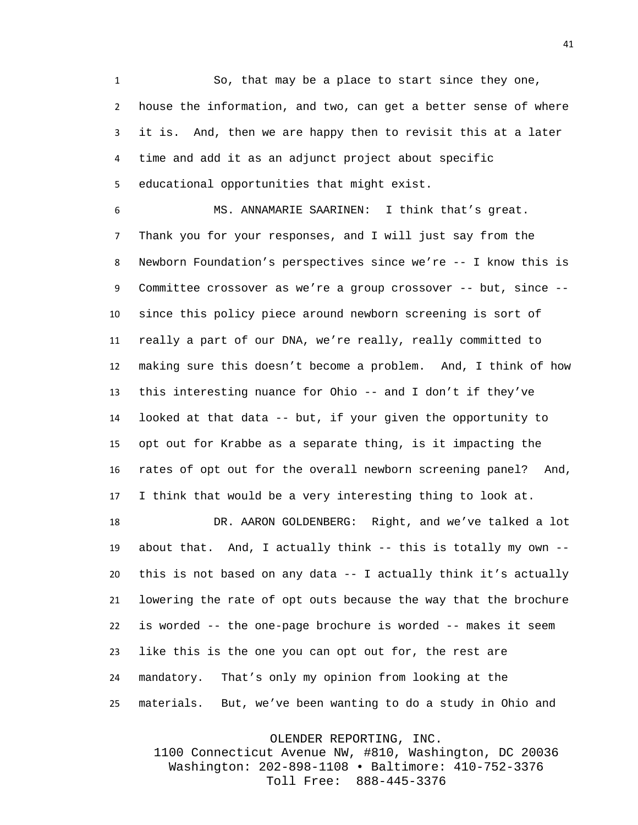So, that may be a place to start since they one, house the information, and two, can get a better sense of where it is. And, then we are happy then to revisit this at a later time and add it as an adjunct project about specific educational opportunities that might exist.

 MS. ANNAMARIE SAARINEN: I think that's great. Thank you for your responses, and I will just say from the Newborn Foundation's perspectives since we're -- I know this is Committee crossover as we're a group crossover -- but, since -- since this policy piece around newborn screening is sort of really a part of our DNA, we're really, really committed to making sure this doesn't become a problem. And, I think of how this interesting nuance for Ohio -- and I don't if they've looked at that data -- but, if your given the opportunity to opt out for Krabbe as a separate thing, is it impacting the rates of opt out for the overall newborn screening panel? And, I think that would be a very interesting thing to look at.

 DR. AARON GOLDENBERG: Right, and we've talked a lot about that. And, I actually think -- this is totally my own -- this is not based on any data -- I actually think it's actually lowering the rate of opt outs because the way that the brochure is worded -- the one-page brochure is worded -- makes it seem like this is the one you can opt out for, the rest are mandatory. That's only my opinion from looking at the materials. But, we've been wanting to do a study in Ohio and

OLENDER REPORTING, INC.

1100 Connecticut Avenue NW, #810, Washington, DC 20036 Washington: 202-898-1108 • Baltimore: 410-752-3376 Toll Free: 888-445-3376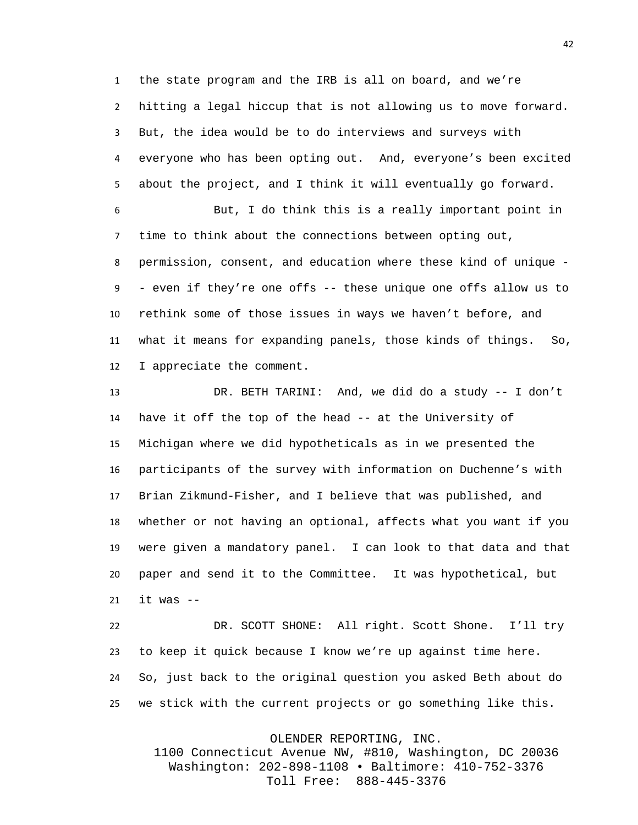the state program and the IRB is all on board, and we're hitting a legal hiccup that is not allowing us to move forward. But, the idea would be to do interviews and surveys with everyone who has been opting out. And, everyone's been excited about the project, and I think it will eventually go forward.

 But, I do think this is a really important point in time to think about the connections between opting out, permission, consent, and education where these kind of unique - - even if they're one offs -- these unique one offs allow us to rethink some of those issues in ways we haven't before, and what it means for expanding panels, those kinds of things. So, I appreciate the comment.

 DR. BETH TARINI: And, we did do a study -- I don't have it off the top of the head -- at the University of Michigan where we did hypotheticals as in we presented the participants of the survey with information on Duchenne's with Brian Zikmund-Fisher, and I believe that was published, and whether or not having an optional, affects what you want if you were given a mandatory panel. I can look to that data and that paper and send it to the Committee. It was hypothetical, but it was  $-$ 

 DR. SCOTT SHONE: All right. Scott Shone. I'll try to keep it quick because I know we're up against time here. So, just back to the original question you asked Beth about do we stick with the current projects or go something like this.

OLENDER REPORTING, INC.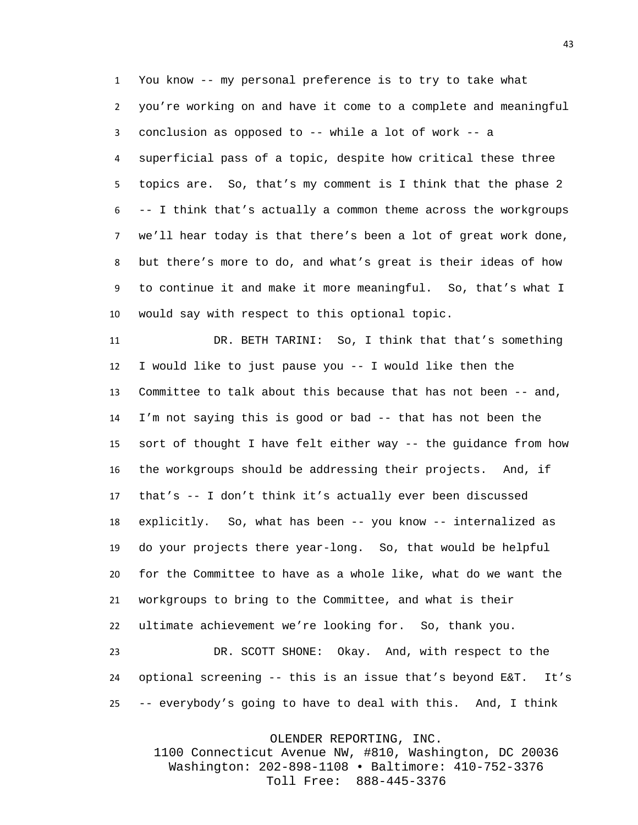You know -- my personal preference is to try to take what you're working on and have it come to a complete and meaningful conclusion as opposed to -- while a lot of work -- a superficial pass of a topic, despite how critical these three topics are. So, that's my comment is I think that the phase 2 -- I think that's actually a common theme across the workgroups we'll hear today is that there's been a lot of great work done, but there's more to do, and what's great is their ideas of how to continue it and make it more meaningful. So, that's what I would say with respect to this optional topic.

 DR. BETH TARINI: So, I think that that's something I would like to just pause you -- I would like then the Committee to talk about this because that has not been -- and, I'm not saying this is good or bad -- that has not been the sort of thought I have felt either way -- the guidance from how the workgroups should be addressing their projects. And, if that's -- I don't think it's actually ever been discussed explicitly. So, what has been -- you know -- internalized as do your projects there year-long. So, that would be helpful for the Committee to have as a whole like, what do we want the workgroups to bring to the Committee, and what is their ultimate achievement we're looking for. So, thank you. DR. SCOTT SHONE: Okay. And, with respect to the optional screening -- this is an issue that's beyond E&T. It's -- everybody's going to have to deal with this. And, I think

OLENDER REPORTING, INC.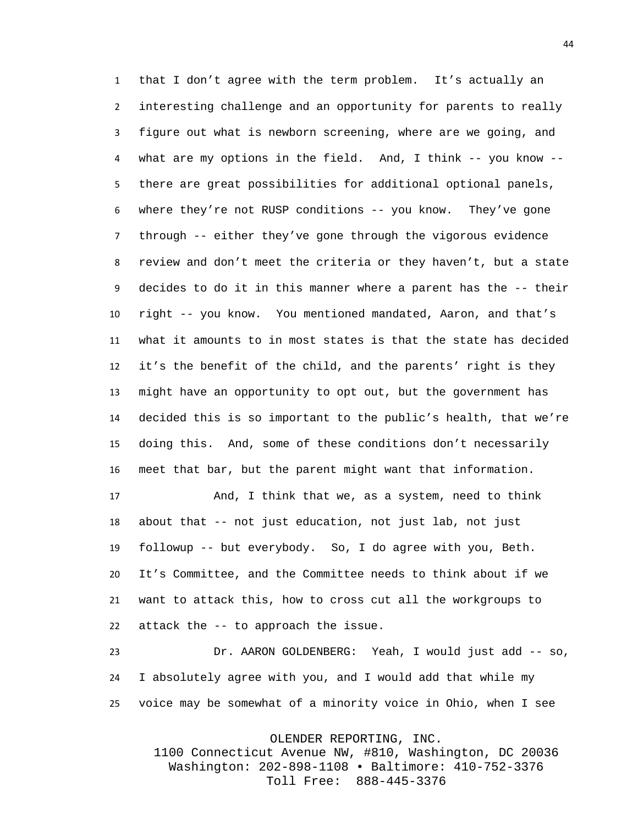that I don't agree with the term problem. It's actually an interesting challenge and an opportunity for parents to really figure out what is newborn screening, where are we going, and what are my options in the field. And, I think -- you know -- there are great possibilities for additional optional panels, where they're not RUSP conditions -- you know. They've gone through -- either they've gone through the vigorous evidence review and don't meet the criteria or they haven't, but a state decides to do it in this manner where a parent has the -- their right -- you know. You mentioned mandated, Aaron, and that's what it amounts to in most states is that the state has decided it's the benefit of the child, and the parents' right is they might have an opportunity to opt out, but the government has decided this is so important to the public's health, that we're doing this. And, some of these conditions don't necessarily meet that bar, but the parent might want that information.

 And, I think that we, as a system, need to think about that -- not just education, not just lab, not just followup -- but everybody. So, I do agree with you, Beth. It's Committee, and the Committee needs to think about if we want to attack this, how to cross cut all the workgroups to attack the -- to approach the issue.

 Dr. AARON GOLDENBERG: Yeah, I would just add -- so, I absolutely agree with you, and I would add that while my voice may be somewhat of a minority voice in Ohio, when I see

OLENDER REPORTING, INC.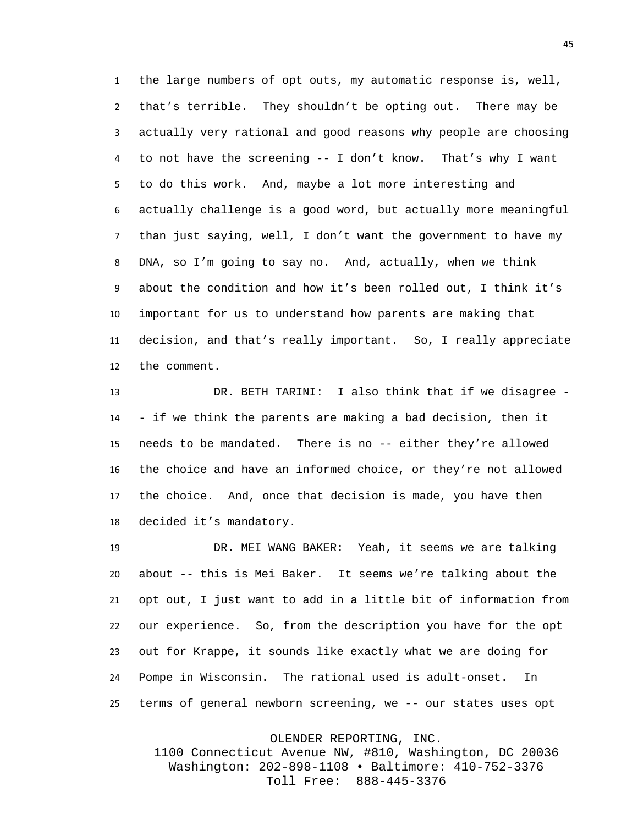the large numbers of opt outs, my automatic response is, well, that's terrible. They shouldn't be opting out. There may be actually very rational and good reasons why people are choosing to not have the screening -- I don't know. That's why I want to do this work. And, maybe a lot more interesting and actually challenge is a good word, but actually more meaningful than just saying, well, I don't want the government to have my DNA, so I'm going to say no. And, actually, when we think about the condition and how it's been rolled out, I think it's important for us to understand how parents are making that decision, and that's really important. So, I really appreciate the comment.

 DR. BETH TARINI: I also think that if we disagree - - if we think the parents are making a bad decision, then it needs to be mandated. There is no -- either they're allowed the choice and have an informed choice, or they're not allowed the choice. And, once that decision is made, you have then decided it's mandatory.

 DR. MEI WANG BAKER: Yeah, it seems we are talking about -- this is Mei Baker. It seems we're talking about the opt out, I just want to add in a little bit of information from our experience. So, from the description you have for the opt out for Krappe, it sounds like exactly what we are doing for Pompe in Wisconsin. The rational used is adult-onset. In terms of general newborn screening, we -- our states uses opt

OLENDER REPORTING, INC.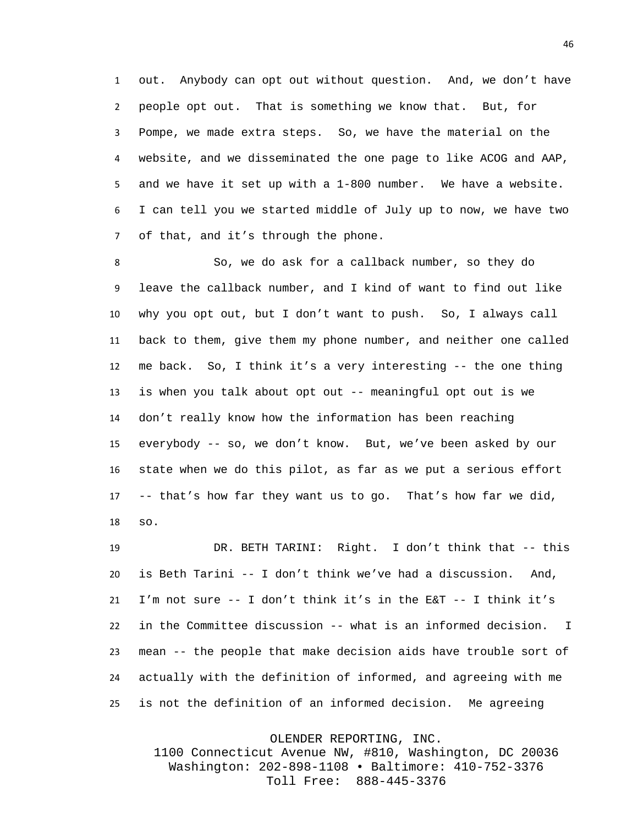out. Anybody can opt out without question. And, we don't have people opt out. That is something we know that. But, for Pompe, we made extra steps. So, we have the material on the website, and we disseminated the one page to like ACOG and AAP, and we have it set up with a 1-800 number. We have a website. I can tell you we started middle of July up to now, we have two of that, and it's through the phone.

 So, we do ask for a callback number, so they do leave the callback number, and I kind of want to find out like why you opt out, but I don't want to push. So, I always call back to them, give them my phone number, and neither one called me back. So, I think it's a very interesting -- the one thing is when you talk about opt out -- meaningful opt out is we don't really know how the information has been reaching everybody -- so, we don't know. But, we've been asked by our state when we do this pilot, as far as we put a serious effort -- that's how far they want us to go. That's how far we did, so.

 DR. BETH TARINI: Right. I don't think that -- this is Beth Tarini -- I don't think we've had a discussion. And, I'm not sure -- I don't think it's in the E&T -- I think it's in the Committee discussion -- what is an informed decision. I mean -- the people that make decision aids have trouble sort of actually with the definition of informed, and agreeing with me is not the definition of an informed decision. Me agreeing

OLENDER REPORTING, INC.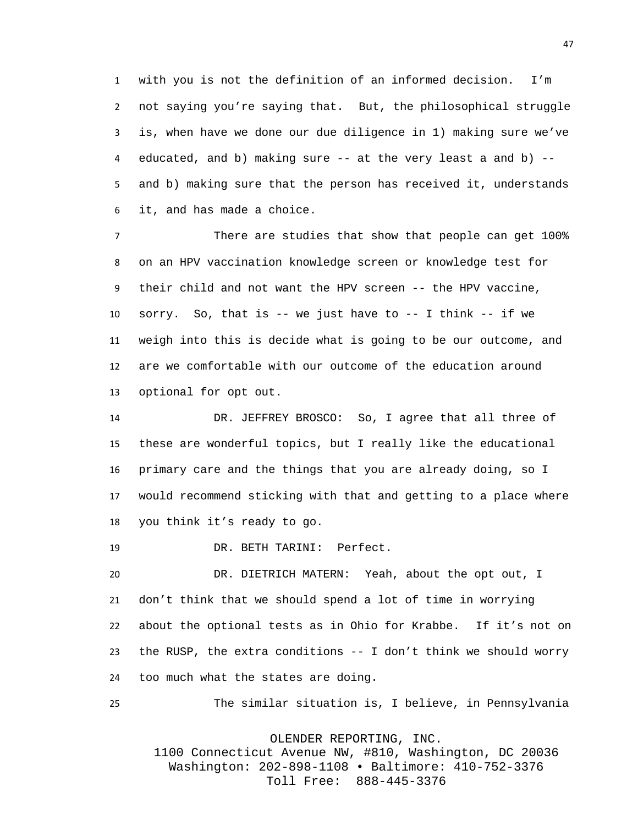with you is not the definition of an informed decision. I'm not saying you're saying that. But, the philosophical struggle is, when have we done our due diligence in 1) making sure we've educated, and b) making sure -- at the very least a and b) -- and b) making sure that the person has received it, understands it, and has made a choice.

 There are studies that show that people can get 100% on an HPV vaccination knowledge screen or knowledge test for their child and not want the HPV screen -- the HPV vaccine, sorry. So, that is -- we just have to -- I think -- if we weigh into this is decide what is going to be our outcome, and are we comfortable with our outcome of the education around optional for opt out.

 DR. JEFFREY BROSCO: So, I agree that all three of these are wonderful topics, but I really like the educational primary care and the things that you are already doing, so I would recommend sticking with that and getting to a place where you think it's ready to go.

DR. BETH TARINI: Perfect.

 DR. DIETRICH MATERN: Yeah, about the opt out, I don't think that we should spend a lot of time in worrying about the optional tests as in Ohio for Krabbe. If it's not on the RUSP, the extra conditions -- I don't think we should worry too much what the states are doing.

The similar situation is, I believe, in Pennsylvania

OLENDER REPORTING, INC.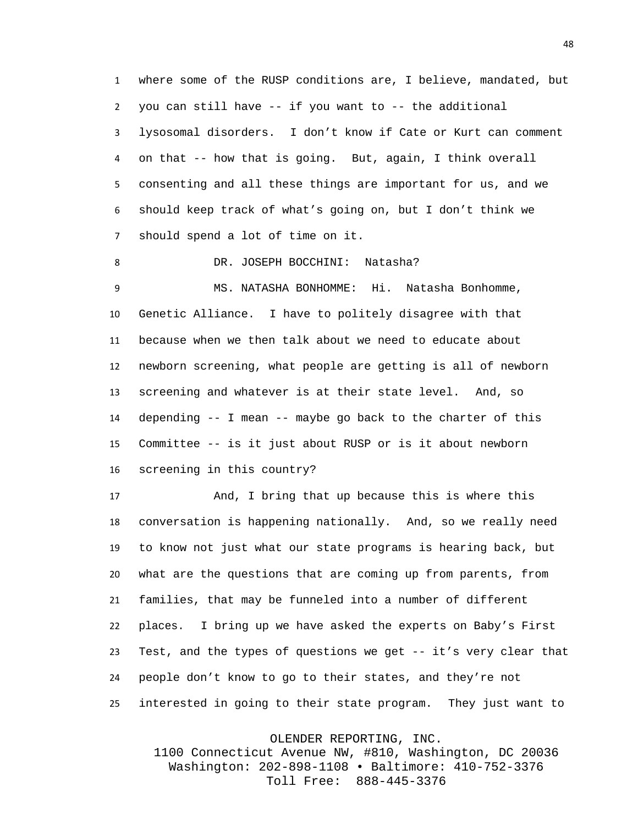where some of the RUSP conditions are, I believe, mandated, but you can still have -- if you want to -- the additional lysosomal disorders. I don't know if Cate or Kurt can comment on that -- how that is going. But, again, I think overall consenting and all these things are important for us, and we should keep track of what's going on, but I don't think we should spend a lot of time on it.

DR. JOSEPH BOCCHINI: Natasha?

 MS. NATASHA BONHOMME: Hi. Natasha Bonhomme, Genetic Alliance. I have to politely disagree with that because when we then talk about we need to educate about newborn screening, what people are getting is all of newborn screening and whatever is at their state level. And, so depending -- I mean -- maybe go back to the charter of this Committee -- is it just about RUSP or is it about newborn screening in this country?

 And, I bring that up because this is where this conversation is happening nationally. And, so we really need to know not just what our state programs is hearing back, but what are the questions that are coming up from parents, from families, that may be funneled into a number of different places. I bring up we have asked the experts on Baby's First Test, and the types of questions we get -- it's very clear that people don't know to go to their states, and they're not interested in going to their state program. They just want to

OLENDER REPORTING, INC.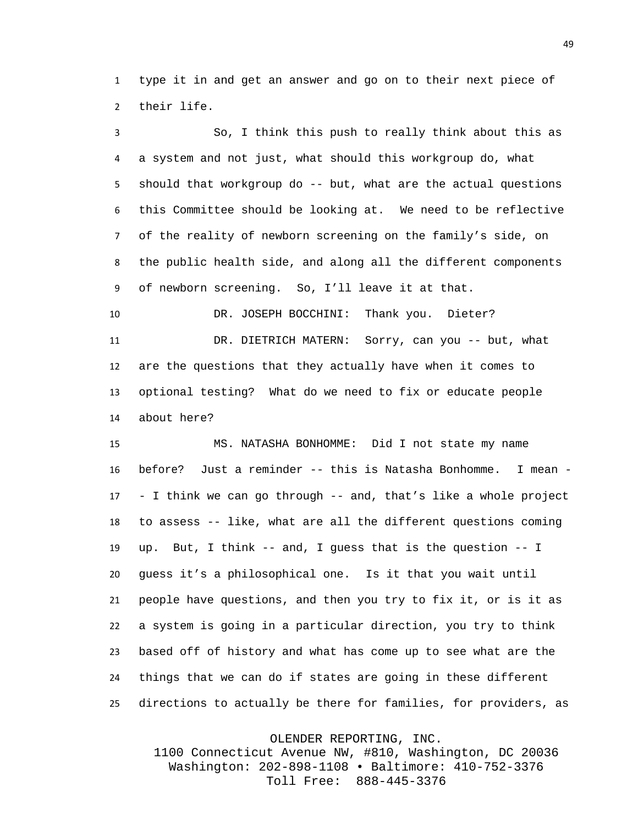type it in and get an answer and go on to their next piece of their life.

 So, I think this push to really think about this as a system and not just, what should this workgroup do, what should that workgroup do -- but, what are the actual questions this Committee should be looking at. We need to be reflective of the reality of newborn screening on the family's side, on the public health side, and along all the different components of newborn screening. So, I'll leave it at that.

 DR. JOSEPH BOCCHINI: Thank you. Dieter? DR. DIETRICH MATERN: Sorry, can you -- but, what are the questions that they actually have when it comes to optional testing? What do we need to fix or educate people about here?

 MS. NATASHA BONHOMME: Did I not state my name before? Just a reminder -- this is Natasha Bonhomme. I mean - - I think we can go through -- and, that's like a whole project to assess -- like, what are all the different questions coming up. But, I think -- and, I guess that is the question -- I guess it's a philosophical one. Is it that you wait until people have questions, and then you try to fix it, or is it as a system is going in a particular direction, you try to think based off of history and what has come up to see what are the things that we can do if states are going in these different directions to actually be there for families, for providers, as

OLENDER REPORTING, INC.

1100 Connecticut Avenue NW, #810, Washington, DC 20036 Washington: 202-898-1108 • Baltimore: 410-752-3376 Toll Free: 888-445-3376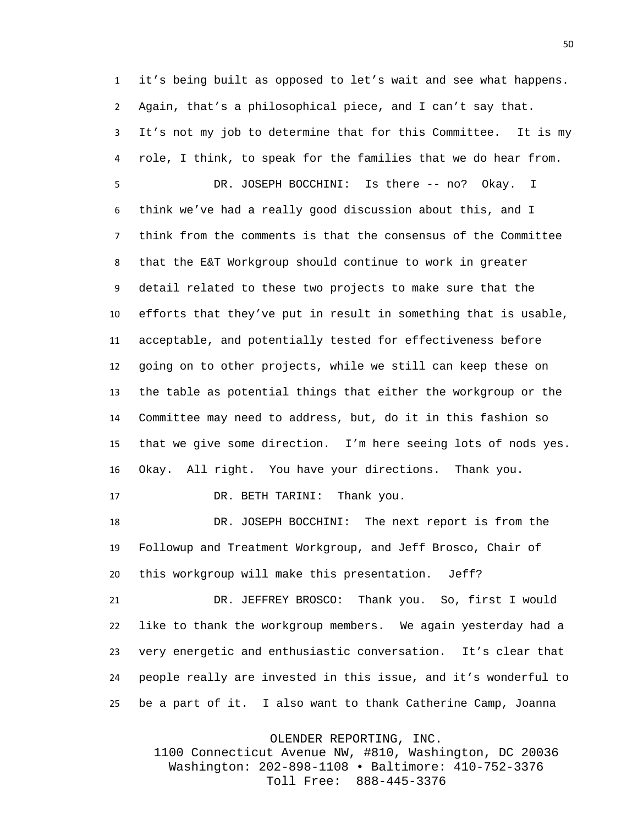it's being built as opposed to let's wait and see what happens. Again, that's a philosophical piece, and I can't say that. It's not my job to determine that for this Committee. It is my role, I think, to speak for the families that we do hear from.

 DR. JOSEPH BOCCHINI: Is there -- no? Okay. I think we've had a really good discussion about this, and I think from the comments is that the consensus of the Committee that the E&T Workgroup should continue to work in greater detail related to these two projects to make sure that the efforts that they've put in result in something that is usable, acceptable, and potentially tested for effectiveness before going on to other projects, while we still can keep these on the table as potential things that either the workgroup or the Committee may need to address, but, do it in this fashion so that we give some direction. I'm here seeing lots of nods yes. Okay. All right. You have your directions. Thank you.

17 DR. BETH TARINI: Thank you.

 DR. JOSEPH BOCCHINI: The next report is from the Followup and Treatment Workgroup, and Jeff Brosco, Chair of this workgroup will make this presentation. Jeff?

 DR. JEFFREY BROSCO: Thank you. So, first I would like to thank the workgroup members. We again yesterday had a very energetic and enthusiastic conversation. It's clear that people really are invested in this issue, and it's wonderful to be a part of it. I also want to thank Catherine Camp, Joanna

OLENDER REPORTING, INC.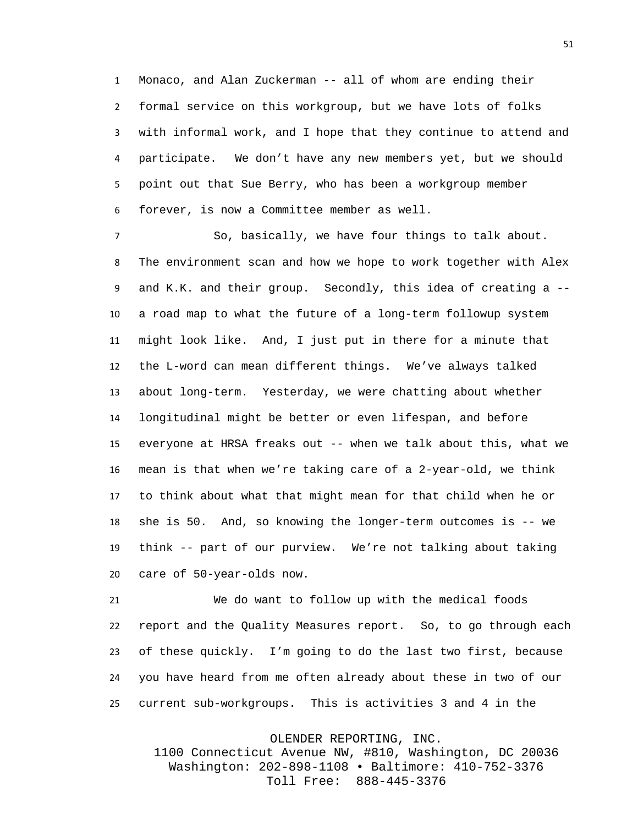Monaco, and Alan Zuckerman -- all of whom are ending their formal service on this workgroup, but we have lots of folks with informal work, and I hope that they continue to attend and participate. We don't have any new members yet, but we should point out that Sue Berry, who has been a workgroup member forever, is now a Committee member as well.

 So, basically, we have four things to talk about. The environment scan and how we hope to work together with Alex and K.K. and their group. Secondly, this idea of creating a -- a road map to what the future of a long-term followup system might look like. And, I just put in there for a minute that the L-word can mean different things. We've always talked about long-term. Yesterday, we were chatting about whether longitudinal might be better or even lifespan, and before everyone at HRSA freaks out -- when we talk about this, what we mean is that when we're taking care of a 2-year-old, we think to think about what that might mean for that child when he or she is 50. And, so knowing the longer-term outcomes is -- we think -- part of our purview. We're not talking about taking care of 50-year-olds now.

 We do want to follow up with the medical foods report and the Quality Measures report. So, to go through each of these quickly. I'm going to do the last two first, because you have heard from me often already about these in two of our current sub-workgroups. This is activities 3 and 4 in the

OLENDER REPORTING, INC.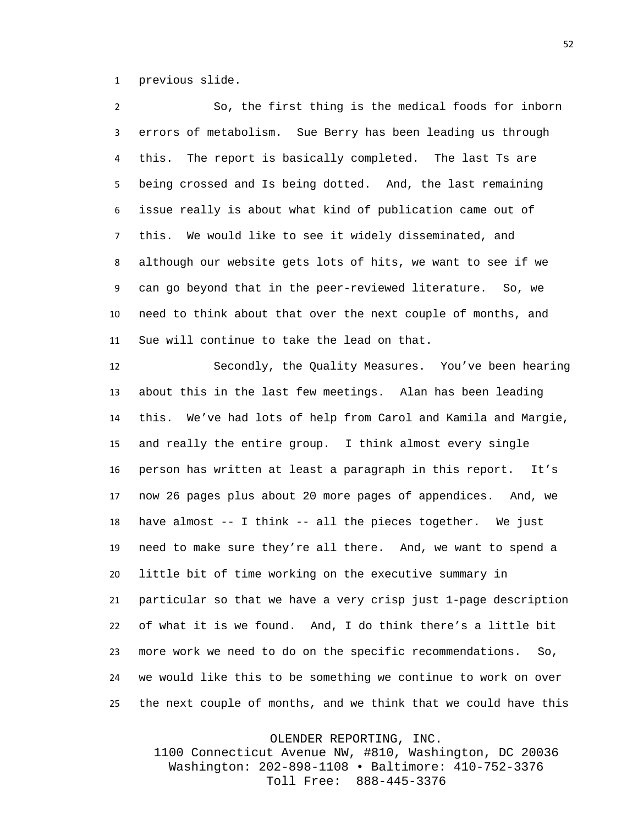previous slide.

 So, the first thing is the medical foods for inborn errors of metabolism. Sue Berry has been leading us through this. The report is basically completed. The last Ts are being crossed and Is being dotted. And, the last remaining issue really is about what kind of publication came out of this. We would like to see it widely disseminated, and although our website gets lots of hits, we want to see if we can go beyond that in the peer-reviewed literature. So, we need to think about that over the next couple of months, and Sue will continue to take the lead on that.

 Secondly, the Quality Measures. You've been hearing about this in the last few meetings. Alan has been leading this. We've had lots of help from Carol and Kamila and Margie, and really the entire group. I think almost every single person has written at least a paragraph in this report. It's now 26 pages plus about 20 more pages of appendices. And, we have almost -- I think -- all the pieces together. We just need to make sure they're all there. And, we want to spend a little bit of time working on the executive summary in particular so that we have a very crisp just 1-page description of what it is we found. And, I do think there's a little bit more work we need to do on the specific recommendations. So, we would like this to be something we continue to work on over the next couple of months, and we think that we could have this

OLENDER REPORTING, INC.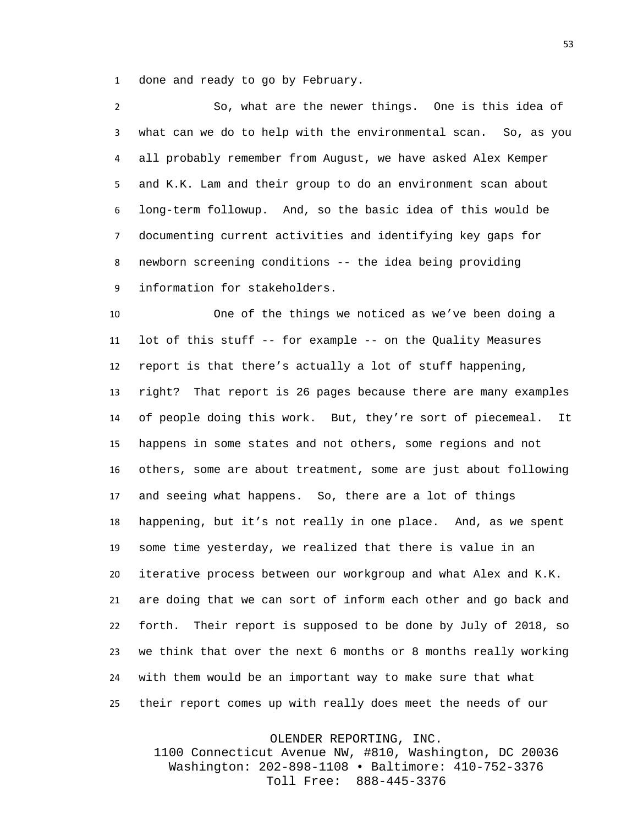done and ready to go by February.

 So, what are the newer things. One is this idea of what can we do to help with the environmental scan. So, as you all probably remember from August, we have asked Alex Kemper and K.K. Lam and their group to do an environment scan about long-term followup. And, so the basic idea of this would be documenting current activities and identifying key gaps for newborn screening conditions -- the idea being providing information for stakeholders.

 One of the things we noticed as we've been doing a lot of this stuff -- for example -- on the Quality Measures report is that there's actually a lot of stuff happening, right? That report is 26 pages because there are many examples of people doing this work. But, they're sort of piecemeal. It happens in some states and not others, some regions and not others, some are about treatment, some are just about following and seeing what happens. So, there are a lot of things happening, but it's not really in one place. And, as we spent some time yesterday, we realized that there is value in an iterative process between our workgroup and what Alex and K.K. are doing that we can sort of inform each other and go back and forth. Their report is supposed to be done by July of 2018, so we think that over the next 6 months or 8 months really working with them would be an important way to make sure that what their report comes up with really does meet the needs of our

OLENDER REPORTING, INC.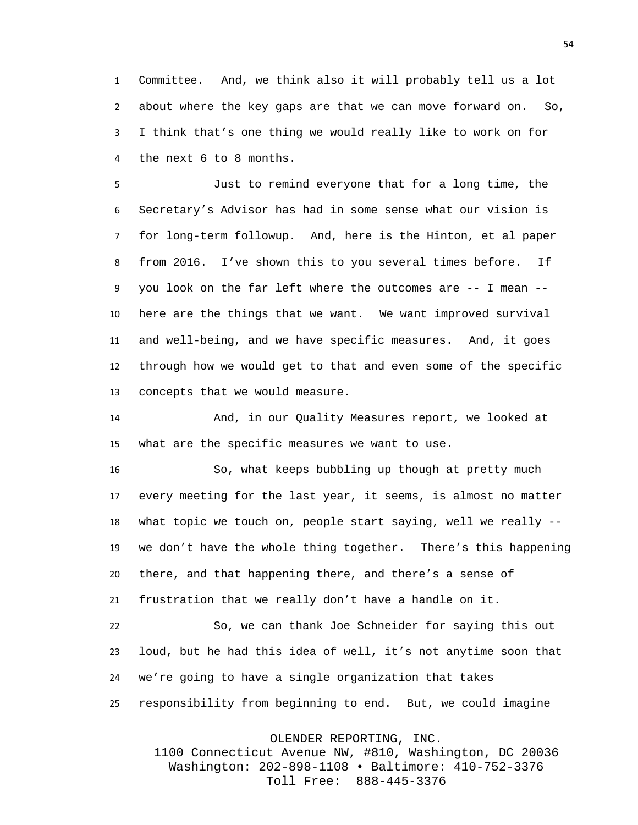Committee. And, we think also it will probably tell us a lot about where the key gaps are that we can move forward on. So, I think that's one thing we would really like to work on for the next 6 to 8 months.

 Just to remind everyone that for a long time, the Secretary's Advisor has had in some sense what our vision is for long-term followup. And, here is the Hinton, et al paper from 2016. I've shown this to you several times before. If you look on the far left where the outcomes are -- I mean -- here are the things that we want. We want improved survival and well-being, and we have specific measures. And, it goes through how we would get to that and even some of the specific concepts that we would measure.

 And, in our Quality Measures report, we looked at what are the specific measures we want to use.

 So, what keeps bubbling up though at pretty much every meeting for the last year, it seems, is almost no matter what topic we touch on, people start saying, well we really -- we don't have the whole thing together. There's this happening there, and that happening there, and there's a sense of frustration that we really don't have a handle on it.

 So, we can thank Joe Schneider for saying this out loud, but he had this idea of well, it's not anytime soon that we're going to have a single organization that takes responsibility from beginning to end. But, we could imagine

OLENDER REPORTING, INC.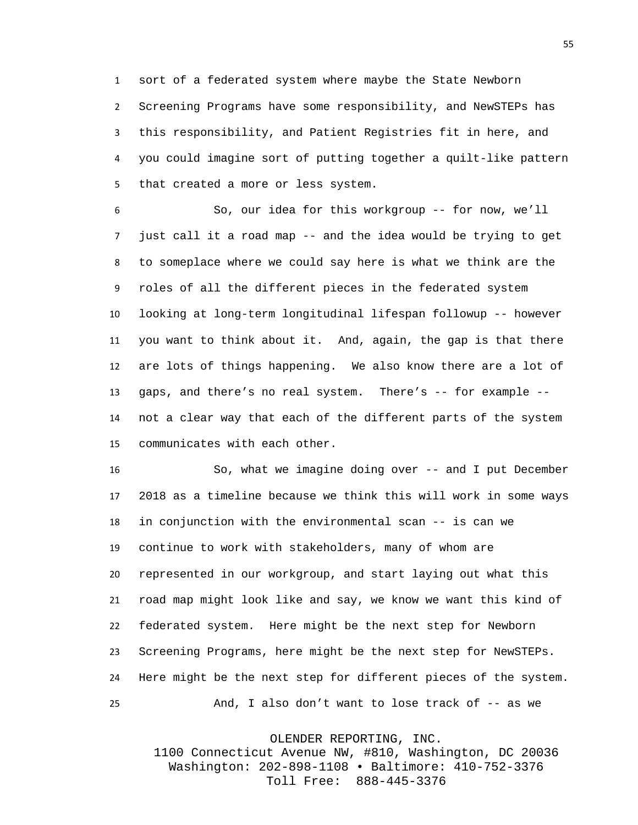sort of a federated system where maybe the State Newborn Screening Programs have some responsibility, and NewSTEPs has this responsibility, and Patient Registries fit in here, and you could imagine sort of putting together a quilt-like pattern that created a more or less system.

 So, our idea for this workgroup -- for now, we'll just call it a road map -- and the idea would be trying to get to someplace where we could say here is what we think are the roles of all the different pieces in the federated system looking at long-term longitudinal lifespan followup -- however you want to think about it. And, again, the gap is that there are lots of things happening. We also know there are a lot of gaps, and there's no real system. There's -- for example -- not a clear way that each of the different parts of the system communicates with each other.

 So, what we imagine doing over -- and I put December 2018 as a timeline because we think this will work in some ways in conjunction with the environmental scan -- is can we continue to work with stakeholders, many of whom are represented in our workgroup, and start laying out what this road map might look like and say, we know we want this kind of federated system. Here might be the next step for Newborn Screening Programs, here might be the next step for NewSTEPs. Here might be the next step for different pieces of the system. And, I also don't want to lose track of -- as we

OLENDER REPORTING, INC.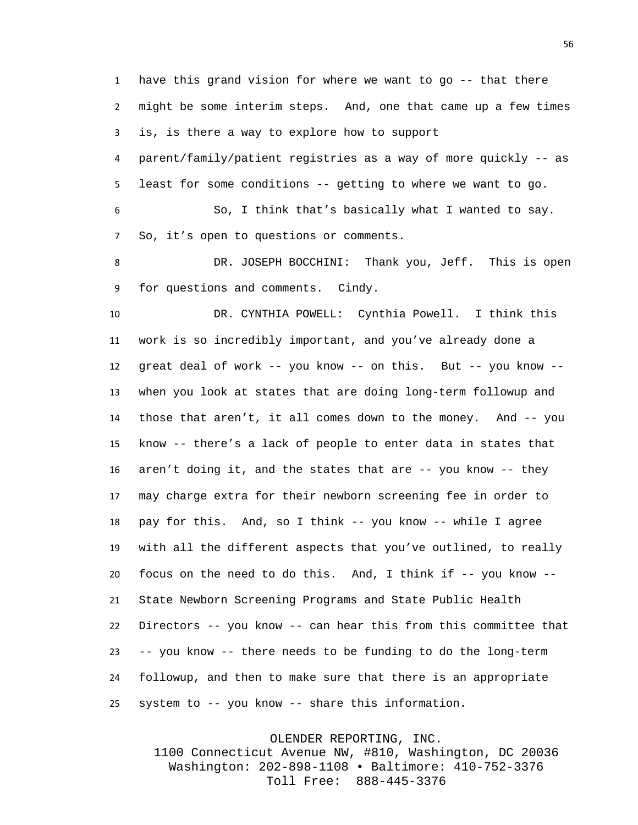have this grand vision for where we want to go -- that there might be some interim steps. And, one that came up a few times is, is there a way to explore how to support

 parent/family/patient registries as a way of more quickly -- as least for some conditions -- getting to where we want to go.

 So, I think that's basically what I wanted to say. So, it's open to questions or comments.

 DR. JOSEPH BOCCHINI: Thank you, Jeff. This is open for questions and comments. Cindy.

 DR. CYNTHIA POWELL: Cynthia Powell. I think this work is so incredibly important, and you've already done a great deal of work -- you know -- on this. But -- you know -- when you look at states that are doing long-term followup and those that aren't, it all comes down to the money. And -- you know -- there's a lack of people to enter data in states that aren't doing it, and the states that are -- you know -- they may charge extra for their newborn screening fee in order to pay for this. And, so I think -- you know -- while I agree with all the different aspects that you've outlined, to really focus on the need to do this. And, I think if -- you know -- State Newborn Screening Programs and State Public Health Directors -- you know -- can hear this from this committee that -- you know -- there needs to be funding to do the long-term followup, and then to make sure that there is an appropriate system to -- you know -- share this information.

OLENDER REPORTING, INC.

1100 Connecticut Avenue NW, #810, Washington, DC 20036 Washington: 202-898-1108 • Baltimore: 410-752-3376 Toll Free: 888-445-3376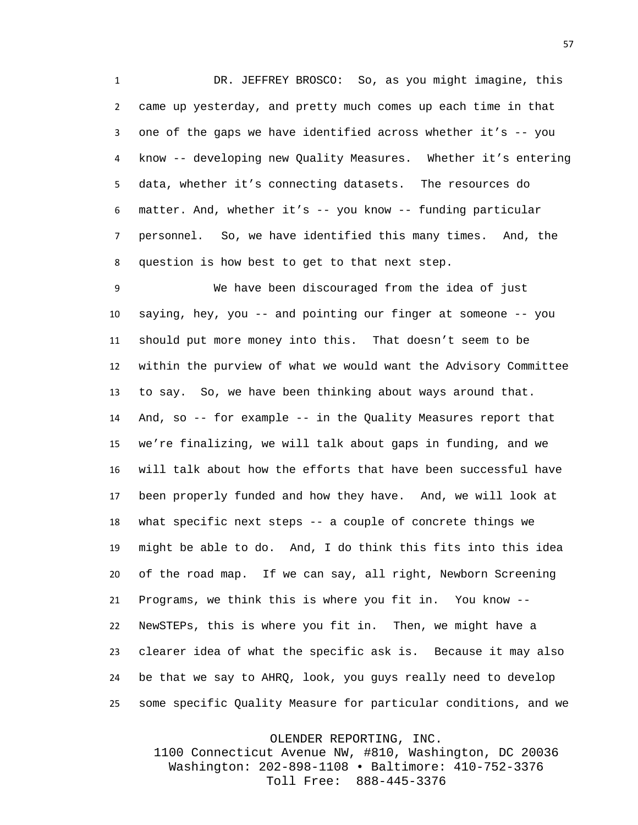DR. JEFFREY BROSCO: So, as you might imagine, this came up yesterday, and pretty much comes up each time in that one of the gaps we have identified across whether it's -- you know -- developing new Quality Measures. Whether it's entering data, whether it's connecting datasets. The resources do matter. And, whether it's -- you know -- funding particular personnel. So, we have identified this many times. And, the question is how best to get to that next step.

 We have been discouraged from the idea of just saying, hey, you -- and pointing our finger at someone -- you should put more money into this. That doesn't seem to be within the purview of what we would want the Advisory Committee to say. So, we have been thinking about ways around that. And, so -- for example -- in the Quality Measures report that we're finalizing, we will talk about gaps in funding, and we will talk about how the efforts that have been successful have been properly funded and how they have. And, we will look at what specific next steps -- a couple of concrete things we might be able to do. And, I do think this fits into this idea of the road map. If we can say, all right, Newborn Screening Programs, we think this is where you fit in. You know -- NewSTEPs, this is where you fit in. Then, we might have a clearer idea of what the specific ask is. Because it may also be that we say to AHRQ, look, you guys really need to develop some specific Quality Measure for particular conditions, and we

OLENDER REPORTING, INC.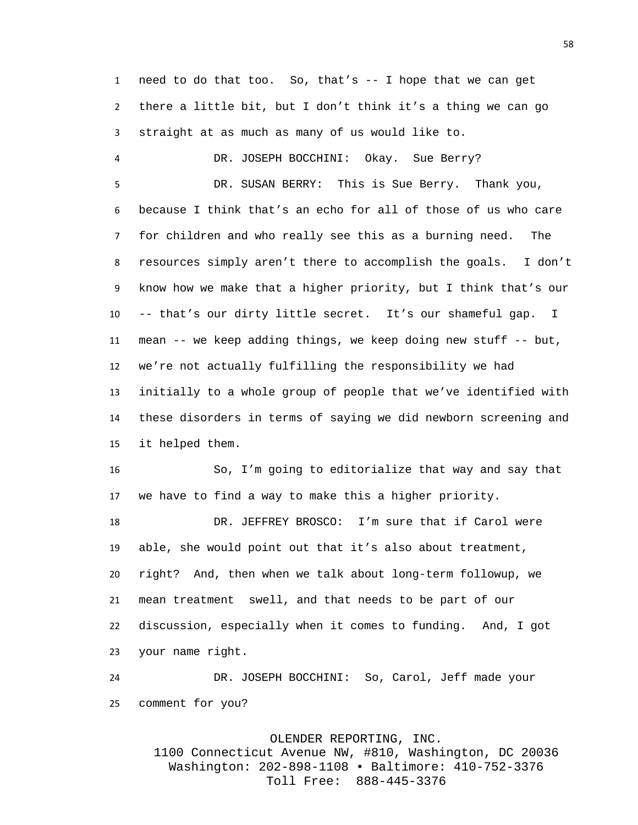need to do that too. So, that's -- I hope that we can get there a little bit, but I don't think it's a thing we can go straight at as much as many of us would like to.

 DR. JOSEPH BOCCHINI: Okay. Sue Berry? DR. SUSAN BERRY: This is Sue Berry. Thank you, because I think that's an echo for all of those of us who care for children and who really see this as a burning need. The resources simply aren't there to accomplish the goals. I don't know how we make that a higher priority, but I think that's our -- that's our dirty little secret. It's our shameful gap. I mean -- we keep adding things, we keep doing new stuff -- but, we're not actually fulfilling the responsibility we had initially to a whole group of people that we've identified with these disorders in terms of saying we did newborn screening and it helped them.

 So, I'm going to editorialize that way and say that we have to find a way to make this a higher priority.

 DR. JEFFREY BROSCO: I'm sure that if Carol were able, she would point out that it's also about treatment, right? And, then when we talk about long-term followup, we mean treatment swell, and that needs to be part of our discussion, especially when it comes to funding. And, I got your name right.

 DR. JOSEPH BOCCHINI: So, Carol, Jeff made your comment for you?

OLENDER REPORTING, INC.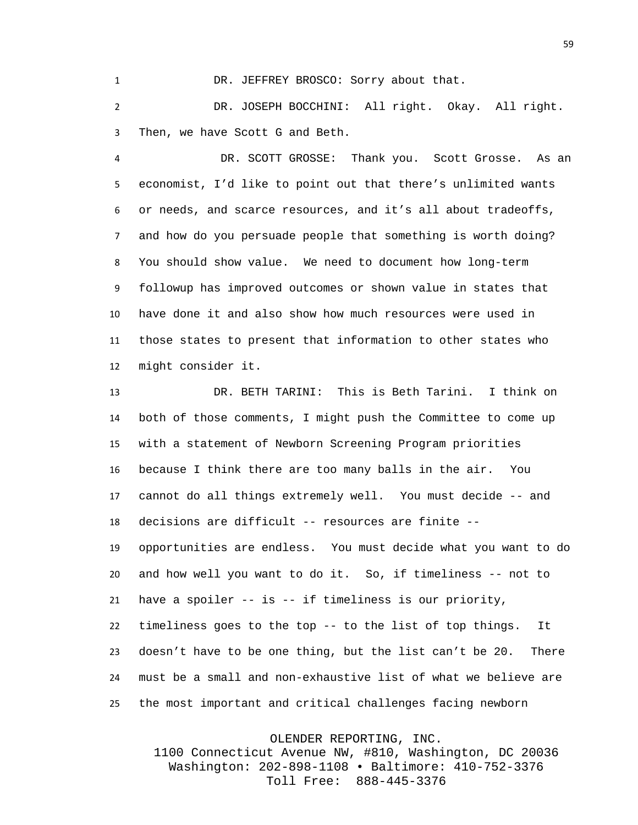1 DR. JEFFREY BROSCO: Sorry about that.

 DR. JOSEPH BOCCHINI: All right. Okay. All right. Then, we have Scott G and Beth.

 DR. SCOTT GROSSE: Thank you. Scott Grosse. As an economist, I'd like to point out that there's unlimited wants or needs, and scarce resources, and it's all about tradeoffs, and how do you persuade people that something is worth doing? You should show value. We need to document how long-term followup has improved outcomes or shown value in states that have done it and also show how much resources were used in those states to present that information to other states who might consider it.

 DR. BETH TARINI: This is Beth Tarini. I think on both of those comments, I might push the Committee to come up with a statement of Newborn Screening Program priorities because I think there are too many balls in the air. You cannot do all things extremely well. You must decide -- and decisions are difficult -- resources are finite -- opportunities are endless. You must decide what you want to do and how well you want to do it. So, if timeliness -- not to have a spoiler -- is -- if timeliness is our priority, timeliness goes to the top -- to the list of top things. It doesn't have to be one thing, but the list can't be 20. There must be a small and non-exhaustive list of what we believe are the most important and critical challenges facing newborn

OLENDER REPORTING, INC.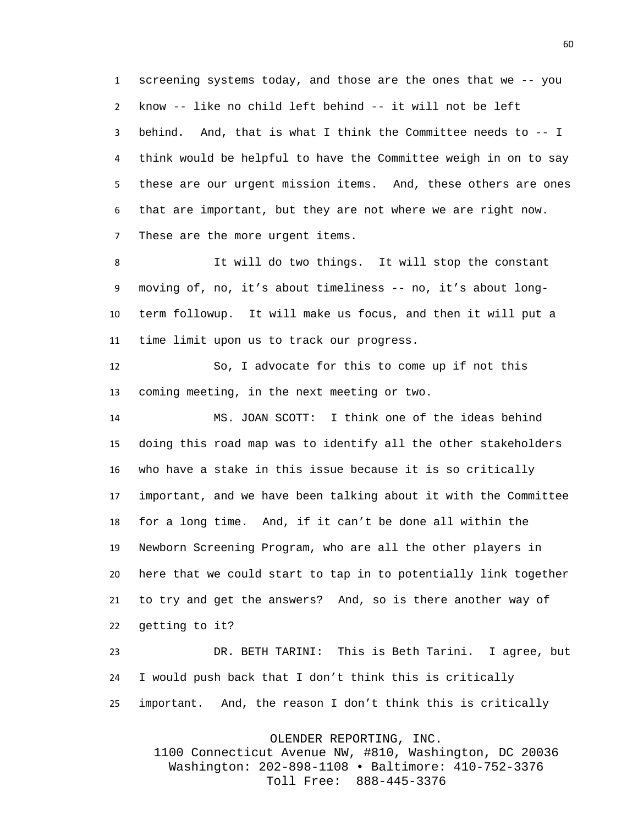screening systems today, and those are the ones that we -- you know -- like no child left behind -- it will not be left behind. And, that is what I think the Committee needs to -- I think would be helpful to have the Committee weigh in on to say these are our urgent mission items. And, these others are ones that are important, but they are not where we are right now. These are the more urgent items.

 It will do two things. It will stop the constant moving of, no, it's about timeliness -- no, it's about long- term followup. It will make us focus, and then it will put a time limit upon us to track our progress.

 So, I advocate for this to come up if not this coming meeting, in the next meeting or two.

 MS. JOAN SCOTT: I think one of the ideas behind doing this road map was to identify all the other stakeholders who have a stake in this issue because it is so critically important, and we have been talking about it with the Committee for a long time. And, if it can't be done all within the Newborn Screening Program, who are all the other players in here that we could start to tap in to potentially link together to try and get the answers? And, so is there another way of getting to it?

 DR. BETH TARINI: This is Beth Tarini. I agree, but I would push back that I don't think this is critically important. And, the reason I don't think this is critically

OLENDER REPORTING, INC.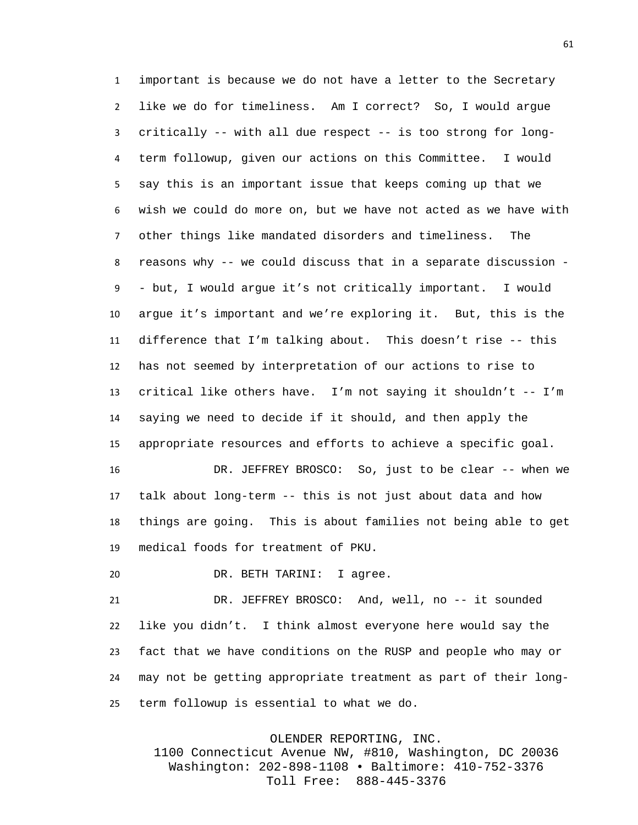important is because we do not have a letter to the Secretary like we do for timeliness. Am I correct? So, I would argue critically -- with all due respect -- is too strong for long- term followup, given our actions on this Committee. I would say this is an important issue that keeps coming up that we wish we could do more on, but we have not acted as we have with other things like mandated disorders and timeliness. The reasons why -- we could discuss that in a separate discussion - - but, I would argue it's not critically important. I would argue it's important and we're exploring it. But, this is the difference that I'm talking about. This doesn't rise -- this has not seemed by interpretation of our actions to rise to critical like others have. I'm not saying it shouldn't -- I'm saying we need to decide if it should, and then apply the appropriate resources and efforts to achieve a specific goal.

 DR. JEFFREY BROSCO: So, just to be clear -- when we talk about long-term -- this is not just about data and how things are going. This is about families not being able to get medical foods for treatment of PKU.

DR. BETH TARINI: I agree.

 DR. JEFFREY BROSCO: And, well, no -- it sounded like you didn't. I think almost everyone here would say the fact that we have conditions on the RUSP and people who may or may not be getting appropriate treatment as part of their long-term followup is essential to what we do.

OLENDER REPORTING, INC.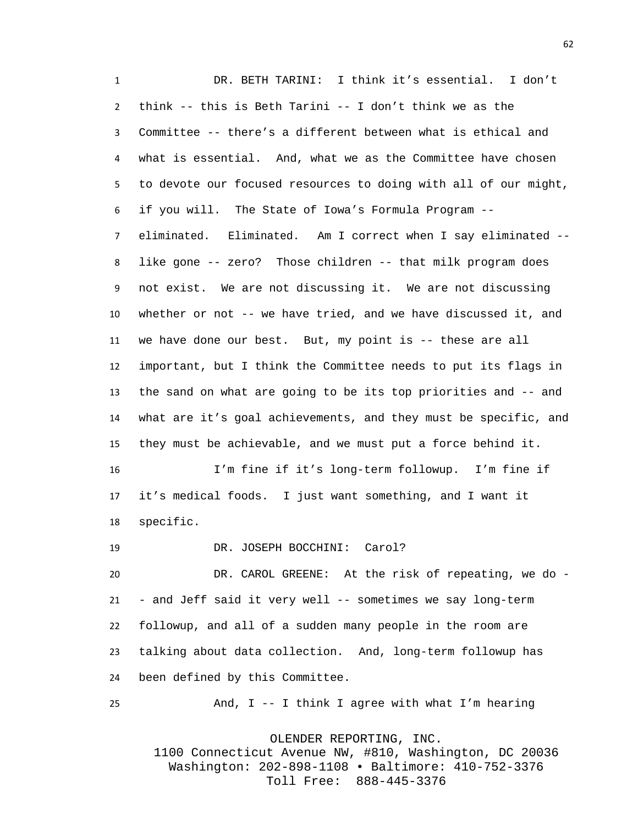DR. BETH TARINI: I think it's essential. I don't think -- this is Beth Tarini -- I don't think we as the Committee -- there's a different between what is ethical and what is essential. And, what we as the Committee have chosen to devote our focused resources to doing with all of our might, if you will. The State of Iowa's Formula Program -- eliminated. Eliminated. Am I correct when I say eliminated -- like gone -- zero? Those children -- that milk program does not exist. We are not discussing it. We are not discussing whether or not -- we have tried, and we have discussed it, and we have done our best. But, my point is -- these are all important, but I think the Committee needs to put its flags in the sand on what are going to be its top priorities and -- and what are it's goal achievements, and they must be specific, and they must be achievable, and we must put a force behind it. I'm fine if it's long-term followup. I'm fine if it's medical foods. I just want something, and I want it specific.

DR. JOSEPH BOCCHINI: Carol?

 DR. CAROL GREENE: At the risk of repeating, we do - - and Jeff said it very well -- sometimes we say long-term followup, and all of a sudden many people in the room are talking about data collection. And, long-term followup has been defined by this Committee.

And, I -- I think I agree with what I'm hearing

OLENDER REPORTING, INC.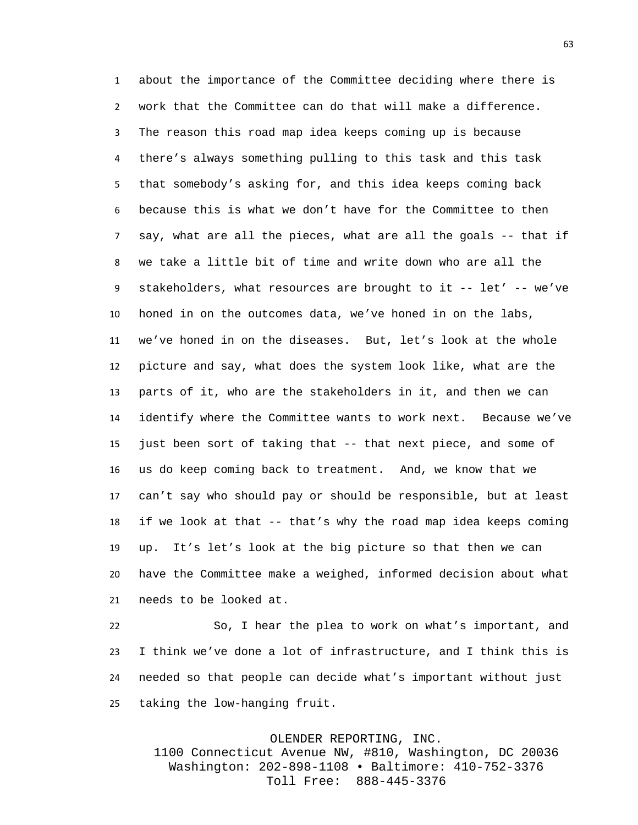about the importance of the Committee deciding where there is work that the Committee can do that will make a difference. The reason this road map idea keeps coming up is because there's always something pulling to this task and this task that somebody's asking for, and this idea keeps coming back because this is what we don't have for the Committee to then say, what are all the pieces, what are all the goals -- that if we take a little bit of time and write down who are all the stakeholders, what resources are brought to it -- let' -- we've honed in on the outcomes data, we've honed in on the labs, we've honed in on the diseases. But, let's look at the whole picture and say, what does the system look like, what are the parts of it, who are the stakeholders in it, and then we can identify where the Committee wants to work next. Because we've just been sort of taking that -- that next piece, and some of us do keep coming back to treatment. And, we know that we can't say who should pay or should be responsible, but at least if we look at that -- that's why the road map idea keeps coming up. It's let's look at the big picture so that then we can have the Committee make a weighed, informed decision about what needs to be looked at.

 So, I hear the plea to work on what's important, and I think we've done a lot of infrastructure, and I think this is needed so that people can decide what's important without just taking the low-hanging fruit.

## OLENDER REPORTING, INC.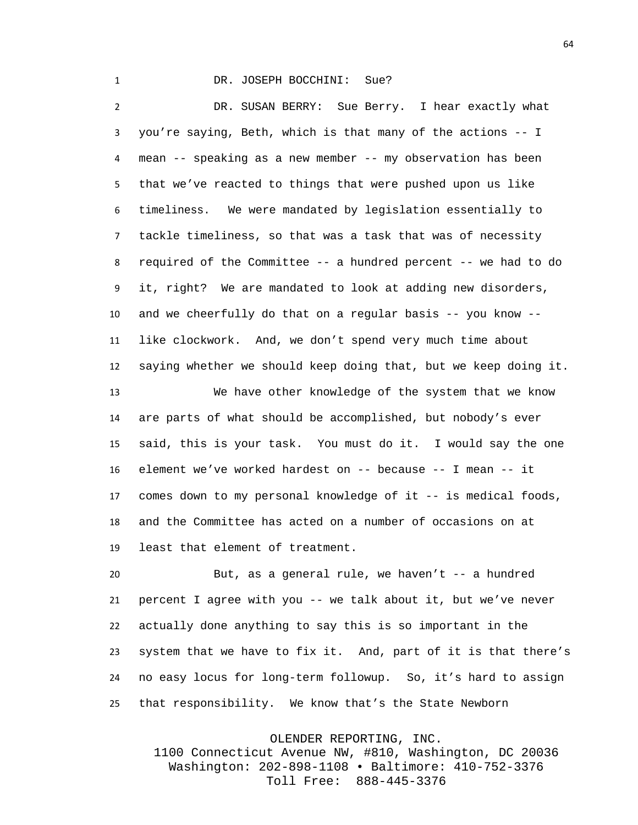## 1 DR. JOSEPH BOCCHINI: Sue?

 DR. SUSAN BERRY: Sue Berry. I hear exactly what you're saying, Beth, which is that many of the actions -- I mean -- speaking as a new member -- my observation has been that we've reacted to things that were pushed upon us like timeliness. We were mandated by legislation essentially to tackle timeliness, so that was a task that was of necessity required of the Committee -- a hundred percent -- we had to do it, right? We are mandated to look at adding new disorders, and we cheerfully do that on a regular basis -- you know -- like clockwork. And, we don't spend very much time about saying whether we should keep doing that, but we keep doing it. We have other knowledge of the system that we know are parts of what should be accomplished, but nobody's ever said, this is your task. You must do it. I would say the one element we've worked hardest on -- because -- I mean -- it comes down to my personal knowledge of it -- is medical foods, and the Committee has acted on a number of occasions on at least that element of treatment.

 But, as a general rule, we haven't -- a hundred percent I agree with you -- we talk about it, but we've never actually done anything to say this is so important in the system that we have to fix it. And, part of it is that there's no easy locus for long-term followup. So, it's hard to assign that responsibility. We know that's the State Newborn

OLENDER REPORTING, INC.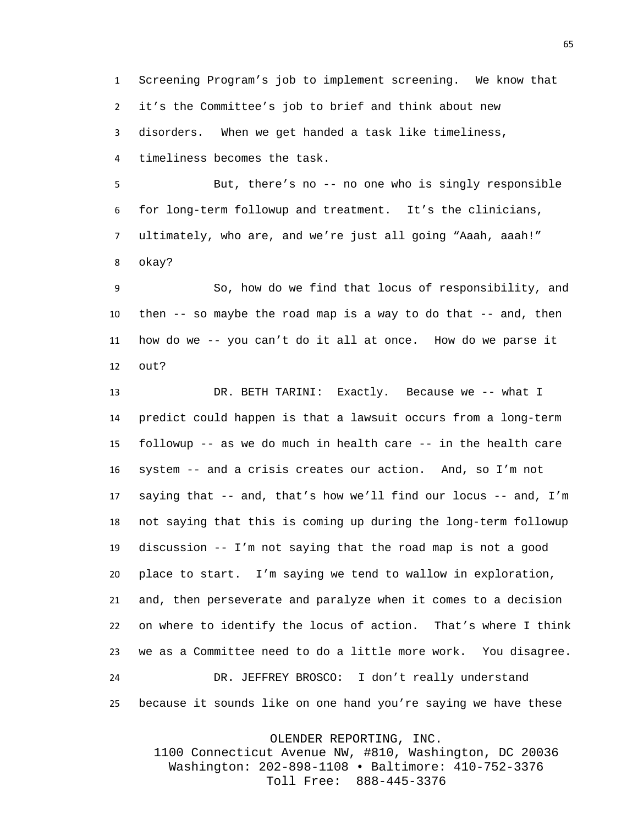Screening Program's job to implement screening. We know that it's the Committee's job to brief and think about new disorders. When we get handed a task like timeliness, timeliness becomes the task.

 But, there's no -- no one who is singly responsible for long-term followup and treatment. It's the clinicians, ultimately, who are, and we're just all going "Aaah, aaah!" okay?

 So, how do we find that locus of responsibility, and then -- so maybe the road map is a way to do that -- and, then how do we -- you can't do it all at once. How do we parse it out?

 DR. BETH TARINI: Exactly. Because we -- what I predict could happen is that a lawsuit occurs from a long-term followup -- as we do much in health care -- in the health care system -- and a crisis creates our action. And, so I'm not saying that -- and, that's how we'll find our locus -- and, I'm not saying that this is coming up during the long-term followup discussion -- I'm not saying that the road map is not a good place to start. I'm saying we tend to wallow in exploration, and, then perseverate and paralyze when it comes to a decision on where to identify the locus of action. That's where I think we as a Committee need to do a little more work. You disagree. DR. JEFFREY BROSCO: I don't really understand because it sounds like on one hand you're saying we have these

OLENDER REPORTING, INC.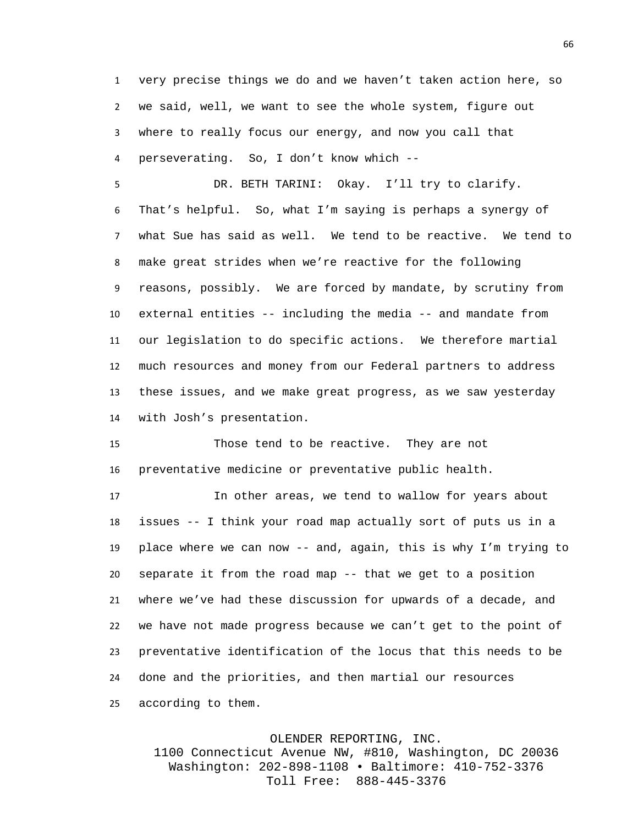very precise things we do and we haven't taken action here, so we said, well, we want to see the whole system, figure out where to really focus our energy, and now you call that perseverating. So, I don't know which --

 DR. BETH TARINI: Okay. I'll try to clarify. That's helpful. So, what I'm saying is perhaps a synergy of what Sue has said as well. We tend to be reactive. We tend to make great strides when we're reactive for the following reasons, possibly. We are forced by mandate, by scrutiny from external entities -- including the media -- and mandate from our legislation to do specific actions. We therefore martial much resources and money from our Federal partners to address these issues, and we make great progress, as we saw yesterday with Josh's presentation.

 Those tend to be reactive. They are not preventative medicine or preventative public health.

 In other areas, we tend to wallow for years about issues -- I think your road map actually sort of puts us in a place where we can now -- and, again, this is why I'm trying to separate it from the road map -- that we get to a position where we've had these discussion for upwards of a decade, and we have not made progress because we can't get to the point of preventative identification of the locus that this needs to be done and the priorities, and then martial our resources according to them.

OLENDER REPORTING, INC.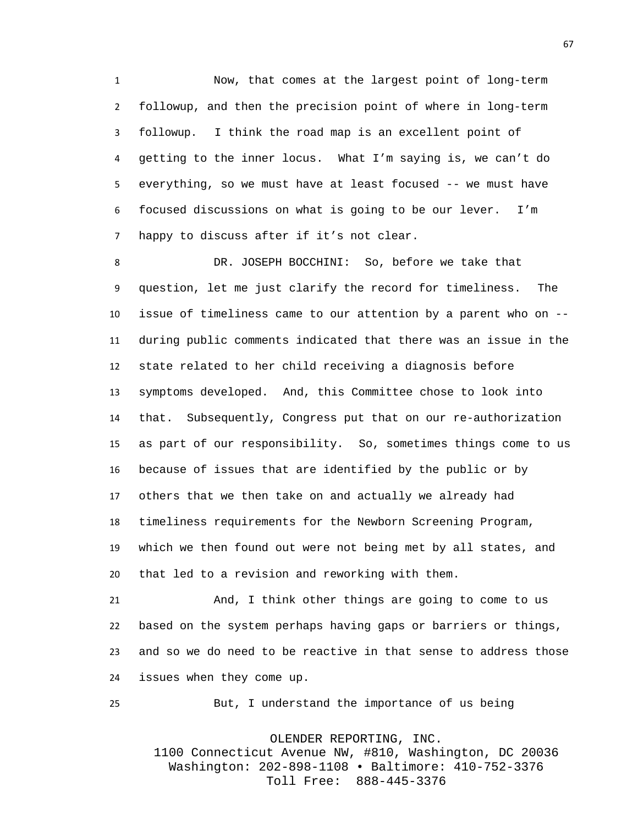Now, that comes at the largest point of long-term followup, and then the precision point of where in long-term followup. I think the road map is an excellent point of getting to the inner locus. What I'm saying is, we can't do everything, so we must have at least focused -- we must have focused discussions on what is going to be our lever. I'm happy to discuss after if it's not clear.

 DR. JOSEPH BOCCHINI: So, before we take that question, let me just clarify the record for timeliness. The issue of timeliness came to our attention by a parent who on -- during public comments indicated that there was an issue in the state related to her child receiving a diagnosis before symptoms developed. And, this Committee chose to look into that. Subsequently, Congress put that on our re-authorization as part of our responsibility. So, sometimes things come to us because of issues that are identified by the public or by others that we then take on and actually we already had timeliness requirements for the Newborn Screening Program, which we then found out were not being met by all states, and that led to a revision and reworking with them.

 And, I think other things are going to come to us based on the system perhaps having gaps or barriers or things, and so we do need to be reactive in that sense to address those issues when they come up.

But, I understand the importance of us being

OLENDER REPORTING, INC.

1100 Connecticut Avenue NW, #810, Washington, DC 20036 Washington: 202-898-1108 • Baltimore: 410-752-3376 Toll Free: 888-445-3376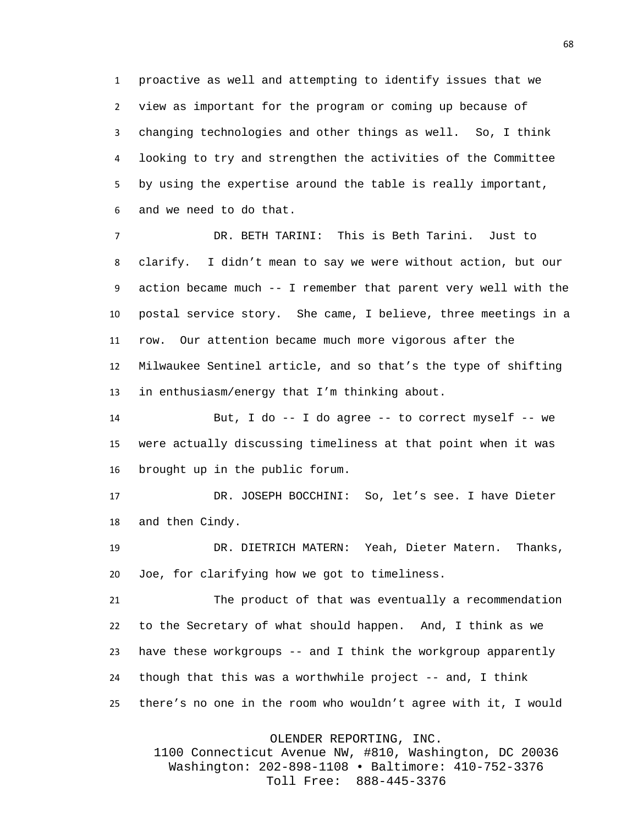proactive as well and attempting to identify issues that we view as important for the program or coming up because of changing technologies and other things as well. So, I think looking to try and strengthen the activities of the Committee by using the expertise around the table is really important, and we need to do that.

 DR. BETH TARINI: This is Beth Tarini. Just to clarify. I didn't mean to say we were without action, but our action became much -- I remember that parent very well with the postal service story. She came, I believe, three meetings in a row. Our attention became much more vigorous after the Milwaukee Sentinel article, and so that's the type of shifting in enthusiasm/energy that I'm thinking about.

 But, I do -- I do agree -- to correct myself -- we were actually discussing timeliness at that point when it was brought up in the public forum.

 DR. JOSEPH BOCCHINI: So, let's see. I have Dieter and then Cindy.

 DR. DIETRICH MATERN: Yeah, Dieter Matern. Thanks, Joe, for clarifying how we got to timeliness.

 The product of that was eventually a recommendation to the Secretary of what should happen. And, I think as we have these workgroups -- and I think the workgroup apparently though that this was a worthwhile project -- and, I think there's no one in the room who wouldn't agree with it, I would

OLENDER REPORTING, INC.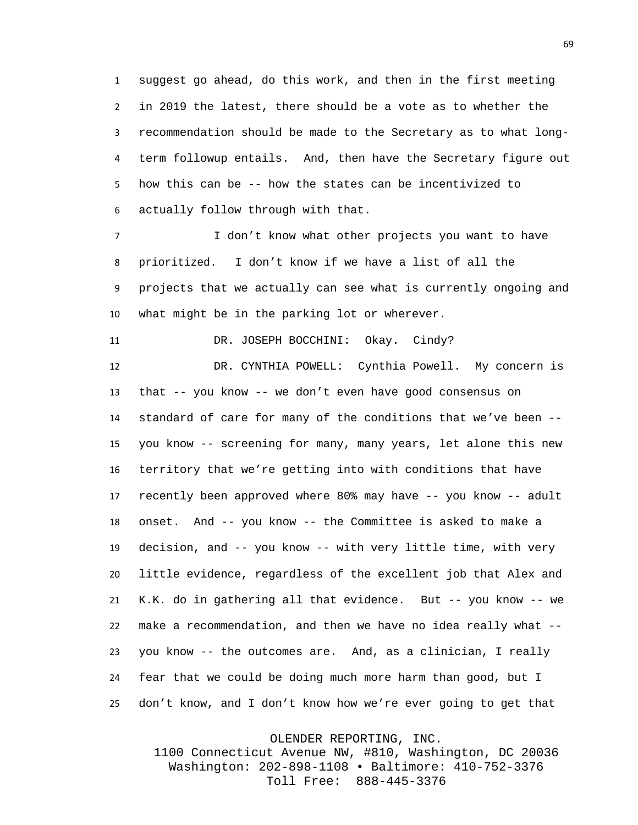suggest go ahead, do this work, and then in the first meeting in 2019 the latest, there should be a vote as to whether the recommendation should be made to the Secretary as to what long- term followup entails. And, then have the Secretary figure out how this can be -- how the states can be incentivized to actually follow through with that.

 I don't know what other projects you want to have prioritized. I don't know if we have a list of all the projects that we actually can see what is currently ongoing and what might be in the parking lot or wherever.

11 DR. JOSEPH BOCCHINI: Okay. Cindy?

 DR. CYNTHIA POWELL: Cynthia Powell. My concern is that -- you know -- we don't even have good consensus on standard of care for many of the conditions that we've been -- you know -- screening for many, many years, let alone this new territory that we're getting into with conditions that have recently been approved where 80% may have -- you know -- adult onset. And -- you know -- the Committee is asked to make a decision, and -- you know -- with very little time, with very little evidence, regardless of the excellent job that Alex and K.K. do in gathering all that evidence. But -- you know -- we make a recommendation, and then we have no idea really what -- you know -- the outcomes are. And, as a clinician, I really fear that we could be doing much more harm than good, but I don't know, and I don't know how we're ever going to get that

OLENDER REPORTING, INC.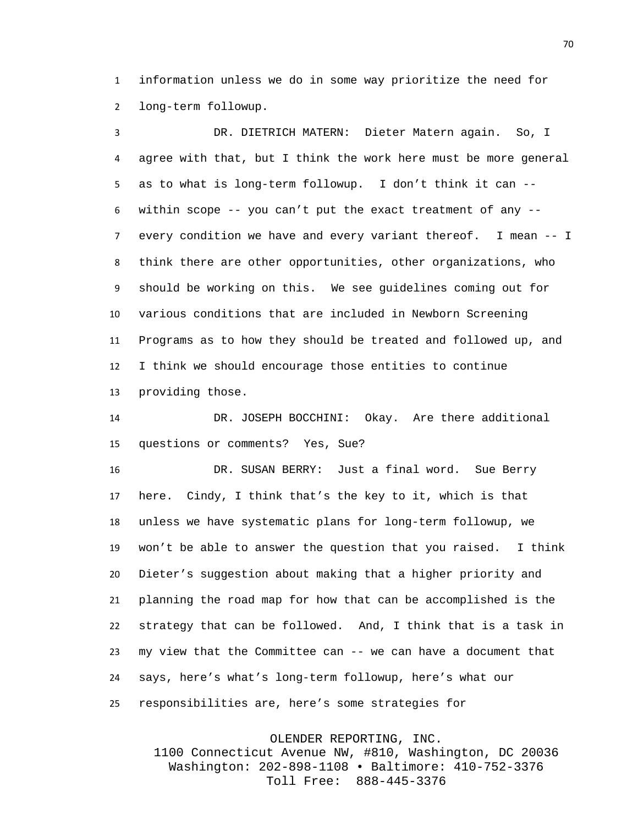information unless we do in some way prioritize the need for long-term followup.

 DR. DIETRICH MATERN: Dieter Matern again. So, I agree with that, but I think the work here must be more general as to what is long-term followup. I don't think it can -- within scope -- you can't put the exact treatment of any -- every condition we have and every variant thereof. I mean -- I think there are other opportunities, other organizations, who should be working on this. We see guidelines coming out for various conditions that are included in Newborn Screening Programs as to how they should be treated and followed up, and I think we should encourage those entities to continue providing those.

 DR. JOSEPH BOCCHINI: Okay. Are there additional questions or comments? Yes, Sue?

 DR. SUSAN BERRY: Just a final word. Sue Berry here. Cindy, I think that's the key to it, which is that unless we have systematic plans for long-term followup, we won't be able to answer the question that you raised. I think Dieter's suggestion about making that a higher priority and planning the road map for how that can be accomplished is the strategy that can be followed. And, I think that is a task in my view that the Committee can -- we can have a document that says, here's what's long-term followup, here's what our responsibilities are, here's some strategies for

OLENDER REPORTING, INC.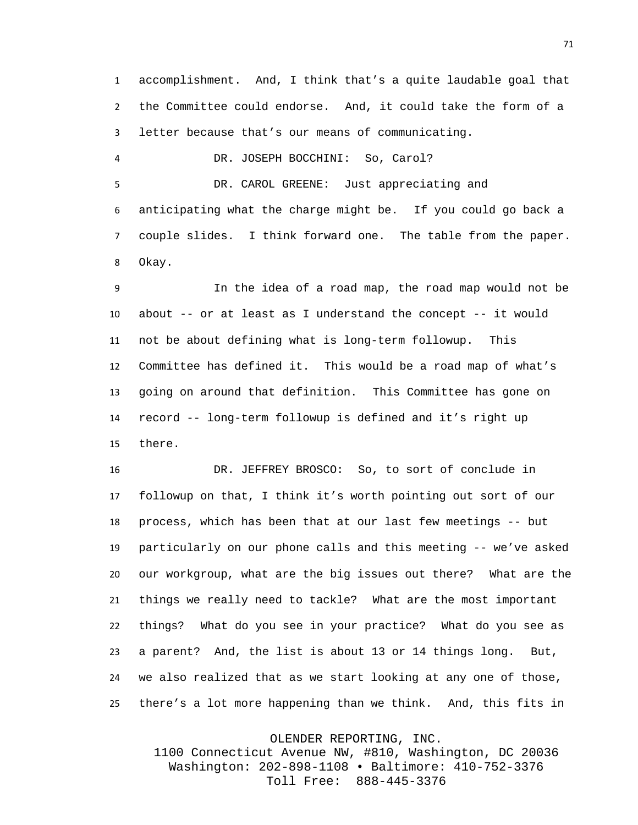accomplishment. And, I think that's a quite laudable goal that the Committee could endorse. And, it could take the form of a letter because that's our means of communicating.

DR. JOSEPH BOCCHINI: So, Carol?

 DR. CAROL GREENE: Just appreciating and anticipating what the charge might be. If you could go back a couple slides. I think forward one. The table from the paper. Okay.

 In the idea of a road map, the road map would not be about -- or at least as I understand the concept -- it would not be about defining what is long-term followup. This Committee has defined it. This would be a road map of what's going on around that definition. This Committee has gone on record -- long-term followup is defined and it's right up there.

 DR. JEFFREY BROSCO: So, to sort of conclude in followup on that, I think it's worth pointing out sort of our process, which has been that at our last few meetings -- but particularly on our phone calls and this meeting -- we've asked our workgroup, what are the big issues out there? What are the things we really need to tackle? What are the most important things? What do you see in your practice? What do you see as a parent? And, the list is about 13 or 14 things long. But, we also realized that as we start looking at any one of those, there's a lot more happening than we think. And, this fits in

OLENDER REPORTING, INC.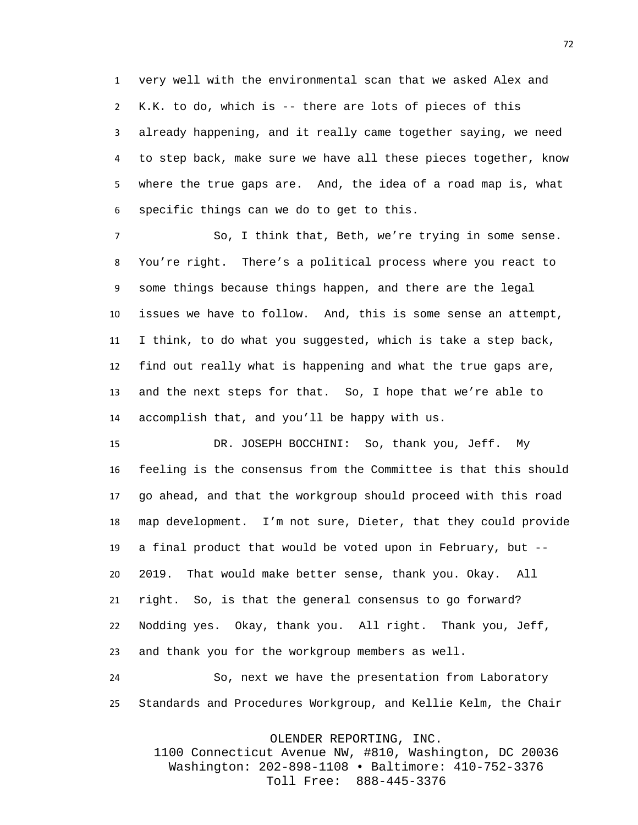very well with the environmental scan that we asked Alex and K.K. to do, which is -- there are lots of pieces of this already happening, and it really came together saying, we need to step back, make sure we have all these pieces together, know where the true gaps are. And, the idea of a road map is, what specific things can we do to get to this.

 So, I think that, Beth, we're trying in some sense. You're right. There's a political process where you react to some things because things happen, and there are the legal issues we have to follow. And, this is some sense an attempt, I think, to do what you suggested, which is take a step back, find out really what is happening and what the true gaps are, and the next steps for that. So, I hope that we're able to accomplish that, and you'll be happy with us.

 DR. JOSEPH BOCCHINI: So, thank you, Jeff. My feeling is the consensus from the Committee is that this should go ahead, and that the workgroup should proceed with this road map development. I'm not sure, Dieter, that they could provide a final product that would be voted upon in February, but -- 2019. That would make better sense, thank you. Okay. All right. So, is that the general consensus to go forward? Nodding yes. Okay, thank you. All right. Thank you, Jeff, and thank you for the workgroup members as well.

 So, next we have the presentation from Laboratory Standards and Procedures Workgroup, and Kellie Kelm, the Chair

OLENDER REPORTING, INC.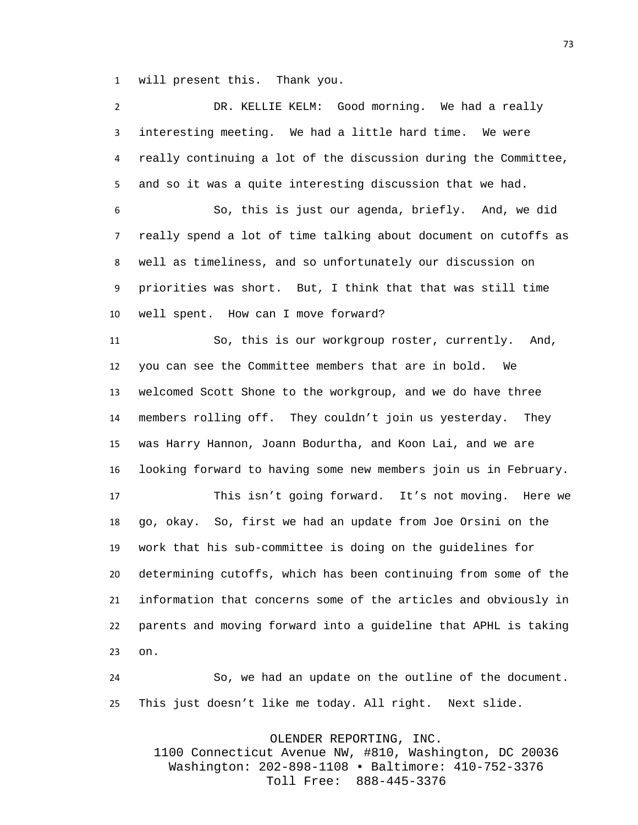will present this. Thank you.

 DR. KELLIE KELM: Good morning. We had a really interesting meeting. We had a little hard time. We were really continuing a lot of the discussion during the Committee, and so it was a quite interesting discussion that we had. So, this is just our agenda, briefly. And, we did really spend a lot of time talking about document on cutoffs as well as timeliness, and so unfortunately our discussion on priorities was short. But, I think that that was still time well spent. How can I move forward? So, this is our workgroup roster, currently. And, you can see the Committee members that are in bold. We welcomed Scott Shone to the workgroup, and we do have three members rolling off. They couldn't join us yesterday. They was Harry Hannon, Joann Bodurtha, and Koon Lai, and we are looking forward to having some new members join us in February. This isn't going forward. It's not moving. Here we go, okay. So, first we had an update from Joe Orsini on the work that his sub-committee is doing on the guidelines for determining cutoffs, which has been continuing from some of the information that concerns some of the articles and obviously in parents and moving forward into a guideline that APHL is taking on.

 So, we had an update on the outline of the document. This just doesn't like me today. All right. Next slide.

OLENDER REPORTING, INC.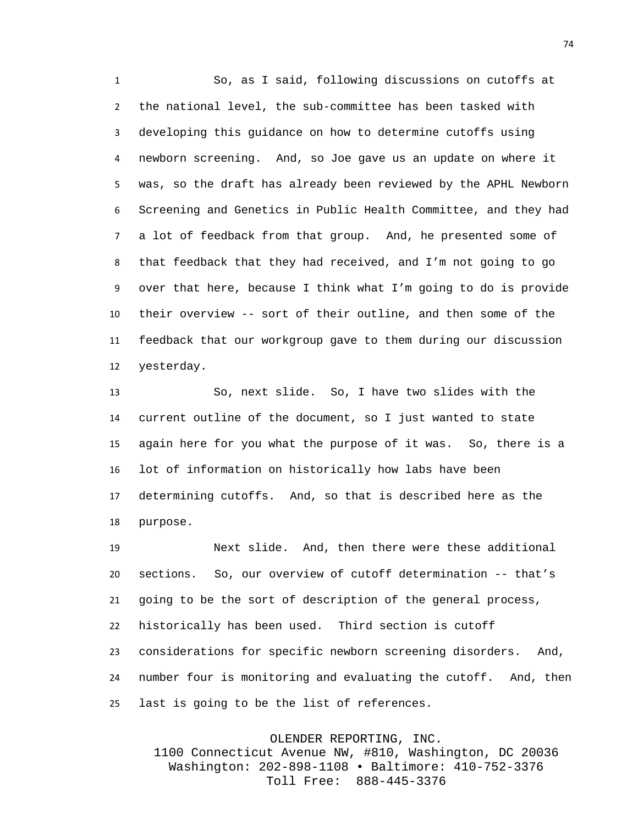So, as I said, following discussions on cutoffs at the national level, the sub-committee has been tasked with developing this guidance on how to determine cutoffs using newborn screening. And, so Joe gave us an update on where it was, so the draft has already been reviewed by the APHL Newborn Screening and Genetics in Public Health Committee, and they had a lot of feedback from that group. And, he presented some of that feedback that they had received, and I'm not going to go over that here, because I think what I'm going to do is provide their overview -- sort of their outline, and then some of the feedback that our workgroup gave to them during our discussion yesterday.

 So, next slide. So, I have two slides with the current outline of the document, so I just wanted to state again here for you what the purpose of it was. So, there is a lot of information on historically how labs have been determining cutoffs. And, so that is described here as the purpose.

 Next slide. And, then there were these additional sections. So, our overview of cutoff determination -- that's going to be the sort of description of the general process, historically has been used. Third section is cutoff considerations for specific newborn screening disorders. And, number four is monitoring and evaluating the cutoff. And, then last is going to be the list of references.

OLENDER REPORTING, INC.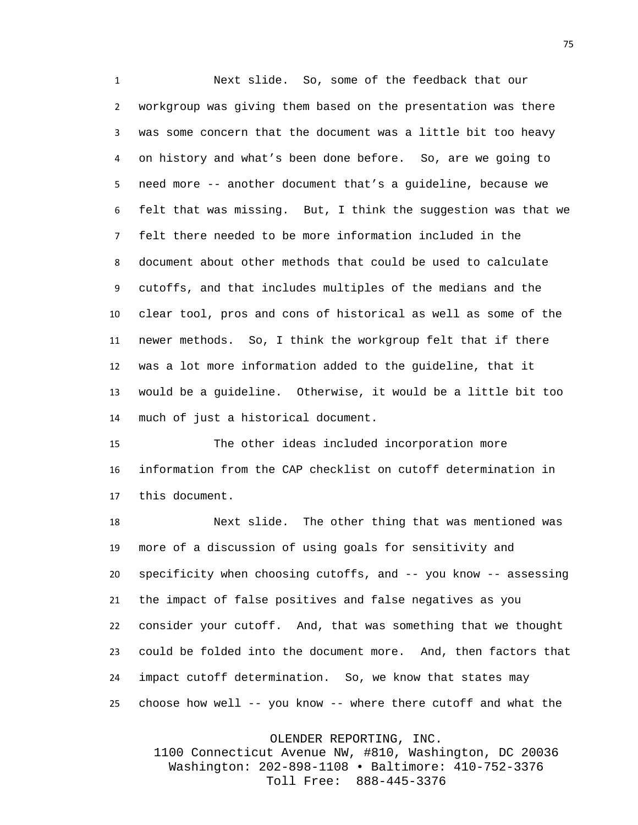Next slide. So, some of the feedback that our workgroup was giving them based on the presentation was there was some concern that the document was a little bit too heavy on history and what's been done before. So, are we going to need more -- another document that's a guideline, because we felt that was missing. But, I think the suggestion was that we felt there needed to be more information included in the document about other methods that could be used to calculate cutoffs, and that includes multiples of the medians and the clear tool, pros and cons of historical as well as some of the newer methods. So, I think the workgroup felt that if there was a lot more information added to the guideline, that it would be a guideline. Otherwise, it would be a little bit too much of just a historical document.

 The other ideas included incorporation more information from the CAP checklist on cutoff determination in this document.

 Next slide. The other thing that was mentioned was more of a discussion of using goals for sensitivity and specificity when choosing cutoffs, and -- you know -- assessing the impact of false positives and false negatives as you consider your cutoff. And, that was something that we thought could be folded into the document more. And, then factors that impact cutoff determination. So, we know that states may choose how well -- you know -- where there cutoff and what the

OLENDER REPORTING, INC.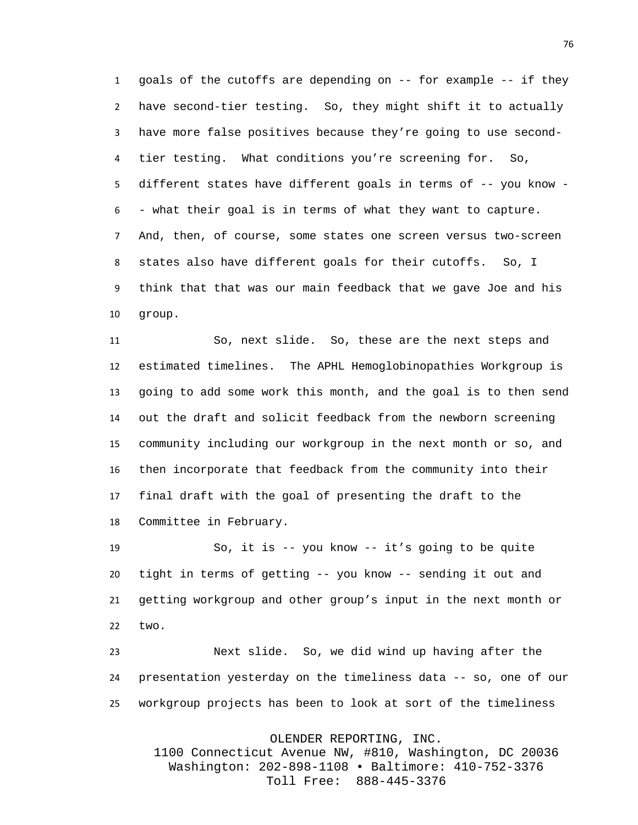goals of the cutoffs are depending on -- for example -- if they have second-tier testing. So, they might shift it to actually have more false positives because they're going to use second- tier testing. What conditions you're screening for. So, different states have different goals in terms of -- you know - - what their goal is in terms of what they want to capture. And, then, of course, some states one screen versus two-screen states also have different goals for their cutoffs. So, I think that that was our main feedback that we gave Joe and his group.

 So, next slide. So, these are the next steps and estimated timelines. The APHL Hemoglobinopathies Workgroup is going to add some work this month, and the goal is to then send out the draft and solicit feedback from the newborn screening community including our workgroup in the next month or so, and then incorporate that feedback from the community into their final draft with the goal of presenting the draft to the Committee in February.

 So, it is -- you know -- it's going to be quite tight in terms of getting -- you know -- sending it out and getting workgroup and other group's input in the next month or two.

 Next slide. So, we did wind up having after the presentation yesterday on the timeliness data -- so, one of our workgroup projects has been to look at sort of the timeliness

OLENDER REPORTING, INC.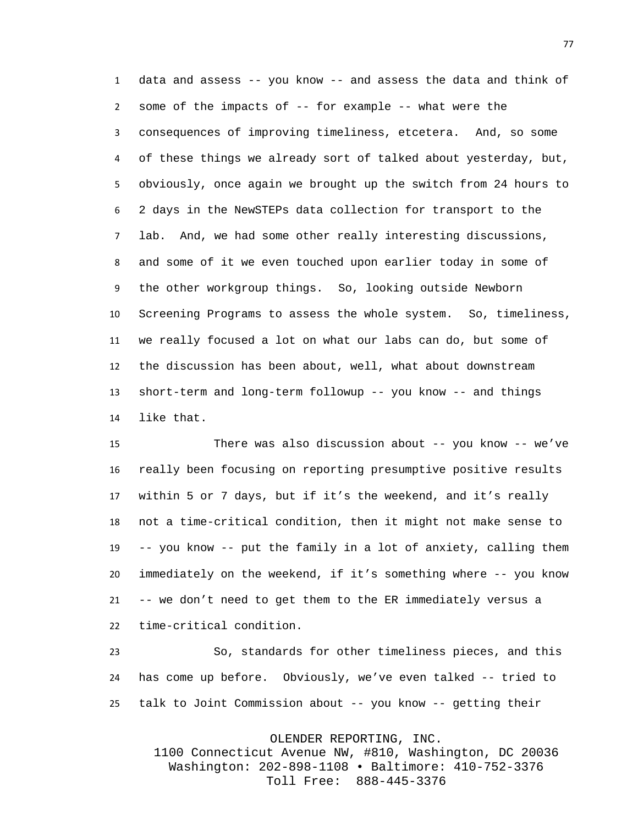data and assess -- you know -- and assess the data and think of some of the impacts of -- for example -- what were the consequences of improving timeliness, etcetera. And, so some of these things we already sort of talked about yesterday, but, obviously, once again we brought up the switch from 24 hours to 2 days in the NewSTEPs data collection for transport to the lab. And, we had some other really interesting discussions, and some of it we even touched upon earlier today in some of the other workgroup things. So, looking outside Newborn Screening Programs to assess the whole system. So, timeliness, we really focused a lot on what our labs can do, but some of the discussion has been about, well, what about downstream short-term and long-term followup -- you know -- and things like that.

 There was also discussion about -- you know -- we've really been focusing on reporting presumptive positive results within 5 or 7 days, but if it's the weekend, and it's really not a time-critical condition, then it might not make sense to -- you know -- put the family in a lot of anxiety, calling them immediately on the weekend, if it's something where -- you know -- we don't need to get them to the ER immediately versus a time-critical condition.

 So, standards for other timeliness pieces, and this has come up before. Obviously, we've even talked -- tried to talk to Joint Commission about -- you know -- getting their

OLENDER REPORTING, INC.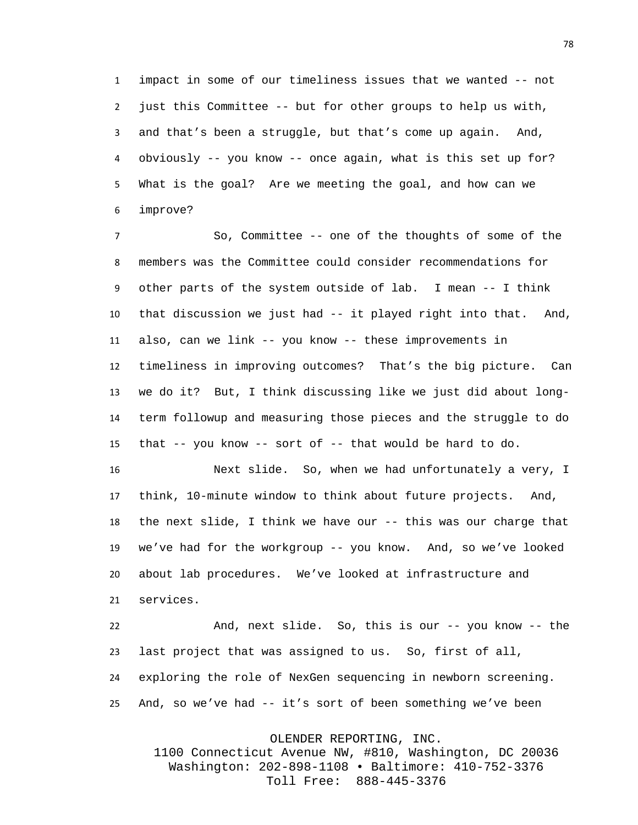impact in some of our timeliness issues that we wanted -- not just this Committee -- but for other groups to help us with, and that's been a struggle, but that's come up again. And, obviously -- you know -- once again, what is this set up for? What is the goal? Are we meeting the goal, and how can we improve?

 So, Committee -- one of the thoughts of some of the members was the Committee could consider recommendations for other parts of the system outside of lab. I mean -- I think that discussion we just had -- it played right into that. And, also, can we link -- you know -- these improvements in timeliness in improving outcomes? That's the big picture. Can we do it? But, I think discussing like we just did about long- term followup and measuring those pieces and the struggle to do that -- you know -- sort of -- that would be hard to do.

 Next slide. So, when we had unfortunately a very, I think, 10-minute window to think about future projects. And, the next slide, I think we have our -- this was our charge that we've had for the workgroup -- you know. And, so we've looked about lab procedures. We've looked at infrastructure and services.

 And, next slide. So, this is our -- you know -- the last project that was assigned to us. So, first of all, exploring the role of NexGen sequencing in newborn screening. And, so we've had -- it's sort of been something we've been

OLENDER REPORTING, INC.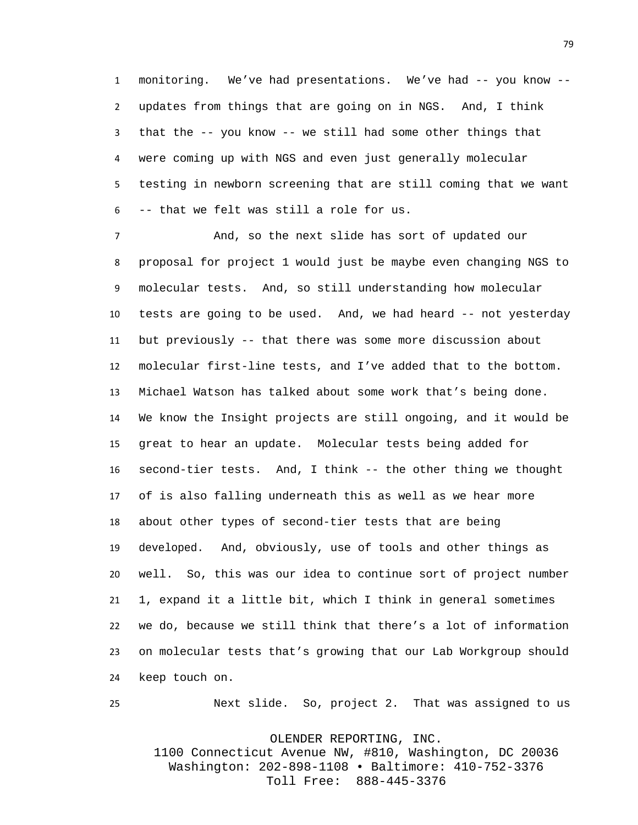monitoring. We've had presentations. We've had -- you know -- updates from things that are going on in NGS. And, I think that the -- you know -- we still had some other things that were coming up with NGS and even just generally molecular testing in newborn screening that are still coming that we want -- that we felt was still a role for us.

 And, so the next slide has sort of updated our proposal for project 1 would just be maybe even changing NGS to molecular tests. And, so still understanding how molecular tests are going to be used. And, we had heard -- not yesterday but previously -- that there was some more discussion about molecular first-line tests, and I've added that to the bottom. Michael Watson has talked about some work that's being done. We know the Insight projects are still ongoing, and it would be great to hear an update. Molecular tests being added for second-tier tests. And, I think -- the other thing we thought of is also falling underneath this as well as we hear more about other types of second-tier tests that are being developed. And, obviously, use of tools and other things as well. So, this was our idea to continue sort of project number 1, expand it a little bit, which I think in general sometimes we do, because we still think that there's a lot of information on molecular tests that's growing that our Lab Workgroup should keep touch on.

Next slide. So, project 2. That was assigned to us

OLENDER REPORTING, INC.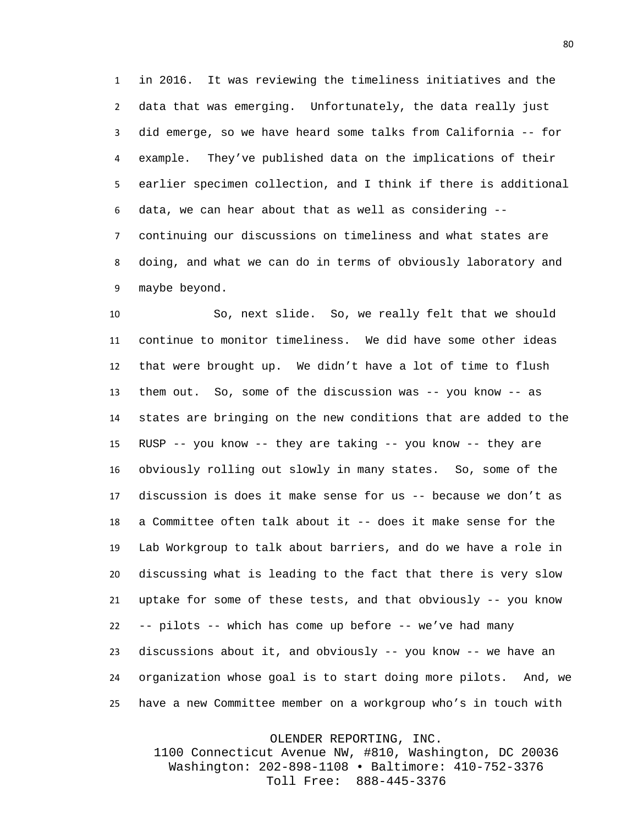in 2016. It was reviewing the timeliness initiatives and the data that was emerging. Unfortunately, the data really just did emerge, so we have heard some talks from California -- for example. They've published data on the implications of their earlier specimen collection, and I think if there is additional data, we can hear about that as well as considering -- continuing our discussions on timeliness and what states are doing, and what we can do in terms of obviously laboratory and maybe beyond.

 So, next slide. So, we really felt that we should continue to monitor timeliness. We did have some other ideas that were brought up. We didn't have a lot of time to flush them out. So, some of the discussion was -- you know -- as states are bringing on the new conditions that are added to the RUSP -- you know -- they are taking -- you know -- they are obviously rolling out slowly in many states. So, some of the discussion is does it make sense for us -- because we don't as a Committee often talk about it -- does it make sense for the Lab Workgroup to talk about barriers, and do we have a role in discussing what is leading to the fact that there is very slow uptake for some of these tests, and that obviously -- you know -- pilots -- which has come up before -- we've had many discussions about it, and obviously -- you know -- we have an organization whose goal is to start doing more pilots. And, we have a new Committee member on a workgroup who's in touch with

OLENDER REPORTING, INC.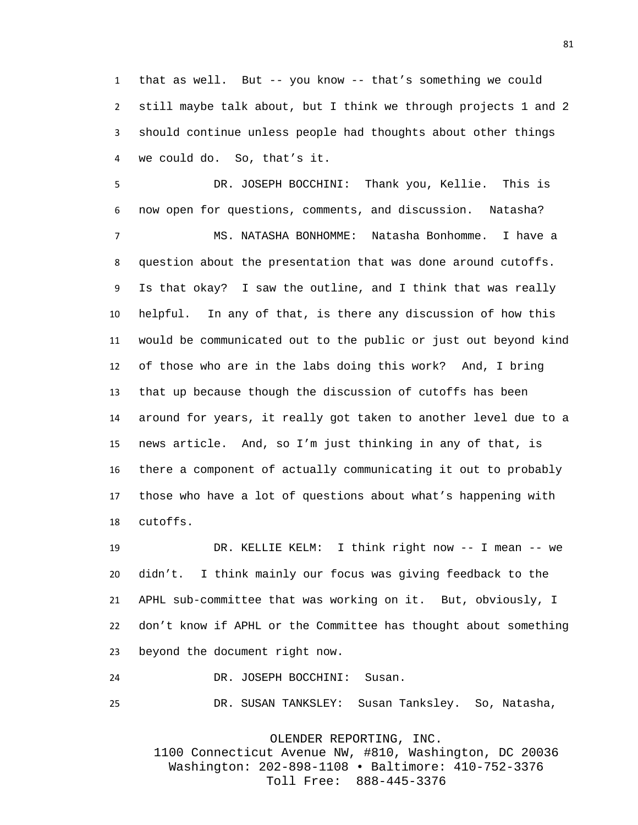that as well. But -- you know -- that's something we could still maybe talk about, but I think we through projects 1 and 2 should continue unless people had thoughts about other things we could do. So, that's it.

 DR. JOSEPH BOCCHINI: Thank you, Kellie. This is now open for questions, comments, and discussion. Natasha? MS. NATASHA BONHOMME: Natasha Bonhomme. I have a question about the presentation that was done around cutoffs. Is that okay? I saw the outline, and I think that was really helpful. In any of that, is there any discussion of how this would be communicated out to the public or just out beyond kind of those who are in the labs doing this work? And, I bring that up because though the discussion of cutoffs has been around for years, it really got taken to another level due to a news article. And, so I'm just thinking in any of that, is there a component of actually communicating it out to probably those who have a lot of questions about what's happening with cutoffs.

 DR. KELLIE KELM: I think right now -- I mean -- we didn't. I think mainly our focus was giving feedback to the APHL sub-committee that was working on it. But, obviously, I don't know if APHL or the Committee has thought about something beyond the document right now.

DR. JOSEPH BOCCHINI: Susan.

DR. SUSAN TANKSLEY: Susan Tanksley. So, Natasha,

OLENDER REPORTING, INC.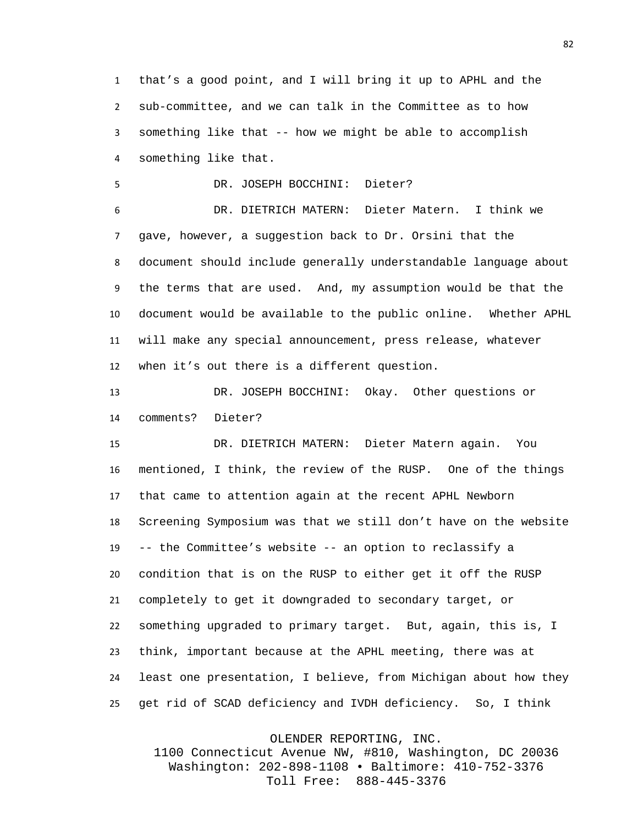that's a good point, and I will bring it up to APHL and the sub-committee, and we can talk in the Committee as to how something like that -- how we might be able to accomplish something like that.

DR. JOSEPH BOCCHINI: Dieter?

 DR. DIETRICH MATERN: Dieter Matern. I think we gave, however, a suggestion back to Dr. Orsini that the document should include generally understandable language about the terms that are used. And, my assumption would be that the document would be available to the public online. Whether APHL will make any special announcement, press release, whatever when it's out there is a different question.

 DR. JOSEPH BOCCHINI: Okay. Other questions or comments? Dieter?

 DR. DIETRICH MATERN: Dieter Matern again. You mentioned, I think, the review of the RUSP. One of the things that came to attention again at the recent APHL Newborn Screening Symposium was that we still don't have on the website -- the Committee's website -- an option to reclassify a condition that is on the RUSP to either get it off the RUSP completely to get it downgraded to secondary target, or something upgraded to primary target. But, again, this is, I think, important because at the APHL meeting, there was at least one presentation, I believe, from Michigan about how they get rid of SCAD deficiency and IVDH deficiency. So, I think

OLENDER REPORTING, INC.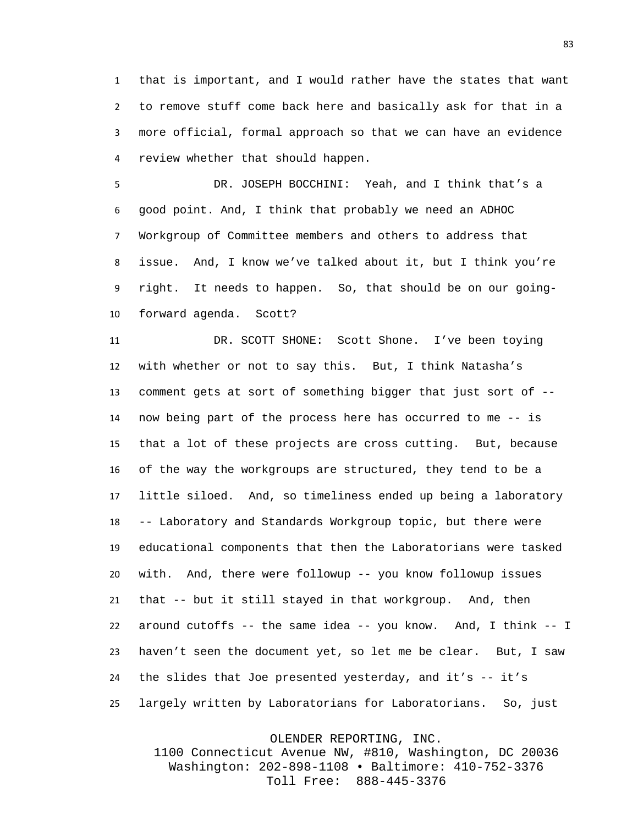that is important, and I would rather have the states that want to remove stuff come back here and basically ask for that in a more official, formal approach so that we can have an evidence review whether that should happen.

 DR. JOSEPH BOCCHINI: Yeah, and I think that's a good point. And, I think that probably we need an ADHOC Workgroup of Committee members and others to address that issue. And, I know we've talked about it, but I think you're right. It needs to happen. So, that should be on our going-forward agenda. Scott?

 DR. SCOTT SHONE: Scott Shone. I've been toying with whether or not to say this. But, I think Natasha's comment gets at sort of something bigger that just sort of -- now being part of the process here has occurred to me -- is that a lot of these projects are cross cutting. But, because of the way the workgroups are structured, they tend to be a little siloed. And, so timeliness ended up being a laboratory -- Laboratory and Standards Workgroup topic, but there were educational components that then the Laboratorians were tasked with. And, there were followup -- you know followup issues that -- but it still stayed in that workgroup. And, then around cutoffs -- the same idea -- you know. And, I think -- I haven't seen the document yet, so let me be clear. But, I saw the slides that Joe presented yesterday, and it's -- it's largely written by Laboratorians for Laboratorians. So, just

OLENDER REPORTING, INC.

1100 Connecticut Avenue NW, #810, Washington, DC 20036 Washington: 202-898-1108 • Baltimore: 410-752-3376 Toll Free: 888-445-3376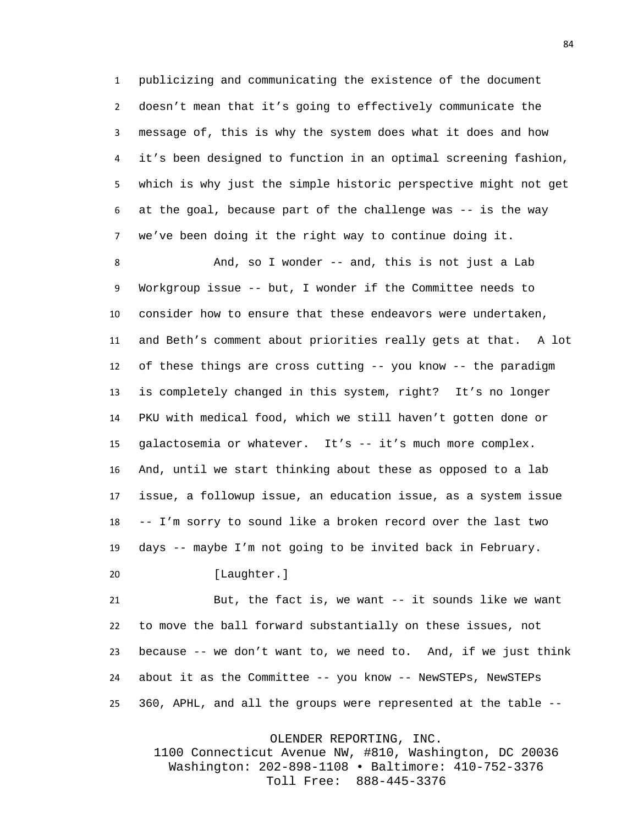publicizing and communicating the existence of the document doesn't mean that it's going to effectively communicate the message of, this is why the system does what it does and how it's been designed to function in an optimal screening fashion, which is why just the simple historic perspective might not get at the goal, because part of the challenge was -- is the way we've been doing it the right way to continue doing it.

8 And, so I wonder -- and, this is not just a Lab Workgroup issue -- but, I wonder if the Committee needs to consider how to ensure that these endeavors were undertaken, and Beth's comment about priorities really gets at that. A lot of these things are cross cutting -- you know -- the paradigm is completely changed in this system, right? It's no longer PKU with medical food, which we still haven't gotten done or galactosemia or whatever. It's -- it's much more complex. And, until we start thinking about these as opposed to a lab issue, a followup issue, an education issue, as a system issue -- I'm sorry to sound like a broken record over the last two days -- maybe I'm not going to be invited back in February.

20 [Laughter.]

 But, the fact is, we want -- it sounds like we want to move the ball forward substantially on these issues, not because -- we don't want to, we need to. And, if we just think about it as the Committee -- you know -- NewSTEPs, NewSTEPs 360, APHL, and all the groups were represented at the table --

OLENDER REPORTING, INC.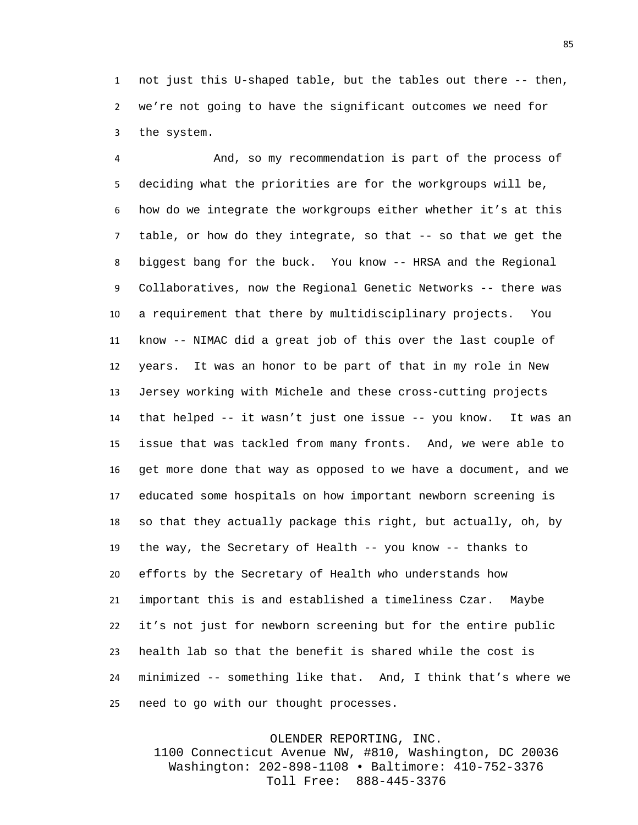not just this U-shaped table, but the tables out there -- then, we're not going to have the significant outcomes we need for the system.

 And, so my recommendation is part of the process of deciding what the priorities are for the workgroups will be, how do we integrate the workgroups either whether it's at this table, or how do they integrate, so that -- so that we get the biggest bang for the buck. You know -- HRSA and the Regional Collaboratives, now the Regional Genetic Networks -- there was a requirement that there by multidisciplinary projects. You know -- NIMAC did a great job of this over the last couple of years. It was an honor to be part of that in my role in New Jersey working with Michele and these cross-cutting projects that helped -- it wasn't just one issue -- you know. It was an issue that was tackled from many fronts. And, we were able to get more done that way as opposed to we have a document, and we educated some hospitals on how important newborn screening is so that they actually package this right, but actually, oh, by the way, the Secretary of Health -- you know -- thanks to efforts by the Secretary of Health who understands how important this is and established a timeliness Czar. Maybe it's not just for newborn screening but for the entire public health lab so that the benefit is shared while the cost is minimized -- something like that. And, I think that's where we need to go with our thought processes.

OLENDER REPORTING, INC.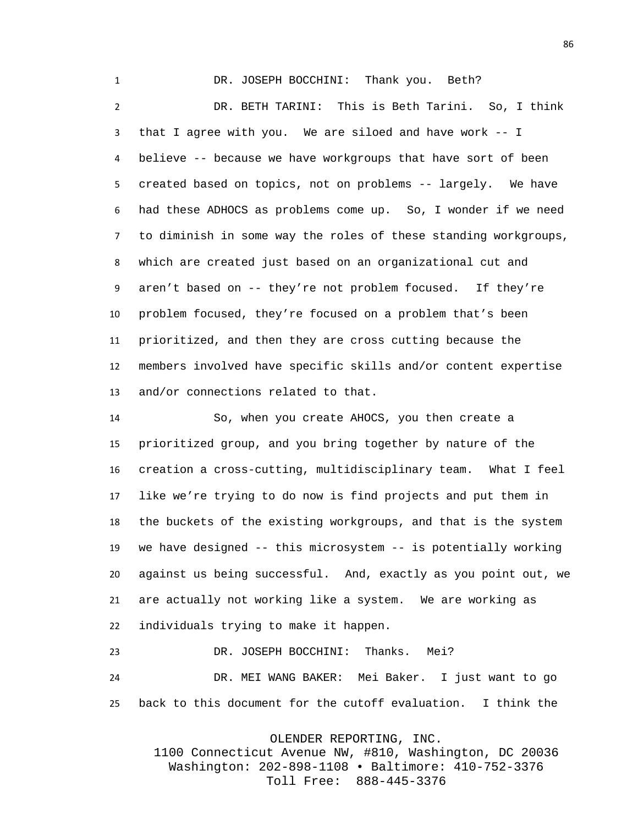DR. JOSEPH BOCCHINI: Thank you. Beth? DR. BETH TARINI: This is Beth Tarini. So, I think that I agree with you. We are siloed and have work -- I believe -- because we have workgroups that have sort of been created based on topics, not on problems -- largely. We have had these ADHOCS as problems come up. So, I wonder if we need to diminish in some way the roles of these standing workgroups, which are created just based on an organizational cut and aren't based on -- they're not problem focused. If they're problem focused, they're focused on a problem that's been prioritized, and then they are cross cutting because the members involved have specific skills and/or content expertise and/or connections related to that.

 So, when you create AHOCS, you then create a prioritized group, and you bring together by nature of the creation a cross-cutting, multidisciplinary team. What I feel like we're trying to do now is find projects and put them in the buckets of the existing workgroups, and that is the system we have designed -- this microsystem -- is potentially working against us being successful. And, exactly as you point out, we are actually not working like a system. We are working as individuals trying to make it happen.

 DR. JOSEPH BOCCHINI: Thanks. Mei? DR. MEI WANG BAKER: Mei Baker. I just want to go back to this document for the cutoff evaluation. I think the

OLENDER REPORTING, INC.

1100 Connecticut Avenue NW, #810, Washington, DC 20036 Washington: 202-898-1108 • Baltimore: 410-752-3376 Toll Free: 888-445-3376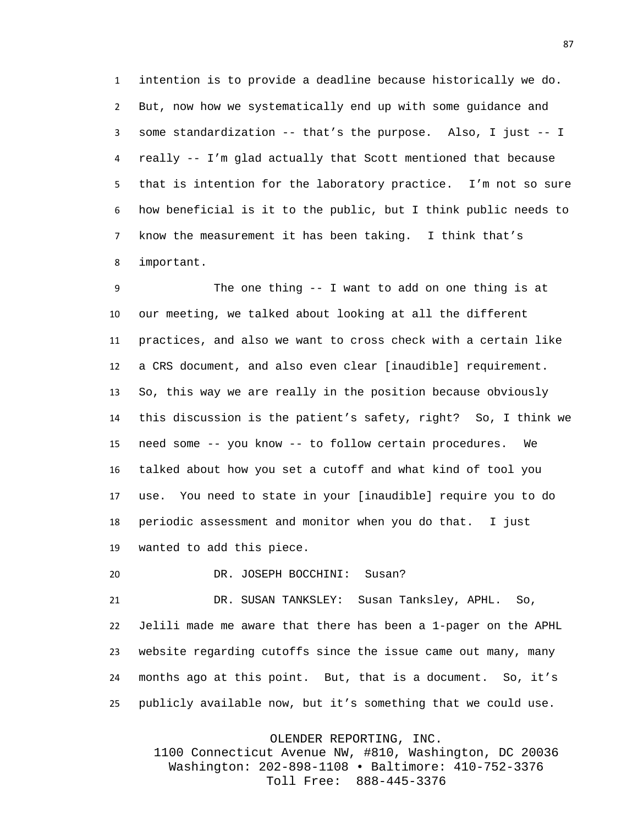intention is to provide a deadline because historically we do. But, now how we systematically end up with some guidance and some standardization -- that's the purpose. Also, I just -- I really -- I'm glad actually that Scott mentioned that because that is intention for the laboratory practice. I'm not so sure how beneficial is it to the public, but I think public needs to know the measurement it has been taking. I think that's important.

 The one thing -- I want to add on one thing is at our meeting, we talked about looking at all the different practices, and also we want to cross check with a certain like a CRS document, and also even clear [inaudible] requirement. So, this way we are really in the position because obviously this discussion is the patient's safety, right? So, I think we need some -- you know -- to follow certain procedures. We talked about how you set a cutoff and what kind of tool you use. You need to state in your [inaudible] require you to do periodic assessment and monitor when you do that. I just wanted to add this piece.

DR. JOSEPH BOCCHINI: Susan?

 DR. SUSAN TANKSLEY: Susan Tanksley, APHL. So, Jelili made me aware that there has been a 1-pager on the APHL website regarding cutoffs since the issue came out many, many months ago at this point. But, that is a document. So, it's publicly available now, but it's something that we could use.

OLENDER REPORTING, INC.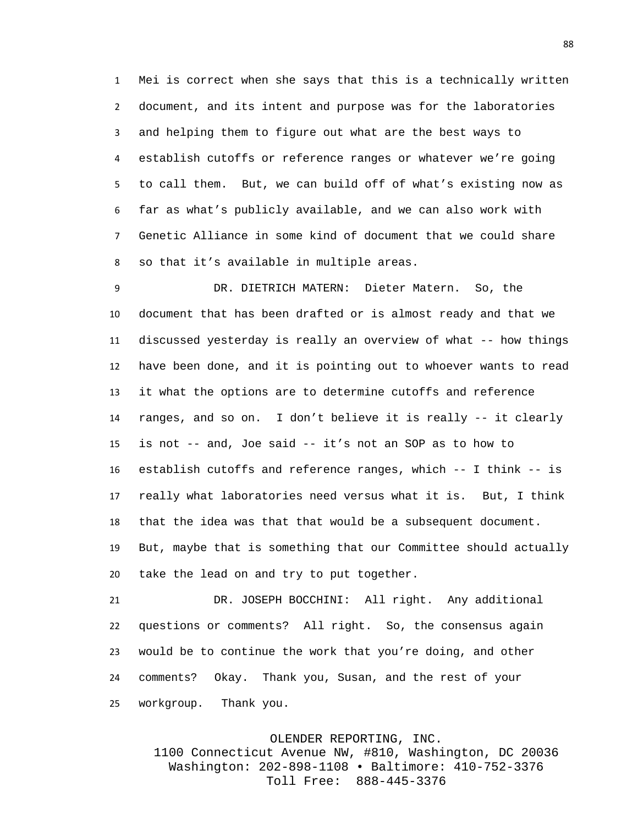Mei is correct when she says that this is a technically written document, and its intent and purpose was for the laboratories and helping them to figure out what are the best ways to establish cutoffs or reference ranges or whatever we're going to call them. But, we can build off of what's existing now as far as what's publicly available, and we can also work with Genetic Alliance in some kind of document that we could share so that it's available in multiple areas.

 DR. DIETRICH MATERN: Dieter Matern. So, the document that has been drafted or is almost ready and that we discussed yesterday is really an overview of what -- how things have been done, and it is pointing out to whoever wants to read it what the options are to determine cutoffs and reference ranges, and so on. I don't believe it is really -- it clearly is not -- and, Joe said -- it's not an SOP as to how to establish cutoffs and reference ranges, which -- I think -- is really what laboratories need versus what it is. But, I think that the idea was that that would be a subsequent document. But, maybe that is something that our Committee should actually take the lead on and try to put together.

 DR. JOSEPH BOCCHINI: All right. Any additional questions or comments? All right. So, the consensus again would be to continue the work that you're doing, and other comments? Okay. Thank you, Susan, and the rest of your workgroup. Thank you.

OLENDER REPORTING, INC.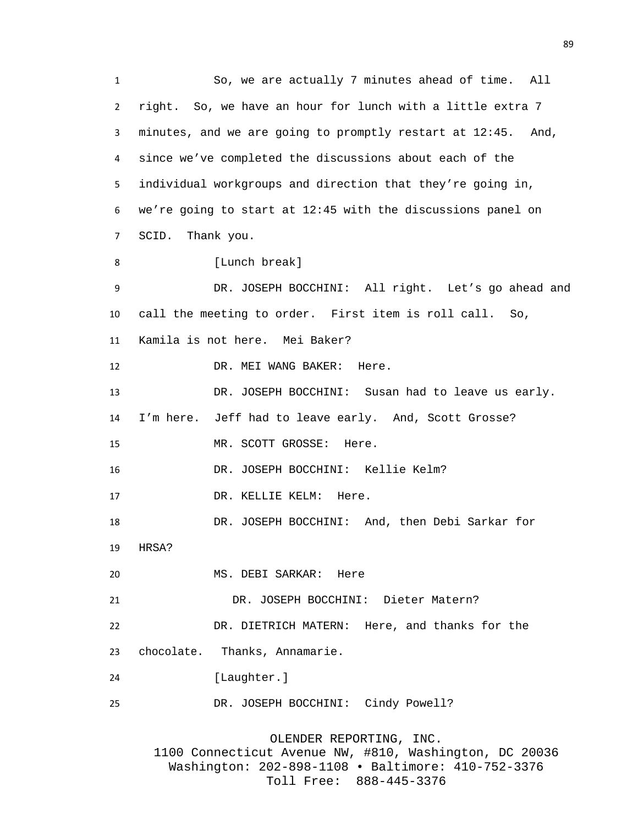So, we are actually 7 minutes ahead of time. All right. So, we have an hour for lunch with a little extra 7 minutes, and we are going to promptly restart at 12:45. And, since we've completed the discussions about each of the individual workgroups and direction that they're going in, we're going to start at 12:45 with the discussions panel on SCID. Thank you. 8 [Lunch break] DR. JOSEPH BOCCHINI: All right. Let's go ahead and call the meeting to order. First item is roll call. So, Kamila is not here. Mei Baker? DR. MEI WANG BAKER: Here. DR. JOSEPH BOCCHINI: Susan had to leave us early. I'm here. Jeff had to leave early. And, Scott Grosse? 15 MR. SCOTT GROSSE: Here. DR. JOSEPH BOCCHINI: Kellie Kelm? DR. KELLIE KELM: Here. DR. JOSEPH BOCCHINI: And, then Debi Sarkar for HRSA? MS. DEBI SARKAR: Here DR. JOSEPH BOCCHINI: Dieter Matern? DR. DIETRICH MATERN: Here, and thanks for the chocolate. Thanks, Annamarie. 24 [Laughter.] DR. JOSEPH BOCCHINI: Cindy Powell?

OLENDER REPORTING, INC. 1100 Connecticut Avenue NW, #810, Washington, DC 20036 Washington: 202-898-1108 • Baltimore: 410-752-3376 Toll Free: 888-445-3376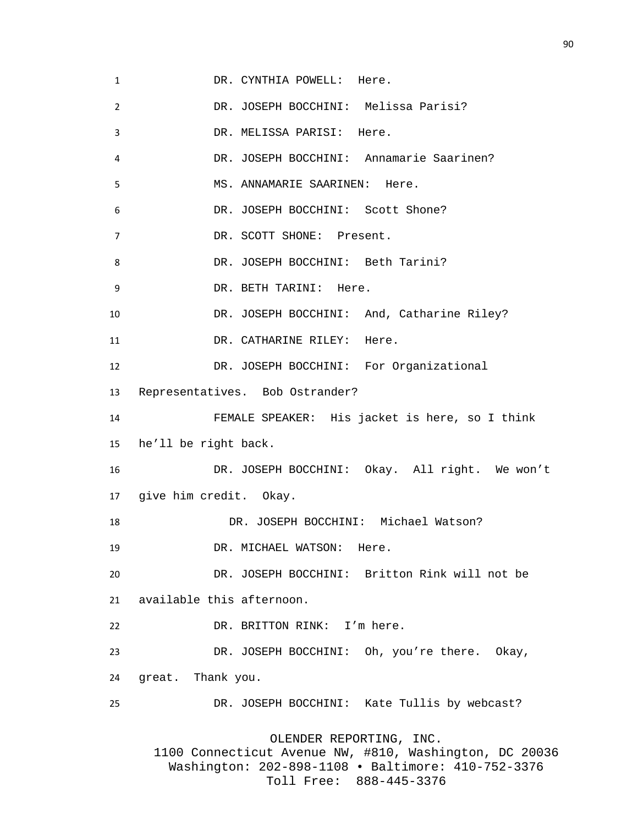1 DR. CYNTHIA POWELL: Here. DR. JOSEPH BOCCHINI: Melissa Parisi? DR. MELISSA PARISI: Here. DR. JOSEPH BOCCHINI: Annamarie Saarinen? MS. ANNAMARIE SAARINEN: Here. DR. JOSEPH BOCCHINI: Scott Shone? DR. SCOTT SHONE: Present. 8 DR. JOSEPH BOCCHINI: Beth Tarini? DR. BETH TARINI: Here. DR. JOSEPH BOCCHINI: And, Catharine Riley? 11 DR. CATHARINE RILEY: Here. DR. JOSEPH BOCCHINI: For Organizational Representatives. Bob Ostrander? FEMALE SPEAKER: His jacket is here, so I think he'll be right back. DR. JOSEPH BOCCHINI: Okay. All right. We won't give him credit. Okay. DR. JOSEPH BOCCHINI: Michael Watson? 19 DR. MICHAEL WATSON: Here. DR. JOSEPH BOCCHINI: Britton Rink will not be available this afternoon. DR. BRITTON RINK: I'm here. DR. JOSEPH BOCCHINI: Oh, you're there. Okay, great. Thank you. DR. JOSEPH BOCCHINI: Kate Tullis by webcast? OLENDER REPORTING, INC. 1100 Connecticut Avenue NW, #810, Washington, DC 20036 Washington: 202-898-1108 • Baltimore: 410-752-3376 Toll Free: 888-445-3376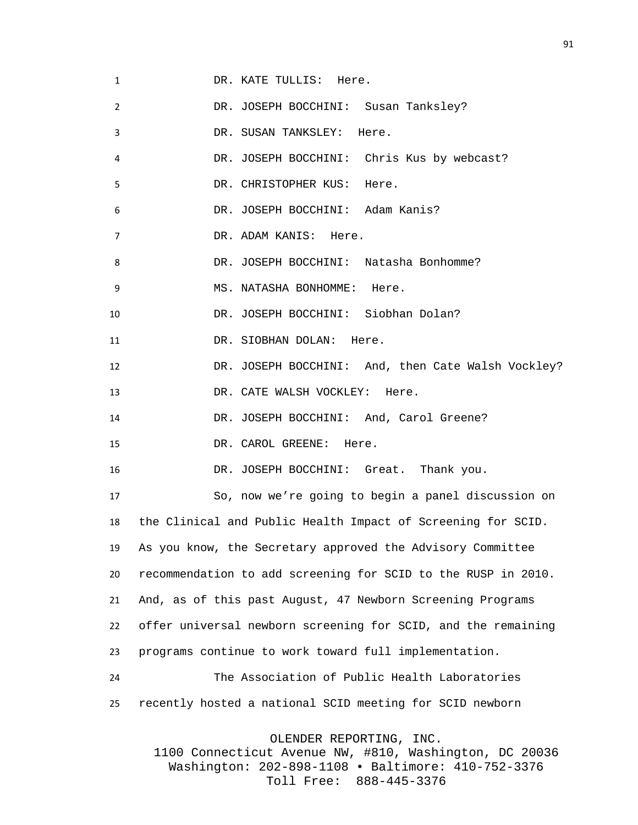1 DR. KATE TULLIS: Here. DR. JOSEPH BOCCHINI: Susan Tanksley? DR. SUSAN TANKSLEY: Here. DR. JOSEPH BOCCHINI: Chris Kus by webcast? DR. CHRISTOPHER KUS: Here. DR. JOSEPH BOCCHINI: Adam Kanis? DR. ADAM KANIS: Here. DR. JOSEPH BOCCHINI: Natasha Bonhomme? 9 MS. NATASHA BONHOMME: Here. DR. JOSEPH BOCCHINI: Siobhan Dolan? 11 DR. SIOBHAN DOLAN: Here. DR. JOSEPH BOCCHINI: And, then Cate Walsh Vockley? 13 DR. CATE WALSH VOCKLEY: Here. DR. JOSEPH BOCCHINI: And, Carol Greene? 15 DR. CAROL GREENE: Here. DR. JOSEPH BOCCHINI: Great. Thank you. So, now we're going to begin a panel discussion on the Clinical and Public Health Impact of Screening for SCID. As you know, the Secretary approved the Advisory Committee recommendation to add screening for SCID to the RUSP in 2010. And, as of this past August, 47 Newborn Screening Programs offer universal newborn screening for SCID, and the remaining programs continue to work toward full implementation. The Association of Public Health Laboratories recently hosted a national SCID meeting for SCID newborn OLENDER REPORTING, INC.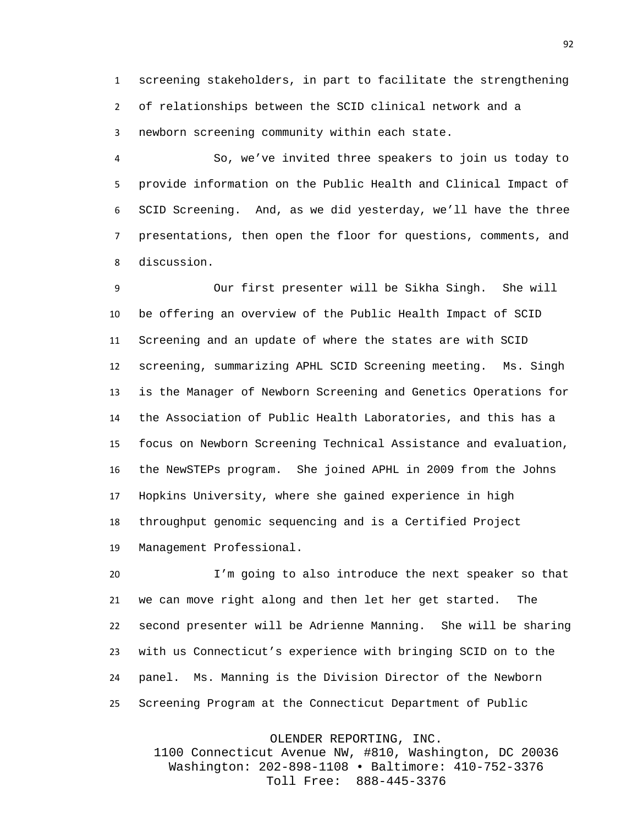screening stakeholders, in part to facilitate the strengthening of relationships between the SCID clinical network and a newborn screening community within each state.

 So, we've invited three speakers to join us today to provide information on the Public Health and Clinical Impact of SCID Screening. And, as we did yesterday, we'll have the three presentations, then open the floor for questions, comments, and discussion.

 Our first presenter will be Sikha Singh. She will be offering an overview of the Public Health Impact of SCID Screening and an update of where the states are with SCID screening, summarizing APHL SCID Screening meeting. Ms. Singh is the Manager of Newborn Screening and Genetics Operations for the Association of Public Health Laboratories, and this has a focus on Newborn Screening Technical Assistance and evaluation, the NewSTEPs program. She joined APHL in 2009 from the Johns Hopkins University, where she gained experience in high throughput genomic sequencing and is a Certified Project Management Professional.

 I'm going to also introduce the next speaker so that we can move right along and then let her get started. The second presenter will be Adrienne Manning. She will be sharing with us Connecticut's experience with bringing SCID on to the panel. Ms. Manning is the Division Director of the Newborn Screening Program at the Connecticut Department of Public

OLENDER REPORTING, INC.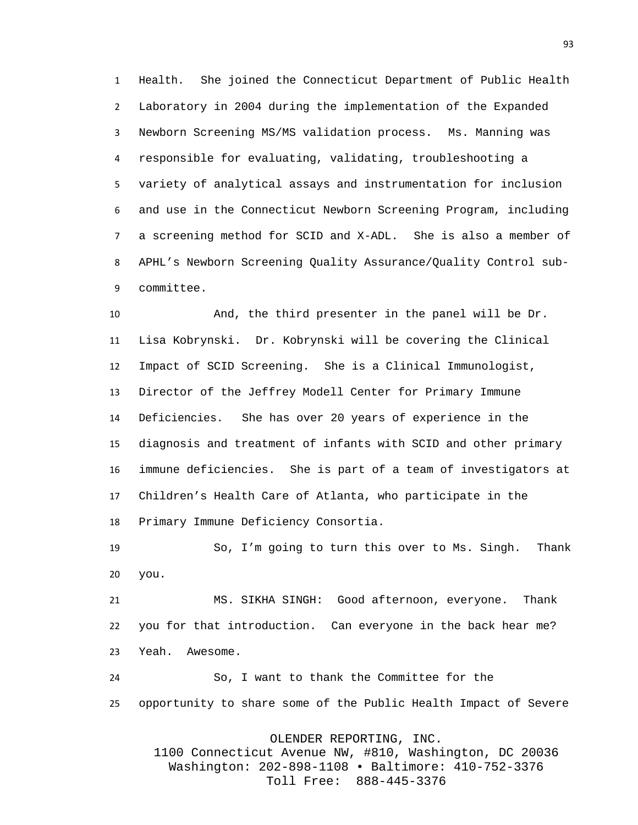Health. She joined the Connecticut Department of Public Health Laboratory in 2004 during the implementation of the Expanded Newborn Screening MS/MS validation process. Ms. Manning was responsible for evaluating, validating, troubleshooting a variety of analytical assays and instrumentation for inclusion and use in the Connecticut Newborn Screening Program, including a screening method for SCID and X-ADL. She is also a member of APHL's Newborn Screening Quality Assurance/Quality Control sub-committee.

 And, the third presenter in the panel will be Dr. Lisa Kobrynski. Dr. Kobrynski will be covering the Clinical Impact of SCID Screening. She is a Clinical Immunologist, Director of the Jeffrey Modell Center for Primary Immune Deficiencies. She has over 20 years of experience in the diagnosis and treatment of infants with SCID and other primary immune deficiencies. She is part of a team of investigators at Children's Health Care of Atlanta, who participate in the Primary Immune Deficiency Consortia.

 So, I'm going to turn this over to Ms. Singh. Thank you.

 MS. SIKHA SINGH: Good afternoon, everyone. Thank you for that introduction. Can everyone in the back hear me? Yeah. Awesome.

 So, I want to thank the Committee for the opportunity to share some of the Public Health Impact of Severe

OLENDER REPORTING, INC.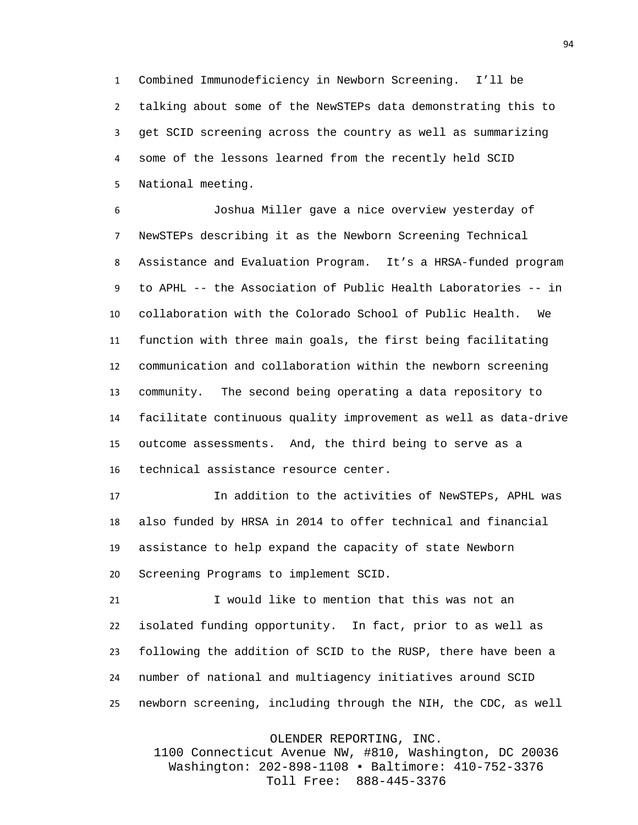Combined Immunodeficiency in Newborn Screening. I'll be talking about some of the NewSTEPs data demonstrating this to get SCID screening across the country as well as summarizing some of the lessons learned from the recently held SCID National meeting.

 Joshua Miller gave a nice overview yesterday of NewSTEPs describing it as the Newborn Screening Technical Assistance and Evaluation Program. It's a HRSA-funded program to APHL -- the Association of Public Health Laboratories -- in collaboration with the Colorado School of Public Health. We function with three main goals, the first being facilitating communication and collaboration within the newborn screening community. The second being operating a data repository to facilitate continuous quality improvement as well as data-drive outcome assessments. And, the third being to serve as a technical assistance resource center.

 In addition to the activities of NewSTEPs, APHL was also funded by HRSA in 2014 to offer technical and financial assistance to help expand the capacity of state Newborn Screening Programs to implement SCID.

 I would like to mention that this was not an isolated funding opportunity. In fact, prior to as well as following the addition of SCID to the RUSP, there have been a number of national and multiagency initiatives around SCID newborn screening, including through the NIH, the CDC, as well

OLENDER REPORTING, INC.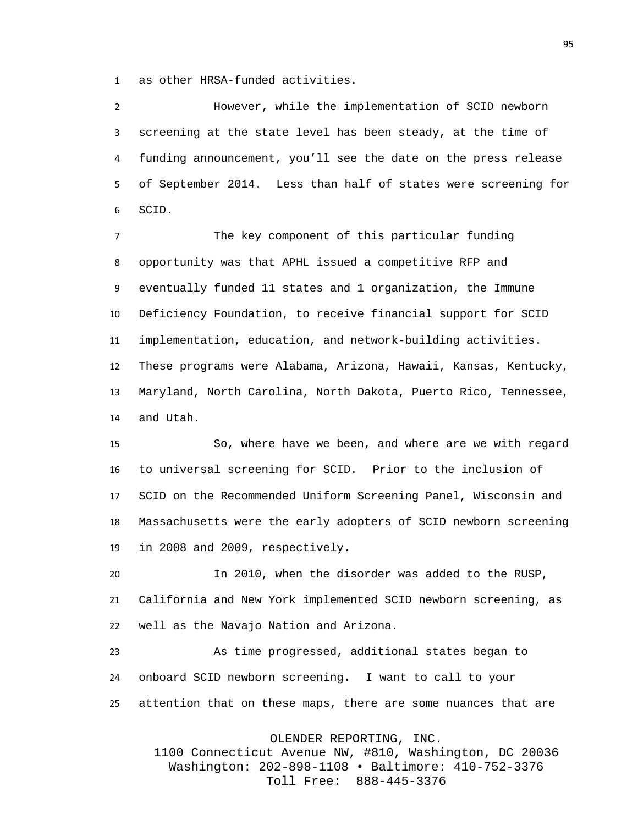as other HRSA-funded activities.

 However, while the implementation of SCID newborn screening at the state level has been steady, at the time of funding announcement, you'll see the date on the press release of September 2014. Less than half of states were screening for SCID.

 The key component of this particular funding opportunity was that APHL issued a competitive RFP and eventually funded 11 states and 1 organization, the Immune Deficiency Foundation, to receive financial support for SCID implementation, education, and network-building activities. These programs were Alabama, Arizona, Hawaii, Kansas, Kentucky, Maryland, North Carolina, North Dakota, Puerto Rico, Tennessee, and Utah.

 So, where have we been, and where are we with regard to universal screening for SCID. Prior to the inclusion of SCID on the Recommended Uniform Screening Panel, Wisconsin and Massachusetts were the early adopters of SCID newborn screening in 2008 and 2009, respectively.

 In 2010, when the disorder was added to the RUSP, California and New York implemented SCID newborn screening, as well as the Navajo Nation and Arizona.

 As time progressed, additional states began to onboard SCID newborn screening. I want to call to your attention that on these maps, there are some nuances that are

OLENDER REPORTING, INC.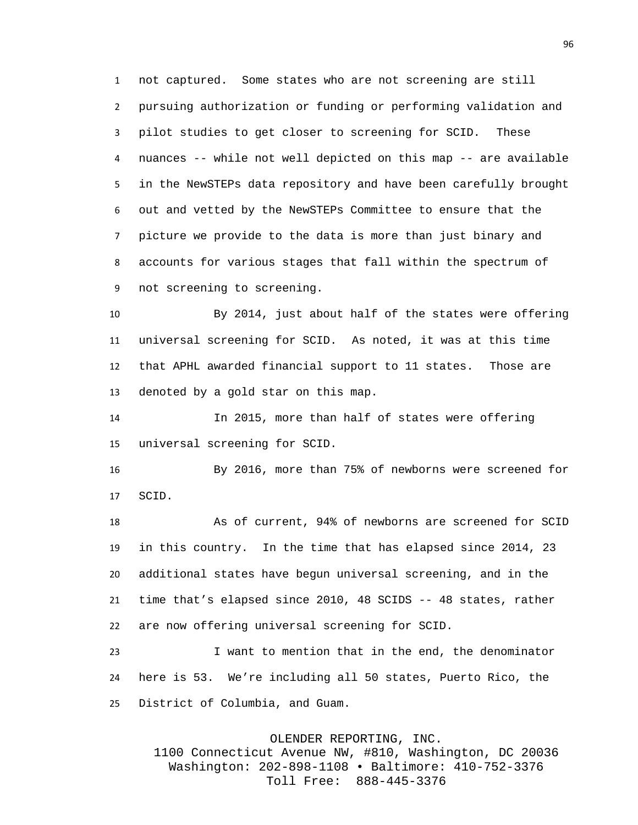not captured. Some states who are not screening are still pursuing authorization or funding or performing validation and pilot studies to get closer to screening for SCID. These nuances -- while not well depicted on this map -- are available in the NewSTEPs data repository and have been carefully brought out and vetted by the NewSTEPs Committee to ensure that the picture we provide to the data is more than just binary and accounts for various stages that fall within the spectrum of not screening to screening.

 By 2014, just about half of the states were offering universal screening for SCID. As noted, it was at this time that APHL awarded financial support to 11 states. Those are denoted by a gold star on this map.

 In 2015, more than half of states were offering universal screening for SCID.

 By 2016, more than 75% of newborns were screened for SCID.

 As of current, 94% of newborns are screened for SCID in this country. In the time that has elapsed since 2014, 23 additional states have begun universal screening, and in the time that's elapsed since 2010, 48 SCIDS -- 48 states, rather are now offering universal screening for SCID.

 I want to mention that in the end, the denominator here is 53. We're including all 50 states, Puerto Rico, the District of Columbia, and Guam.

OLENDER REPORTING, INC.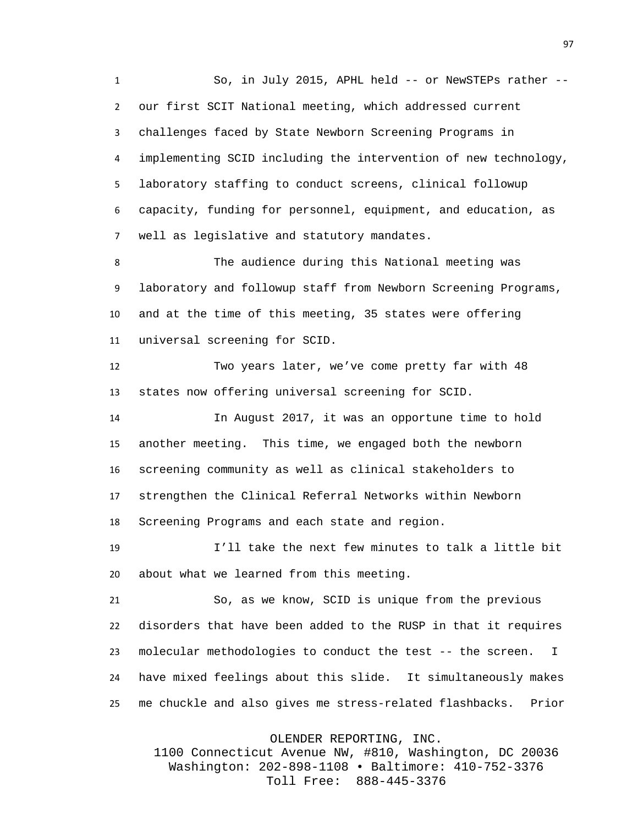1 So, in July 2015, APHL held -- or NewSTEPs rather -- our first SCIT National meeting, which addressed current challenges faced by State Newborn Screening Programs in implementing SCID including the intervention of new technology, laboratory staffing to conduct screens, clinical followup capacity, funding for personnel, equipment, and education, as well as legislative and statutory mandates.

 The audience during this National meeting was laboratory and followup staff from Newborn Screening Programs, and at the time of this meeting, 35 states were offering universal screening for SCID.

 Two years later, we've come pretty far with 48 states now offering universal screening for SCID.

 In August 2017, it was an opportune time to hold another meeting. This time, we engaged both the newborn screening community as well as clinical stakeholders to strengthen the Clinical Referral Networks within Newborn Screening Programs and each state and region.

 I'll take the next few minutes to talk a little bit about what we learned from this meeting.

 So, as we know, SCID is unique from the previous disorders that have been added to the RUSP in that it requires 23 molecular methodologies to conduct the test -- the screen. I have mixed feelings about this slide. It simultaneously makes me chuckle and also gives me stress-related flashbacks. Prior

OLENDER REPORTING, INC.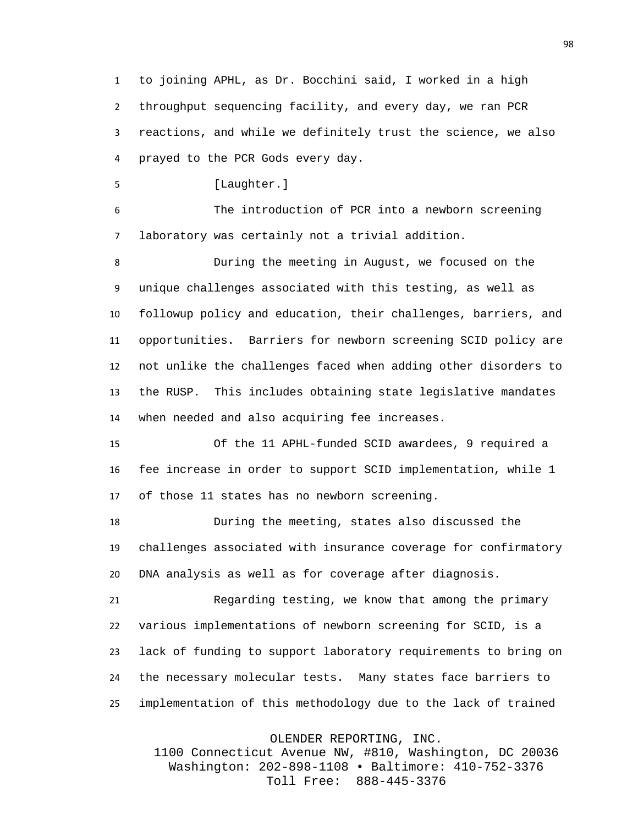to joining APHL, as Dr. Bocchini said, I worked in a high throughput sequencing facility, and every day, we ran PCR reactions, and while we definitely trust the science, we also prayed to the PCR Gods every day.

[Laughter.]

 The introduction of PCR into a newborn screening laboratory was certainly not a trivial addition.

 During the meeting in August, we focused on the unique challenges associated with this testing, as well as followup policy and education, their challenges, barriers, and opportunities. Barriers for newborn screening SCID policy are not unlike the challenges faced when adding other disorders to the RUSP. This includes obtaining state legislative mandates when needed and also acquiring fee increases.

 Of the 11 APHL-funded SCID awardees, 9 required a fee increase in order to support SCID implementation, while 1 of those 11 states has no newborn screening.

 During the meeting, states also discussed the challenges associated with insurance coverage for confirmatory DNA analysis as well as for coverage after diagnosis.

 Regarding testing, we know that among the primary various implementations of newborn screening for SCID, is a lack of funding to support laboratory requirements to bring on the necessary molecular tests. Many states face barriers to implementation of this methodology due to the lack of trained

OLENDER REPORTING, INC.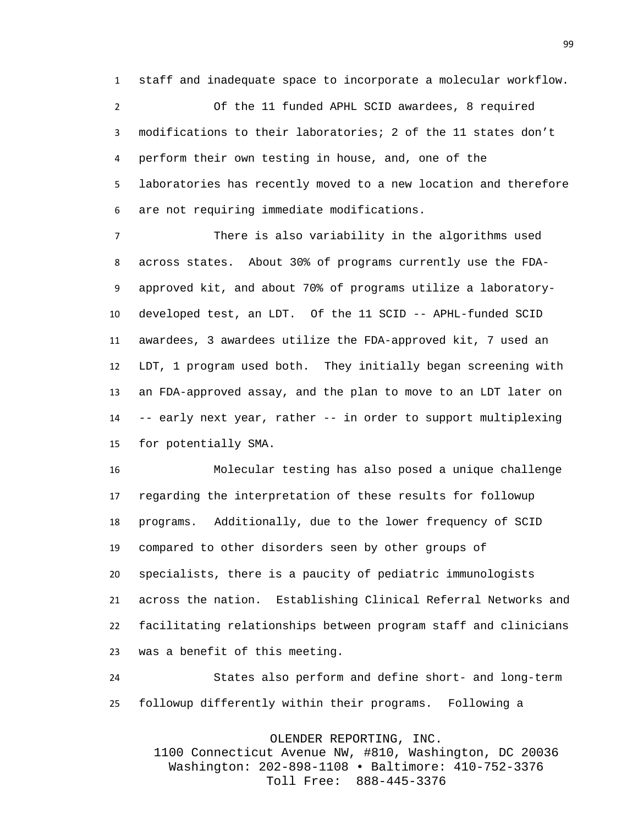staff and inadequate space to incorporate a molecular workflow.

 Of the 11 funded APHL SCID awardees, 8 required modifications to their laboratories; 2 of the 11 states don't perform their own testing in house, and, one of the laboratories has recently moved to a new location and therefore are not requiring immediate modifications.

 There is also variability in the algorithms used across states. About 30% of programs currently use the FDA- approved kit, and about 70% of programs utilize a laboratory- developed test, an LDT. Of the 11 SCID -- APHL-funded SCID awardees, 3 awardees utilize the FDA-approved kit, 7 used an LDT, 1 program used both. They initially began screening with an FDA-approved assay, and the plan to move to an LDT later on -- early next year, rather -- in order to support multiplexing for potentially SMA.

 Molecular testing has also posed a unique challenge regarding the interpretation of these results for followup programs. Additionally, due to the lower frequency of SCID compared to other disorders seen by other groups of specialists, there is a paucity of pediatric immunologists across the nation. Establishing Clinical Referral Networks and facilitating relationships between program staff and clinicians was a benefit of this meeting.

 States also perform and define short- and long-term followup differently within their programs. Following a

OLENDER REPORTING, INC.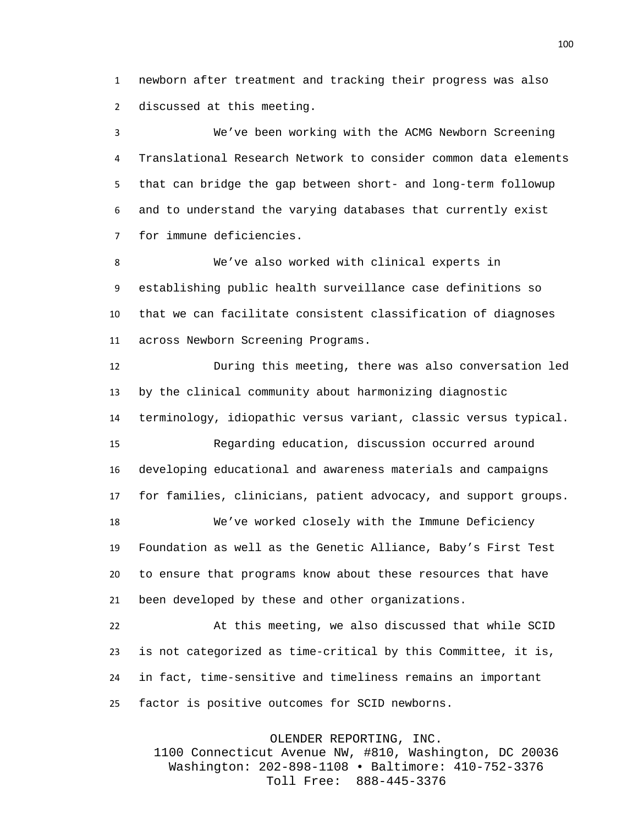newborn after treatment and tracking their progress was also discussed at this meeting.

 We've been working with the ACMG Newborn Screening Translational Research Network to consider common data elements that can bridge the gap between short- and long-term followup and to understand the varying databases that currently exist for immune deficiencies.

 We've also worked with clinical experts in establishing public health surveillance case definitions so that we can facilitate consistent classification of diagnoses across Newborn Screening Programs.

 During this meeting, there was also conversation led by the clinical community about harmonizing diagnostic terminology, idiopathic versus variant, classic versus typical.

 Regarding education, discussion occurred around developing educational and awareness materials and campaigns for families, clinicians, patient advocacy, and support groups.

 We've worked closely with the Immune Deficiency Foundation as well as the Genetic Alliance, Baby's First Test to ensure that programs know about these resources that have been developed by these and other organizations.

 At this meeting, we also discussed that while SCID is not categorized as time-critical by this Committee, it is, in fact, time-sensitive and timeliness remains an important factor is positive outcomes for SCID newborns.

OLENDER REPORTING, INC.

1100 Connecticut Avenue NW, #810, Washington, DC 20036 Washington: 202-898-1108 • Baltimore: 410-752-3376 Toll Free: 888-445-3376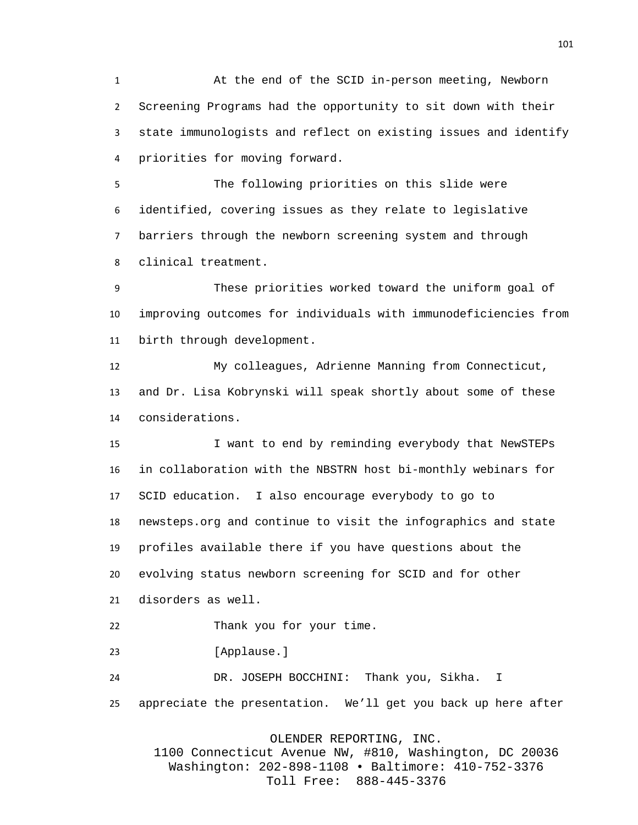At the end of the SCID in-person meeting, Newborn Screening Programs had the opportunity to sit down with their state immunologists and reflect on existing issues and identify priorities for moving forward.

 The following priorities on this slide were identified, covering issues as they relate to legislative barriers through the newborn screening system and through clinical treatment.

 These priorities worked toward the uniform goal of improving outcomes for individuals with immunodeficiencies from birth through development.

 My colleagues, Adrienne Manning from Connecticut, and Dr. Lisa Kobrynski will speak shortly about some of these considerations.

 I want to end by reminding everybody that NewSTEPs in collaboration with the NBSTRN host bi-monthly webinars for SCID education. I also encourage everybody to go to newsteps.org and continue to visit the infographics and state profiles available there if you have questions about the evolving status newborn screening for SCID and for other disorders as well.

Thank you for your time.

23 [Applause.]

 DR. JOSEPH BOCCHINI: Thank you, Sikha. I appreciate the presentation. We'll get you back up here after

OLENDER REPORTING, INC.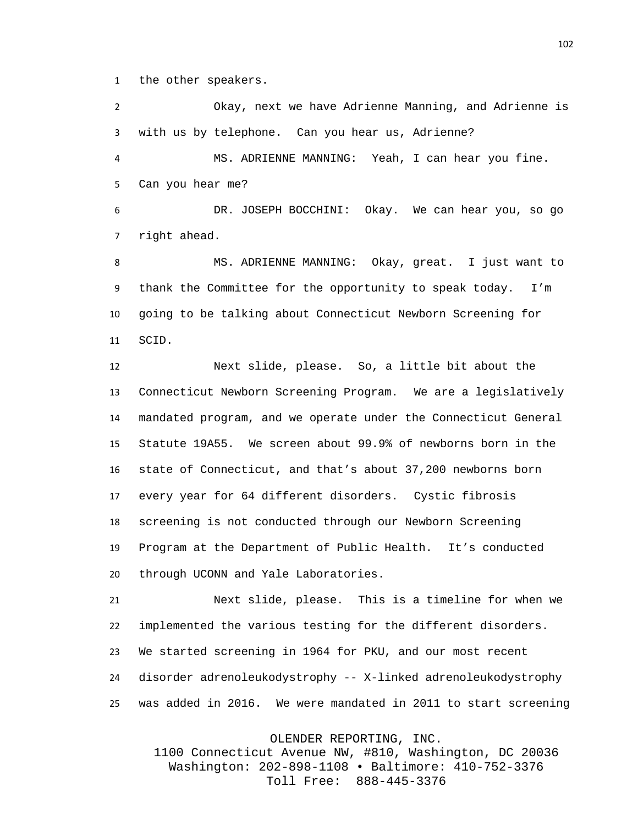the other speakers.

 Okay, next we have Adrienne Manning, and Adrienne is with us by telephone. Can you hear us, Adrienne?

 MS. ADRIENNE MANNING: Yeah, I can hear you fine. Can you hear me?

 DR. JOSEPH BOCCHINI: Okay. We can hear you, so go right ahead.

 MS. ADRIENNE MANNING: Okay, great. I just want to thank the Committee for the opportunity to speak today. I'm going to be talking about Connecticut Newborn Screening for SCID.

 Next slide, please. So, a little bit about the Connecticut Newborn Screening Program. We are a legislatively mandated program, and we operate under the Connecticut General Statute 19A55. We screen about 99.9% of newborns born in the state of Connecticut, and that's about 37,200 newborns born every year for 64 different disorders. Cystic fibrosis screening is not conducted through our Newborn Screening Program at the Department of Public Health. It's conducted through UCONN and Yale Laboratories.

 Next slide, please. This is a timeline for when we implemented the various testing for the different disorders. We started screening in 1964 for PKU, and our most recent disorder adrenoleukodystrophy -- X-linked adrenoleukodystrophy was added in 2016. We were mandated in 2011 to start screening

OLENDER REPORTING, INC.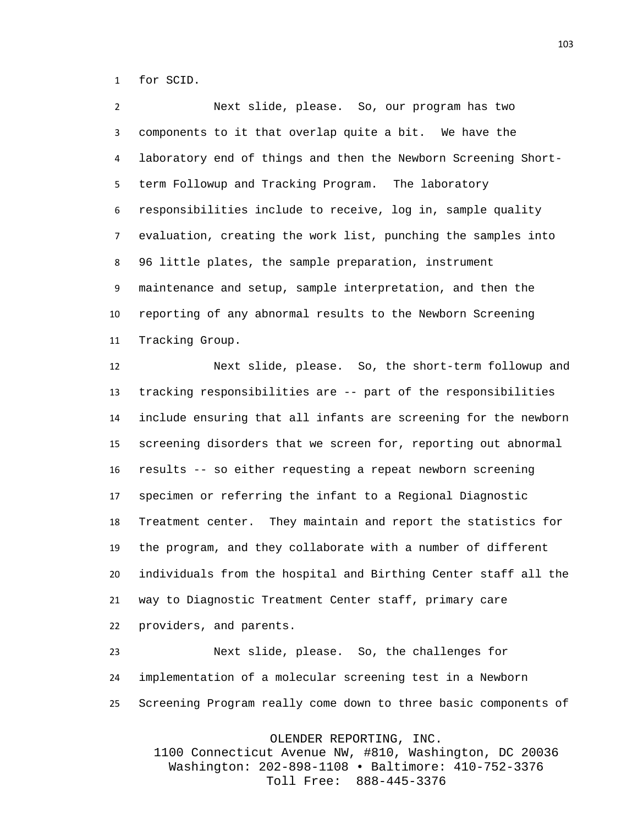for SCID.

 Next slide, please. So, our program has two components to it that overlap quite a bit. We have the laboratory end of things and then the Newborn Screening Short- term Followup and Tracking Program. The laboratory responsibilities include to receive, log in, sample quality evaluation, creating the work list, punching the samples into 96 little plates, the sample preparation, instrument maintenance and setup, sample interpretation, and then the reporting of any abnormal results to the Newborn Screening Tracking Group.

 Next slide, please. So, the short-term followup and tracking responsibilities are -- part of the responsibilities include ensuring that all infants are screening for the newborn screening disorders that we screen for, reporting out abnormal results -- so either requesting a repeat newborn screening specimen or referring the infant to a Regional Diagnostic Treatment center. They maintain and report the statistics for the program, and they collaborate with a number of different individuals from the hospital and Birthing Center staff all the way to Diagnostic Treatment Center staff, primary care providers, and parents.

 Next slide, please. So, the challenges for implementation of a molecular screening test in a Newborn Screening Program really come down to three basic components of

OLENDER REPORTING, INC.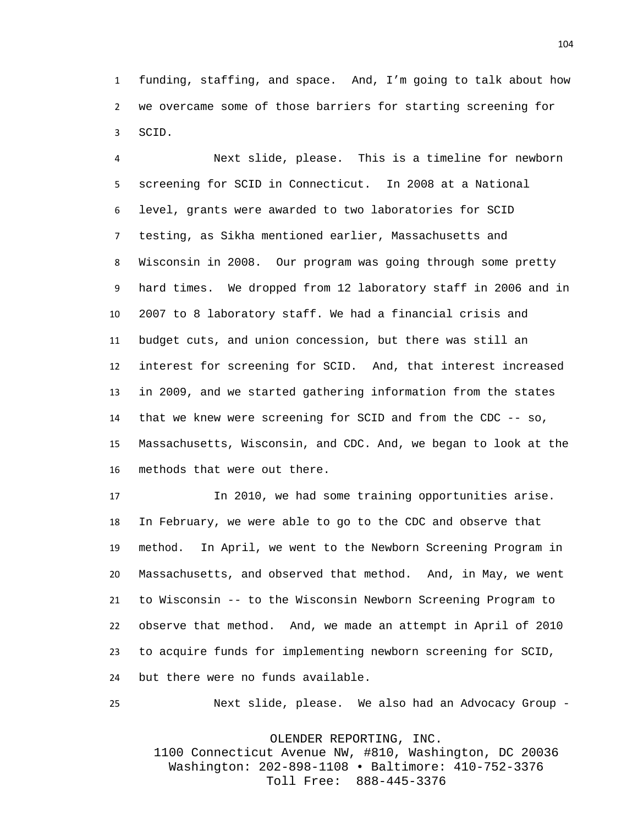funding, staffing, and space. And, I'm going to talk about how we overcame some of those barriers for starting screening for SCID.

 Next slide, please. This is a timeline for newborn screening for SCID in Connecticut. In 2008 at a National level, grants were awarded to two laboratories for SCID testing, as Sikha mentioned earlier, Massachusetts and Wisconsin in 2008. Our program was going through some pretty hard times. We dropped from 12 laboratory staff in 2006 and in 2007 to 8 laboratory staff. We had a financial crisis and budget cuts, and union concession, but there was still an interest for screening for SCID. And, that interest increased in 2009, and we started gathering information from the states that we knew were screening for SCID and from the CDC -- so, Massachusetts, Wisconsin, and CDC. And, we began to look at the methods that were out there.

 In 2010, we had some training opportunities arise. In February, we were able to go to the CDC and observe that method. In April, we went to the Newborn Screening Program in Massachusetts, and observed that method. And, in May, we went to Wisconsin -- to the Wisconsin Newborn Screening Program to observe that method. And, we made an attempt in April of 2010 to acquire funds for implementing newborn screening for SCID, but there were no funds available.

Next slide, please. We also had an Advocacy Group -

OLENDER REPORTING, INC.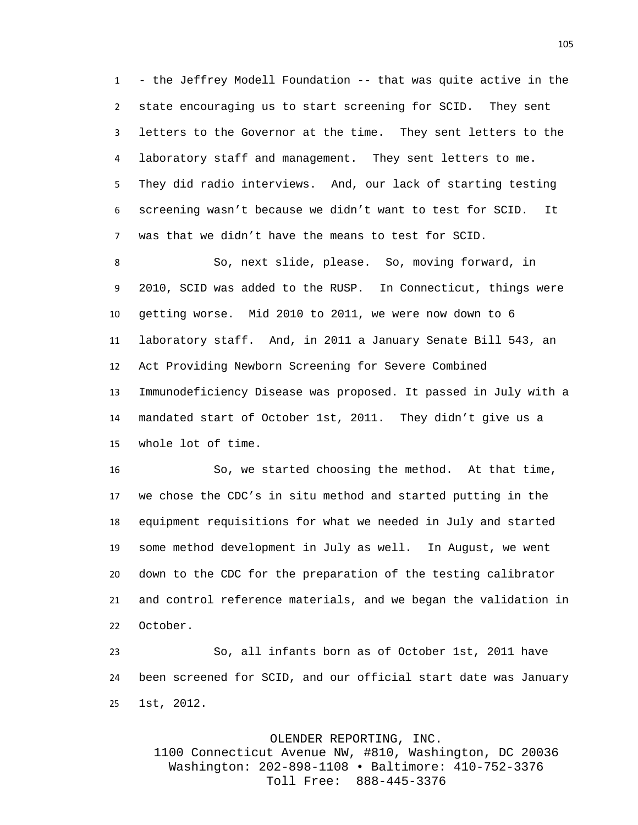- the Jeffrey Modell Foundation -- that was quite active in the state encouraging us to start screening for SCID. They sent letters to the Governor at the time. They sent letters to the laboratory staff and management. They sent letters to me. They did radio interviews. And, our lack of starting testing screening wasn't because we didn't want to test for SCID. It was that we didn't have the means to test for SCID.

 So, next slide, please. So, moving forward, in 2010, SCID was added to the RUSP. In Connecticut, things were getting worse. Mid 2010 to 2011, we were now down to 6 laboratory staff. And, in 2011 a January Senate Bill 543, an Act Providing Newborn Screening for Severe Combined Immunodeficiency Disease was proposed. It passed in July with a mandated start of October 1st, 2011. They didn't give us a whole lot of time.

 So, we started choosing the method. At that time, we chose the CDC's in situ method and started putting in the equipment requisitions for what we needed in July and started some method development in July as well. In August, we went down to the CDC for the preparation of the testing calibrator and control reference materials, and we began the validation in October.

 So, all infants born as of October 1st, 2011 have been screened for SCID, and our official start date was January 1st, 2012.

## OLENDER REPORTING, INC.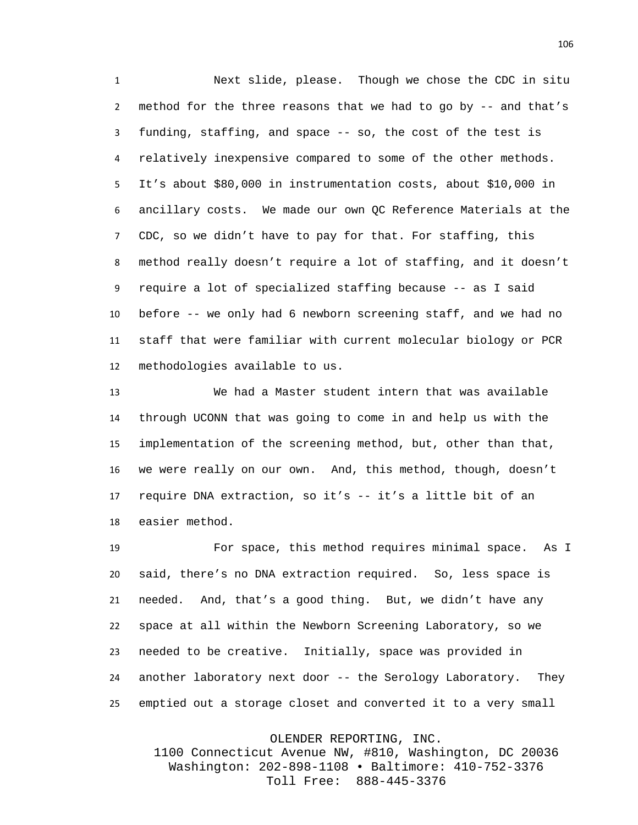Next slide, please. Though we chose the CDC in situ method for the three reasons that we had to go by -- and that's funding, staffing, and space -- so, the cost of the test is relatively inexpensive compared to some of the other methods. It's about \$80,000 in instrumentation costs, about \$10,000 in ancillary costs. We made our own QC Reference Materials at the CDC, so we didn't have to pay for that. For staffing, this method really doesn't require a lot of staffing, and it doesn't require a lot of specialized staffing because -- as I said before -- we only had 6 newborn screening staff, and we had no staff that were familiar with current molecular biology or PCR methodologies available to us.

 We had a Master student intern that was available through UCONN that was going to come in and help us with the implementation of the screening method, but, other than that, we were really on our own. And, this method, though, doesn't require DNA extraction, so it's -- it's a little bit of an easier method.

 For space, this method requires minimal space. As I said, there's no DNA extraction required. So, less space is needed. And, that's a good thing. But, we didn't have any space at all within the Newborn Screening Laboratory, so we needed to be creative. Initially, space was provided in another laboratory next door -- the Serology Laboratory. They emptied out a storage closet and converted it to a very small

OLENDER REPORTING, INC.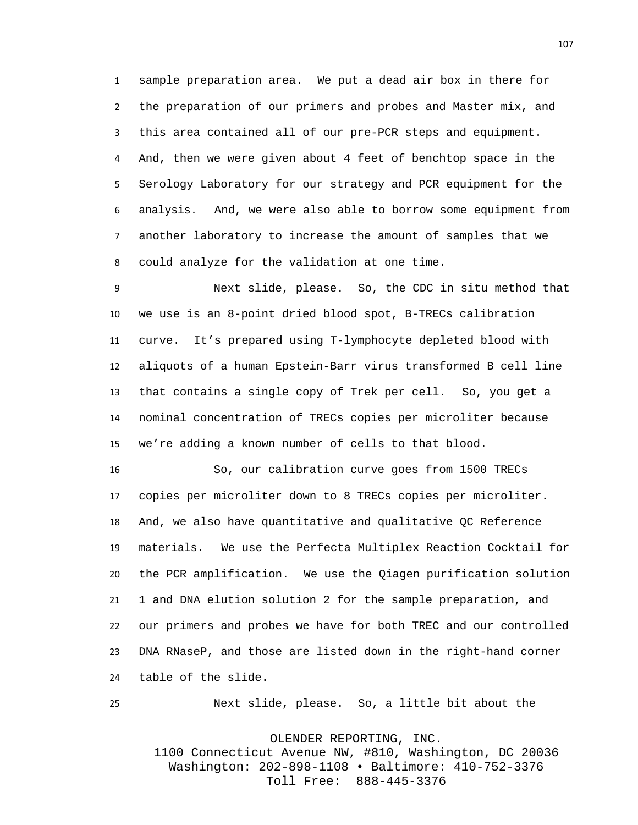sample preparation area. We put a dead air box in there for the preparation of our primers and probes and Master mix, and this area contained all of our pre-PCR steps and equipment. And, then we were given about 4 feet of benchtop space in the Serology Laboratory for our strategy and PCR equipment for the analysis. And, we were also able to borrow some equipment from another laboratory to increase the amount of samples that we could analyze for the validation at one time.

 Next slide, please. So, the CDC in situ method that we use is an 8-point dried blood spot, B-TRECs calibration curve. It's prepared using T-lymphocyte depleted blood with aliquots of a human Epstein-Barr virus transformed B cell line that contains a single copy of Trek per cell. So, you get a nominal concentration of TRECs copies per microliter because we're adding a known number of cells to that blood.

 So, our calibration curve goes from 1500 TRECs copies per microliter down to 8 TRECs copies per microliter. And, we also have quantitative and qualitative QC Reference materials. We use the Perfecta Multiplex Reaction Cocktail for the PCR amplification. We use the Qiagen purification solution 1 and DNA elution solution 2 for the sample preparation, and our primers and probes we have for both TREC and our controlled DNA RNaseP, and those are listed down in the right-hand corner table of the slide.

Next slide, please. So, a little bit about the

OLENDER REPORTING, INC.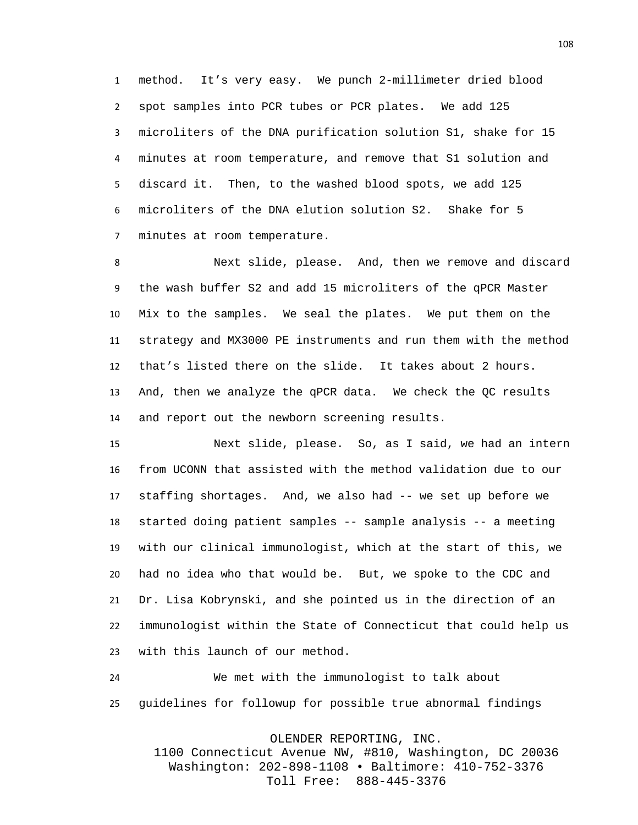method. It's very easy. We punch 2-millimeter dried blood spot samples into PCR tubes or PCR plates. We add 125 microliters of the DNA purification solution S1, shake for 15 minutes at room temperature, and remove that S1 solution and discard it. Then, to the washed blood spots, we add 125 microliters of the DNA elution solution S2. Shake for 5 minutes at room temperature.

 Next slide, please. And, then we remove and discard the wash buffer S2 and add 15 microliters of the qPCR Master Mix to the samples. We seal the plates. We put them on the strategy and MX3000 PE instruments and run them with the method that's listed there on the slide. It takes about 2 hours. And, then we analyze the qPCR data. We check the QC results and report out the newborn screening results.

 Next slide, please. So, as I said, we had an intern from UCONN that assisted with the method validation due to our staffing shortages. And, we also had -- we set up before we started doing patient samples -- sample analysis -- a meeting with our clinical immunologist, which at the start of this, we had no idea who that would be. But, we spoke to the CDC and Dr. Lisa Kobrynski, and she pointed us in the direction of an immunologist within the State of Connecticut that could help us with this launch of our method.

 We met with the immunologist to talk about guidelines for followup for possible true abnormal findings

OLENDER REPORTING, INC.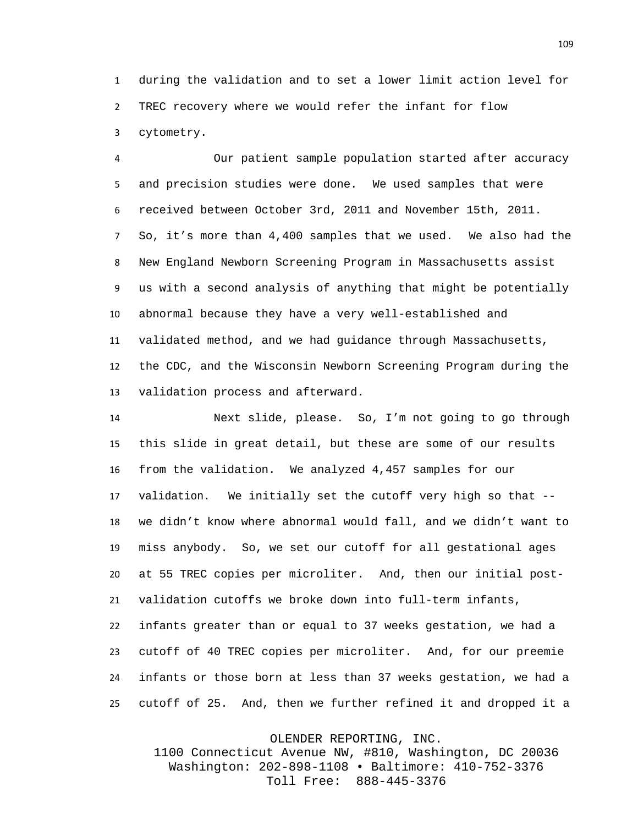during the validation and to set a lower limit action level for TREC recovery where we would refer the infant for flow cytometry.

 Our patient sample population started after accuracy and precision studies were done. We used samples that were received between October 3rd, 2011 and November 15th, 2011. So, it's more than 4,400 samples that we used. We also had the New England Newborn Screening Program in Massachusetts assist us with a second analysis of anything that might be potentially abnormal because they have a very well-established and validated method, and we had guidance through Massachusetts, the CDC, and the Wisconsin Newborn Screening Program during the validation process and afterward.

 Next slide, please. So, I'm not going to go through this slide in great detail, but these are some of our results from the validation. We analyzed 4,457 samples for our validation. We initially set the cutoff very high so that -- we didn't know where abnormal would fall, and we didn't want to miss anybody. So, we set our cutoff for all gestational ages at 55 TREC copies per microliter. And, then our initial post- validation cutoffs we broke down into full-term infants, infants greater than or equal to 37 weeks gestation, we had a cutoff of 40 TREC copies per microliter. And, for our preemie infants or those born at less than 37 weeks gestation, we had a cutoff of 25. And, then we further refined it and dropped it a

OLENDER REPORTING, INC.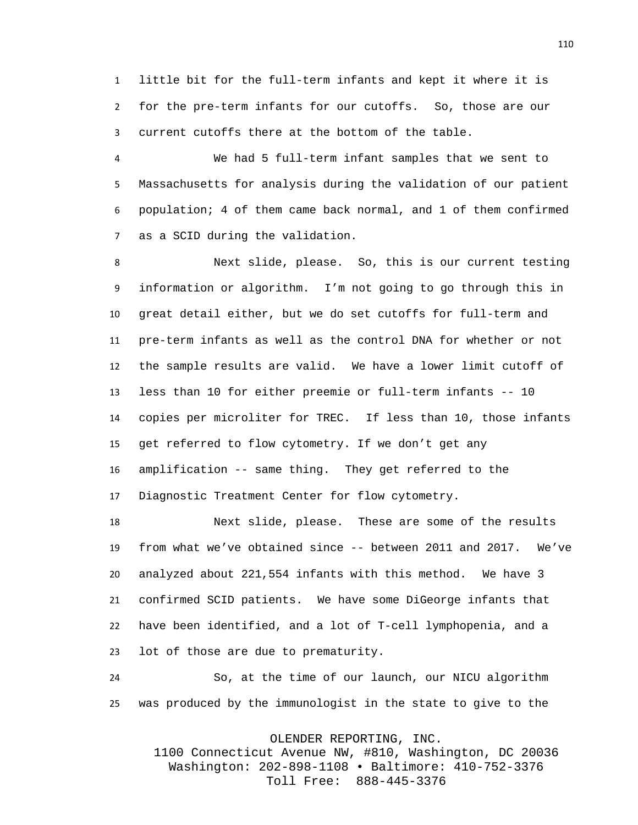little bit for the full-term infants and kept it where it is for the pre-term infants for our cutoffs. So, those are our current cutoffs there at the bottom of the table.

 We had 5 full-term infant samples that we sent to Massachusetts for analysis during the validation of our patient population; 4 of them came back normal, and 1 of them confirmed as a SCID during the validation.

 Next slide, please. So, this is our current testing information or algorithm. I'm not going to go through this in great detail either, but we do set cutoffs for full-term and pre-term infants as well as the control DNA for whether or not the sample results are valid. We have a lower limit cutoff of less than 10 for either preemie or full-term infants -- 10 copies per microliter for TREC. If less than 10, those infants get referred to flow cytometry. If we don't get any amplification -- same thing. They get referred to the Diagnostic Treatment Center for flow cytometry.

 Next slide, please. These are some of the results from what we've obtained since -- between 2011 and 2017. We've analyzed about 221,554 infants with this method. We have 3 confirmed SCID patients. We have some DiGeorge infants that have been identified, and a lot of T-cell lymphopenia, and a lot of those are due to prematurity.

 So, at the time of our launch, our NICU algorithm was produced by the immunologist in the state to give to the

OLENDER REPORTING, INC.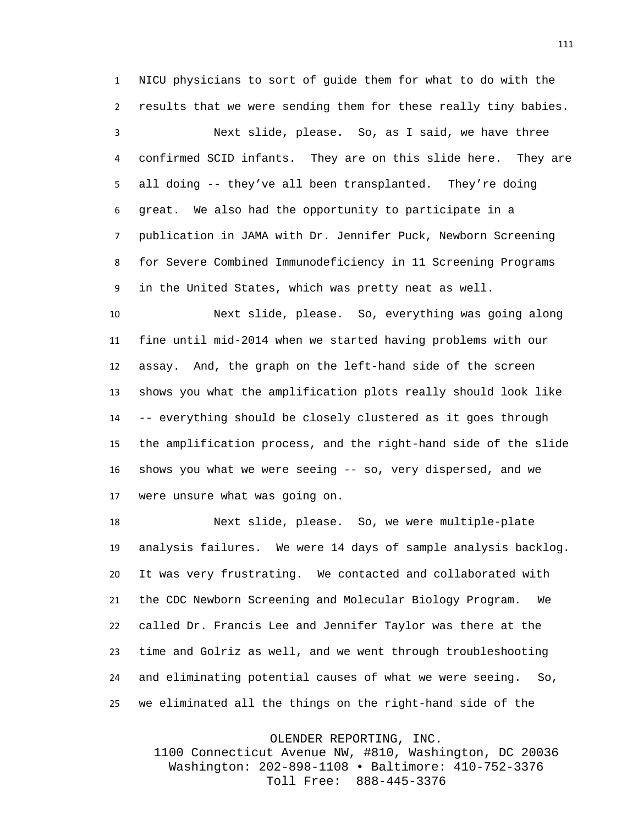NICU physicians to sort of guide them for what to do with the results that we were sending them for these really tiny babies.

 Next slide, please. So, as I said, we have three confirmed SCID infants. They are on this slide here. They are all doing -- they've all been transplanted. They're doing great. We also had the opportunity to participate in a publication in JAMA with Dr. Jennifer Puck, Newborn Screening for Severe Combined Immunodeficiency in 11 Screening Programs in the United States, which was pretty neat as well.

 Next slide, please. So, everything was going along fine until mid-2014 when we started having problems with our assay. And, the graph on the left-hand side of the screen shows you what the amplification plots really should look like -- everything should be closely clustered as it goes through the amplification process, and the right-hand side of the slide shows you what we were seeing -- so, very dispersed, and we were unsure what was going on.

 Next slide, please. So, we were multiple-plate analysis failures. We were 14 days of sample analysis backlog. It was very frustrating. We contacted and collaborated with the CDC Newborn Screening and Molecular Biology Program. We called Dr. Francis Lee and Jennifer Taylor was there at the time and Golriz as well, and we went through troubleshooting and eliminating potential causes of what we were seeing. So, we eliminated all the things on the right-hand side of the

OLENDER REPORTING, INC.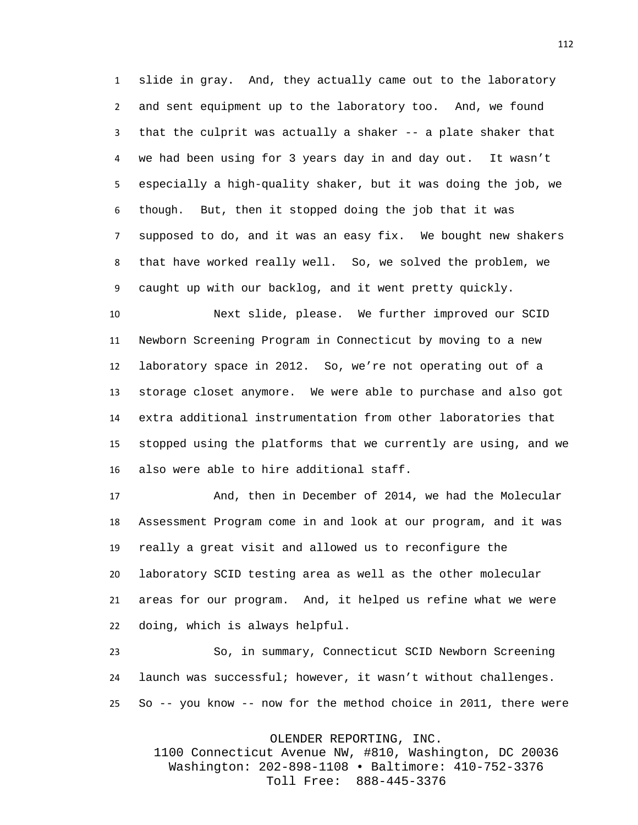slide in gray. And, they actually came out to the laboratory and sent equipment up to the laboratory too. And, we found that the culprit was actually a shaker -- a plate shaker that we had been using for 3 years day in and day out. It wasn't especially a high-quality shaker, but it was doing the job, we though. But, then it stopped doing the job that it was supposed to do, and it was an easy fix. We bought new shakers that have worked really well. So, we solved the problem, we caught up with our backlog, and it went pretty quickly.

 Next slide, please. We further improved our SCID Newborn Screening Program in Connecticut by moving to a new laboratory space in 2012. So, we're not operating out of a storage closet anymore. We were able to purchase and also got extra additional instrumentation from other laboratories that stopped using the platforms that we currently are using, and we also were able to hire additional staff.

 And, then in December of 2014, we had the Molecular Assessment Program come in and look at our program, and it was really a great visit and allowed us to reconfigure the laboratory SCID testing area as well as the other molecular areas for our program. And, it helped us refine what we were doing, which is always helpful.

 So, in summary, Connecticut SCID Newborn Screening launch was successful; however, it wasn't without challenges. So -- you know -- now for the method choice in 2011, there were

OLENDER REPORTING, INC.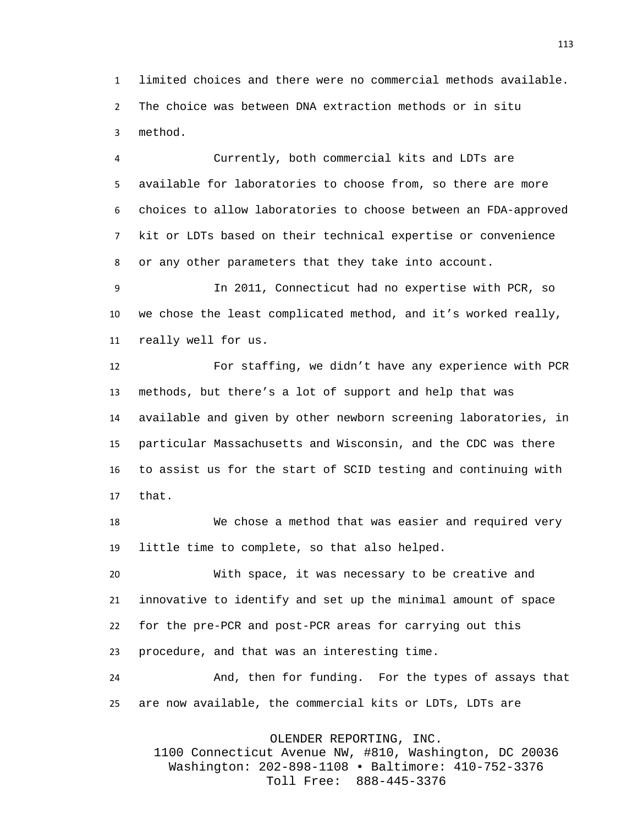limited choices and there were no commercial methods available. The choice was between DNA extraction methods or in situ method.

 Currently, both commercial kits and LDTs are available for laboratories to choose from, so there are more choices to allow laboratories to choose between an FDA-approved kit or LDTs based on their technical expertise or convenience or any other parameters that they take into account.

 In 2011, Connecticut had no expertise with PCR, so we chose the least complicated method, and it's worked really, really well for us.

 For staffing, we didn't have any experience with PCR methods, but there's a lot of support and help that was available and given by other newborn screening laboratories, in particular Massachusetts and Wisconsin, and the CDC was there to assist us for the start of SCID testing and continuing with that.

 We chose a method that was easier and required very little time to complete, so that also helped.

 With space, it was necessary to be creative and innovative to identify and set up the minimal amount of space for the pre-PCR and post-PCR areas for carrying out this procedure, and that was an interesting time.

 And, then for funding. For the types of assays that are now available, the commercial kits or LDTs, LDTs are

OLENDER REPORTING, INC.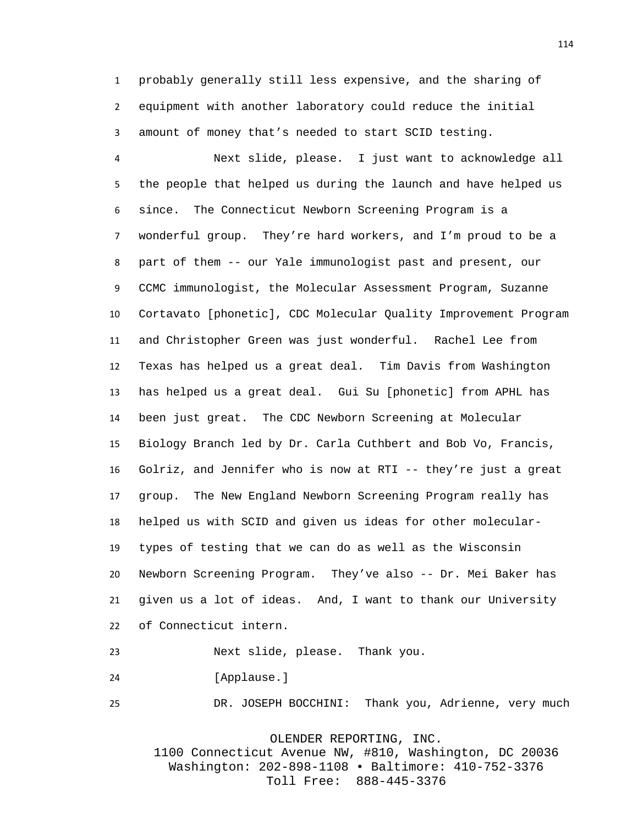probably generally still less expensive, and the sharing of equipment with another laboratory could reduce the initial amount of money that's needed to start SCID testing.

 Next slide, please. I just want to acknowledge all the people that helped us during the launch and have helped us since. The Connecticut Newborn Screening Program is a wonderful group. They're hard workers, and I'm proud to be a part of them -- our Yale immunologist past and present, our CCMC immunologist, the Molecular Assessment Program, Suzanne Cortavato [phonetic], CDC Molecular Quality Improvement Program and Christopher Green was just wonderful. Rachel Lee from Texas has helped us a great deal. Tim Davis from Washington has helped us a great deal. Gui Su [phonetic] from APHL has been just great. The CDC Newborn Screening at Molecular Biology Branch led by Dr. Carla Cuthbert and Bob Vo, Francis, Golriz, and Jennifer who is now at RTI -- they're just a great group. The New England Newborn Screening Program really has helped us with SCID and given us ideas for other molecular- types of testing that we can do as well as the Wisconsin Newborn Screening Program. They've also -- Dr. Mei Baker has given us a lot of ideas. And, I want to thank our University of Connecticut intern.

Next slide, please. Thank you.

[Applause.]

DR. JOSEPH BOCCHINI: Thank you, Adrienne, very much

OLENDER REPORTING, INC.

1100 Connecticut Avenue NW, #810, Washington, DC 20036 Washington: 202-898-1108 • Baltimore: 410-752-3376 Toll Free: 888-445-3376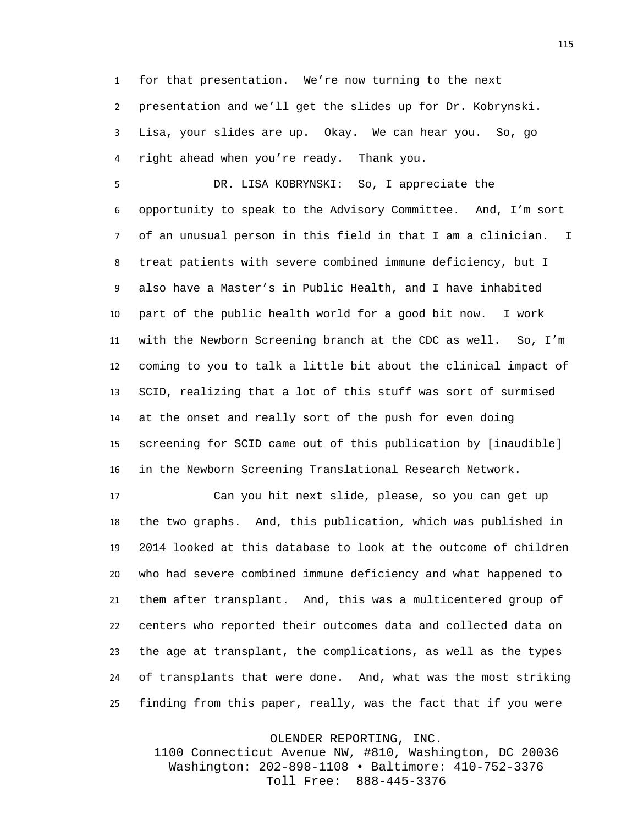for that presentation. We're now turning to the next presentation and we'll get the slides up for Dr. Kobrynski. Lisa, your slides are up. Okay. We can hear you. So, go right ahead when you're ready. Thank you.

 DR. LISA KOBRYNSKI: So, I appreciate the opportunity to speak to the Advisory Committee. And, I'm sort of an unusual person in this field in that I am a clinician. I treat patients with severe combined immune deficiency, but I also have a Master's in Public Health, and I have inhabited part of the public health world for a good bit now. I work with the Newborn Screening branch at the CDC as well. So, I'm coming to you to talk a little bit about the clinical impact of SCID, realizing that a lot of this stuff was sort of surmised at the onset and really sort of the push for even doing screening for SCID came out of this publication by [inaudible] in the Newborn Screening Translational Research Network.

 Can you hit next slide, please, so you can get up the two graphs. And, this publication, which was published in 2014 looked at this database to look at the outcome of children who had severe combined immune deficiency and what happened to them after transplant. And, this was a multicentered group of centers who reported their outcomes data and collected data on the age at transplant, the complications, as well as the types of transplants that were done. And, what was the most striking finding from this paper, really, was the fact that if you were

OLENDER REPORTING, INC.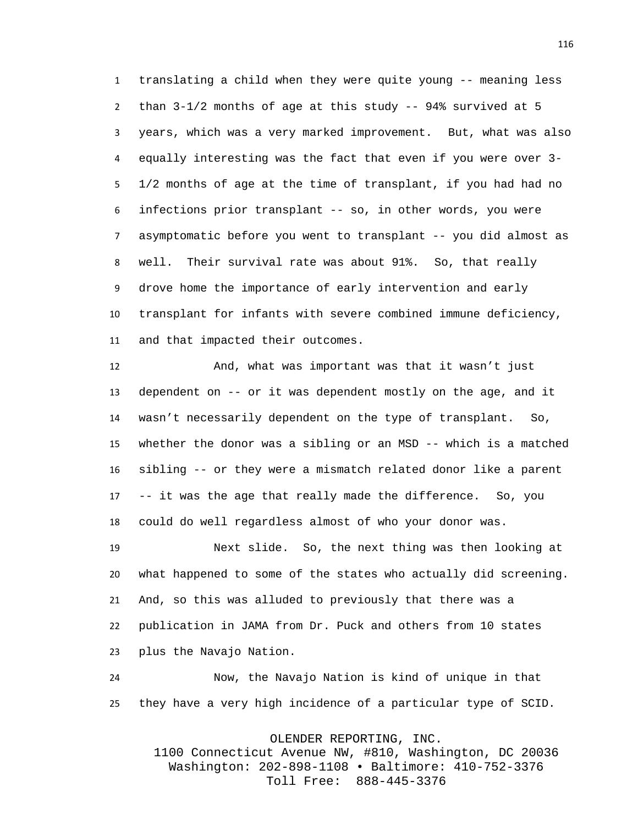translating a child when they were quite young -- meaning less than 3-1/2 months of age at this study -- 94% survived at 5 years, which was a very marked improvement. But, what was also equally interesting was the fact that even if you were over 3- 1/2 months of age at the time of transplant, if you had had no infections prior transplant -- so, in other words, you were asymptomatic before you went to transplant -- you did almost as well. Their survival rate was about 91%. So, that really drove home the importance of early intervention and early transplant for infants with severe combined immune deficiency, and that impacted their outcomes.

 And, what was important was that it wasn't just dependent on -- or it was dependent mostly on the age, and it wasn't necessarily dependent on the type of transplant. So, whether the donor was a sibling or an MSD -- which is a matched sibling -- or they were a mismatch related donor like a parent -- it was the age that really made the difference. So, you could do well regardless almost of who your donor was.

 Next slide. So, the next thing was then looking at what happened to some of the states who actually did screening. And, so this was alluded to previously that there was a publication in JAMA from Dr. Puck and others from 10 states plus the Navajo Nation.

 Now, the Navajo Nation is kind of unique in that they have a very high incidence of a particular type of SCID.

OLENDER REPORTING, INC.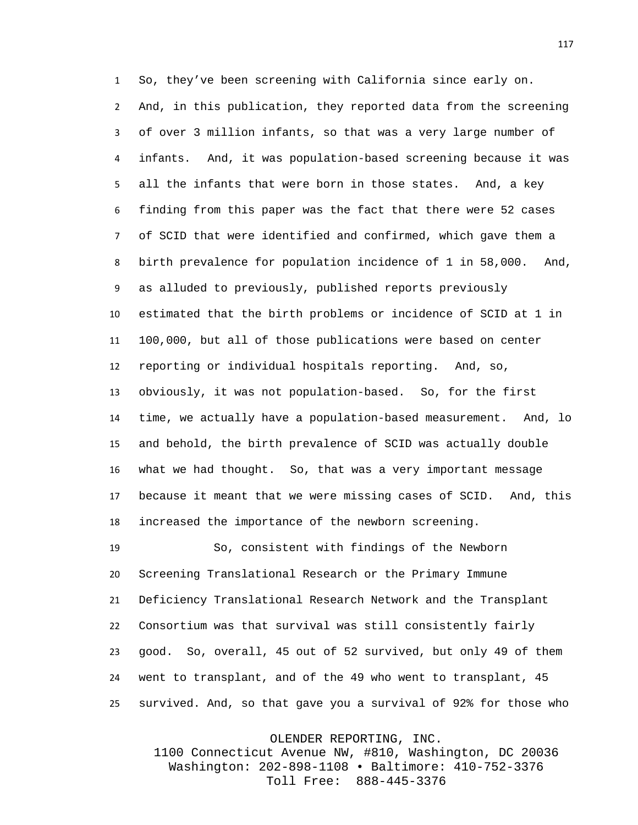So, they've been screening with California since early on. And, in this publication, they reported data from the screening of over 3 million infants, so that was a very large number of infants. And, it was population-based screening because it was all the infants that were born in those states. And, a key finding from this paper was the fact that there were 52 cases of SCID that were identified and confirmed, which gave them a birth prevalence for population incidence of 1 in 58,000. And, as alluded to previously, published reports previously estimated that the birth problems or incidence of SCID at 1 in 100,000, but all of those publications were based on center reporting or individual hospitals reporting. And, so, obviously, it was not population-based. So, for the first time, we actually have a population-based measurement. And, lo and behold, the birth prevalence of SCID was actually double what we had thought. So, that was a very important message because it meant that we were missing cases of SCID. And, this increased the importance of the newborn screening.

 So, consistent with findings of the Newborn Screening Translational Research or the Primary Immune Deficiency Translational Research Network and the Transplant Consortium was that survival was still consistently fairly good. So, overall, 45 out of 52 survived, but only 49 of them went to transplant, and of the 49 who went to transplant, 45 survived. And, so that gave you a survival of 92% for those who

OLENDER REPORTING, INC.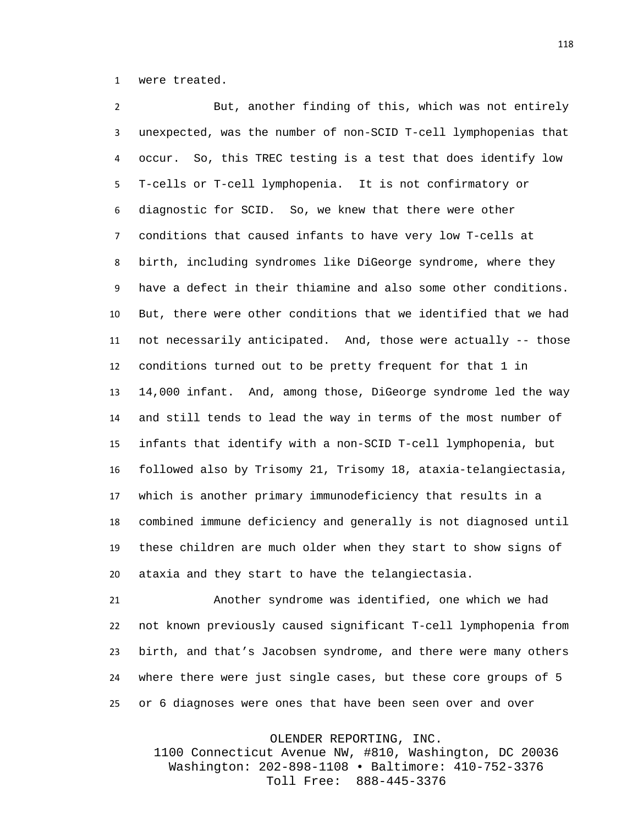were treated.

 But, another finding of this, which was not entirely unexpected, was the number of non-SCID T-cell lymphopenias that occur. So, this TREC testing is a test that does identify low T-cells or T-cell lymphopenia. It is not confirmatory or diagnostic for SCID. So, we knew that there were other conditions that caused infants to have very low T-cells at birth, including syndromes like DiGeorge syndrome, where they have a defect in their thiamine and also some other conditions. But, there were other conditions that we identified that we had not necessarily anticipated. And, those were actually -- those conditions turned out to be pretty frequent for that 1 in 14,000 infant. And, among those, DiGeorge syndrome led the way and still tends to lead the way in terms of the most number of infants that identify with a non-SCID T-cell lymphopenia, but followed also by Trisomy 21, Trisomy 18, ataxia-telangiectasia, which is another primary immunodeficiency that results in a combined immune deficiency and generally is not diagnosed until these children are much older when they start to show signs of ataxia and they start to have the telangiectasia.

 Another syndrome was identified, one which we had not known previously caused significant T-cell lymphopenia from birth, and that's Jacobsen syndrome, and there were many others where there were just single cases, but these core groups of 5 or 6 diagnoses were ones that have been seen over and over

OLENDER REPORTING, INC.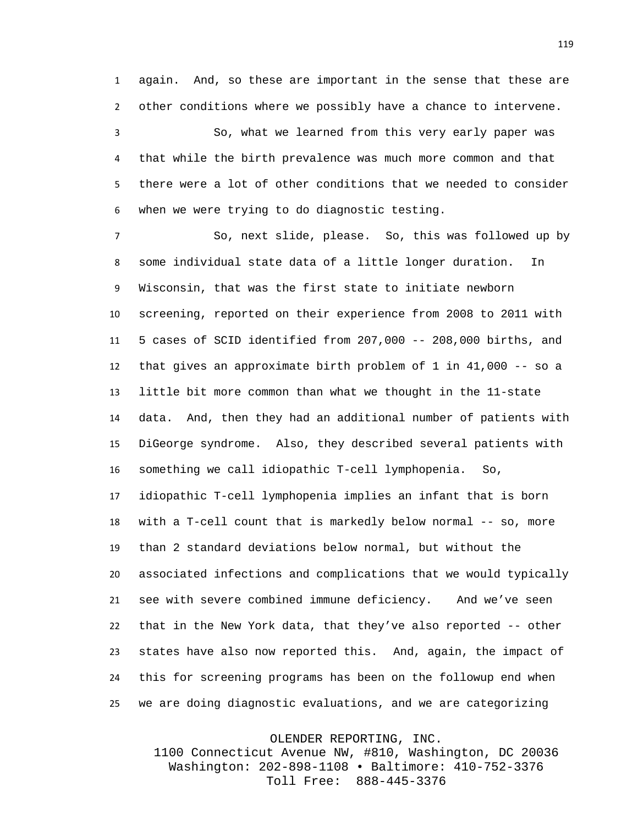again. And, so these are important in the sense that these are other conditions where we possibly have a chance to intervene.

 So, what we learned from this very early paper was that while the birth prevalence was much more common and that there were a lot of other conditions that we needed to consider when we were trying to do diagnostic testing.

 So, next slide, please. So, this was followed up by some individual state data of a little longer duration. In Wisconsin, that was the first state to initiate newborn screening, reported on their experience from 2008 to 2011 with 5 cases of SCID identified from 207,000 -- 208,000 births, and that gives an approximate birth problem of 1 in 41,000 -- so a little bit more common than what we thought in the 11-state data. And, then they had an additional number of patients with DiGeorge syndrome. Also, they described several patients with something we call idiopathic T-cell lymphopenia. So, idiopathic T-cell lymphopenia implies an infant that is born with a T-cell count that is markedly below normal -- so, more than 2 standard deviations below normal, but without the associated infections and complications that we would typically see with severe combined immune deficiency. And we've seen that in the New York data, that they've also reported -- other states have also now reported this. And, again, the impact of this for screening programs has been on the followup end when we are doing diagnostic evaluations, and we are categorizing

OLENDER REPORTING, INC.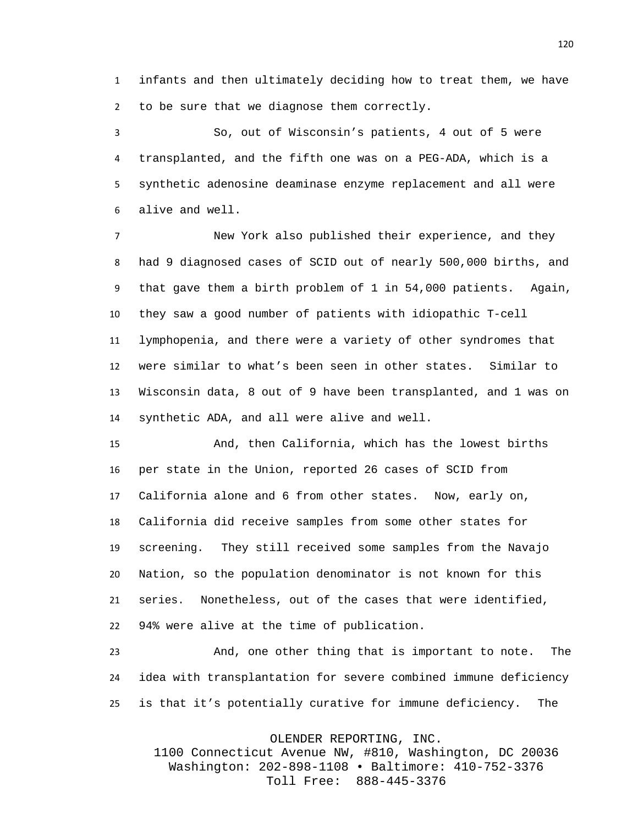infants and then ultimately deciding how to treat them, we have to be sure that we diagnose them correctly.

 So, out of Wisconsin's patients, 4 out of 5 were transplanted, and the fifth one was on a PEG-ADA, which is a synthetic adenosine deaminase enzyme replacement and all were alive and well.

 New York also published their experience, and they had 9 diagnosed cases of SCID out of nearly 500,000 births, and that gave them a birth problem of 1 in 54,000 patients. Again, they saw a good number of patients with idiopathic T-cell lymphopenia, and there were a variety of other syndromes that were similar to what's been seen in other states. Similar to Wisconsin data, 8 out of 9 have been transplanted, and 1 was on synthetic ADA, and all were alive and well.

 And, then California, which has the lowest births per state in the Union, reported 26 cases of SCID from California alone and 6 from other states. Now, early on, California did receive samples from some other states for screening. They still received some samples from the Navajo Nation, so the population denominator is not known for this series. Nonetheless, out of the cases that were identified, 94% were alive at the time of publication.

 And, one other thing that is important to note. The idea with transplantation for severe combined immune deficiency is that it's potentially curative for immune deficiency. The

OLENDER REPORTING, INC.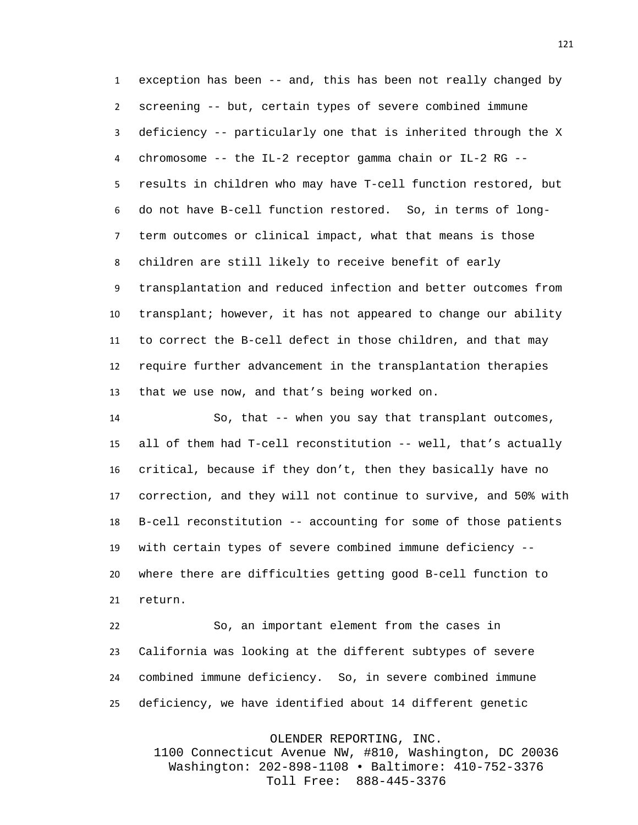exception has been -- and, this has been not really changed by screening -- but, certain types of severe combined immune deficiency -- particularly one that is inherited through the X chromosome -- the IL-2 receptor gamma chain or IL-2 RG -- results in children who may have T-cell function restored, but do not have B-cell function restored. So, in terms of long- term outcomes or clinical impact, what that means is those children are still likely to receive benefit of early transplantation and reduced infection and better outcomes from transplant; however, it has not appeared to change our ability to correct the B-cell defect in those children, and that may require further advancement in the transplantation therapies that we use now, and that's being worked on.

 So, that -- when you say that transplant outcomes, all of them had T-cell reconstitution -- well, that's actually critical, because if they don't, then they basically have no correction, and they will not continue to survive, and 50% with B-cell reconstitution -- accounting for some of those patients with certain types of severe combined immune deficiency -- where there are difficulties getting good B-cell function to return.

 So, an important element from the cases in California was looking at the different subtypes of severe combined immune deficiency. So, in severe combined immune deficiency, we have identified about 14 different genetic

OLENDER REPORTING, INC.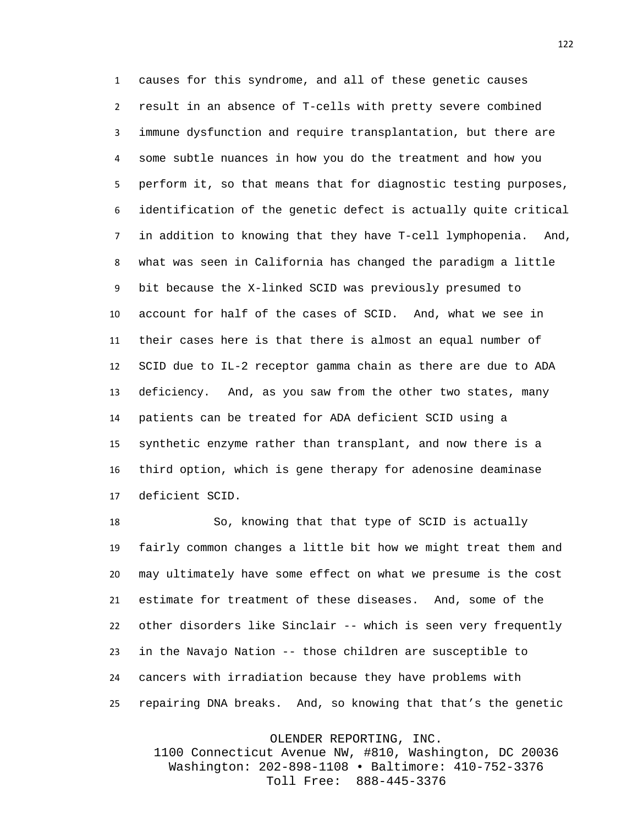causes for this syndrome, and all of these genetic causes result in an absence of T-cells with pretty severe combined immune dysfunction and require transplantation, but there are some subtle nuances in how you do the treatment and how you perform it, so that means that for diagnostic testing purposes, identification of the genetic defect is actually quite critical in addition to knowing that they have T-cell lymphopenia. And, what was seen in California has changed the paradigm a little bit because the X-linked SCID was previously presumed to account for half of the cases of SCID. And, what we see in their cases here is that there is almost an equal number of SCID due to IL-2 receptor gamma chain as there are due to ADA deficiency. And, as you saw from the other two states, many patients can be treated for ADA deficient SCID using a synthetic enzyme rather than transplant, and now there is a third option, which is gene therapy for adenosine deaminase deficient SCID.

 So, knowing that that type of SCID is actually fairly common changes a little bit how we might treat them and may ultimately have some effect on what we presume is the cost estimate for treatment of these diseases. And, some of the other disorders like Sinclair -- which is seen very frequently in the Navajo Nation -- those children are susceptible to cancers with irradiation because they have problems with repairing DNA breaks. And, so knowing that that's the genetic

OLENDER REPORTING, INC.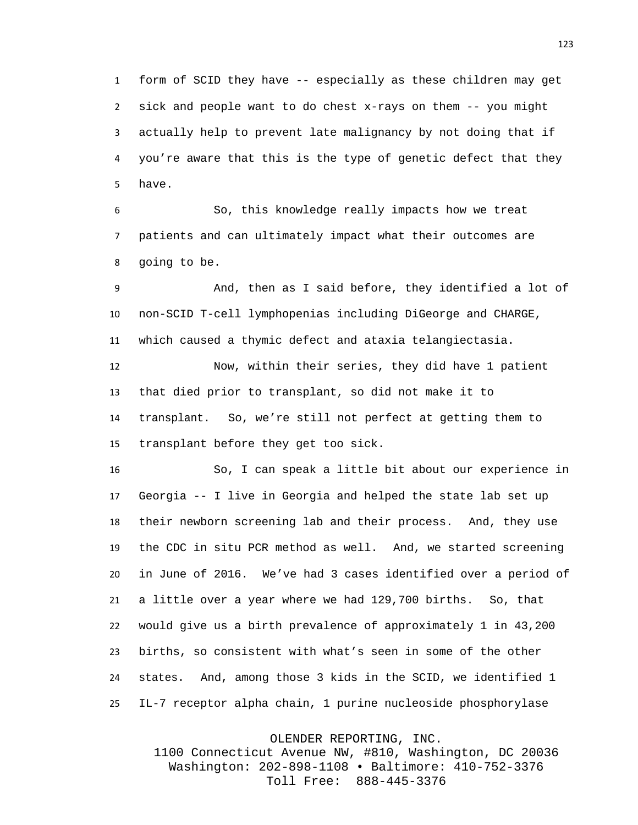form of SCID they have -- especially as these children may get sick and people want to do chest x-rays on them -- you might actually help to prevent late malignancy by not doing that if you're aware that this is the type of genetic defect that they have.

 So, this knowledge really impacts how we treat patients and can ultimately impact what their outcomes are going to be.

 And, then as I said before, they identified a lot of non-SCID T-cell lymphopenias including DiGeorge and CHARGE, which caused a thymic defect and ataxia telangiectasia.

 Now, within their series, they did have 1 patient that died prior to transplant, so did not make it to transplant. So, we're still not perfect at getting them to transplant before they get too sick.

 So, I can speak a little bit about our experience in Georgia -- I live in Georgia and helped the state lab set up their newborn screening lab and their process. And, they use the CDC in situ PCR method as well. And, we started screening in June of 2016. We've had 3 cases identified over a period of a little over a year where we had 129,700 births. So, that would give us a birth prevalence of approximately 1 in 43,200 births, so consistent with what's seen in some of the other states. And, among those 3 kids in the SCID, we identified 1 IL-7 receptor alpha chain, 1 purine nucleoside phosphorylase

OLENDER REPORTING, INC.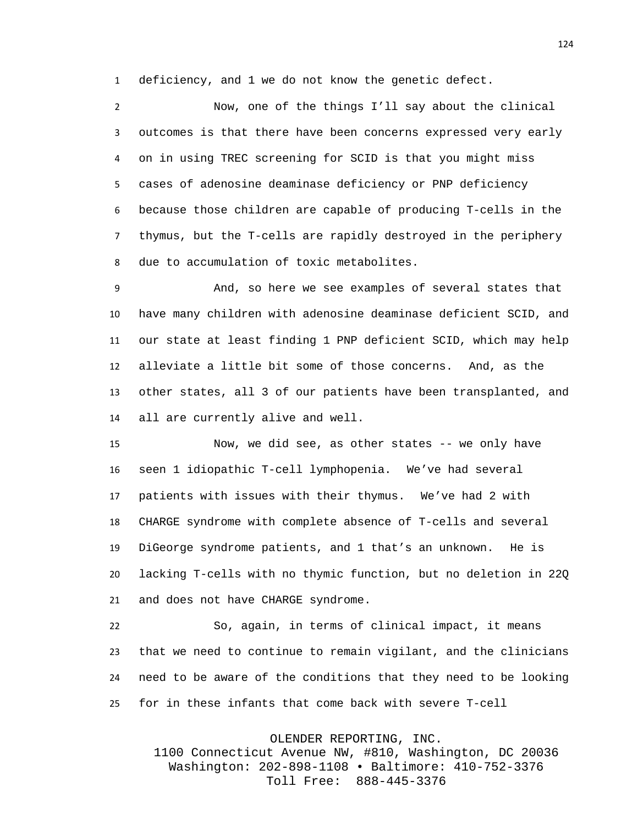deficiency, and 1 we do not know the genetic defect.

 Now, one of the things I'll say about the clinical outcomes is that there have been concerns expressed very early on in using TREC screening for SCID is that you might miss cases of adenosine deaminase deficiency or PNP deficiency because those children are capable of producing T-cells in the thymus, but the T-cells are rapidly destroyed in the periphery due to accumulation of toxic metabolites.

 And, so here we see examples of several states that have many children with adenosine deaminase deficient SCID, and our state at least finding 1 PNP deficient SCID, which may help alleviate a little bit some of those concerns. And, as the other states, all 3 of our patients have been transplanted, and all are currently alive and well.

 Now, we did see, as other states -- we only have seen 1 idiopathic T-cell lymphopenia. We've had several patients with issues with their thymus. We've had 2 with CHARGE syndrome with complete absence of T-cells and several DiGeorge syndrome patients, and 1 that's an unknown. He is lacking T-cells with no thymic function, but no deletion in 22Q and does not have CHARGE syndrome.

 So, again, in terms of clinical impact, it means that we need to continue to remain vigilant, and the clinicians need to be aware of the conditions that they need to be looking for in these infants that come back with severe T-cell

OLENDER REPORTING, INC.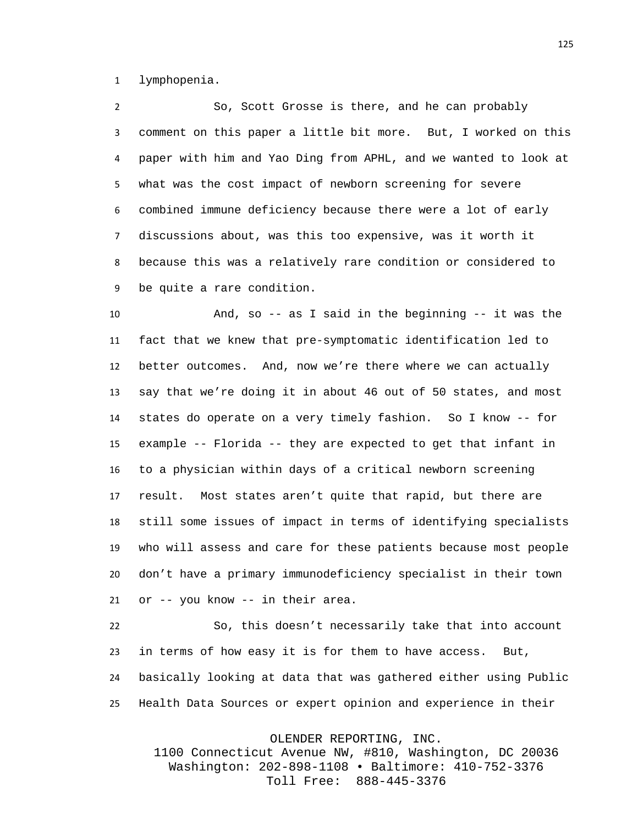lymphopenia.

 So, Scott Grosse is there, and he can probably comment on this paper a little bit more. But, I worked on this paper with him and Yao Ding from APHL, and we wanted to look at what was the cost impact of newborn screening for severe combined immune deficiency because there were a lot of early discussions about, was this too expensive, was it worth it because this was a relatively rare condition or considered to be quite a rare condition.

 And, so -- as I said in the beginning -- it was the fact that we knew that pre-symptomatic identification led to better outcomes. And, now we're there where we can actually say that we're doing it in about 46 out of 50 states, and most states do operate on a very timely fashion. So I know -- for example -- Florida -- they are expected to get that infant in to a physician within days of a critical newborn screening result. Most states aren't quite that rapid, but there are still some issues of impact in terms of identifying specialists who will assess and care for these patients because most people don't have a primary immunodeficiency specialist in their town or -- you know -- in their area.

 So, this doesn't necessarily take that into account in terms of how easy it is for them to have access. But, basically looking at data that was gathered either using Public Health Data Sources or expert opinion and experience in their

OLENDER REPORTING, INC.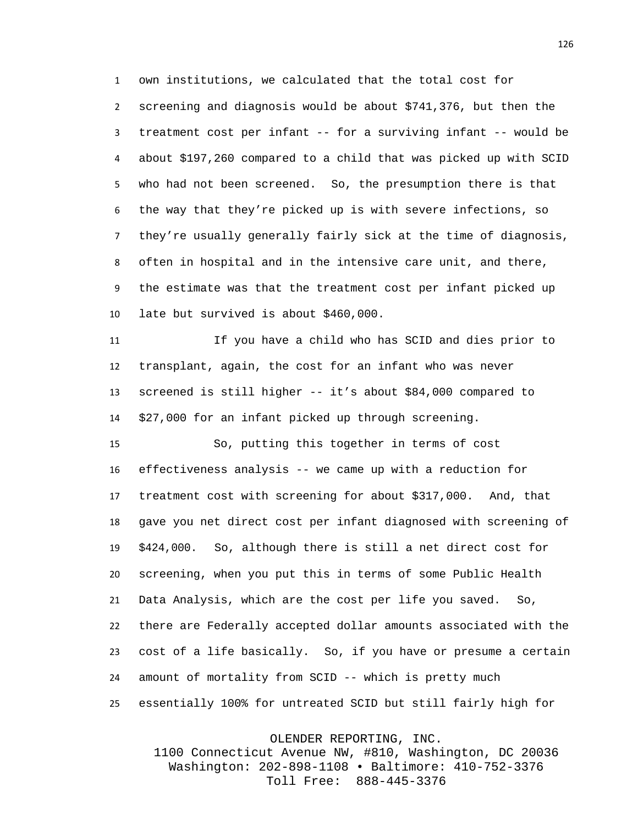own institutions, we calculated that the total cost for screening and diagnosis would be about \$741,376, but then the treatment cost per infant -- for a surviving infant -- would be about \$197,260 compared to a child that was picked up with SCID who had not been screened. So, the presumption there is that the way that they're picked up is with severe infections, so they're usually generally fairly sick at the time of diagnosis, often in hospital and in the intensive care unit, and there, the estimate was that the treatment cost per infant picked up late but survived is about \$460,000.

 If you have a child who has SCID and dies prior to transplant, again, the cost for an infant who was never screened is still higher -- it's about \$84,000 compared to \$27,000 for an infant picked up through screening.

 So, putting this together in terms of cost effectiveness analysis -- we came up with a reduction for treatment cost with screening for about \$317,000. And, that gave you net direct cost per infant diagnosed with screening of \$424,000. So, although there is still a net direct cost for screening, when you put this in terms of some Public Health Data Analysis, which are the cost per life you saved. So, there are Federally accepted dollar amounts associated with the cost of a life basically. So, if you have or presume a certain amount of mortality from SCID -- which is pretty much essentially 100% for untreated SCID but still fairly high for

OLENDER REPORTING, INC.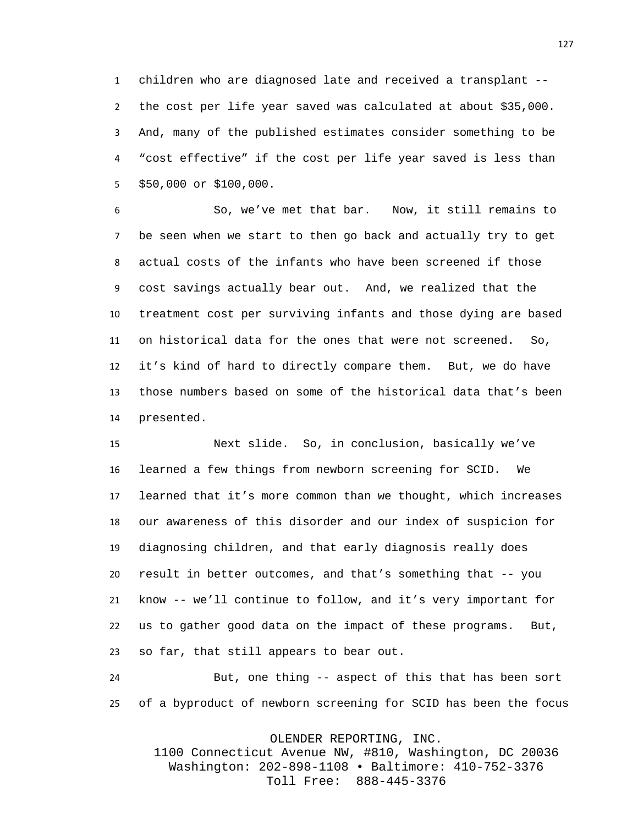children who are diagnosed late and received a transplant -- the cost per life year saved was calculated at about \$35,000. And, many of the published estimates consider something to be "cost effective" if the cost per life year saved is less than \$50,000 or \$100,000.

 So, we've met that bar. Now, it still remains to be seen when we start to then go back and actually try to get actual costs of the infants who have been screened if those cost savings actually bear out. And, we realized that the treatment cost per surviving infants and those dying are based on historical data for the ones that were not screened. So, it's kind of hard to directly compare them. But, we do have those numbers based on some of the historical data that's been presented.

 Next slide. So, in conclusion, basically we've learned a few things from newborn screening for SCID. We learned that it's more common than we thought, which increases our awareness of this disorder and our index of suspicion for diagnosing children, and that early diagnosis really does result in better outcomes, and that's something that -- you know -- we'll continue to follow, and it's very important for us to gather good data on the impact of these programs. But, so far, that still appears to bear out.

 But, one thing -- aspect of this that has been sort of a byproduct of newborn screening for SCID has been the focus

OLENDER REPORTING, INC.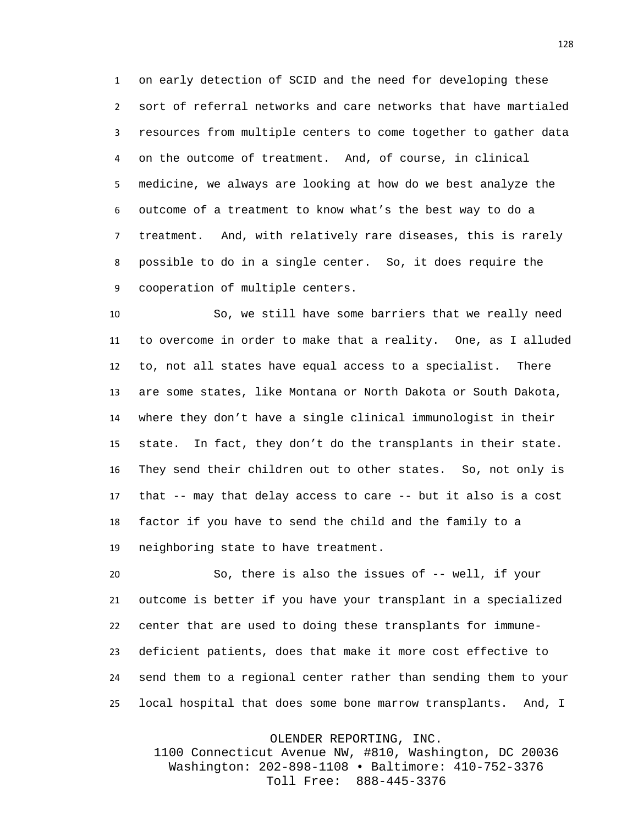on early detection of SCID and the need for developing these sort of referral networks and care networks that have martialed resources from multiple centers to come together to gather data on the outcome of treatment. And, of course, in clinical medicine, we always are looking at how do we best analyze the outcome of a treatment to know what's the best way to do a treatment. And, with relatively rare diseases, this is rarely possible to do in a single center. So, it does require the cooperation of multiple centers.

 So, we still have some barriers that we really need to overcome in order to make that a reality. One, as I alluded to, not all states have equal access to a specialist. There are some states, like Montana or North Dakota or South Dakota, where they don't have a single clinical immunologist in their state. In fact, they don't do the transplants in their state. They send their children out to other states. So, not only is that -- may that delay access to care -- but it also is a cost factor if you have to send the child and the family to a neighboring state to have treatment.

 So, there is also the issues of -- well, if your outcome is better if you have your transplant in a specialized center that are used to doing these transplants for immune- deficient patients, does that make it more cost effective to send them to a regional center rather than sending them to your local hospital that does some bone marrow transplants. And, I

OLENDER REPORTING, INC.

1100 Connecticut Avenue NW, #810, Washington, DC 20036 Washington: 202-898-1108 • Baltimore: 410-752-3376 Toll Free: 888-445-3376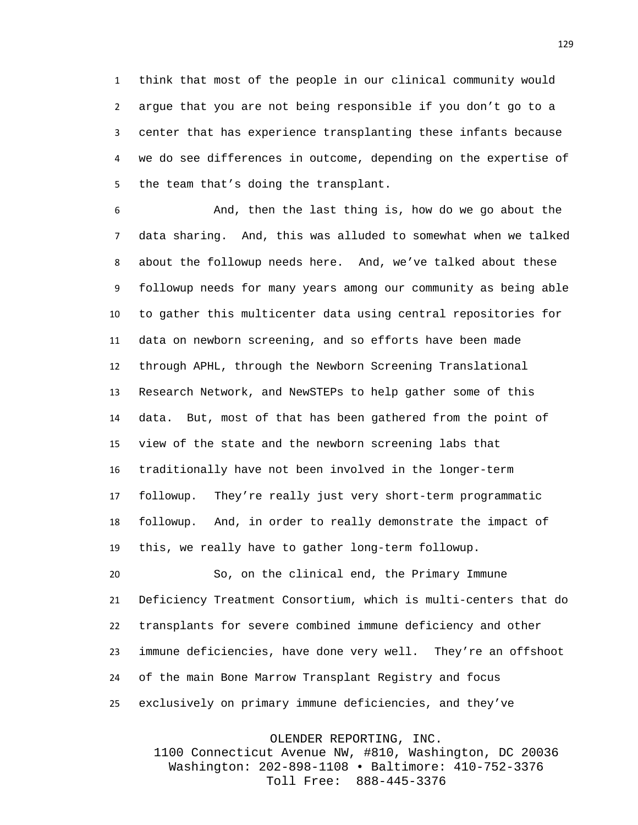think that most of the people in our clinical community would argue that you are not being responsible if you don't go to a center that has experience transplanting these infants because we do see differences in outcome, depending on the expertise of the team that's doing the transplant.

 And, then the last thing is, how do we go about the data sharing. And, this was alluded to somewhat when we talked about the followup needs here. And, we've talked about these followup needs for many years among our community as being able to gather this multicenter data using central repositories for data on newborn screening, and so efforts have been made through APHL, through the Newborn Screening Translational Research Network, and NewSTEPs to help gather some of this data. But, most of that has been gathered from the point of view of the state and the newborn screening labs that traditionally have not been involved in the longer-term followup. They're really just very short-term programmatic followup. And, in order to really demonstrate the impact of this, we really have to gather long-term followup.

 So, on the clinical end, the Primary Immune Deficiency Treatment Consortium, which is multi-centers that do transplants for severe combined immune deficiency and other immune deficiencies, have done very well. They're an offshoot of the main Bone Marrow Transplant Registry and focus exclusively on primary immune deficiencies, and they've

OLENDER REPORTING, INC.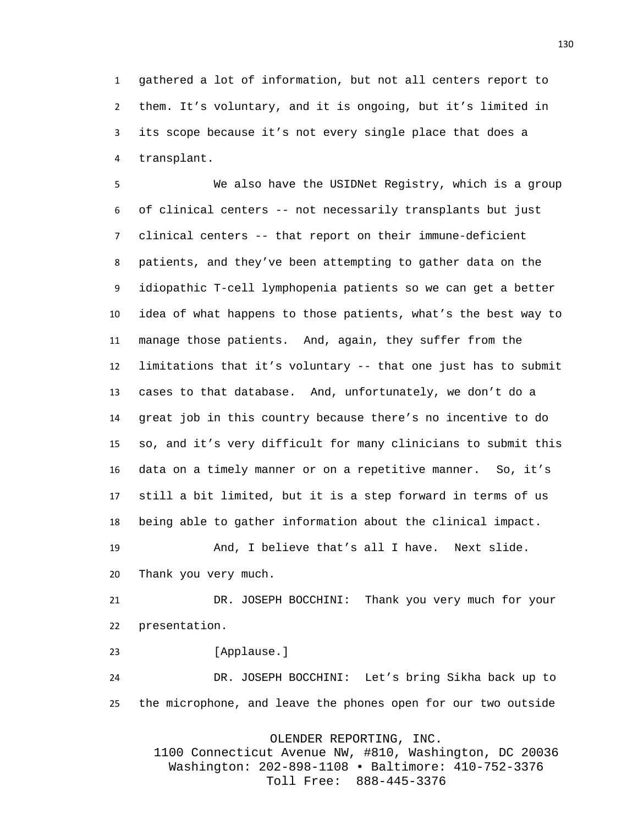gathered a lot of information, but not all centers report to them. It's voluntary, and it is ongoing, but it's limited in its scope because it's not every single place that does a transplant.

 We also have the USIDNet Registry, which is a group of clinical centers -- not necessarily transplants but just clinical centers -- that report on their immune-deficient patients, and they've been attempting to gather data on the idiopathic T-cell lymphopenia patients so we can get a better idea of what happens to those patients, what's the best way to manage those patients. And, again, they suffer from the limitations that it's voluntary -- that one just has to submit cases to that database. And, unfortunately, we don't do a great job in this country because there's no incentive to do so, and it's very difficult for many clinicians to submit this data on a timely manner or on a repetitive manner. So, it's still a bit limited, but it is a step forward in terms of us being able to gather information about the clinical impact.

 And, I believe that's all I have. Next slide. Thank you very much.

 DR. JOSEPH BOCCHINI: Thank you very much for your presentation.

23 [Applause.]

 DR. JOSEPH BOCCHINI: Let's bring Sikha back up to the microphone, and leave the phones open for our two outside

OLENDER REPORTING, INC.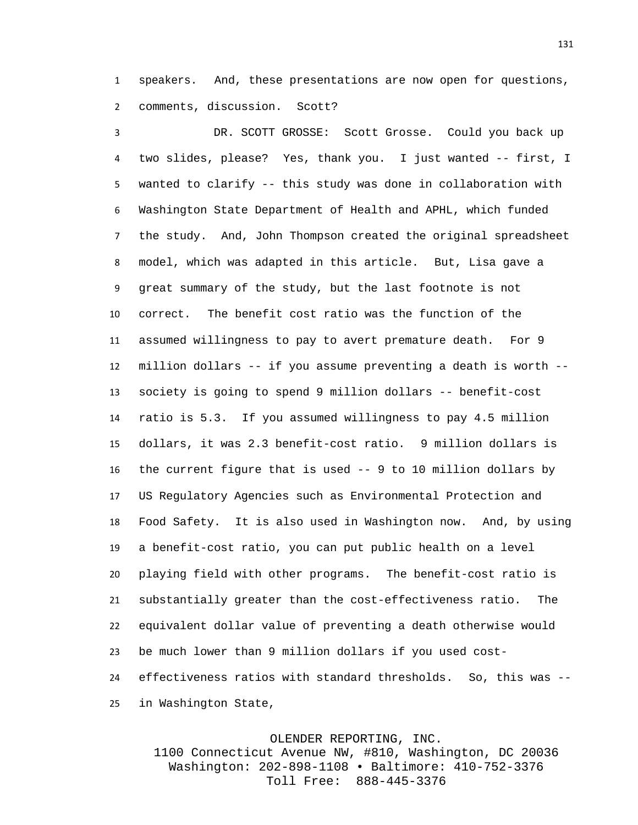speakers. And, these presentations are now open for questions, comments, discussion. Scott?

 DR. SCOTT GROSSE: Scott Grosse. Could you back up two slides, please? Yes, thank you. I just wanted -- first, I wanted to clarify -- this study was done in collaboration with Washington State Department of Health and APHL, which funded the study. And, John Thompson created the original spreadsheet model, which was adapted in this article. But, Lisa gave a great summary of the study, but the last footnote is not correct. The benefit cost ratio was the function of the assumed willingness to pay to avert premature death. For 9 million dollars -- if you assume preventing a death is worth -- society is going to spend 9 million dollars -- benefit-cost ratio is 5.3. If you assumed willingness to pay 4.5 million dollars, it was 2.3 benefit-cost ratio. 9 million dollars is the current figure that is used -- 9 to 10 million dollars by US Regulatory Agencies such as Environmental Protection and Food Safety. It is also used in Washington now. And, by using a benefit-cost ratio, you can put public health on a level playing field with other programs. The benefit-cost ratio is substantially greater than the cost-effectiveness ratio. The equivalent dollar value of preventing a death otherwise would be much lower than 9 million dollars if you used cost- effectiveness ratios with standard thresholds. So, this was -- in Washington State,

OLENDER REPORTING, INC.

1100 Connecticut Avenue NW, #810, Washington, DC 20036 Washington: 202-898-1108 • Baltimore: 410-752-3376 Toll Free: 888-445-3376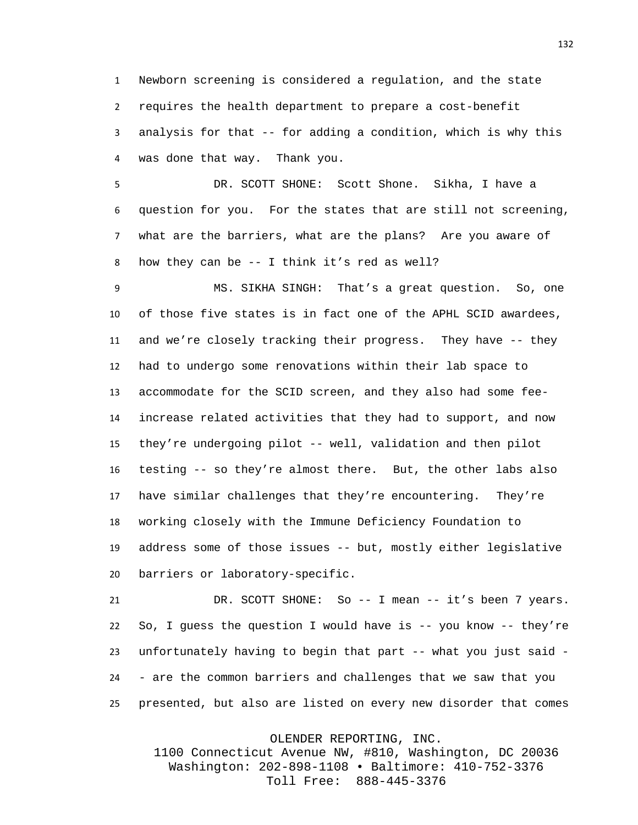Newborn screening is considered a regulation, and the state requires the health department to prepare a cost-benefit analysis for that -- for adding a condition, which is why this was done that way. Thank you.

 DR. SCOTT SHONE: Scott Shone. Sikha, I have a question for you. For the states that are still not screening, what are the barriers, what are the plans? Are you aware of how they can be -- I think it's red as well?

 MS. SIKHA SINGH: That's a great question. So, one of those five states is in fact one of the APHL SCID awardees, and we're closely tracking their progress. They have -- they had to undergo some renovations within their lab space to accommodate for the SCID screen, and they also had some fee- increase related activities that they had to support, and now they're undergoing pilot -- well, validation and then pilot testing -- so they're almost there. But, the other labs also have similar challenges that they're encountering. They're working closely with the Immune Deficiency Foundation to address some of those issues -- but, mostly either legislative barriers or laboratory-specific.

 DR. SCOTT SHONE: So -- I mean -- it's been 7 years. So, I guess the question I would have is -- you know -- they're unfortunately having to begin that part -- what you just said - - are the common barriers and challenges that we saw that you presented, but also are listed on every new disorder that comes

OLENDER REPORTING, INC.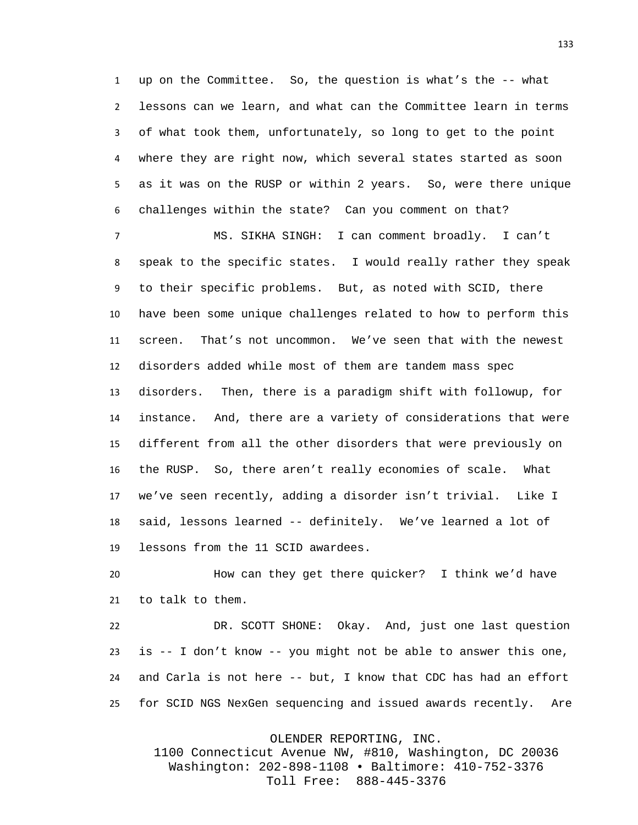up on the Committee. So, the question is what's the -- what lessons can we learn, and what can the Committee learn in terms of what took them, unfortunately, so long to get to the point where they are right now, which several states started as soon as it was on the RUSP or within 2 years. So, were there unique challenges within the state? Can you comment on that?

 MS. SIKHA SINGH: I can comment broadly. I can't speak to the specific states. I would really rather they speak to their specific problems. But, as noted with SCID, there have been some unique challenges related to how to perform this screen. That's not uncommon. We've seen that with the newest disorders added while most of them are tandem mass spec disorders. Then, there is a paradigm shift with followup, for instance. And, there are a variety of considerations that were different from all the other disorders that were previously on the RUSP. So, there aren't really economies of scale. What we've seen recently, adding a disorder isn't trivial. Like I said, lessons learned -- definitely. We've learned a lot of lessons from the 11 SCID awardees.

 How can they get there quicker? I think we'd have to talk to them.

 DR. SCOTT SHONE: Okay. And, just one last question is -- I don't know -- you might not be able to answer this one, and Carla is not here -- but, I know that CDC has had an effort for SCID NGS NexGen sequencing and issued awards recently. Are

OLENDER REPORTING, INC.

1100 Connecticut Avenue NW, #810, Washington, DC 20036 Washington: 202-898-1108 • Baltimore: 410-752-3376 Toll Free: 888-445-3376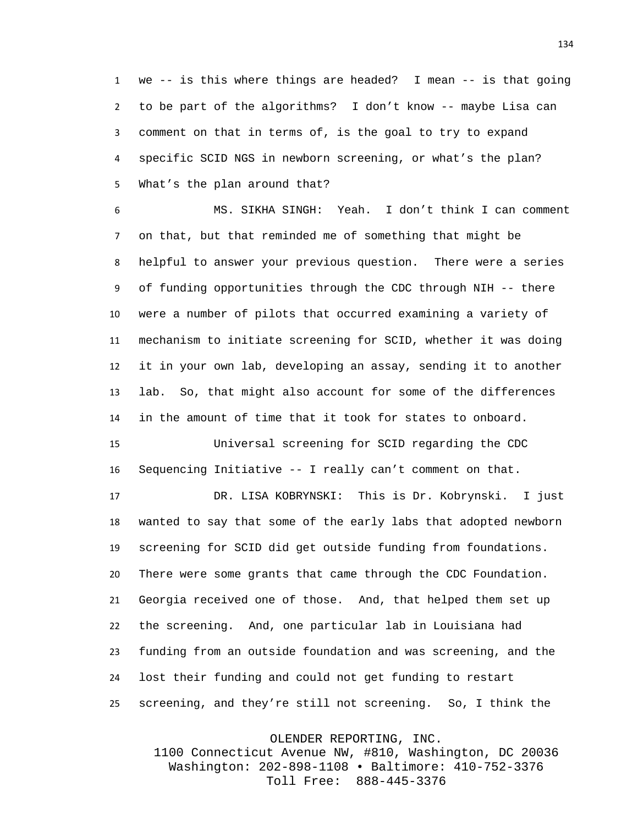we -- is this where things are headed? I mean -- is that going to be part of the algorithms? I don't know -- maybe Lisa can comment on that in terms of, is the goal to try to expand specific SCID NGS in newborn screening, or what's the plan? What's the plan around that?

 MS. SIKHA SINGH: Yeah. I don't think I can comment on that, but that reminded me of something that might be helpful to answer your previous question. There were a series of funding opportunities through the CDC through NIH -- there were a number of pilots that occurred examining a variety of mechanism to initiate screening for SCID, whether it was doing it in your own lab, developing an assay, sending it to another lab. So, that might also account for some of the differences in the amount of time that it took for states to onboard.

 Universal screening for SCID regarding the CDC Sequencing Initiative -- I really can't comment on that.

 DR. LISA KOBRYNSKI: This is Dr. Kobrynski. I just wanted to say that some of the early labs that adopted newborn screening for SCID did get outside funding from foundations. There were some grants that came through the CDC Foundation. Georgia received one of those. And, that helped them set up the screening. And, one particular lab in Louisiana had funding from an outside foundation and was screening, and the lost their funding and could not get funding to restart screening, and they're still not screening. So, I think the

OLENDER REPORTING, INC.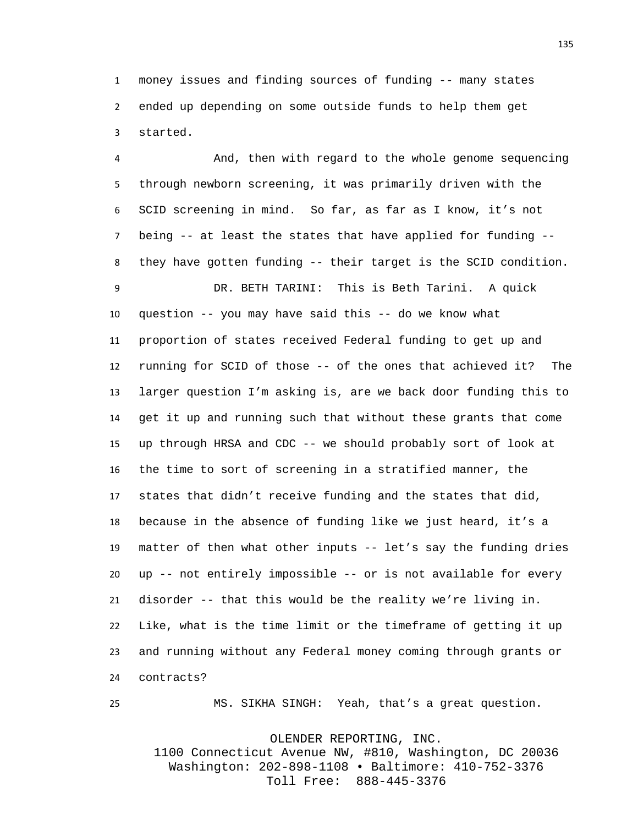money issues and finding sources of funding -- many states ended up depending on some outside funds to help them get started.

 And, then with regard to the whole genome sequencing through newborn screening, it was primarily driven with the SCID screening in mind. So far, as far as I know, it's not being -- at least the states that have applied for funding -- they have gotten funding -- their target is the SCID condition. DR. BETH TARINI: This is Beth Tarini. A quick question -- you may have said this -- do we know what proportion of states received Federal funding to get up and running for SCID of those -- of the ones that achieved it? The larger question I'm asking is, are we back door funding this to get it up and running such that without these grants that come up through HRSA and CDC -- we should probably sort of look at the time to sort of screening in a stratified manner, the states that didn't receive funding and the states that did, because in the absence of funding like we just heard, it's a matter of then what other inputs -- let's say the funding dries up -- not entirely impossible -- or is not available for every disorder -- that this would be the reality we're living in. Like, what is the time limit or the timeframe of getting it up and running without any Federal money coming through grants or contracts?

MS. SIKHA SINGH: Yeah, that's a great question.

OLENDER REPORTING, INC.

1100 Connecticut Avenue NW, #810, Washington, DC 20036 Washington: 202-898-1108 • Baltimore: 410-752-3376 Toll Free: 888-445-3376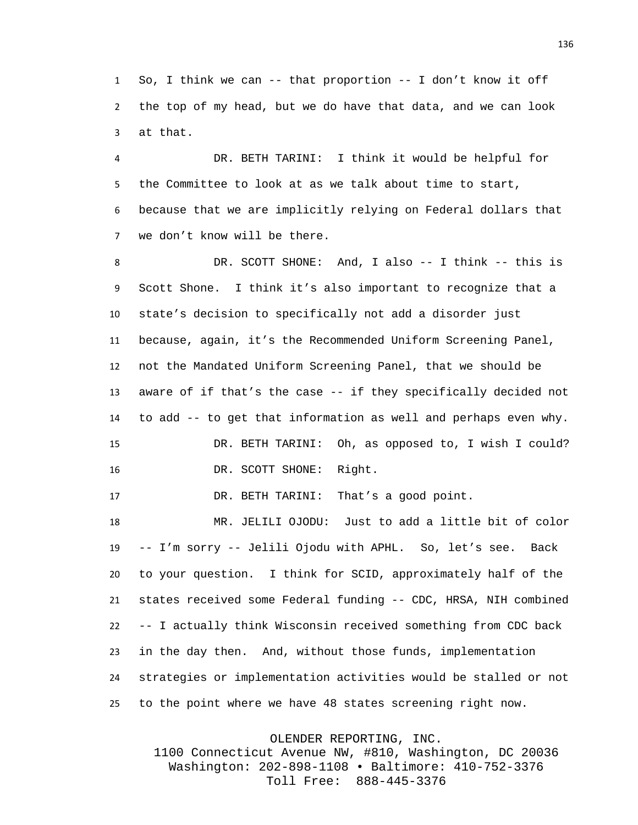So, I think we can -- that proportion -- I don't know it off the top of my head, but we do have that data, and we can look at that.

 DR. BETH TARINI: I think it would be helpful for the Committee to look at as we talk about time to start, because that we are implicitly relying on Federal dollars that we don't know will be there.

 DR. SCOTT SHONE: And, I also -- I think -- this is Scott Shone. I think it's also important to recognize that a state's decision to specifically not add a disorder just because, again, it's the Recommended Uniform Screening Panel, not the Mandated Uniform Screening Panel, that we should be aware of if that's the case -- if they specifically decided not to add -- to get that information as well and perhaps even why. DR. BETH TARINI: Oh, as opposed to, I wish I could? 16 DR. SCOTT SHONE: Right.

DR. BETH TARINI: That's a good point.

 MR. JELILI OJODU: Just to add a little bit of color -- I'm sorry -- Jelili Ojodu with APHL. So, let's see. Back to your question. I think for SCID, approximately half of the states received some Federal funding -- CDC, HRSA, NIH combined -- I actually think Wisconsin received something from CDC back in the day then. And, without those funds, implementation strategies or implementation activities would be stalled or not to the point where we have 48 states screening right now.

OLENDER REPORTING, INC.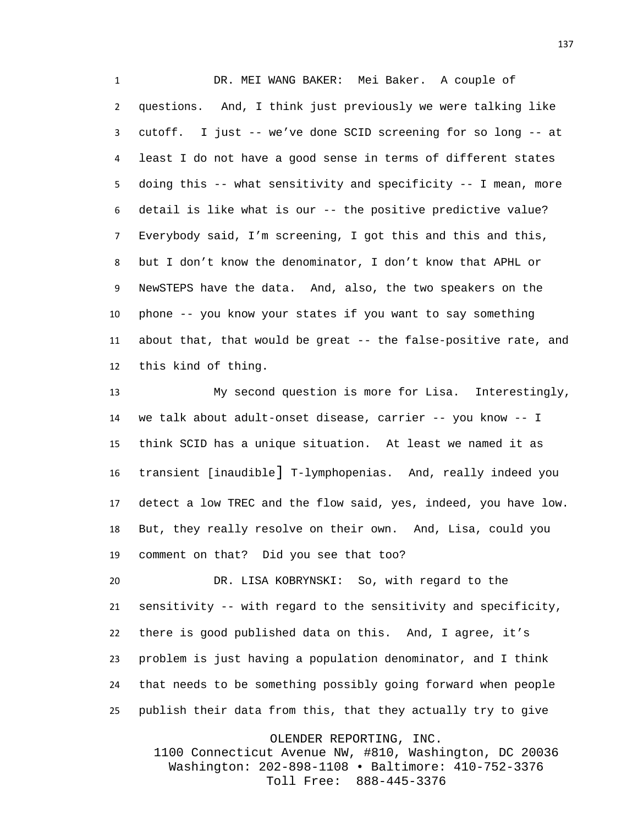DR. MEI WANG BAKER: Mei Baker. A couple of questions. And, I think just previously we were talking like cutoff. I just -- we've done SCID screening for so long -- at least I do not have a good sense in terms of different states doing this -- what sensitivity and specificity -- I mean, more detail is like what is our -- the positive predictive value? Everybody said, I'm screening, I got this and this and this, but I don't know the denominator, I don't know that APHL or NewSTEPS have the data. And, also, the two speakers on the phone -- you know your states if you want to say something about that, that would be great -- the false-positive rate, and this kind of thing.

 My second question is more for Lisa. Interestingly, we talk about adult-onset disease, carrier -- you know -- I think SCID has a unique situation. At least we named it as transient [inaudible] T-lymphopenias. And, really indeed you detect a low TREC and the flow said, yes, indeed, you have low. But, they really resolve on their own. And, Lisa, could you comment on that? Did you see that too?

 DR. LISA KOBRYNSKI: So, with regard to the sensitivity -- with regard to the sensitivity and specificity, there is good published data on this. And, I agree, it's problem is just having a population denominator, and I think that needs to be something possibly going forward when people publish their data from this, that they actually try to give

OLENDER REPORTING, INC.

1100 Connecticut Avenue NW, #810, Washington, DC 20036 Washington: 202-898-1108 • Baltimore: 410-752-3376 Toll Free: 888-445-3376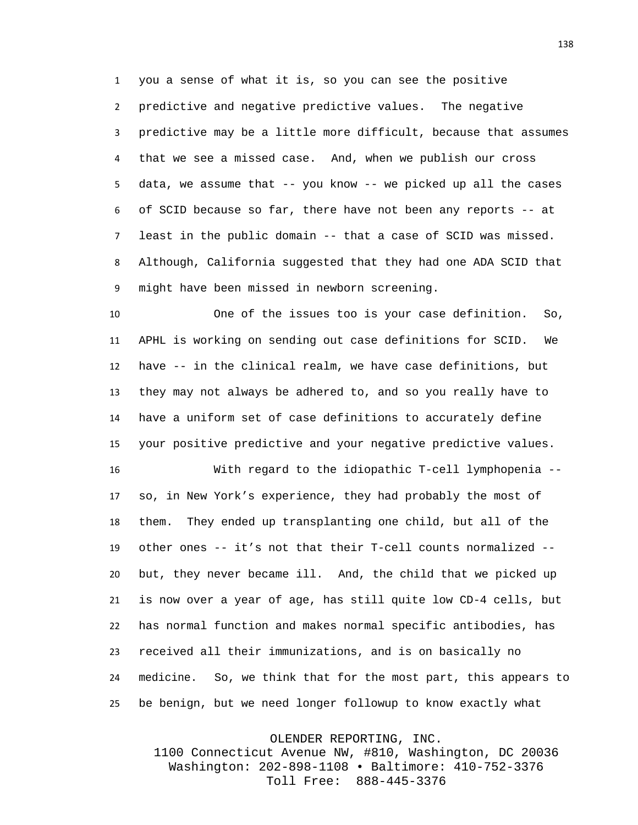you a sense of what it is, so you can see the positive predictive and negative predictive values. The negative predictive may be a little more difficult, because that assumes that we see a missed case. And, when we publish our cross data, we assume that -- you know -- we picked up all the cases of SCID because so far, there have not been any reports -- at least in the public domain -- that a case of SCID was missed. Although, California suggested that they had one ADA SCID that might have been missed in newborn screening.

 One of the issues too is your case definition. So, APHL is working on sending out case definitions for SCID. We have -- in the clinical realm, we have case definitions, but they may not always be adhered to, and so you really have to have a uniform set of case definitions to accurately define your positive predictive and your negative predictive values.

 With regard to the idiopathic T-cell lymphopenia -- so, in New York's experience, they had probably the most of them. They ended up transplanting one child, but all of the other ones -- it's not that their T-cell counts normalized -- but, they never became ill. And, the child that we picked up is now over a year of age, has still quite low CD-4 cells, but has normal function and makes normal specific antibodies, has received all their immunizations, and is on basically no medicine. So, we think that for the most part, this appears to be benign, but we need longer followup to know exactly what

OLENDER REPORTING, INC.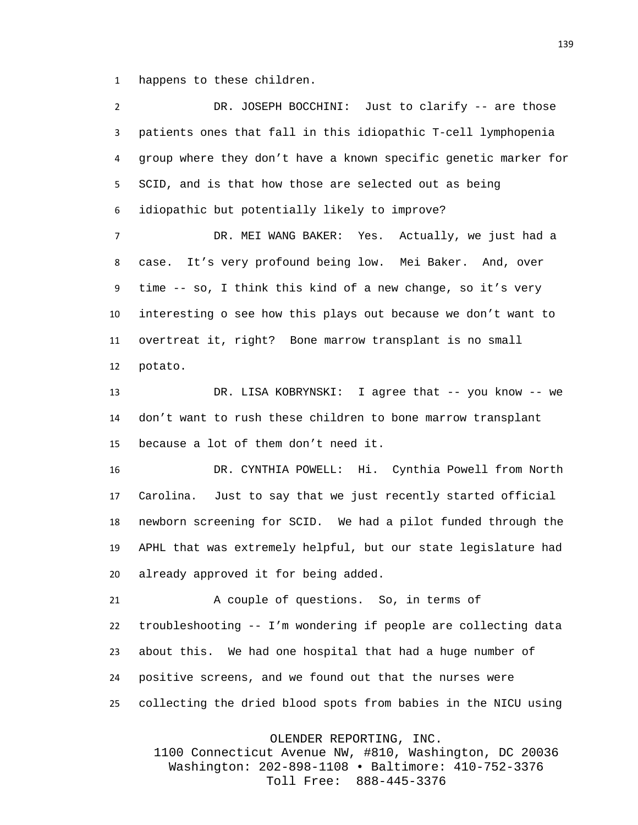happens to these children.

| $\overline{2}$ | DR. JOSEPH BOCCHINI: Just to clarify -- are those               |
|----------------|-----------------------------------------------------------------|
| 3              | patients ones that fall in this idiopathic T-cell lymphopenia   |
| 4              | group where they don't have a known specific genetic marker for |
| 5              | SCID, and is that how those are selected out as being           |
| 6              | idiopathic but potentially likely to improve?                   |
| $\overline{7}$ | DR. MEI WANG BAKER: Yes. Actually, we just had a                |
| 8              | It's very profound being low. Mei Baker. And, over<br>case.     |
| 9              | time -- so, I think this kind of a new change, so it's very     |
| 10             | interesting o see how this plays out because we don't want to   |
| 11             | overtreat it, right? Bone marrow transplant is no small         |
| 12             | potato.                                                         |
| 13             | DR. LISA KOBRYNSKI: I agree that -- you know -- we              |
| 14             | don't want to rush these children to bone marrow transplant     |
| 15             | because a lot of them don't need it.                            |
| 16             | DR. CYNTHIA POWELL: Hi. Cynthia Powell from North               |
| 17             | Carolina. Just to say that we just recently started official    |
| 18             | newborn screening for SCID. We had a pilot funded through the   |
| 19             | APHL that was extremely helpful, but our state legislature had  |
| 20             | already approved it for being added.                            |
| 21             | A couple of questions. So, in terms of                          |
| 22             | troubleshooting -- I'm wondering if people are collecting data  |
| 23             | about this. We had one hospital that had a huge number of       |
| 24             | positive screens, and we found out that the nurses were         |
| 25             | collecting the dried blood spots from babies in the NICU using  |

OLENDER REPORTING, INC.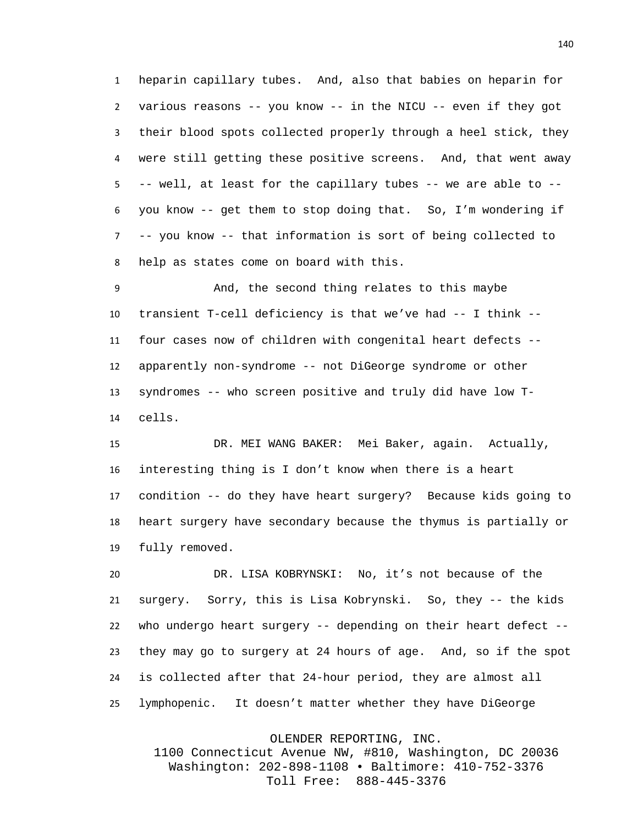heparin capillary tubes. And, also that babies on heparin for various reasons -- you know -- in the NICU -- even if they got their blood spots collected properly through a heel stick, they were still getting these positive screens. And, that went away -- well, at least for the capillary tubes -- we are able to -- you know -- get them to stop doing that. So, I'm wondering if -- you know -- that information is sort of being collected to help as states come on board with this.

 And, the second thing relates to this maybe transient T-cell deficiency is that we've had -- I think -- four cases now of children with congenital heart defects -- apparently non-syndrome -- not DiGeorge syndrome or other syndromes -- who screen positive and truly did have low T-cells.

 DR. MEI WANG BAKER: Mei Baker, again. Actually, interesting thing is I don't know when there is a heart condition -- do they have heart surgery? Because kids going to heart surgery have secondary because the thymus is partially or fully removed.

 DR. LISA KOBRYNSKI: No, it's not because of the surgery. Sorry, this is Lisa Kobrynski. So, they -- the kids who undergo heart surgery -- depending on their heart defect -- they may go to surgery at 24 hours of age. And, so if the spot is collected after that 24-hour period, they are almost all lymphopenic. It doesn't matter whether they have DiGeorge

OLENDER REPORTING, INC.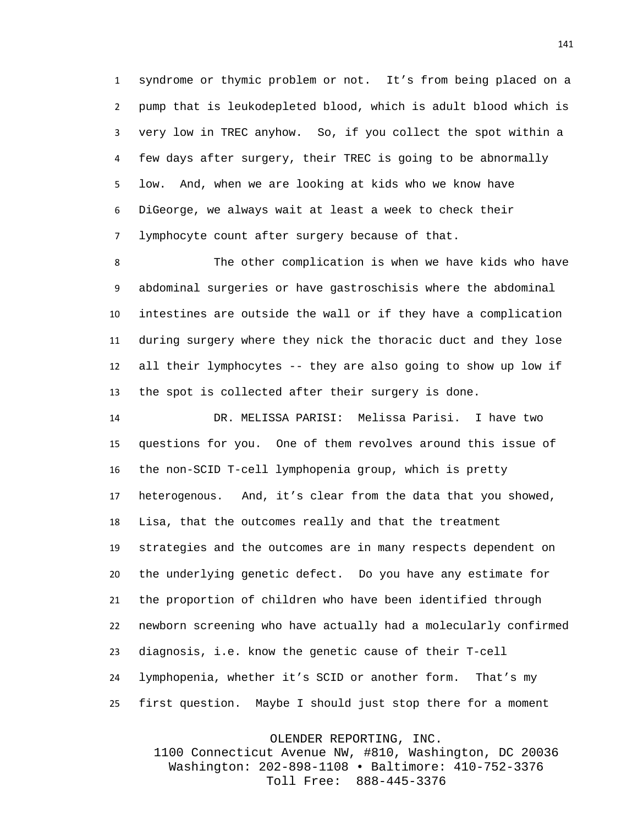syndrome or thymic problem or not. It's from being placed on a pump that is leukodepleted blood, which is adult blood which is very low in TREC anyhow. So, if you collect the spot within a few days after surgery, their TREC is going to be abnormally low. And, when we are looking at kids who we know have DiGeorge, we always wait at least a week to check their lymphocyte count after surgery because of that.

 The other complication is when we have kids who have abdominal surgeries or have gastroschisis where the abdominal intestines are outside the wall or if they have a complication during surgery where they nick the thoracic duct and they lose all their lymphocytes -- they are also going to show up low if the spot is collected after their surgery is done.

 DR. MELISSA PARISI: Melissa Parisi. I have two questions for you. One of them revolves around this issue of the non-SCID T-cell lymphopenia group, which is pretty heterogenous. And, it's clear from the data that you showed, Lisa, that the outcomes really and that the treatment strategies and the outcomes are in many respects dependent on the underlying genetic defect. Do you have any estimate for the proportion of children who have been identified through newborn screening who have actually had a molecularly confirmed diagnosis, i.e. know the genetic cause of their T-cell lymphopenia, whether it's SCID or another form. That's my first question. Maybe I should just stop there for a moment

OLENDER REPORTING, INC.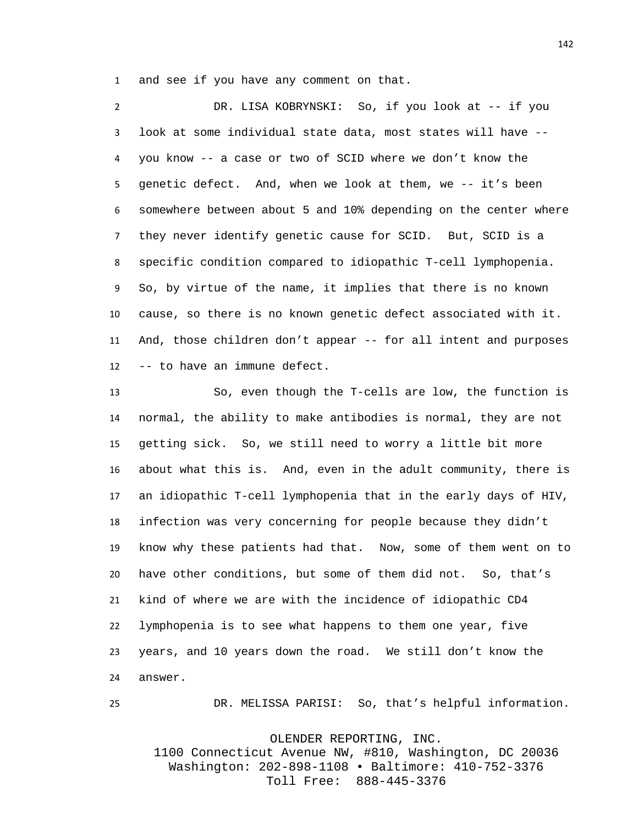and see if you have any comment on that.

 DR. LISA KOBRYNSKI: So, if you look at -- if you look at some individual state data, most states will have -- you know -- a case or two of SCID where we don't know the genetic defect. And, when we look at them, we -- it's been somewhere between about 5 and 10% depending on the center where they never identify genetic cause for SCID. But, SCID is a specific condition compared to idiopathic T-cell lymphopenia. So, by virtue of the name, it implies that there is no known cause, so there is no known genetic defect associated with it. And, those children don't appear -- for all intent and purposes -- to have an immune defect.

 So, even though the T-cells are low, the function is normal, the ability to make antibodies is normal, they are not getting sick. So, we still need to worry a little bit more about what this is. And, even in the adult community, there is an idiopathic T-cell lymphopenia that in the early days of HIV, infection was very concerning for people because they didn't know why these patients had that. Now, some of them went on to have other conditions, but some of them did not. So, that's kind of where we are with the incidence of idiopathic CD4 lymphopenia is to see what happens to them one year, five years, and 10 years down the road. We still don't know the answer.

DR. MELISSA PARISI: So, that's helpful information.

OLENDER REPORTING, INC.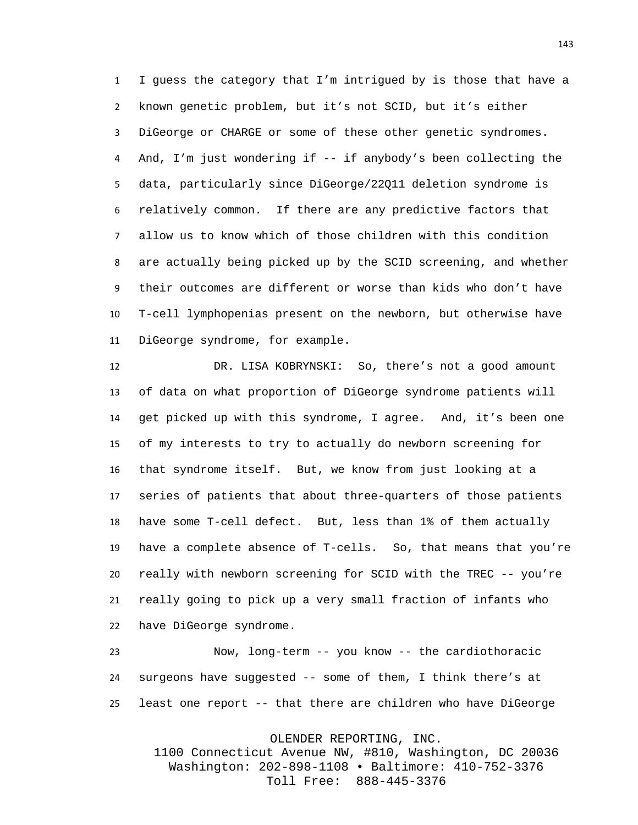I guess the category that I'm intrigued by is those that have a known genetic problem, but it's not SCID, but it's either DiGeorge or CHARGE or some of these other genetic syndromes. And, I'm just wondering if -- if anybody's been collecting the data, particularly since DiGeorge/22Q11 deletion syndrome is relatively common. If there are any predictive factors that allow us to know which of those children with this condition are actually being picked up by the SCID screening, and whether their outcomes are different or worse than kids who don't have T-cell lymphopenias present on the newborn, but otherwise have DiGeorge syndrome, for example.

 DR. LISA KOBRYNSKI: So, there's not a good amount of data on what proportion of DiGeorge syndrome patients will get picked up with this syndrome, I agree. And, it's been one of my interests to try to actually do newborn screening for that syndrome itself. But, we know from just looking at a series of patients that about three-quarters of those patients have some T-cell defect. But, less than 1% of them actually have a complete absence of T-cells. So, that means that you're really with newborn screening for SCID with the TREC -- you're really going to pick up a very small fraction of infants who have DiGeorge syndrome.

 Now, long-term -- you know -- the cardiothoracic surgeons have suggested -- some of them, I think there's at least one report -- that there are children who have DiGeorge

OLENDER REPORTING, INC.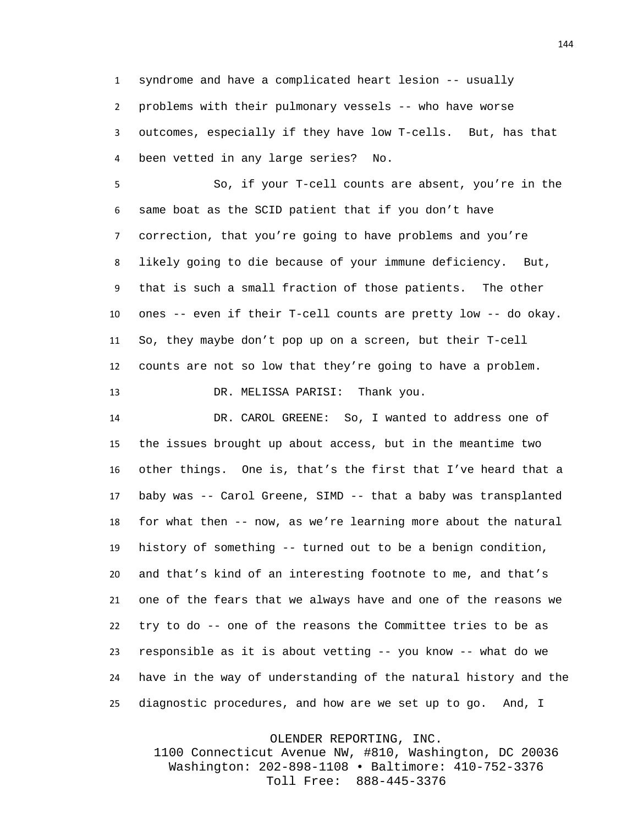syndrome and have a complicated heart lesion -- usually problems with their pulmonary vessels -- who have worse outcomes, especially if they have low T-cells. But, has that been vetted in any large series? No.

 So, if your T-cell counts are absent, you're in the same boat as the SCID patient that if you don't have correction, that you're going to have problems and you're likely going to die because of your immune deficiency. But, that is such a small fraction of those patients. The other ones -- even if their T-cell counts are pretty low -- do okay. So, they maybe don't pop up on a screen, but their T-cell counts are not so low that they're going to have a problem. DR. MELISSA PARISI: Thank you.

 DR. CAROL GREENE: So, I wanted to address one of the issues brought up about access, but in the meantime two other things. One is, that's the first that I've heard that a baby was -- Carol Greene, SIMD -- that a baby was transplanted for what then -- now, as we're learning more about the natural history of something -- turned out to be a benign condition, and that's kind of an interesting footnote to me, and that's one of the fears that we always have and one of the reasons we try to do -- one of the reasons the Committee tries to be as responsible as it is about vetting -- you know -- what do we have in the way of understanding of the natural history and the diagnostic procedures, and how are we set up to go. And, I

OLENDER REPORTING, INC.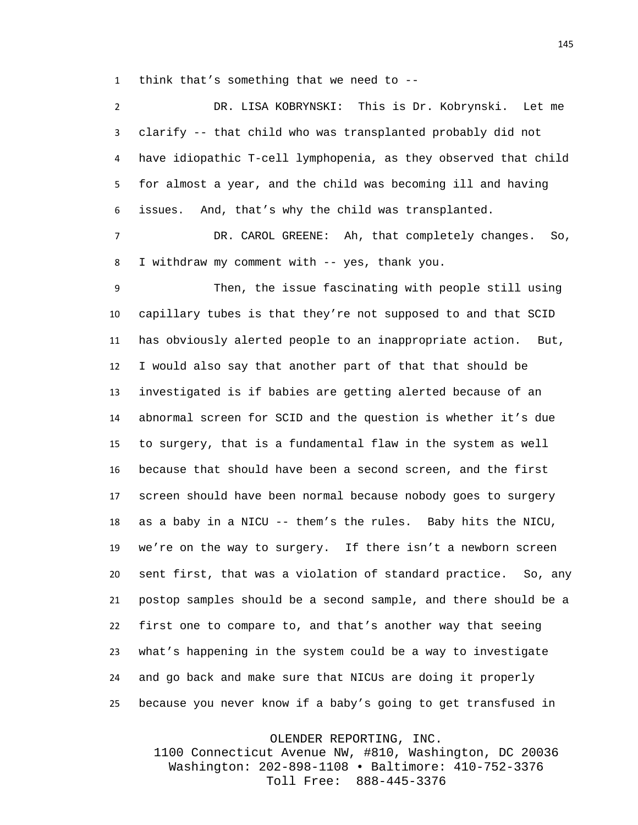think that's something that we need to --

| $\overline{2}$ | DR. LISA KOBRYNSKI: This is Dr. Kobrynski. Let me                |
|----------------|------------------------------------------------------------------|
| 3              | clarify -- that child who was transplanted probably did not      |
| 4              | have idiopathic T-cell lymphopenia, as they observed that child  |
| 5              | for almost a year, and the child was becoming ill and having     |
| 6              | And, that's why the child was transplanted.<br>issues.           |
| $\overline{7}$ | DR. CAROL GREENE: Ah, that completely changes. So,               |
| 8              | I withdraw my comment with -- yes, thank you.                    |
| 9              | Then, the issue fascinating with people still using              |
| 10             | capillary tubes is that they're not supposed to and that SCID    |
| 11             | has obviously alerted people to an inappropriate action.<br>But, |
| 12             | I would also say that another part of that that should be        |
| 13             | investigated is if babies are getting alerted because of an      |
| 14             | abnormal screen for SCID and the question is whether it's due    |
| 15             | to surgery, that is a fundamental flaw in the system as well     |
| 16             | because that should have been a second screen, and the first     |
| 17             | screen should have been normal because nobody goes to surgery    |
| 18             | as a baby in a NICU -- them's the rules. Baby hits the NICU,     |
| 19             | we're on the way to surgery. If there isn't a newborn screen     |
| 20             | sent first, that was a violation of standard practice. So, any   |
| 21             | postop samples should be a second sample, and there should be a  |
| 22             | first one to compare to, and that's another way that seeing      |
| 23             | what's happening in the system could be a way to investigate     |
| 24             | and go back and make sure that NICUs are doing it properly       |
| 25             | because you never know if a baby's going to get transfused in    |

OLENDER REPORTING, INC.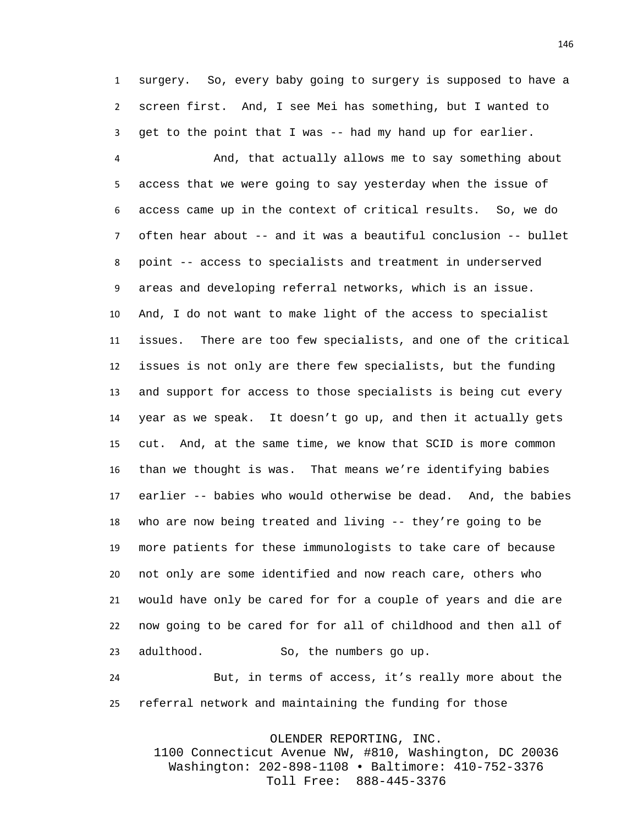surgery. So, every baby going to surgery is supposed to have a screen first. And, I see Mei has something, but I wanted to get to the point that I was -- had my hand up for earlier.

 And, that actually allows me to say something about access that we were going to say yesterday when the issue of access came up in the context of critical results. So, we do often hear about -- and it was a beautiful conclusion -- bullet point -- access to specialists and treatment in underserved areas and developing referral networks, which is an issue. And, I do not want to make light of the access to specialist issues. There are too few specialists, and one of the critical issues is not only are there few specialists, but the funding and support for access to those specialists is being cut every year as we speak. It doesn't go up, and then it actually gets cut. And, at the same time, we know that SCID is more common than we thought is was. That means we're identifying babies earlier -- babies who would otherwise be dead. And, the babies who are now being treated and living -- they're going to be more patients for these immunologists to take care of because not only are some identified and now reach care, others who would have only be cared for for a couple of years and die are now going to be cared for for all of childhood and then all of adulthood. So, the numbers go up.

 But, in terms of access, it's really more about the referral network and maintaining the funding for those

OLENDER REPORTING, INC.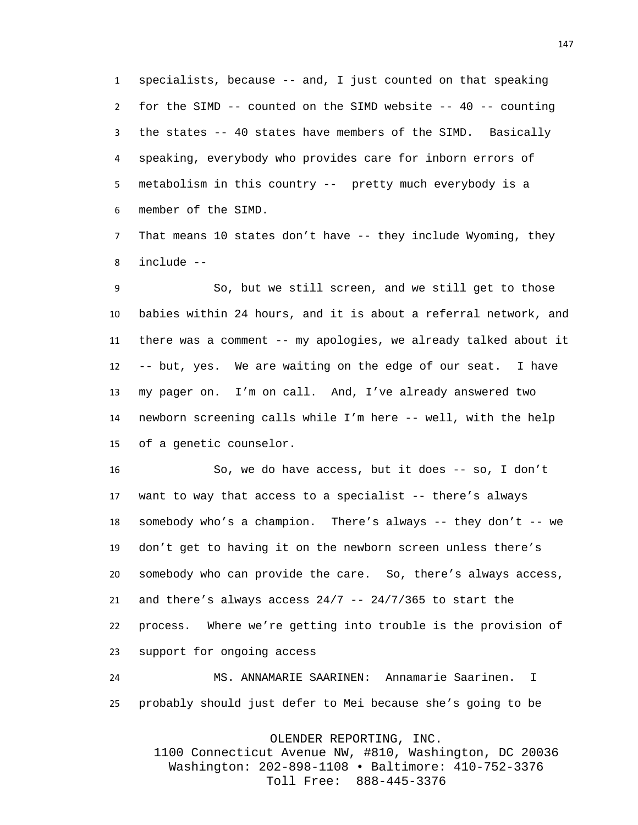specialists, because -- and, I just counted on that speaking for the SIMD -- counted on the SIMD website -- 40 -- counting the states -- 40 states have members of the SIMD. Basically speaking, everybody who provides care for inborn errors of metabolism in this country -- pretty much everybody is a member of the SIMD.

 That means 10 states don't have -- they include Wyoming, they include --

 So, but we still screen, and we still get to those babies within 24 hours, and it is about a referral network, and there was a comment -- my apologies, we already talked about it -- but, yes. We are waiting on the edge of our seat. I have my pager on. I'm on call. And, I've already answered two newborn screening calls while I'm here -- well, with the help of a genetic counselor.

 So, we do have access, but it does -- so, I don't want to way that access to a specialist -- there's always somebody who's a champion. There's always -- they don't -- we don't get to having it on the newborn screen unless there's somebody who can provide the care. So, there's always access, 21 and there's always access  $24/7$  --  $24/7/365$  to start the process. Where we're getting into trouble is the provision of support for ongoing access

 MS. ANNAMARIE SAARINEN: Annamarie Saarinen. I probably should just defer to Mei because she's going to be

OLENDER REPORTING, INC.

1100 Connecticut Avenue NW, #810, Washington, DC 20036 Washington: 202-898-1108 • Baltimore: 410-752-3376 Toll Free: 888-445-3376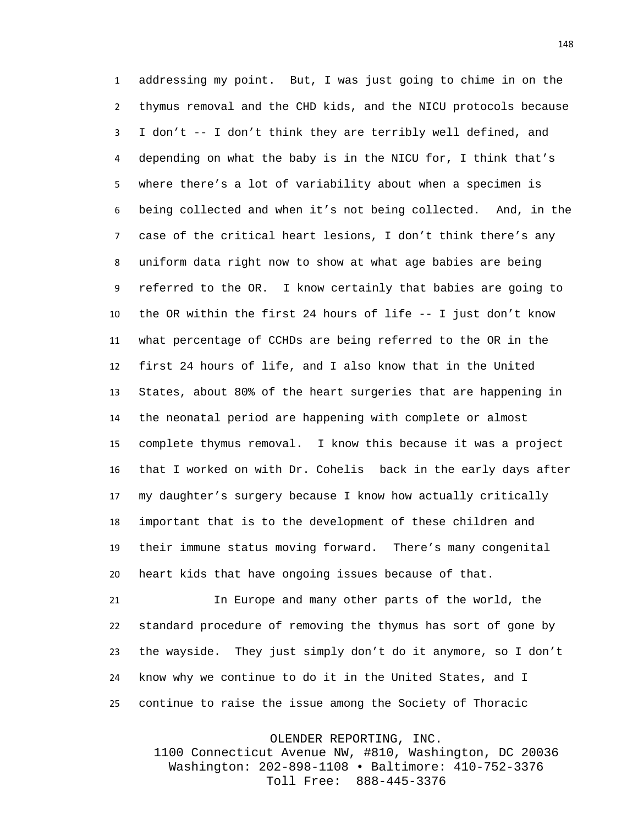addressing my point. But, I was just going to chime in on the thymus removal and the CHD kids, and the NICU protocols because I don't -- I don't think they are terribly well defined, and depending on what the baby is in the NICU for, I think that's where there's a lot of variability about when a specimen is being collected and when it's not being collected. And, in the case of the critical heart lesions, I don't think there's any uniform data right now to show at what age babies are being referred to the OR. I know certainly that babies are going to the OR within the first 24 hours of life -- I just don't know what percentage of CCHDs are being referred to the OR in the first 24 hours of life, and I also know that in the United States, about 80% of the heart surgeries that are happening in the neonatal period are happening with complete or almost complete thymus removal. I know this because it was a project that I worked on with Dr. Cohelis back in the early days after my daughter's surgery because I know how actually critically important that is to the development of these children and their immune status moving forward. There's many congenital heart kids that have ongoing issues because of that.

 In Europe and many other parts of the world, the standard procedure of removing the thymus has sort of gone by the wayside. They just simply don't do it anymore, so I don't know why we continue to do it in the United States, and I continue to raise the issue among the Society of Thoracic

OLENDER REPORTING, INC.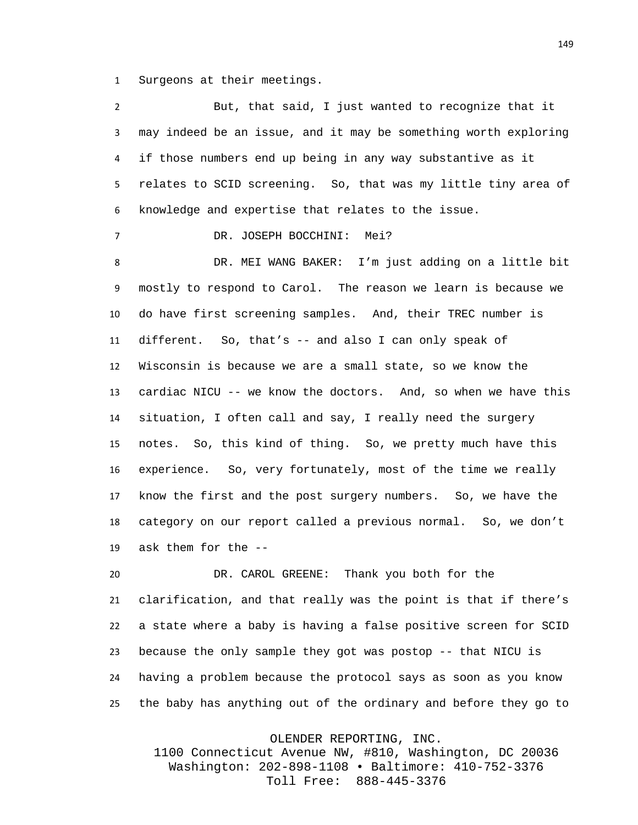Surgeons at their meetings.

| 2  | But, that said, I just wanted to recognize that it              |
|----|-----------------------------------------------------------------|
| 3  | may indeed be an issue, and it may be something worth exploring |
| 4  | if those numbers end up being in any way substantive as it      |
| 5  | relates to SCID screening. So, that was my little tiny area of  |
| 6  | knowledge and expertise that relates to the issue.              |
| 7  | DR. JOSEPH BOCCHINI: Mei?                                       |
| 8  | DR. MEI WANG BAKER: I'm just adding on a little bit             |
| 9  | mostly to respond to Carol. The reason we learn is because we   |
| 10 | do have first screening samples. And, their TREC number is      |
| 11 | different. So, that's -- and also I can only speak of           |
| 12 | Wisconsin is because we are a small state, so we know the       |
| 13 | cardiac NICU -- we know the doctors. And, so when we have this  |
| 14 | situation, I often call and say, I really need the surgery      |
| 15 | notes. So, this kind of thing. So, we pretty much have this     |
| 16 | experience. So, very fortunately, most of the time we really    |
| 17 | know the first and the post surgery numbers. So, we have the    |
| 18 | category on our report called a previous normal. So, we don't   |
| 19 | ask them for the --                                             |
| 20 | DR. CAROL GREENE: Thank you both for the                        |
| 21 | clarification, and that really was the point is that if there's |
|    |                                                                 |

 a state where a baby is having a false positive screen for SCID because the only sample they got was postop -- that NICU is having a problem because the protocol says as soon as you know the baby has anything out of the ordinary and before they go to

OLENDER REPORTING, INC.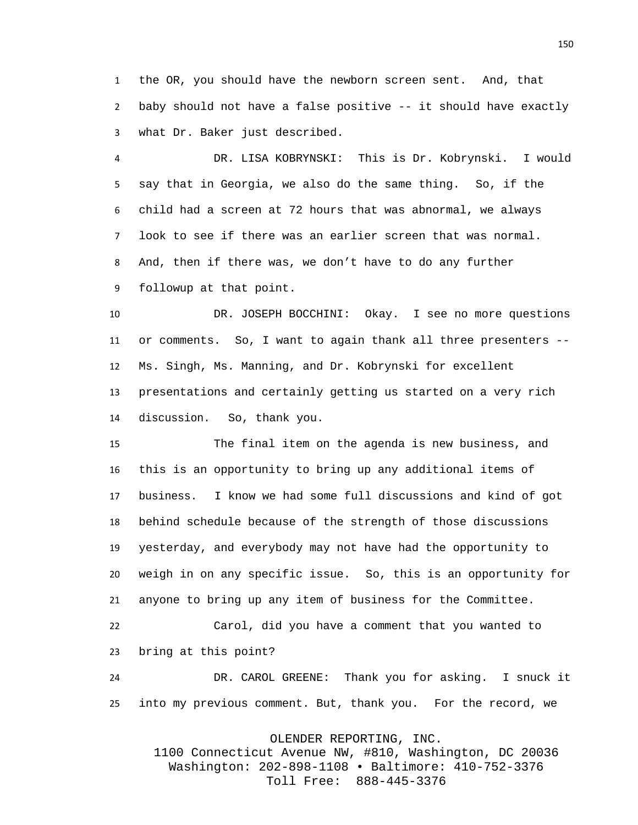the OR, you should have the newborn screen sent. And, that baby should not have a false positive -- it should have exactly what Dr. Baker just described.

 DR. LISA KOBRYNSKI: This is Dr. Kobrynski. I would say that in Georgia, we also do the same thing. So, if the child had a screen at 72 hours that was abnormal, we always look to see if there was an earlier screen that was normal. And, then if there was, we don't have to do any further followup at that point.

 DR. JOSEPH BOCCHINI: Okay. I see no more questions or comments. So, I want to again thank all three presenters -- Ms. Singh, Ms. Manning, and Dr. Kobrynski for excellent presentations and certainly getting us started on a very rich discussion. So, thank you.

 The final item on the agenda is new business, and this is an opportunity to bring up any additional items of business. I know we had some full discussions and kind of got behind schedule because of the strength of those discussions yesterday, and everybody may not have had the opportunity to weigh in on any specific issue. So, this is an opportunity for anyone to bring up any item of business for the Committee.

 Carol, did you have a comment that you wanted to bring at this point?

 DR. CAROL GREENE: Thank you for asking. I snuck it into my previous comment. But, thank you. For the record, we

OLENDER REPORTING, INC.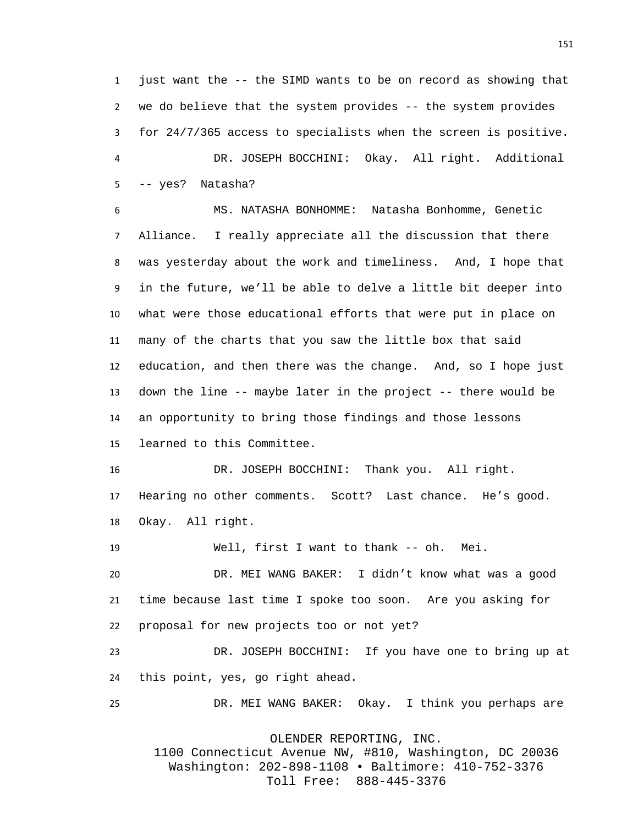just want the -- the SIMD wants to be on record as showing that we do believe that the system provides -- the system provides for 24/7/365 access to specialists when the screen is positive. DR. JOSEPH BOCCHINI: Okay. All right. Additional -- yes? Natasha?

 MS. NATASHA BONHOMME: Natasha Bonhomme, Genetic Alliance. I really appreciate all the discussion that there was yesterday about the work and timeliness. And, I hope that in the future, we'll be able to delve a little bit deeper into what were those educational efforts that were put in place on many of the charts that you saw the little box that said education, and then there was the change. And, so I hope just down the line -- maybe later in the project -- there would be an opportunity to bring those findings and those lessons learned to this Committee.

 DR. JOSEPH BOCCHINI: Thank you. All right. Hearing no other comments. Scott? Last chance. He's good. Okay. All right.

Well, first I want to thank -- oh. Mei.

 DR. MEI WANG BAKER: I didn't know what was a good time because last time I spoke too soon. Are you asking for proposal for new projects too or not yet?

 DR. JOSEPH BOCCHINI: If you have one to bring up at this point, yes, go right ahead.

DR. MEI WANG BAKER: Okay. I think you perhaps are

OLENDER REPORTING, INC.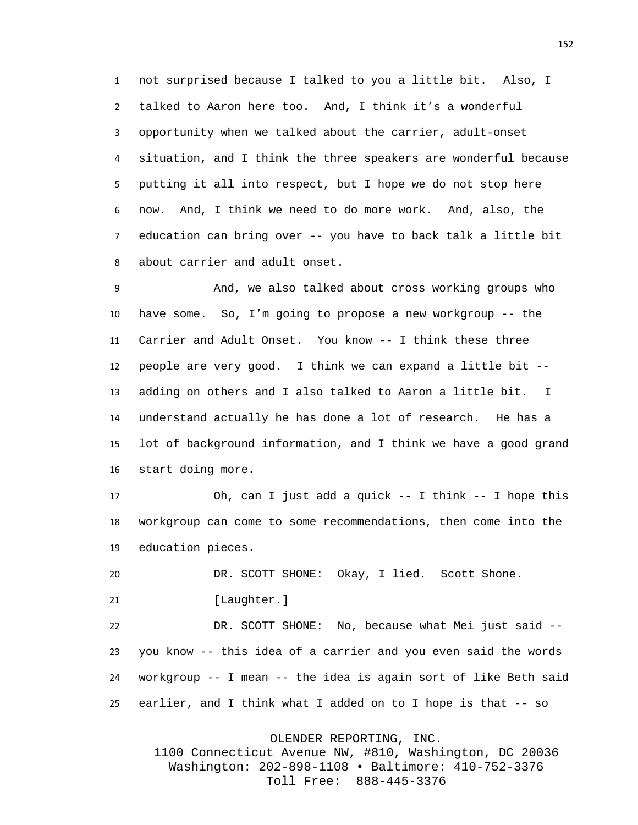not surprised because I talked to you a little bit. Also, I talked to Aaron here too. And, I think it's a wonderful opportunity when we talked about the carrier, adult-onset situation, and I think the three speakers are wonderful because putting it all into respect, but I hope we do not stop here now. And, I think we need to do more work. And, also, the education can bring over -- you have to back talk a little bit about carrier and adult onset.

 And, we also talked about cross working groups who have some. So, I'm going to propose a new workgroup -- the Carrier and Adult Onset. You know -- I think these three people are very good. I think we can expand a little bit -- adding on others and I also talked to Aaron a little bit. I understand actually he has done a lot of research. He has a lot of background information, and I think we have a good grand start doing more.

 Oh, can I just add a quick -- I think -- I hope this workgroup can come to some recommendations, then come into the education pieces.

DR. SCOTT SHONE: Okay, I lied. Scott Shone.

21 [Laughter.]

 DR. SCOTT SHONE: No, because what Mei just said -- you know -- this idea of a carrier and you even said the words workgroup -- I mean -- the idea is again sort of like Beth said earlier, and I think what I added on to I hope is that -- so

OLENDER REPORTING, INC.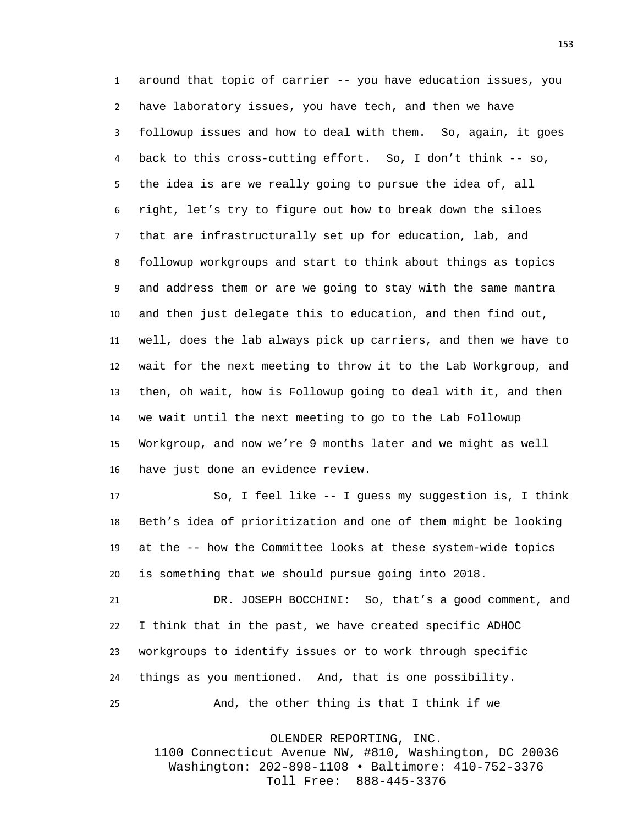around that topic of carrier -- you have education issues, you have laboratory issues, you have tech, and then we have followup issues and how to deal with them. So, again, it goes back to this cross-cutting effort. So, I don't think -- so, the idea is are we really going to pursue the idea of, all right, let's try to figure out how to break down the siloes that are infrastructurally set up for education, lab, and followup workgroups and start to think about things as topics and address them or are we going to stay with the same mantra and then just delegate this to education, and then find out, well, does the lab always pick up carriers, and then we have to wait for the next meeting to throw it to the Lab Workgroup, and then, oh wait, how is Followup going to deal with it, and then we wait until the next meeting to go to the Lab Followup Workgroup, and now we're 9 months later and we might as well have just done an evidence review.

 So, I feel like -- I guess my suggestion is, I think Beth's idea of prioritization and one of them might be looking at the -- how the Committee looks at these system-wide topics is something that we should pursue going into 2018.

 DR. JOSEPH BOCCHINI: So, that's a good comment, and I think that in the past, we have created specific ADHOC workgroups to identify issues or to work through specific things as you mentioned. And, that is one possibility. And, the other thing is that I think if we

OLENDER REPORTING, INC.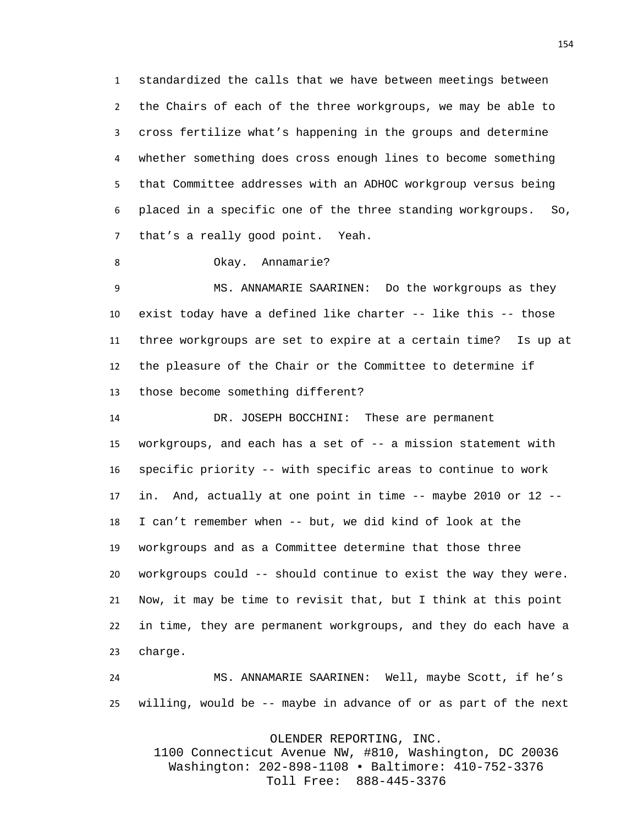standardized the calls that we have between meetings between the Chairs of each of the three workgroups, we may be able to cross fertilize what's happening in the groups and determine whether something does cross enough lines to become something that Committee addresses with an ADHOC workgroup versus being placed in a specific one of the three standing workgroups. So, that's a really good point. Yeah.

Okay. Annamarie?

 MS. ANNAMARIE SAARINEN: Do the workgroups as they exist today have a defined like charter -- like this -- those three workgroups are set to expire at a certain time? Is up at the pleasure of the Chair or the Committee to determine if those become something different?

 DR. JOSEPH BOCCHINI: These are permanent workgroups, and each has a set of -- a mission statement with specific priority -- with specific areas to continue to work in. And, actually at one point in time -- maybe 2010 or 12 -- I can't remember when -- but, we did kind of look at the workgroups and as a Committee determine that those three workgroups could -- should continue to exist the way they were. Now, it may be time to revisit that, but I think at this point in time, they are permanent workgroups, and they do each have a charge.

 MS. ANNAMARIE SAARINEN: Well, maybe Scott, if he's willing, would be -- maybe in advance of or as part of the next

OLENDER REPORTING, INC.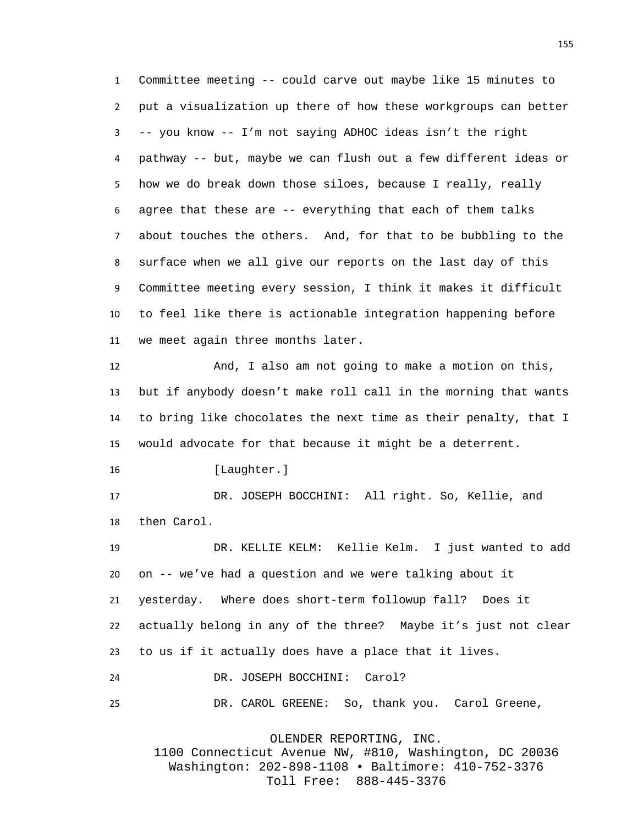Committee meeting -- could carve out maybe like 15 minutes to put a visualization up there of how these workgroups can better -- you know -- I'm not saying ADHOC ideas isn't the right pathway -- but, maybe we can flush out a few different ideas or how we do break down those siloes, because I really, really agree that these are -- everything that each of them talks about touches the others. And, for that to be bubbling to the surface when we all give our reports on the last day of this Committee meeting every session, I think it makes it difficult to feel like there is actionable integration happening before we meet again three months later.

 And, I also am not going to make a motion on this, but if anybody doesn't make roll call in the morning that wants to bring like chocolates the next time as their penalty, that I would advocate for that because it might be a deterrent.

16 [Laughter.]

 DR. JOSEPH BOCCHINI: All right. So, Kellie, and then Carol.

 DR. KELLIE KELM: Kellie Kelm. I just wanted to add on -- we've had a question and we were talking about it yesterday. Where does short-term followup fall? Does it actually belong in any of the three? Maybe it's just not clear to us if it actually does have a place that it lives. DR. JOSEPH BOCCHINI: Carol?

DR. CAROL GREENE: So, thank you. Carol Greene,

OLENDER REPORTING, INC.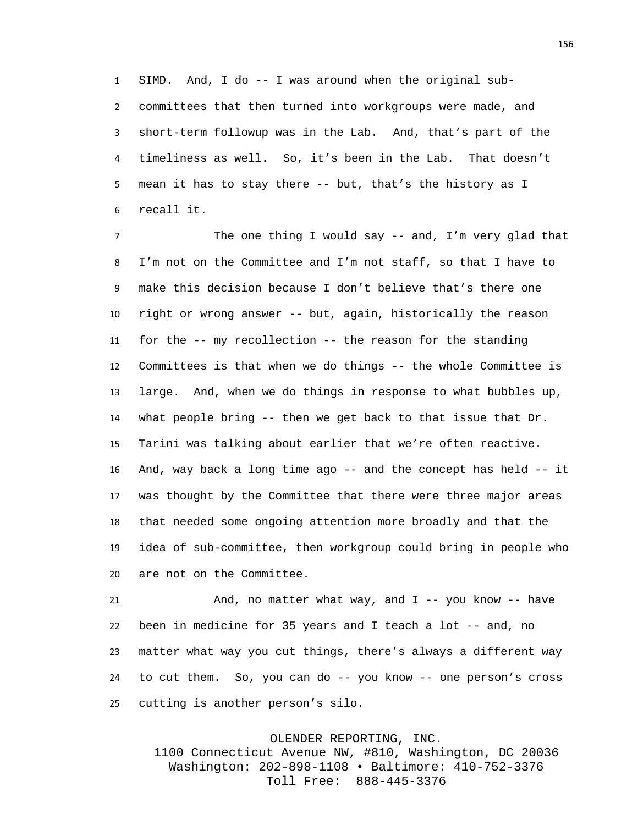SIMD. And, I do -- I was around when the original sub- committees that then turned into workgroups were made, and short-term followup was in the Lab. And, that's part of the timeliness as well. So, it's been in the Lab. That doesn't mean it has to stay there -- but, that's the history as I recall it.

 The one thing I would say -- and, I'm very glad that I'm not on the Committee and I'm not staff, so that I have to make this decision because I don't believe that's there one right or wrong answer -- but, again, historically the reason for the -- my recollection -- the reason for the standing Committees is that when we do things -- the whole Committee is large. And, when we do things in response to what bubbles up, what people bring -- then we get back to that issue that Dr. Tarini was talking about earlier that we're often reactive. And, way back a long time ago -- and the concept has held -- it was thought by the Committee that there were three major areas that needed some ongoing attention more broadly and that the idea of sub-committee, then workgroup could bring in people who are not on the Committee.

21 And, no matter what way, and I -- you know -- have been in medicine for 35 years and I teach a lot -- and, no matter what way you cut things, there's always a different way to cut them. So, you can do -- you know -- one person's cross cutting is another person's silo.

## OLENDER REPORTING, INC.